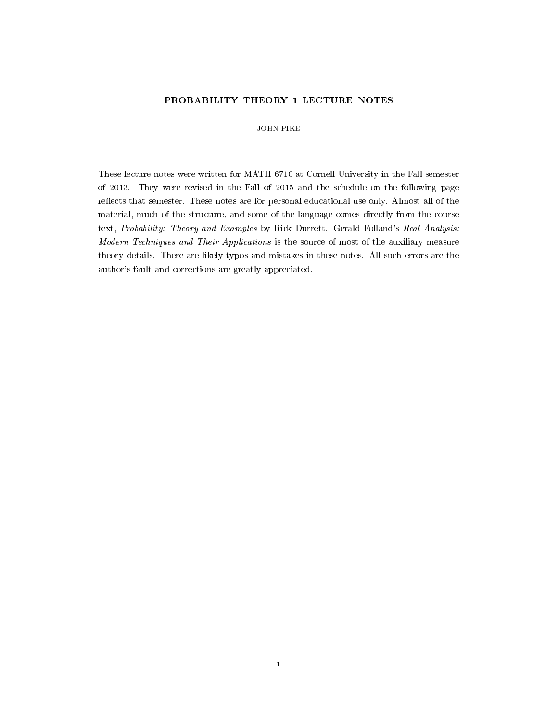# PROBABILITY THEORY 1 LECTURE NOTES

## JOHN PIKE

These lecture notes were written for MATH 6710 at Cornell University in the Fall semester of 2013. They were revised in the Fall of 2015 and the schedule on the following page reflects that semester. These notes are for personal educational use only. Almost all of the material, much of the structure, and some of the language comes directly from the course text, Probability: Theory and Examples by Rick Durrett. Gerald Folland's Real Analysis: Modern Techniques and Their Applications is the source of most of the auxiliary measure theory details. There are likely typos and mistakes in these notes. All such errors are the author's fault and corrections are greatly appreciated.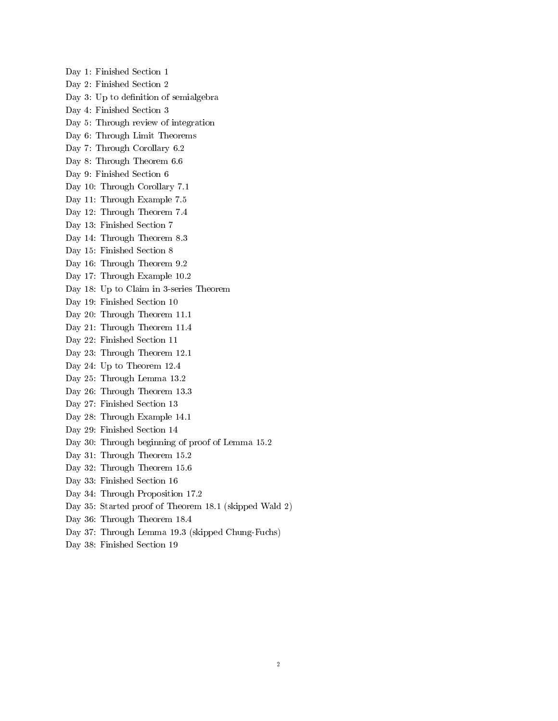Day 1: Finished Section 1 Day 2: Finished Section 2 Day 3: Up to definition of semialgebra Day 4: Finished Section 3 Day 5: Through review of integration Day 6: Through Limit Theorems Day 7: Through Corollary 6.2 Day 8: Through Theorem 6.6 Day 9: Finished Section 6 Day 10: Through Corollary 7.1 Day 11: Through Example 7.5 Day 12: Through Theorem 7.4 Day 13: Finished Section 7 Day 14: Through Theorem 8.3 Day 15: Finished Section 8 Day 16: Through Theorem 9.2 Day 17: Through Example 10.2 Day 18: Up to Claim in 3-series Theorem Day 19: Finished Section 10 Day 20: Through Theorem 11.1 Day 21: Through Theorem 11.4 Day 22: Finished Section 11 Day 23: Through Theorem 12.1 Day 24: Up to Theorem 12.4 Day 25: Through Lemma 13.2 Day 26: Through Theorem 13.3 Day 27: Finished Section 13 Day 28: Through Example 14.1 Day 29: Finished Section 14 Day 30: Through beginning of proof of Lemma 15.2 Day 31: Through Theorem 15.2 Day 32: Through Theorem 15.6 Day 33: Finished Section 16 Day 34: Through Proposition 17.2 Day 35: Started proof of Theorem 18.1 (skipped Wald 2) Day 36: Through Theorem 18.4 Day 37: Through Lemma 19.3 (skipped Chung-Fuchs)

Day 38: Finished Section 19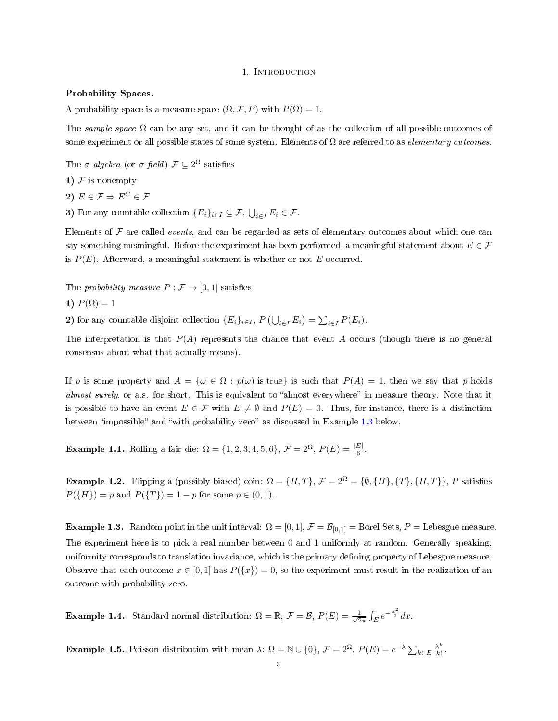#### 1. Introduction

#### Probability Spaces.

A probability space is a measure space  $(\Omega, \mathcal{F}, P)$  with  $P(\Omega) = 1$ .

The sample space  $\Omega$  can be any set, and it can be thought of as the collection of all possible outcomes of some experiment or all possible states of some system. Elements of  $\Omega$  are referred to as *elementary outcomes*.

The  $\sigma$ -algebra (or  $\sigma$ -field)  $\mathcal{F} \subseteq 2^{\Omega}$  satisfies

1) 
$$
F
$$
 is nonempty

2)  $E \in \mathcal{F} \Rightarrow E^C \in \mathcal{F}$ 

3) For any countable collection  $\{E_i\}_{i\in I}\subseteq \mathcal{F}$ ,  $\bigcup_{i\in I}E_i\in \mathcal{F}$ .

Elements of  $\mathcal F$  are called *events*, and can be regarded as sets of elementary outcomes about which one can say something meaningful. Before the experiment has been performed, a meaningful statement about  $E \in \mathcal{F}$ is  $P(E)$ . Afterward, a meaningful statement is whether or not E occurred.

The probability measure  $P : \mathcal{F} \to [0, 1]$  satisfies

$$
1) P(\Omega) = 1
$$

2) for any countable disjoint collection  $\{E_i\}_{i\in I}$ ,  $P(\bigcup_{i\in I} E_i) = \sum_{i\in I} P(E_i)$ .

The interpretation is that  $P(A)$  represents the chance that event A occurs (though there is no general consensus about what that actually means).

If p is some property and  $A = {\omega \in \Omega : p(\omega)$  is true is such that  $P(A) = 1$ , then we say that p holds almost surely, or a.s. for short. This is equivalent to "almost everywhere" in measure theory. Note that it is possible to have an event  $E \in \mathcal{F}$  with  $E \neq \emptyset$  and  $P(E) = 0$ . Thus, for instance, there is a distinction between "impossible" and "with probability zero" as discussed in Example [1.3](#page-2-0) below.

<span id="page-2-1"></span>**Example 1.1.** Rolling a fair die:  $\Omega = \{1, 2, 3, 4, 5, 6\}, \mathcal{F} = 2^{\Omega}, P(E) = \frac{|E|}{6}$ .

<span id="page-2-3"></span>**Example 1.2.** Flipping a (possibly biased) coin:  $\Omega = \{H, T\}$ ,  $\mathcal{F} = 2^{\Omega} = \{\emptyset, \{H\}, \{T\}, \{H, T\}\}\$ , P satisfies  $P({H}) = p$  and  $P({T}) = 1 - p$  for some  $p \in (0, 1)$ .

<span id="page-2-0"></span>**Example 1.3.** Random point in the unit interval:  $\Omega = [0, 1], \mathcal{F} = \mathcal{B}_{[0,1]} =$  Borel Sets,  $P =$  Lebesgue measure. The experiment here is to pick a real number between 0 and 1 uniformly at random. Generally speaking, uniformity corresponds to translation invariance, which is the primary defining property of Lebesgue measure. Observe that each outcome  $x \in [0, 1]$  has  $P({x}) = 0$ , so the experiment must result in the realization of an outcome with probability zero.

<span id="page-2-4"></span>**Example 1.4.** Standard normal distribution:  $\Omega = \mathbb{R}, \mathcal{F} = \mathcal{B}, P(E) = \frac{1}{\sqrt{2}}$  $rac{1}{2\pi} \int_E e^{-\frac{x^2}{2}} dx.$ 

<span id="page-2-2"></span>**Example 1.5.** Poisson distribution with mean  $\lambda$ :  $\Omega = \mathbb{N} \cup \{0\}$ ,  $\mathcal{F} = 2^{\Omega}$ ,  $P(E) = e^{-\lambda} \sum_{k \in E} \frac{\lambda^k}{k!}$  $\frac{\lambda^{\prime\prime}}{k!}$ .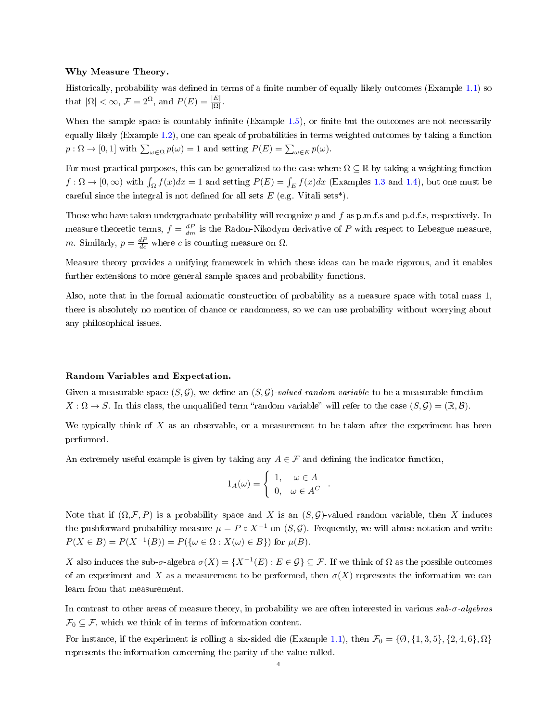### Why Measure Theory.

Historically, probability was defined in terms of a finite number of equally likely outcomes (Example  $1.1$ ) so that  $|\Omega| < \infty$ ,  $\mathcal{F} = 2^{\Omega}$ , and  $P(E) = \frac{|E|}{|\Omega|}$ .

When the sample space is countably infinite (Example  $1.5$ ), or finite but the outcomes are not necessarily equally likely (Example [1.2\)](#page-2-3), one can speak of probabilities in terms weighted outcomes by taking a function  $p: \Omega \to [0,1]$  with  $\sum_{\omega \in \Omega} p(\omega) = 1$  and setting  $P(E) = \sum_{\omega \in E} p(\omega)$ .

For most practical purposes, this can be generalized to the case where  $\Omega \subseteq \mathbb{R}$  by taking a weighting function  $f: \Omega \to [0, \infty)$  with  $\int_{\Omega} f(x)dx = 1$  and setting  $P(E) = \int_{E} f(x)dx$  (Examples [1.3](#page-2-0) and [1.4\)](#page-2-4), but one must be careful since the integral is not defined for all sets  $E$  (e.g. Vitali sets\*).

Those who have taken undergraduate probability will recognize  $p$  and  $f$  as p.m.f.s and p.d.f.s, respectively. In measure theoretic terms,  $f = \frac{dP}{dm}$  is the Radon-Nikodym derivative of P with respect to Lebesgue measure, *m*. Similarly,  $p = \frac{dP}{dc}$  where *c* is counting measure on  $\Omega$ .

Measure theory provides a unifying framework in which these ideas can be made rigorous, and it enables further extensions to more general sample spaces and probability functions.

Also, note that in the formal axiomatic construction of probability as a measure space with total mass 1, there is absolutely no mention of chance or randomness, so we can use probability without worrying about any philosophical issues.

## Random Variables and Expectation.

Given a measurable space  $(S, \mathcal{G})$ , we define an  $(S, \mathcal{G})$ -valued random variable to be a measurable function  $X:\Omega\to S$ . In this class, the unqualified term "random variable" will refer to the case  $(S,\mathcal{G})=(\mathbb{R},\mathcal{B})$ .

We typically think of  $X$  as an observable, or a measurement to be taken after the experiment has been performed.

An extremely useful example is given by taking any  $A \in \mathcal{F}$  and defining the indicator function,

$$
1_A(\omega) = \begin{cases} 1, & \omega \in A \\ 0, & \omega \in A^C \end{cases}
$$

.

Note that if  $(\Omega, \mathcal{F}, P)$  is a probability space and X is an  $(S, \mathcal{G})$ -valued random variable, then X induces the pushforward probability measure  $\mu = P \circ X^{-1}$  on  $(S, \mathcal{G})$ . Frequently, we will abuse notation and write  $P(X \in B) = P(X^{-1}(B)) = P(\{\omega \in \Omega : X(\omega) \in B\})$  for  $\mu(B)$ .

X also induces the sub- $\sigma$ -algebra  $\sigma(X) = \{X^{-1}(E) : E \in \mathcal{G}\} \subseteq \mathcal{F}$ . If we think of  $\Omega$  as the possible outcomes of an experiment and X as a measurement to be performed, then  $\sigma(X)$  represents the information we can learn from that measurement.

In contrast to other areas of measure theory, in probability we are often interested in various sub-σ-algebras  $\mathcal{F}_0 \subseteq \mathcal{F}$ , which we think of in terms of information content.

For instance, if the experiment is rolling a six-sided die (Example [1.1\)](#page-2-1), then  $\mathcal{F}_0 = \{0, \{1, 3, 5\}, \{2, 4, 6\}, \Omega\}$ represents the information concerning the parity of the value rolled.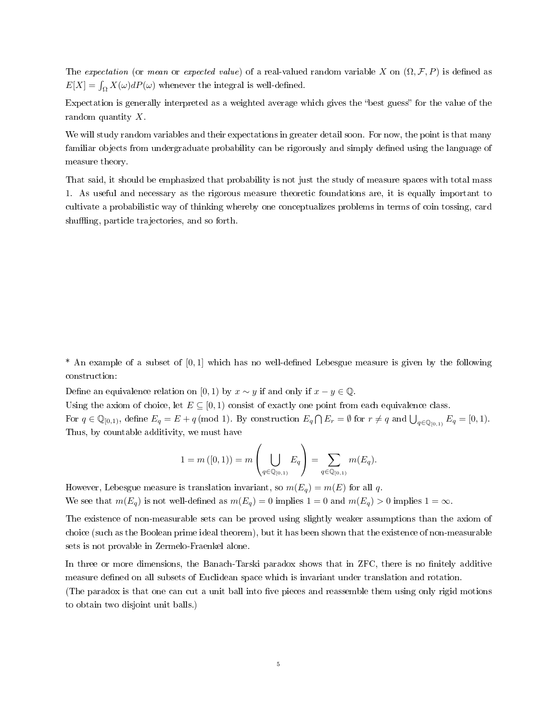The expectation (or mean or expected value) of a real-valued random variable X on  $(\Omega, \mathcal{F}, P)$  is defined as  $E[X] = \int_{\Omega} X(\omega) dP(\omega)$  whenever the integral is well-defined.

Expectation is generally interpreted as a weighted average which gives the "best guess" for the value of the random quantity X.

We will study random variables and their expectations in greater detail soon. For now, the point is that many familiar objects from undergraduate probability can be rigorously and simply defined using the language of measure theory.

That said, it should be emphasized that probability is not just the study of measure spaces with total mass 1. As useful and necessary as the rigorous measure theoretic foundations are, it is equally important to cultivate a probabilistic way of thinking whereby one conceptualizes problems in terms of coin tossing, card shuffling, particle trajectories, and so forth.

 $*$  An example of a subset of [0, 1] which has no well-defined Lebesgue measure is given by the following construction:

Define an equivalence relation on [0, 1) by  $x \sim y$  if and only if  $x - y \in \mathbb{Q}$ .

Using the axiom of choice, let  $E \subseteq [0,1)$  consist of exactly one point from each equivalence class.

For  $q \in \mathbb{Q}_{[0,1)}$ , define  $E_q = E + q \pmod{1}$ . By construction  $E_q \cap E_r = \emptyset$  for  $r \neq q$  and  $\bigcup_{q \in \mathbb{Q}_{[0,1)}} E_q = [0,1)$ . Thus, by countable additivity, we must have

$$
1 = m([0, 1)) = m\left(\bigcup_{q \in \mathbb{Q}_{[0, 1)}} E_q\right) = \sum_{q \in \mathbb{Q}_{[0, 1)}} m(E_q).
$$

However, Lebesgue measure is translation invariant, so  $m(E_q) = m(E)$  for all q. We see that  $m(E_q)$  is not well-defined as  $m(E_q) = 0$  implies  $1 = 0$  and  $m(E_q) > 0$  implies  $1 = \infty$ .

The existence of non-measurable sets can be proved using slightly weaker assumptions than the axiom of choice (such as the Boolean prime ideal theorem), but it has been shown that the existence of non-measurable sets is not provable in Zermelo-Fraenkel alone.

In three or more dimensions, the Banach-Tarski paradox shows that in ZFC, there is no finitely additive measure defined on all subsets of Euclidean space which is invariant under translation and rotation.

(The paradox is that one can cut a unit ball into five pieces and reassemble them using only rigid motions to obtain two disjoint unit balls.)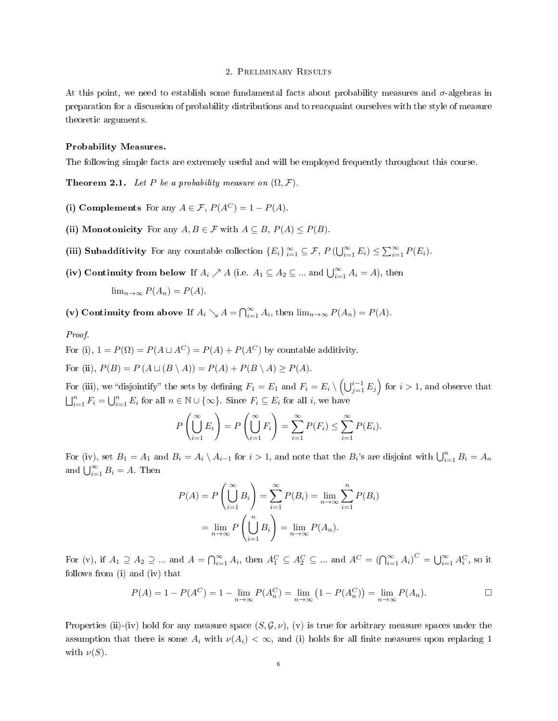## 2. Preliminary Results

At this point, we need to establish some fundamental facts about probability measures and  $\sigma$ -algebras in preparation for a discussion of probability distributions and to reacquaint ourselves with the style of measure theoretic arguments.

## Probability Measures.

The following simple facts are extremely useful and will be employed frequently throughout this course.

**Theorem 2.1.** Let P be a probability measure on  $(\Omega, \mathcal{F})$ .

- (i) Complements For any  $A \in \mathcal{F}$ ,  $P(A^C) = 1 P(A)$ .
- (ii) Monotonicity For any  $A, B \in \mathcal{F}$  with  $A \subseteq B, P(A) \leq P(B)$ .
- (iii) Subadditivity For any countable collection  ${E_i}_{i=1}^{\infty} \subseteq \mathcal{F}$ ,  $P(\bigcup_{i=1}^{\infty} E_i) \leq \sum_{i=1}^{\infty} P(E_i)$ .
- (iv) Continuity from below If  $A_i \nearrow A$  (i.e.  $A_1 \subseteq A_2 \subseteq ...$  and  $\bigcup_{i=1}^{\infty} A_i = A$ ), then

$$
\lim_{n \to \infty} P(A_n) = P(A).
$$

(v) Continuity from above If  $A_i \searrow A = \bigcap_{i=1}^{\infty} A_i$ , then  $\lim_{n \to \infty} P(A_n) = P(A)$ .

## Proof.

For (i),  $1 = P(\Omega) = P(A \sqcup A^C) = P(A) + P(A^C)$  by countable additivity.

For (ii),  $P(B) = P(A \sqcup (B \setminus A)) = P(A) + P(B \setminus A) > P(A)$ .

For (iii), we "disjointify" the sets by defining  $F_1 = E_1$  and  $F_i = E_i \setminus \left(\bigcup_{j=1}^{i-1} E_j\right)$  for  $i > 1$ , and observe that  $\bigsqcup_{i=1}^n F_i = \bigcup_{i=1}^n E_i$  for all  $n \in \mathbb{N} \cup \{\infty\}$ . Since  $F_i \subseteq E_i$  for all i, we have

$$
P\left(\bigcup_{i=1}^{\infty} E_i\right) = P\left(\bigcup_{i=1}^{\infty} F_i\right) = \sum_{i=1}^{\infty} P(F_i) \le \sum_{i=1}^{\infty} P(E_i).
$$

For (iv), set  $B_1 = A_1$  and  $B_i = A_i \setminus A_{i-1}$  for  $i > 1$ , and note that the  $B_i$ 's are disjoint with  $\bigcup_{i=1}^n B_i = A_n$ and  $\bigcup_{i=1}^{\infty} B_i = A$ . Then

$$
P(A) = P\left(\bigcup_{i=1}^{\infty} B_i\right) = \sum_{i=1}^{\infty} P(B_i) = \lim_{n \to \infty} \sum_{i=1}^{n} P(B_i)
$$

$$
= \lim_{n \to \infty} P\left(\bigcup_{i=1}^{n} B_i\right) = \lim_{n \to \infty} P(A_n).
$$

For (v), if  $A_1 \supseteq A_2 \supseteqeq \dots$  and  $A = \bigcap_{i=1}^{\infty} A_i$ , then  $A_1^C \subseteq A_2^C \subseteqeq \dots$  and  $A^C = \bigcap_{i=1}^{\infty} A_i^C = \bigcup_{i=1}^{\infty} A_i^C$ , so it follows from (i) and (iv) that

$$
P(A) = 1 - P(A^C) = 1 - \lim_{n \to \infty} P(A_n^C) = \lim_{n \to \infty} (1 - P(A_n^C)) = \lim_{n \to \infty} P(A_n).
$$

Properties (ii)-(iv) hold for any measure space  $(S, \mathcal{G}, \nu)$ , (v) is true for arbitrary measure spaces under the assumption that there is some  $A_i$  with  $\nu(A_i) < \infty$ , and (i) holds for all finite measures upon replacing 1 with  $\nu(S)$ .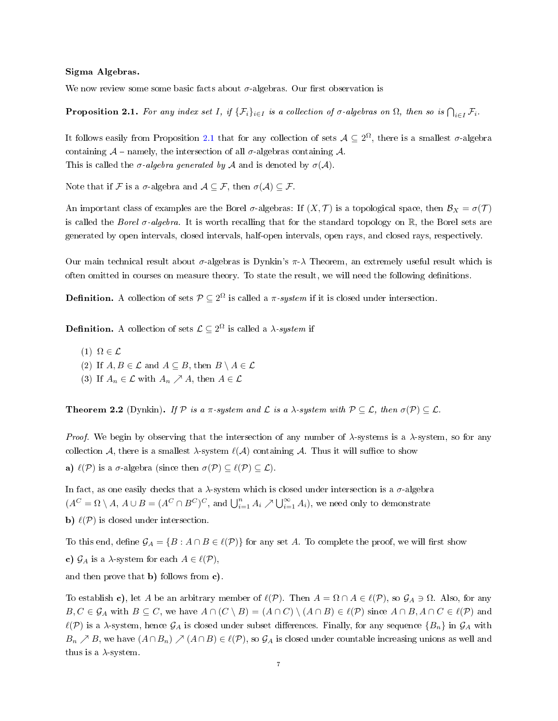#### Sigma Algebras.

We now review some some basic facts about  $\sigma$ -algebras. Our first observation is

<span id="page-6-0"></span>**Proposition 2.1.** For any index set I, if  $\{\mathcal{F}_i\}_{i\in I}$  is a collection of  $\sigma$ -algebras on  $\Omega$ , then so is  $\bigcap_{i\in I}\mathcal{F}_i$ .

It follows easily from Proposition [2.1](#page-6-0) that for any collection of sets  $A \subseteq 2^{\Omega}$ , there is a smallest  $\sigma$ -algebra containing  $\mathcal{A}$  – namely, the intersection of all  $\sigma$ -algebras containing  $\mathcal{A}$ . This is called the  $\sigma$ -algebra generated by A and is denoted by  $\sigma(A)$ .

Note that if F is a  $\sigma$ -algebra and  $\mathcal{A} \subseteq \mathcal{F}$ , then  $\sigma(\mathcal{A}) \subseteq \mathcal{F}$ .

An important class of examples are the Borel  $\sigma$ -algebras: If  $(X, \mathcal{T})$  is a topological space, then  $\mathcal{B}_X = \sigma(\mathcal{T})$ is called the Borel  $\sigma$ -algebra. It is worth recalling that for the standard topology on  $\mathbb{R}$ , the Borel sets are generated by open intervals, closed intervals, half-open intervals, open rays, and closed rays, respectively.

Our main technical result about  $\sigma$ -algebras is Dynkin's  $\pi$ - $\lambda$  Theorem, an extremely useful result which is often omitted in courses on measure theory. To state the result, we will need the following definitions.

**Definition.** A collection of sets  $\mathcal{P} \subseteq 2^{\Omega}$  is called a  $\pi$ -system if it is closed under intersection.

**Definition.** A collection of sets  $\mathcal{L} \subseteq 2^{\Omega}$  is called a  $\lambda$ -system if

 $(1) \Omega \in \mathcal{L}$ (2) If  $A, B \in \mathcal{L}$  and  $A \subseteq B$ , then  $B \setminus A \in \mathcal{L}$ 

(3) If  $A_n \in \mathcal{L}$  with  $A_n \nearrow A$ , then  $A \in \mathcal{L}$ 

**Theorem 2.2** (Dynkin). If P is a  $\pi$ -system and L is a  $\lambda$ -system with  $P \subseteq \mathcal{L}$ , then  $\sigma(P) \subseteq \mathcal{L}$ .

*Proof.* We begin by observing that the intersection of any number of  $\lambda$ -systems is a  $\lambda$ -system, so for any collection A, there is a smallest  $\lambda$ -system  $\ell(A)$  containing A. Thus it will suffice to show a)  $\ell(\mathcal{P})$  is a  $\sigma$ -algebra (since then  $\sigma(\mathcal{P}) \subseteq \ell(\mathcal{P}) \subseteq \mathcal{L}$ ).

In fact, as one easily checks that a  $\lambda$ -system which is closed under intersection is a  $\sigma$ -algebra  $(A^C = \Omega \setminus A, A \cup B = (A^C \cap B^C)^C$ , and  $\bigcup_{i=1}^n A_i \nearrow \bigcup_{i=1}^\infty A_i$ , we need only to demonstrate b)  $\ell(\mathcal{P})$  is closed under intersection.

To this end, define  $\mathcal{G}_A = \{B : A \cap B \in \ell(\mathcal{P})\}$  for any set A. To complete the proof, we will first show c)  $\mathcal{G}_A$  is a  $\lambda$ -system for each  $A \in \ell(\mathcal{P}),$ and then prove that b) follows from c).

To establish c), let A be an arbitrary member of  $\ell(\mathcal{P})$ . Then  $A = \Omega \cap A \in \ell(\mathcal{P})$ , so  $\mathcal{G}_A \ni \Omega$ . Also, for any  $B, C \in \mathcal{G}_A$  with  $B \subseteq C$ , we have  $A \cap (C \setminus B) = (A \cap C) \setminus (A \cap B) \in \ell(\mathcal{P})$  since  $A \cap B, A \cap C \in \ell(\mathcal{P})$  and  $\ell(\mathcal{P})$  is a  $\lambda$ -system, hence  $\mathcal{G}_A$  is closed under subset differences. Finally, for any sequence  $\{B_n\}$  in  $\mathcal{G}_A$  with  $B_n \nearrow B$ , we have  $(A \cap B_n) \nearrow (A \cap B) \in \ell(\mathcal{P})$ , so  $\mathcal{G}_A$  is closed under countable increasing unions as well and thus is a  $\lambda$ -system.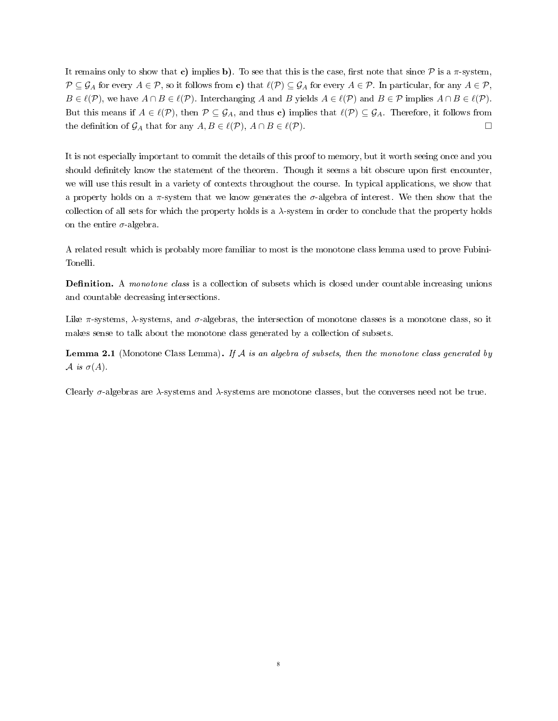It remains only to show that c) implies b). To see that this is the case, first note that since  $P$  is a  $\pi$ -system,  $\mathcal{P} \subseteq \mathcal{G}_A$  for every  $A \in \mathcal{P}$ , so it follows from c) that  $\ell(\mathcal{P}) \subseteq \mathcal{G}_A$  for every  $A \in \mathcal{P}$ . In particular, for any  $A \in \mathcal{P}$ ,  $B \in \ell(\mathcal{P})$ , we have  $A \cap B \in \ell(\mathcal{P})$ . Interchanging A and B yields  $A \in \ell(\mathcal{P})$  and  $B \in \mathcal{P}$  implies  $A \cap B \in \ell(\mathcal{P})$ . But this means if  $A \in \ell(\mathcal{P})$ , then  $\mathcal{P} \subseteq \mathcal{G}_A$ , and thus c) implies that  $\ell(\mathcal{P}) \subseteq \mathcal{G}_A$ . Therefore, it follows from the definition of  $\mathcal{G}_A$  that for any  $A, B \in \ell(\mathcal{P})$ ,  $A \cap B \in \ell(\mathcal{P})$ .

It is not especially important to commit the details of this proof to memory, but it worth seeing once and you should definitely know the statement of the theorem. Though it seems a bit obscure upon first encounter, we will use this result in a variety of contexts throughout the course. In typical applications, we show that a property holds on a  $\pi$ -system that we know generates the  $\sigma$ -algebra of interest. We then show that the collection of all sets for which the property holds is a  $\lambda$ -system in order to conclude that the property holds on the entire  $\sigma$ -algebra.

A related result which is probably more familiar to most is the monotone class lemma used to prove Fubini-Tonelli.

**Definition.** A monotone class is a collection of subsets which is closed under countable increasing unions and countable decreasing intersections.

Like  $\pi$ -systems,  $\lambda$ -systems, and  $\sigma$ -algebras, the intersection of monotone classes is a monotone class, so it makes sense to talk about the monotone class generated by a collection of subsets.

**Lemma 2.1** (Monotone Class Lemma). If A is an algebra of subsets, then the monotone class generated by A is  $\sigma(A)$ .

Clearly  $\sigma$ -algebras are  $\lambda$ -systems and  $\lambda$ -systems are monotone classes, but the converses need not be true.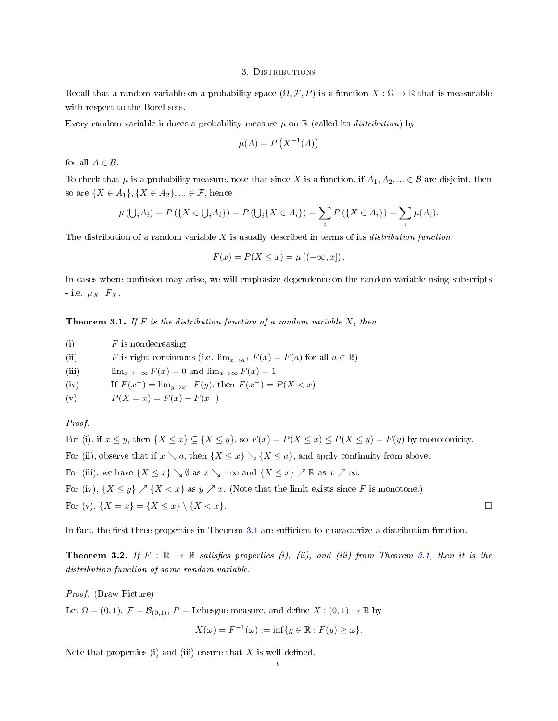#### 3. DISTRIBUTIONS

Recall that a random variable on a probability space  $(\Omega, \mathcal{F}, P)$  is a function  $X : \Omega \to \mathbb{R}$  that is measurable with respect to the Borel sets.

Every random variable induces a probability measure  $\mu$  on  $\mathbb R$  (called its *distribution*) by

$$
\mu(A) = P\left(X^{-1}(A)\right)
$$

for all  $A \in \mathcal{B}$ .

To check that  $\mu$  is a probability measure, note that since X is a function, if  $A_1, A_2, ... \in \mathcal{B}$  are disjoint, then so are  $\{X \in A_1\}, \{X \in A_2\}, \ldots \in \mathcal{F}$ , hence

$$
\mu(\bigcup_i A_i) = P(\{X \in \bigcup_i A_i\}) = P(\bigcup_i \{X \in A_i\}) = \sum_i P(\{X \in A_i\}) = \sum_i \mu(A_i).
$$

The distribution of a random variable  $X$  is usually described in terms of its *distribution function* 

$$
F(x) = P(X \le x) = \mu ((-\infty, x]).
$$

In cases where confusion may arise, we will emphasize dependence on the random variable using subscripts - i.e.  $\mu_X$ ,  $F_X$ .

<span id="page-8-0"></span>**Theorem 3.1.** If F is the distribution function of a random variable X, then

- (i)  $F$  is nondecreasing
- (ii) F is right-continuous (i.e.  $\lim_{x\to a^+} F(x) = F(a)$  for all  $a \in \mathbb{R}$ )
- (iii)  $\lim_{x\to-\infty} F(x) = 0$  and  $\lim_{x\to\infty} F(x) = 1$
- (iv) If  $F(x^{-}) = \lim_{y \to x^{-}} F(y)$ , then  $F(x^{-}) = P(X < x)$
- (v)  $P(X = x) = F(x) F(x^{-})$

## Proof.

For (i), if  $x \leq y$ , then  $\{X \leq x\} \subseteq \{X \leq y\}$ , so  $F(x) = P(X \leq x) \leq P(X \leq y) = F(y)$  by monotonicity. For (ii), observe that if  $x \setminus a$ , then  $\{X \leq x\} \setminus \{X \leq a\}$ , and apply continuity from above. For (iii), we have  $\{X \leq x\} \setminus \emptyset$  as  $x \setminus -\infty$  and  $\{X \leq x\} \nearrow \mathbb{R}$  as  $x \nearrow \infty$ . For (iv),  $\{X \leq y\} \nearrow \{X < x\}$  as  $y \nearrow x$ . (Note that the limit exists since F is monotone.) For (v),  $\{X = x\} = \{X \le x\} \setminus \{X < x\}.$ 

In fact, the first three properties in Theorem [3.1](#page-8-0) are sufficient to characterize a distribution function.

<span id="page-8-1"></span>**Theorem 3.2.** If  $F : \mathbb{R} \to \mathbb{R}$  satisfies properties (i), (ii), and (iii) from Theorem [3.1,](#page-8-0) then it is the distribution function of some random variable.

Proof. (Draw Picture)

Let  $\Omega = (0, 1), \mathcal{F} = \mathcal{B}_{(0,1)}, P =$  Lebesgue measure, and define  $X : (0,1) \to \mathbb{R}$  by

$$
X(\omega) = F^{-1}(\omega) := \inf \{ y \in \mathbb{R} : F(y) \ge \omega \}.
$$

Note that properties (i) and (iii) ensure that  $X$  is well-defined.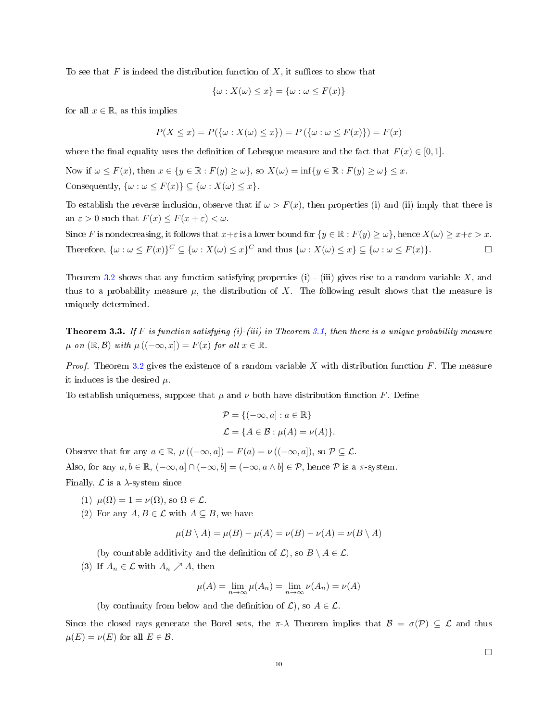To see that F is indeed the distribution function of X, it suffices to show that

$$
\{\omega : X(\omega) \le x\} = \{\omega : \omega \le F(x)\}
$$

for all  $x \in \mathbb{R}$ , as this implies

$$
P(X \le x) = P(\{\omega : X(\omega) \le x\}) = P(\{\omega : \omega \le F(x)\}) = F(x)
$$

where the final equality uses the definition of Lebesgue measure and the fact that  $F(x) \in [0, 1]$ .

Now if  $\omega \leq F(x)$ , then  $x \in \{y \in \mathbb{R} : F(y) \geq \omega\}$ , so  $X(\omega) = \inf\{y \in \mathbb{R} : F(y) \geq \omega\} \leq x$ . Consequently,  $\{\omega : \omega \leq F(x)\} \subseteq \{\omega : X(\omega) \leq x\}.$ 

To establish the reverse inclusion, observe that if  $\omega > F(x)$ , then properties (i) and (ii) imply that there is an  $\varepsilon > 0$  such that  $F(x) \leq F(x + \varepsilon) < \omega$ .

Since F is nondecreasing, it follows that  $x+\varepsilon$  is a lower bound for  $\{y \in \mathbb{R} : F(y) \ge \omega\}$ , hence  $X(\omega) \ge x+\varepsilon > x$ . Therefore,  $\{\omega : \omega \leq F(x)\}^C \subseteq {\{\omega : X(\omega) \leq x\}}^C$  and thus  $\{\omega : X(\omega) \leq x\} \subseteq {\{\omega : \omega \leq F(x)\}}$ .

Theorem [3.2](#page-8-1) shows that any function satisfying properties (i) - (iii) gives rise to a random variable X, and thus to a probability measure  $\mu$ , the distribution of X. The following result shows that the measure is uniquely determined.

<span id="page-9-0"></span>**Theorem 3.3.** If F is function satisfying (i)-(iii) in Theorem [3.1,](#page-8-0) then there is a unique probability measure  $\mu$  on  $(\mathbb{R}, \mathcal{B})$  with  $\mu((-\infty, x]) = F(x)$  for all  $x \in \mathbb{R}$ .

*Proof.* Theorem [3.2](#page-8-1) gives the existence of a random variable X with distribution function F. The measure it induces is the desired  $\mu$ .

To establish uniqueness, suppose that  $\mu$  and  $\nu$  both have distribution function F. Define

$$
\mathcal{P} = \{(-\infty, a] : a \in \mathbb{R}\}
$$
  

$$
\mathcal{L} = \{A \in \mathcal{B} : \mu(A) = \nu(A)\}.
$$

Observe that for any  $a \in \mathbb{R}$ ,  $\mu((-\infty, a]) = F(a) = \nu((-\infty, a])$ , so  $\mathcal{P} \subseteq \mathcal{L}$ . Also, for any  $a, b \in \mathbb{R}$ ,  $(-\infty, a] \cap (-\infty, b] = (-\infty, a \wedge b] \in \mathcal{P}$ , hence  $\mathcal P$  is a  $\pi$ -system. Finally,  $\mathcal L$  is a  $\lambda$ -system since

(1)  $\mu(\Omega) = 1 = \nu(\Omega)$ , so  $\Omega \in \mathcal{L}$ .

(2) For any  $A, B \in \mathcal{L}$  with  $A \subseteq B$ , we have

$$
\mu(B \setminus A) = \mu(B) - \mu(A) = \nu(B) - \nu(A) = \nu(B \setminus A)
$$

(by countable additivity and the definition of  $\mathcal{L}$ ), so  $B \setminus A \in \mathcal{L}$ .

(3) If  $A_n \in \mathcal{L}$  with  $A_n \nearrow A$ , then

$$
\mu(A) = \lim_{n \to \infty} \mu(A_n) = \lim_{n \to \infty} \nu(A_n) = \nu(A)
$$

(by continuity from below and the definition of  $\mathcal{L}$ ), so  $A \in \mathcal{L}$ .

Since the closed rays generate the Borel sets, the  $\pi$ -λ Theorem implies that  $\mathcal{B} = \sigma(\mathcal{P}) \subseteq \mathcal{L}$  and thus  $\mu(E) = \nu(E)$  for all  $E \in \mathcal{B}$ .

 $\Box$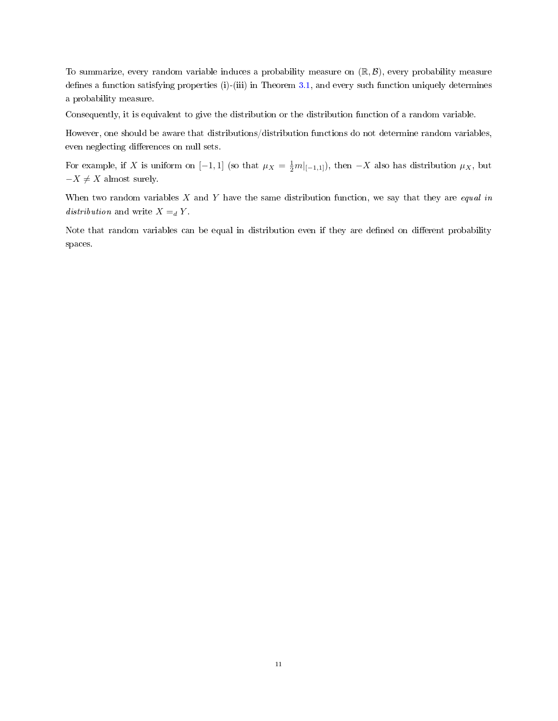To summarize, every random variable induces a probability measure on  $(\mathbb{R}, \mathcal{B})$ , every probability measure defines a function satisfying properties (i)-(iii) in Theorem  $3.1$ , and every such function uniquely determines a probability measure.

Consequently, it is equivalent to give the distribution or the distribution function of a random variable.

However, one should be aware that distributions/distribution functions do not determine random variables, even neglecting differences on null sets.

For example, if X is uniform on  $[-1,1]$  (so that  $\mu_X = \frac{1}{2}m|_{[-1,1]}$ ), then  $-X$  also has distribution  $\mu_X$ , but  $-X \neq X$  almost surely.

When two random variables  $X$  and  $Y$  have the same distribution function, we say that they are *equal in* distribution and write  $X =_d Y$ .

Note that random variables can be equal in distribution even if they are defined on different probability spaces.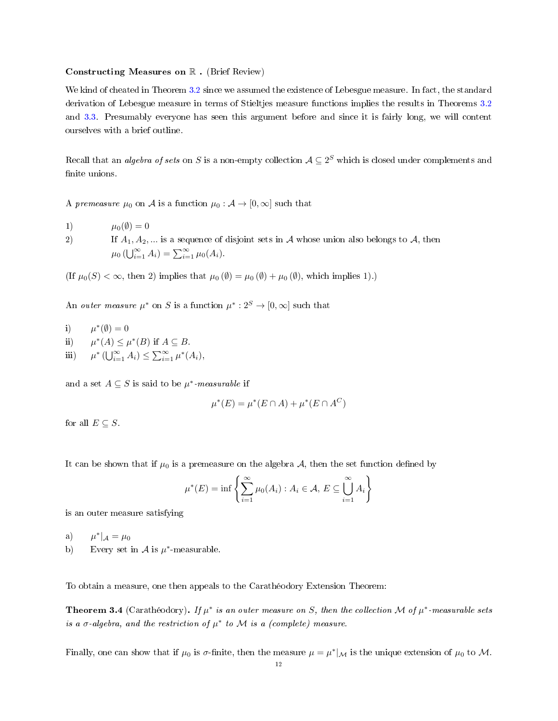#### <span id="page-11-0"></span>Constructing Measures on R . (Brief Review)

We kind of cheated in Theorem [3.2](#page-8-1) since we assumed the existence of Lebesgue measure. In fact, the standard derivation of Lebesgue measure in terms of Stieltjes measure functions implies the results in Theorems [3.2](#page-8-1) and [3.3.](#page-9-0) Presumably everyone has seen this argument before and since it is fairly long, we will content ourselves with a brief outline.

Recall that an *algebra of sets* on S is a non-empty collection  $\mathcal{A} \subseteq 2^S$  which is closed under complements and finite unions.

A premeasure  $\mu_0$  on A is a function  $\mu_0 : A \to [0, \infty]$  such that

1)  $\mu_0(\emptyset) = 0$ 

2) If  $A_1, A_2, ...$  is a sequence of disjoint sets in A whose union also belongs to A, then  $\mu_0$  ( $\bigcup_{i=1}^{\infty} A_i$ ) =  $\sum_{i=1}^{\infty} \mu_0(A_i)$ .

(If  $\mu_0(S) < \infty$ , then 2) implies that  $\mu_0(\emptyset) = \mu_0(\emptyset) + \mu_0(\emptyset)$ , which implies 1).)

An *outer measure*  $\mu^*$  on S is a function  $\mu^*: 2^S \to [0, \infty]$  such that

i)  $\mu^*(\emptyset) = 0$  $ii)$ \* $(A)$  ≤  $\mu$ <sup>\*</sup> $(B)$  if  $A \subseteq B$ . iii) \*  $(\bigcup_{i=1}^{\infty} A_i) \leq \sum_{i=1}^{\infty} \mu^*(A_i),$ 

and a set  $A \subseteq S$  is said to be  $\mu^*$ -measurable if

$$
\mu^*(E) = \mu^*(E \cap A) + \mu^*(E \cap A^C)
$$

for all  $E \subseteq S$ .

It can be shown that if  $\mu_0$  is a premeasure on the algebra A, then the set function defined by

$$
\mu^*(E) = \inf \left\{ \sum_{i=1}^{\infty} \mu_0(A_i) : A_i \in \mathcal{A}, E \subseteq \bigcup_{i=1}^{\infty} A_i \right\}
$$

is an outer measure satisfying

 $a)$ \* $|_{\mathcal{A}} = \mu_0$ 

b) Every set in  $A$  is  $\mu^*$ -measurable.

To obtain a measure, one then appeals to the Carathéodory Extension Theorem:

**Theorem 3.4** (Carathéodory). If  $\mu^*$  is an outer measure on S, then the collection M of  $\mu^*$ -measurable sets is a  $\sigma$ -algebra, and the restriction of  $\mu^*$  to M is a (complete) measure.

Finally, one can show that if  $\mu_0$  is  $\sigma$ -finite, then the measure  $\mu = \mu^*|_{\mathcal{M}}$  is the unique extension of  $\mu_0$  to M.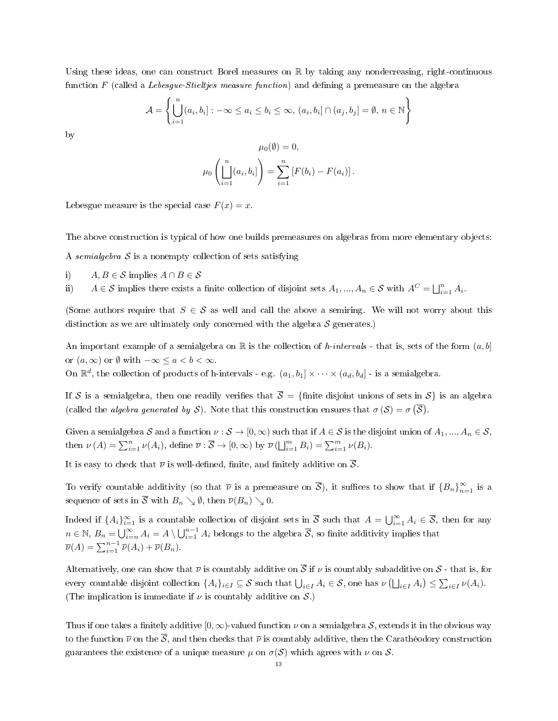Using these ideas, one can construct Borel measures on  $\mathbb R$  by taking any nondecreasing, right-continuous function  $F$  (called a Lebesgue-Stieltjes measure function) and defining a premeasure on the algebra

$$
\mathcal{A} = \left\{ \bigcup_{i=1}^{n} (a_i, b_i] : -\infty \le a_i \le b_i \le \infty, (a_i, b_i] \cap (a_j, b_j] = \emptyset, n \in \mathbb{N} \right\}
$$

by

$$
\mu_0(\emptyset) = 0,
$$
  

$$
\mu_0\left(\prod_{i=1}^n (a_i, b_i]\right) = \sum_{i=1}^n [F(b_i) - F(a_i)].
$$

Lebesgue measure is the special case  $F(x) = x$ .

The above construction is typical of how one builds premeasures on algebras from more elementary objects:

A semialgebra  $S$  is a nonempty collection of sets satisfying

i)  $A, B \in \mathcal{S}$  implies  $A \cap B \in \mathcal{S}$ 

ii)  $A \in \mathcal{S}$  implies there exists a finite collection of disjoint sets  $A_1, ..., A_n \in \mathcal{S}$  with  $A^C = \bigsqcup_{i=1}^n A_i$ .

(Some authors require that  $S \in \mathcal{S}$  as well and call the above a semiring. We will not worry about this distinction as we are ultimately only concerned with the algebra  $S$  generates.)

An important example of a semialgebra on R is the collection of h-intervals - that is, sets of the form  $(a, b]$ or  $(a, \infty)$  or  $\emptyset$  with  $-\infty \le a < b < \infty$ .

On  $\mathbb{R}^d$ , the collection of products of h-intervals - e.g.  $(a_1, b_1] \times \cdots \times (a_d, b_d]$  - is a semialgebra.

If S is a semialgebra, then one readily verifies that  $\overline{S} = \{\text{finite disjoint unions of sets in } S\}$  is an algebra (called the *algebra generated by* S). Note that this construction ensures that  $\sigma(S) = \sigma(\overline{S})$ .

Given a semialgebra S and a function  $\nu : \mathcal{S} \to [0,\infty)$  such that if  $A \in \mathcal{S}$  is the disjoint union of  $A_1, ..., A_n \in \mathcal{S}$ , then  $\nu(A) = \sum_{i=1}^n \nu(A_i)$ , define  $\overline{\nu}: \overline{S} \to [0, \infty)$  by  $\overline{\nu}(\bigsqcup_{i=1}^m B_i) = \sum_{i=1}^m \nu(B_i)$ .

It is easy to check that  $\overline{\nu}$  is well-defined, finite, and finitely additive on  $\overline{S}$ .

To verify countable additivity (so that  $\overline{\nu}$  is a premeasure on  $\overline{S}$ ), it suffices to show that if  ${B_n}_{n=1}^{\infty}$  is a sequence of sets in  $\overline{S}$  with  $B_n \searrow \emptyset$ , then  $\overline{\nu}(B_n) \searrow 0$ .

Indeed if  $\{A_i\}_{i=1}^{\infty}$  is a countable collection of disjoint sets in  $\overline{S}$  such that  $A = \bigcup_{i=1}^{\infty} A_i \in \overline{S}$ , then for any  $n \in \mathbb{N}$ ,  $B_n = \bigcup_{i=n}^{\infty} A_i = A \setminus \bigcup_{i=1}^{n-1} A_i$  belongs to the algebra  $\overline{\mathcal{S}}$ , so finite additivity implies that  $\overline{\nu}(A) = \sum_{i=1}^{n-1} \overline{\nu}(A_i) + \overline{\nu}(B_n).$ 

Alternatively, one can show that  $\overline{\nu}$  is countably additive on  $\overline{\mathcal{S}}$  if  $\nu$  is countably subadditive on  $\mathcal{S}$  - that is, for every countable disjoint collection  $\{A_i\}_{i\in I}\subseteq \mathcal{S}$  such that  $\bigcup_{i\in I}A_i\in \mathcal{S}$ , one has  $\nu\left(\bigsqcup_{i\in I}A_i\right)\leq \sum_{i\in I}\nu(A_i)$ . (The implication is immediate if  $\nu$  is countably additive on  $\mathcal{S}$ .)

Thus if one takes a finitely additive  $[0, \infty)$ -valued function  $\nu$  on a semialgebra S, extends it in the obvious way to the function  $\overline{\nu}$  on the  $\overline{S}$ , and then checks that  $\overline{\nu}$  is countably additive, then the Carathéodory construction guarantees the existence of a unique measure  $\mu$  on  $\sigma(S)$  which agrees with  $\nu$  on S.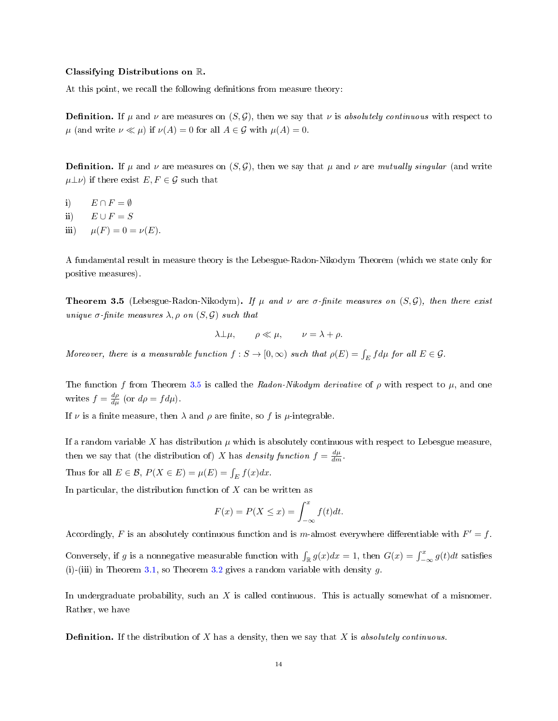#### Classifying Distributions on R.

At this point, we recall the following definitions from measure theory:

**Definition.** If  $\mu$  and  $\nu$  are measures on  $(S, \mathcal{G})$ , then we say that  $\nu$  is absolutely continuous with respect to  $\mu$  (and write  $\nu \ll \mu$ ) if  $\nu(A) = 0$  for all  $A \in \mathcal{G}$  with  $\mu(A) = 0$ .

**Definition.** If  $\mu$  and  $\nu$  are measures on  $(S, \mathcal{G})$ , then we say that  $\mu$  and  $\nu$  are mutually singular (and write  $\mu\perp\nu$ ) if there exist  $E, F \in \mathcal{G}$  such that

- i)  $E \cap F = \emptyset$
- ii)  $E \cup F = S$
- iii)  $\mu(F) = 0 = \nu(E)$ .

A fundamental result in measure theory is the Lebesgue-Radon-Nikodym Theorem (which we state only for positive measures).

<span id="page-13-0"></span>**Theorem 3.5** (Lebesgue-Radon-Nikodym). If  $\mu$  and  $\nu$  are  $\sigma$ -finite measures on  $(S, \mathcal{G})$ , then there exist unique  $\sigma$ -finite measures  $\lambda$ ,  $\rho$  on  $(S, \mathcal{G})$  such that

$$
\lambda \bot \mu, \qquad \rho \ll \mu, \qquad \nu = \lambda + \rho.
$$

Moreover, there is a measurable function  $f: S \to [0, \infty)$  such that  $\rho(E) = \int_E f d\mu$  for all  $E \in \mathcal{G}$ .

The function f from Theorem [3.5](#page-13-0) is called the Radon-Nikodym derivative of  $\rho$  with respect to  $\mu$ , and one writes  $f = \frac{d\rho}{d\mu}$  (or  $d\rho = f d\mu$ ).

If  $\nu$  is a finite measure, then  $\lambda$  and  $\rho$  are finite, so f is  $\mu$ -integrable.

If a random variable X has distribution  $\mu$  which is absolutely continuous with respect to Lebesgue measure, then we say that (the distribution of) X has density function  $f = \frac{d\mu}{dm}$ .

Thus for all  $E \in \mathcal{B}$ ,  $P(X \in E) = \mu(E) = \int_E f(x) dx$ .

In particular, the distribution function of  $X$  can be written as

$$
F(x) = P(X \le x) = \int_{-\infty}^{x} f(t)dt.
$$

Accordingly, F is an absolutely continuous function and is m-almost everywhere differentiable with  $F' = f$ .

Conversely, if g is a nonnegative measurable function with  $\int_{\mathbb{R}} g(x)dx = 1$ , then  $G(x) = \int_{-\infty}^{x} g(t)dt$  satisfies (i)-(iii) in Theorem [3.1,](#page-8-0) so Theorem [3.2](#page-8-1) gives a random variable with density  $g$ .

In undergraduate probability, such an  $X$  is called continuous. This is actually somewhat of a misnomer. Rather, we have

**Definition.** If the distribution of X has a density, then we say that X is absolutely continuous.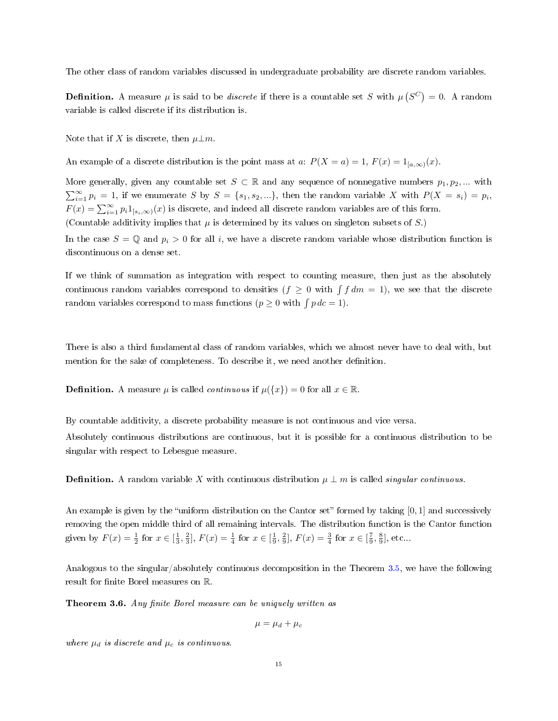The other class of random variables discussed in undergraduate probability are discrete random variables.

**Definition.** A measure  $\mu$  is said to be *discrete* if there is a countable set S with  $\mu(S^C) = 0$ . A random variable is called discrete if its distribution is.

Note that if X is discrete, then  $\mu \perp m$ .

An example of a discrete distribution is the point mass at a:  $P(X = a) = 1, F(x) = 1_{[a,\infty)}(x)$ .

More generally, given any countable set  $S \subset \mathbb{R}$  and any sequence of nonnegative numbers  $p_1, p_2, ...$  with  $\sum_{i=1}^{\infty} p_i = 1$ , if we enumerate S by  $S = \{s_1, s_2, ...\}$ , then the random variable X with  $P(X = s_i) = p_i$ ,  $F(x) = \sum_{i=1}^{\infty} p_i 1_{[s_i,\infty)}(x)$  is discrete, and indeed all discrete random variables are of this form. (Countable additivity implies that  $\mu$  is determined by its values on singleton subsets of S.)

In the case  $S = \mathbb{Q}$  and  $p_i > 0$  for all i, we have a discrete random variable whose distribution function is discontinuous on a dense set.

If we think of summation as integration with respect to counting measure, then just as the absolutely continuous random variables correspond to densities  $(f \geq 0 \text{ with } \int f dm = 1)$ , we see that the discrete random variables correspond to mass functions ( $p \geq 0$  with  $\int p \, d c = 1$ ).

There is also a third fundamental class of random variables, which we almost never have to deal with, but mention for the sake of completeness. To describe it, we need another definition.

**Definition.** A measure  $\mu$  is called *continuous* if  $\mu({x}) = 0$  for all  $x \in \mathbb{R}$ .

By countable additivity, a discrete probability measure is not continuous and vice versa.

Absolutely continuous distributions are continuous, but it is possible for a continuous distribution to be singular with respect to Lebesgue measure.

**Definition.** A random variable X with continuous distribution  $\mu \perp m$  is called *singular continuous*.

An example is given by the "uniform distribution on the Cantor set" formed by taking  $[0, 1]$  and successively removing the open middle third of all remaining intervals. The distribution function is the Cantor function given by  $F(x) = \frac{1}{2}$  for  $x \in [\frac{1}{3}, \frac{2}{3}], F(x) = \frac{1}{4}$  for  $x \in [\frac{1}{9}, \frac{2}{9}], F(x) = \frac{3}{4}$  for  $x \in [\frac{7}{9}, \frac{8}{9}]$ , etc...

Analogous to the singular/absolutely continuous decomposition in the Theorem [3.5,](#page-13-0) we have the following result for finite Borel measures on  $\mathbb R$ .

<span id="page-14-0"></span>Theorem 3.6. Any finite Borel measure can be uniquely written as

$$
\mu = \mu_d + \mu_c
$$

where  $\mu_d$  is discrete and  $\mu_c$  is continuous.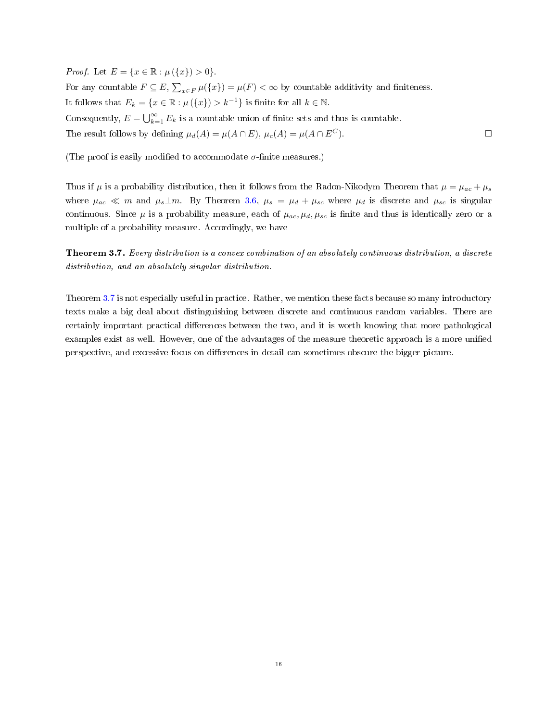*Proof.* Let  $E = \{x \in \mathbb{R} : \mu(\{x\}) > 0\}.$ For any countable  $F \subseteq E$ ,  $\sum_{x \in F} \mu({x}) = \mu(F) < \infty$  by countable additivity and finiteness. It follows that  $E_k = \{x \in \mathbb{R} : \mu(\{x\}) > k^{-1}\}\$ is finite for all  $k \in \mathbb{N}$ . Consequently,  $E = \bigcup_{k=1}^{\infty} E_k$  is a countable union of finite sets and thus is countable. The result follows by defining  $\mu_d(A) = \mu(A \cap E)$ ,  $\mu_c(A) = \mu(A \cap E^C)$ .

(The proof is easily modified to accommodate  $\sigma$ -finite measures.)

Thus if  $\mu$  is a probability distribution, then it follows from the Radon-Nikodym Theorem that  $\mu = \mu_{ac} + \mu_s$ where  $\mu_{ac} \ll m$  and  $\mu_s \perp m$ . By Theorem [3.6,](#page-14-0)  $\mu_s = \mu_d + \mu_{sc}$  where  $\mu_d$  is discrete and  $\mu_{sc}$  is singular continuous. Since  $\mu$  is a probability measure, each of  $\mu_{ac}, \mu_{d}, \mu_{sc}$  is finite and thus is identically zero or a multiple of a probability measure. Accordingly, we have

<span id="page-15-0"></span>Theorem 3.7. Every distribution is a convex combination of an absolutely continuous distribution, a discrete distribution, and an absolutely singular distribution.

Theorem [3.7](#page-15-0) is not especially useful in practice. Rather, we mention these facts because so many introductory texts make a big deal about distinguishing between discrete and continuous random variables. There are certainly important practical differences between the two, and it is worth knowing that more pathological examples exist as well. However, one of the advantages of the measure theoretic approach is a more unied perspective, and excessive focus on differences in detail can sometimes obscure the bigger picture.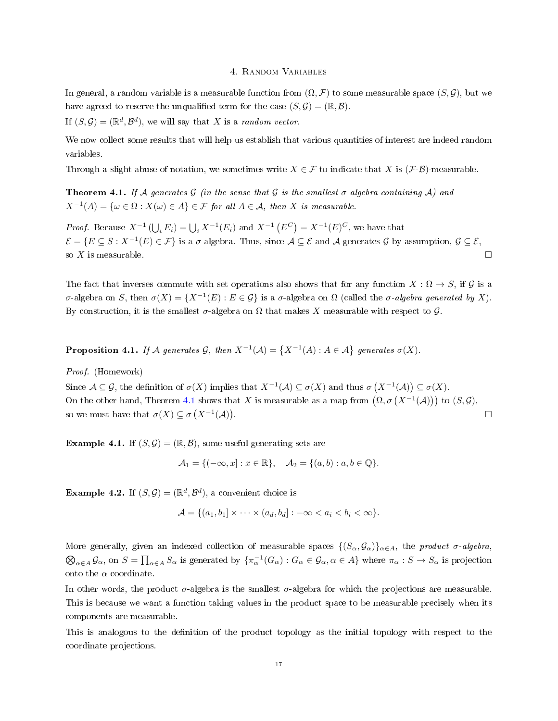### 4. Random Variables

In general, a random variable is a measurable function from  $(\Omega, \mathcal{F})$  to some measurable space  $(S, \mathcal{G})$ , but we have agreed to reserve the unqualified term for the case  $(S, \mathcal{G}) = (\mathbb{R}, \mathcal{B})$ .

If  $(S, \mathcal{G}) = (\mathbb{R}^d, \mathcal{B}^d)$ , we will say that X is a *random vector*.

We now collect some results that will help us establish that various quantities of interest are indeed random variables.

Through a slight abuse of notation, we sometimes write  $X \in \mathcal{F}$  to indicate that X is  $(\mathcal{F}\text{-}\mathcal{B})$ -measurable.

<span id="page-16-0"></span>**Theorem 4.1.** If A generates G (in the sense that G is the smallest  $\sigma$ -algebra containing A) and  $X^{-1}(A) = \{ \omega \in \Omega : X(\omega) \in A \} \in \mathcal{F}$  for all  $A \in \mathcal{A}$ , then X is measurable.

*Proof.* Because  $X^{-1}(\bigcup_i E_i) = \bigcup_i X^{-1}(E_i)$  and  $X^{-1}(E^C) = X^{-1}(E)^C$ , we have that  $\mathcal{E} = \{E \subseteq S : X^{-1}(E) \in \mathcal{F}\}$  is a  $\sigma$ -algebra. Thus, since  $\mathcal{A} \subseteq \mathcal{E}$  and  $\mathcal{A}$  generates  $\mathcal{G}$  by assumption,  $\mathcal{G} \subseteq \mathcal{E}$ , so X is measurable.  $\square$ 

The fact that inverses commute with set operations also shows that for any function  $X : \Omega \to S$ , if G is a σ-algebra on S, then  $\sigma(X) = \{X^{-1}(E) : E \in \mathcal{G}\}\$ is a σ-algebra on Ω (called the σ-algebra generated by X). By construction, it is the smallest  $\sigma$ -algebra on  $\Omega$  that makes X measurable with respect to  $\mathcal G$ .

**Proposition 4.1.** If A generates G, then  $X^{-1}(\mathcal{A}) = \{X^{-1}(A) : A \in \mathcal{A}\}\$  generates  $\sigma(X)$ .

Proof. (Homework)

Since  $\mathcal{A} \subseteq \mathcal{G}$ , the definition of  $\sigma(X)$  implies that  $X^{-1}(\mathcal{A}) \subseteq \sigma(X)$  and thus  $\sigma(X^{-1}(\mathcal{A})) \subseteq \sigma(X)$ . On the other hand, Theorem [4.1](#page-16-0) shows that X is measurable as a map from  $(\Omega, \sigma(X^{-1}(A)))$  to  $(S, \mathcal{G})$ , so we must have that  $\sigma(X) \subseteq \sigma(X^{-1}(\mathcal{A}))$ .

**Example 4.1.** If  $(S, \mathcal{G}) = (\mathbb{R}, \mathcal{B})$ , some useful generating sets are

$$
\mathcal{A}_1 = \{(-\infty, x] : x \in \mathbb{R}\}, \quad \mathcal{A}_2 = \{(a, b) : a, b \in \mathbb{Q}\}.
$$

<span id="page-16-1"></span>**Example 4.2.** If  $(S, \mathcal{G}) = (\mathbb{R}^d, \mathcal{B}^d)$ , a convenient choice is

$$
\mathcal{A} = \{(a_1, b_1] \times \cdots \times (a_d, b_d] : -\infty < a_i < b_i < \infty\}.
$$

More generally, given an indexed collection of measurable spaces  $\{(S_\alpha, \mathcal{G}_\alpha)\}_{\alpha \in A}$ , the product  $\sigma$ -algebra,  $\bigotimes_{\alpha \in A} \mathcal{G}_{\alpha}$ , on  $S = \prod_{\alpha \in A} S_{\alpha}$  is generated by  $\{\pi_{\alpha}^{-1}(G_{\alpha}) : G_{\alpha} \in \mathcal{G}_{\alpha}, \alpha \in A\}$  where  $\pi_{\alpha} : S \to S_{\alpha}$  is projection onto the  $\alpha$  coordinate.

In other words, the product  $\sigma$ -algebra is the smallest  $\sigma$ -algebra for which the projections are measurable. This is because we want a function taking values in the product space to be measurable precisely when its components are measurable.

This is analogous to the definition of the product topology as the initial topology with respect to the coordinate projections.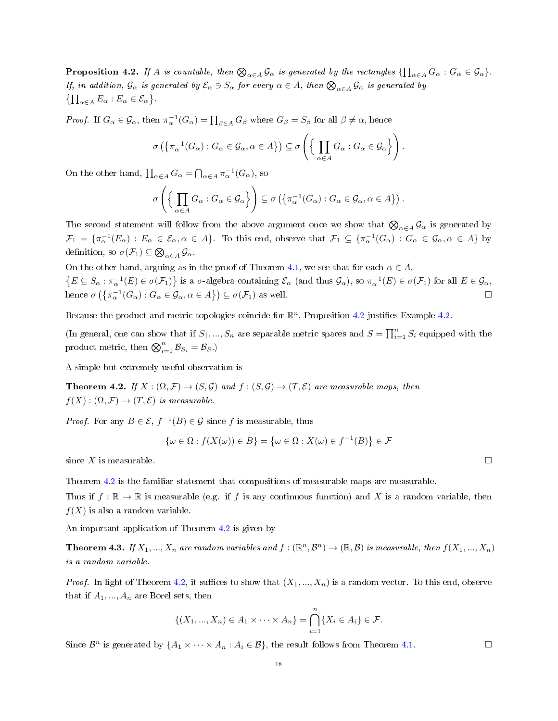<span id="page-17-0"></span>**Proposition 4.2.** If A is countable, then  $\bigotimes_{\alpha \in A} \mathcal{G}_{\alpha}$  is generated by the rectangles  $\{\prod_{\alpha \in A} G_{\alpha} : G_{\alpha} \in \mathcal{G}_{\alpha}\}\$ . If, in addition,  $\mathcal{G}_\alpha$  is generated by  $\mathcal{E}_\alpha \ni S_\alpha$  for every  $\alpha \in A$ , then  $\bigotimes_{\alpha \in A} \mathcal{G}_\alpha$  is generated by  $\{\prod_{\alpha\in A} E_{\alpha} : E_{\alpha} \in \mathcal{E}_{\alpha}\}.$ 

*Proof.* If  $G_{\alpha} \in \mathcal{G}_{\alpha}$ , then  $\pi_{\alpha}^{-1}(G_{\alpha}) = \prod_{\beta \in A} G_{\beta}$  where  $G_{\beta} = S_{\beta}$  for all  $\beta \neq \alpha$ , hence

$$
\sigma\left(\left\{\pi_{\alpha}^{-1}(G_{\alpha}) : G_{\alpha} \in \mathcal{G}_{\alpha}, \alpha \in A\right\}\right) \subseteq \sigma\left(\left\{\prod_{\alpha \in A} G_{\alpha} : G_{\alpha} \in \mathcal{G}_{\alpha}\right\}\right).
$$

On the other hand,  $\prod_{\alpha \in A} G_{\alpha} = \bigcap_{\alpha \in A} \pi_{\alpha}^{-1}(G_{\alpha})$ , so

$$
\sigma\left(\left\{\prod_{\alpha\in A}G_{\alpha}:G_{\alpha}\in\mathcal{G}_{\alpha}\right\}\right)\subseteq\sigma\left(\left\{\pi_{\alpha}^{-1}(G_{\alpha}):G_{\alpha}\in\mathcal{G}_{\alpha},\alpha\in A\right\}\right).
$$

The second statement will follow from the above argument once we show that  $\bigotimes_{\alpha\in A}\mathcal G_\alpha$  is generated by  $\mathcal{F}_1 = \{\pi_{\alpha}^{-1}(E_{\alpha}) : E_{\alpha} \in \mathcal{E}_{\alpha}, \alpha \in A\}$ . To this end, observe that  $\mathcal{F}_1 \subseteq \{\pi_{\alpha}^{-1}(G_{\alpha}) : G_{\alpha} \in \mathcal{G}_{\alpha}, \alpha \in A\}$  by definition, so  $\sigma(\mathcal{F}_1) \subseteq \bigotimes_{\alpha \in A} \mathcal{G}_{\alpha}$ .

On the other hand, arguing as in the proof of Theorem [4.1,](#page-16-0) we see that for each  $\alpha \in A$ ,  $\{E \subseteq S_\alpha : \pi_\alpha^{-1}(E) \in \sigma(\mathcal{F}_1)\}\$ is a  $\sigma$ -algebra containing  $\mathcal{E}_\alpha$  (and thus  $\mathcal{G}_\alpha$ ), so  $\pi_\alpha^{-1}(E) \in \sigma(\mathcal{F}_1)$  for all  $E \in \mathcal{G}_\alpha$ , hence  $\sigma\left(\left\{\pi_{\alpha}^{-1}(G_{\alpha}) : G_{\alpha} \in \mathcal{G}_{\alpha}, \alpha \in A\right\}\right) \subseteq \sigma(\mathcal{F}_{1})$  as well.

Because the product and metric topologies coincide for  $\mathbb{R}^n$ , Proposition [4.2](#page-17-0) justifies Example [4.2.](#page-16-1)

(In general, one can show that if  $S_1, ..., S_n$  are separable metric spaces and  $S = \prod_{i=1}^n S_i$  equipped with the product metric, then  $\bigotimes_{i=1}^{n} \mathcal{B}_{S_i} = \mathcal{B}_S$ .)

A simple but extremely useful observation is

<span id="page-17-1"></span>**Theorem 4.2.** If  $X : (\Omega, \mathcal{F}) \to (S, \mathcal{G})$  and  $f : (S, \mathcal{G}) \to (T, \mathcal{E})$  are measurable maps, then  $f(X) : (\Omega, \mathcal{F}) \to (T, \mathcal{E})$  is measurable.

*Proof.* For any  $B \in \mathcal{E}$ ,  $f^{-1}(B) \in \mathcal{G}$  since f is measurable, thus

$$
\{\omega \in \Omega : f(X(\omega)) \in B\} = \{\omega \in \Omega : X(\omega) \in f^{-1}(B)\} \in \mathcal{F}
$$

since X is measurable.  $\square$ 

Theorem [4.2](#page-17-1) is the familiar statement that compositions of measurable maps are measurable.

Thus if  $f : \mathbb{R} \to \mathbb{R}$  is measurable (e.g. if f is any continuous function) and X is a random variable, then  $f(X)$  is also a random variable.

An important application of Theorem [4.2](#page-17-1) is given by

**Theorem 4.3.** If  $X_1, ..., X_n$  are random variables and  $f : (\mathbb{R}^n, \mathcal{B}^n) \to (\mathbb{R}, \mathcal{B})$  is measurable, then  $f(X_1, ..., X_n)$ is a random variable.

*Proof.* In light of Theorem [4.2,](#page-17-1) it suffices to show that  $(X_1, ..., X_n)$  is a random vector. To this end, observe that if  $A_1, ..., A_n$  are Borel sets, then

$$
\{(X_1, ..., X_n) \in A_1 \times \cdots \times A_n\} = \bigcap_{i=1}^n \{X_i \in A_i\} \in \mathcal{F}.
$$

Since  $\mathcal{B}^n$  is generated by  $\{A_1 \times \cdots \times A_n : A_i \in \mathcal{B}\}$ , the result follows from Theorem [4.1.](#page-16-0)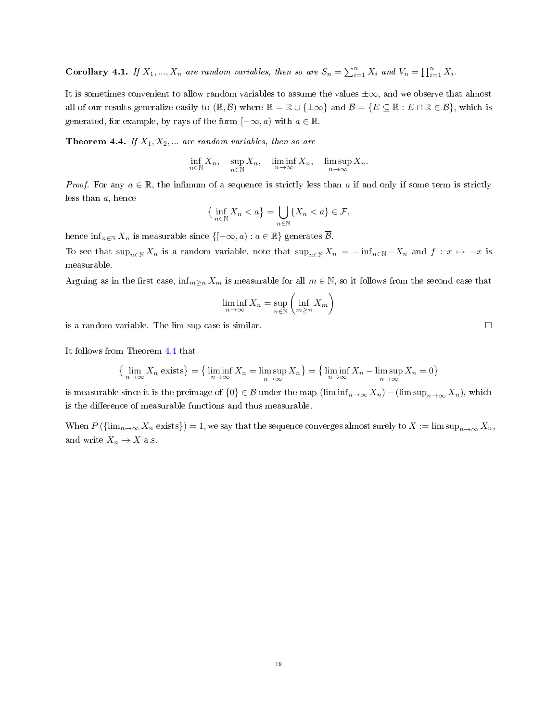**Corollary 4.1.** If  $X_1, ..., X_n$  are random variables, then so are  $S_n = \sum_{i=1}^n X_i$  and  $V_n = \prod_{i=1}^n X_i$ .

It is sometimes convenient to allow random variables to assume the values  $\pm \infty$ , and we observe that almost all of our results generalize easily to  $(\overline{\mathbb{R}}, \overline{\mathcal{B}})$  where  $\mathbb{R} = \mathbb{R} \cup \{\pm \infty\}$  and  $\overline{\mathcal{B}} = \{E \subseteq \overline{\mathbb{R}} : E \cap \mathbb{R} \in \mathcal{B}\}$ , which is generated, for example, by rays of the form  $[-\infty, a)$  with  $a \in \mathbb{R}$ .

<span id="page-18-0"></span>**Theorem 4.4.** If  $X_1, X_2, ...$  are random variables, then so are

$$
\inf_{n\in\mathbb{N}}X_n,\quad \sup_{n\in\mathbb{N}}X_n,\quad \liminf_{n\to\infty}X_n,\quad \limsup_{n\to\infty}X_n.
$$

*Proof.* For any  $a \in \mathbb{R}$ , the infimum of a sequence is strictly less than a if and only if some term is strictly less than a, hence

$$
\left\{\inf_{n\in\mathbb{N}} X_n < a\right\} = \bigcup_{n\in\mathbb{N}} \{X_n < a\} \in \mathcal{F},
$$

hence  $\inf_{n\in\mathbb{N}} X_n$  is measurable since  $\{[-\infty, a) : a \in \mathbb{R}\}\$  generates  $\overline{\mathcal{B}}$ .

To see that  $\sup_{n\in\mathbb{N}} X_n$  is a random variable, note that  $\sup_{n\in\mathbb{N}} X_n = -\inf_{n\in\mathbb{N}} -X_n$  and  $f: x \mapsto -x$  is measurable.

Arguing as in the first case,  $\inf_{m\geq n} X_m$  is measurable for all  $m \in \mathbb{N}$ , so it follows from the second case that

$$
\liminf_{n \to \infty} X_n = \sup_{n \in \mathbb{N}} \left( \inf_{m \ge n} X_m \right)
$$

is a random variable. The lim sup case is similar.

It follows from Theorem [4.4](#page-18-0) that

$$
\left\{\lim_{n\to\infty} X_n \text{ exists}\right\} = \left\{\liminf_{n\to\infty} X_n = \limsup_{n\to\infty} X_n\right\} = \left\{\liminf_{n\to\infty} X_n - \limsup_{n\to\infty} X_n = 0\right\}
$$

is measurable since it is the preimage of  $\{0\} \in \mathcal{B}$  under the map  $(\liminf_{n\to\infty}X_n) - (\limsup_{n\to\infty}X_n)$ , which is the difference of measurable functions and thus measurable.

When  $P(\{\lim_{n\to\infty}X_n \text{ exists}\})=1$ , we say that the sequence converges almost surely to  $X:=\limsup_{n\to\infty}X_n$ , and write  $X_n \to X$  a.s.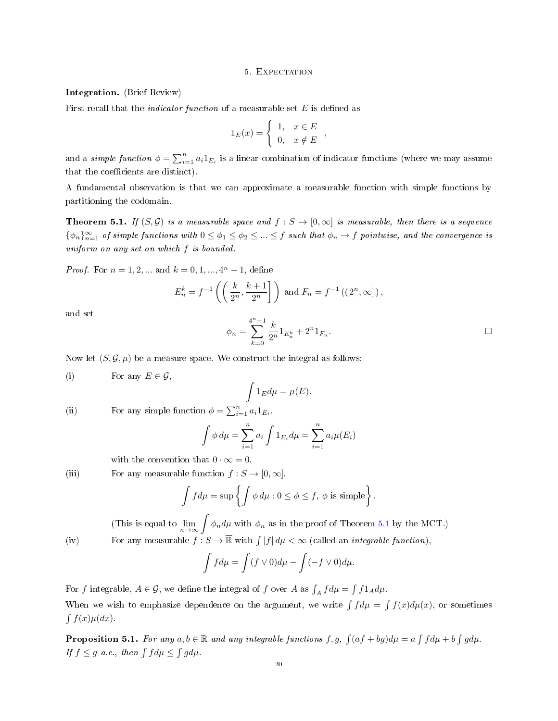#### 5. Expectation

### Integration. (Brief Review)

First recall that the *indicator function* of a measurable set  $E$  is defined as

$$
1_E(x) = \begin{cases} 1, & x \in E \\ 0, & x \notin E \end{cases}
$$

and a *simple function*  $\phi = \sum_{i=1}^{n} a_i 1_{E_i}$  is a linear combination of indicator functions (where we may assume that the coefficients are distinct).

A fundamental observation is that we can approximate a measurable function with simple functions by partitioning the codomain.

<span id="page-19-0"></span>**Theorem 5.1.** If  $(S, \mathcal{G})$  is a measurable space and  $f : S \to [0, \infty]$  is measurable, then there is a sequence  $\{\phi_n\}_{n=1}^{\infty}$  of simple functions with  $0 \le \phi_1 \le \phi_2 \le ... \le f$  such that  $\phi_n \to f$  pointwise, and the convergence is uniform on any set on which f is bounded.

*Proof.* For  $n = 1, 2, ...$  and  $k = 0, 1, ..., 4<sup>n</sup> - 1$ , define

$$
E_n^k = f^{-1}\left(\left(\frac{k}{2^n}, \frac{k+1}{2^n}\right)\right)
$$
 and  $F_n = f^{-1}((2^n, \infty])$ ,

and set

$$
\phi_n = \sum_{k=0}^{4^n - 1} \frac{k}{2^n} 1_{E_n^k} + 2^n 1_{F_n}.
$$

Now let  $(S, \mathcal{G}, \mu)$  be a measure space. We construct the integral as follows:

(i) For any  $E \in \mathcal{G}$ ,

$$
\int 1_E d\mu = \mu(E).
$$

(ii) For any simple function  $\phi = \sum_{i=1}^{n} a_i 1_{E_i}$ ,

$$
\int \phi \, d\mu = \sum_{i=1}^{n} a_i \int 1_{E_i} d\mu = \sum_{i=1}^{n} a_i \mu(E_i)
$$

with the convention that  $0 \cdot \infty = 0$ .

(iii) For any measurable function 
$$
f : S \to [0, \infty]
$$
,

$$
\int f d\mu = \sup \left\{ \int \phi d\mu : 0 \le \phi \le f, \phi \text{ is simple} \right\}.
$$

(This is equal to  $\lim_{n\to\infty}\int \phi_n d\mu$  with  $\phi_n$  as in the proof of Theorem [5.1](#page-19-0) by the MCT.) (iv) For any measurable  $f: S \to \overline{\mathbb{R}}$  with  $\int |f| d\mu < \infty$  (called an *integrable function*),

$$
\int f d\mu = \int (f \vee 0) d\mu - \int (-f \vee 0) d\mu.
$$

For f integrable,  $A \in \mathcal{G}$ , we define the integral of f over A as  $\int_A f d\mu = \int f 1_A d\mu$ .

When we wish to emphasize dependence on the argument, we write  $\int f d\mu = \int f(x) d\mu(x)$ , or sometimes  $\int f(x) \mu(dx)$ .

**Proposition 5.1.** For any  $a, b \in \mathbb{R}$  and any integrable functions  $f, g, \int (af + bg) d\mu = a \int f d\mu + b \int g d\mu$ . If  $f \leq g$  a.e., then  $\int f d\mu \leq \int g d\mu$ .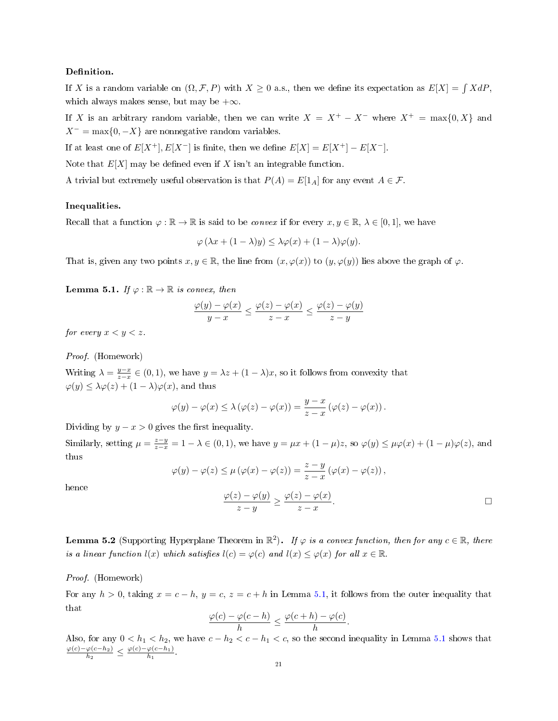## Definition.

If X is a random variable on  $(\Omega, \mathcal{F}, P)$  with  $X \geq 0$  a.s., then we define its expectation as  $E[X] = \int X dP$ , which always makes sense, but may be  $+\infty$ .

If X is an arbitrary random variable, then we can write  $X = X^+ - X^-$  where  $X^+ = \max\{0, X\}$  and  $X^-$  = max $\{0, -X\}$  are nonnegative random variables.

If at least one of  $E[X^+]$ ,  $E[X^-]$  is finite, then we define  $E[X] = E[X^+] - E[X^-]$ .

Note that  $E[X]$  may be defined even if X isn't an integrable function.

A trivial but extremely useful observation is that  $P(A) = E[1_A]$  for any event  $A \in \mathcal{F}$ .

## Inequalities.

Recall that a function  $\varphi : \mathbb{R} \to \mathbb{R}$  is said to be *convex* if for every  $x, y \in \mathbb{R}, \lambda \in [0, 1]$ , we have

$$
\varphi(\lambda x + (1 - \lambda)y) \le \lambda \varphi(x) + (1 - \lambda)\varphi(y).
$$

That is, given any two points  $x, y \in \mathbb{R}$ , the line from  $(x, \varphi(x))$  to  $(y, \varphi(y))$  lies above the graph of  $\varphi$ .

<span id="page-20-0"></span>**Lemma 5.1.** If  $\varphi : \mathbb{R} \to \mathbb{R}$  is convex, then

$$
\frac{\varphi(y)-\varphi(x)}{y-x}\leq \frac{\varphi(z)-\varphi(x)}{z-x}\leq \frac{\varphi(z)-\varphi(y)}{z-y}
$$

for every  $x < y < z$ .

Proof. (Homework)

Writing  $\lambda = \frac{y-x}{z-x} \in (0,1)$ , we have  $y = \lambda z + (1-\lambda)x$ , so it follows from convexity that  $\varphi(y) \leq \lambda \varphi(z) + (1 - \lambda) \varphi(x)$ , and thus

$$
\varphi(y) - \varphi(x) \leq \lambda (\varphi(z) - \varphi(x)) = \frac{y - x}{z - x} (\varphi(z) - \varphi(x)).
$$

Dividing by  $y - x > 0$  gives the first inequality.

Similarly, setting  $\mu = \frac{z-y}{z-x} = 1 - \lambda \in (0,1)$ , we have  $y = \mu x + (1 - \mu)z$ , so  $\varphi(y) \leq \mu \varphi(x) + (1 - \mu)\varphi(z)$ , and thus

$$
\varphi(y) - \varphi(z) \le \mu (\varphi(x) - \varphi(z)) = \frac{z - y}{z - x} (\varphi(x) - \varphi(z)),
$$

hence

$$
\frac{\varphi(z) - \varphi(y)}{z - y} \ge \frac{\varphi(z) - \varphi(x)}{z - x}.
$$

<span id="page-20-1"></span>**Lemma 5.2** (Supporting Hyperplane Theorem in  $\mathbb{R}^2$ ). If  $\varphi$  is a convex function, then for any  $c \in \mathbb{R}$ , there is a linear function  $l(x)$  which satisfies  $l(c) = \varphi(c)$  and  $l(x) \leq \varphi(x)$  for all  $x \in \mathbb{R}$ .

Proof. (Homework)

For any  $h > 0$ , taking  $x = c - h$ ,  $y = c$ ,  $z = c + h$  in Lemma [5.1,](#page-20-0) it follows from the outer inequality that that

$$
\frac{\varphi(c)-\varphi(c-h)}{h}\leq \frac{\varphi(c+h)-\varphi(c)}{h}.
$$

Also, for any  $0 < h_1 < h_2$ , we have  $c - h_2 < c - h_1 < c$ , so the second inequality in Lemma [5.1](#page-20-0) shows that  $\varphi(c)-\varphi(c-h_2)$  $\frac{\varphi(c-h_2)}{h_2} \leq \frac{\varphi(c)-\varphi(c-h_1)}{h_1}$  $\frac{\varphi(c-n_1)}{h_1}$ .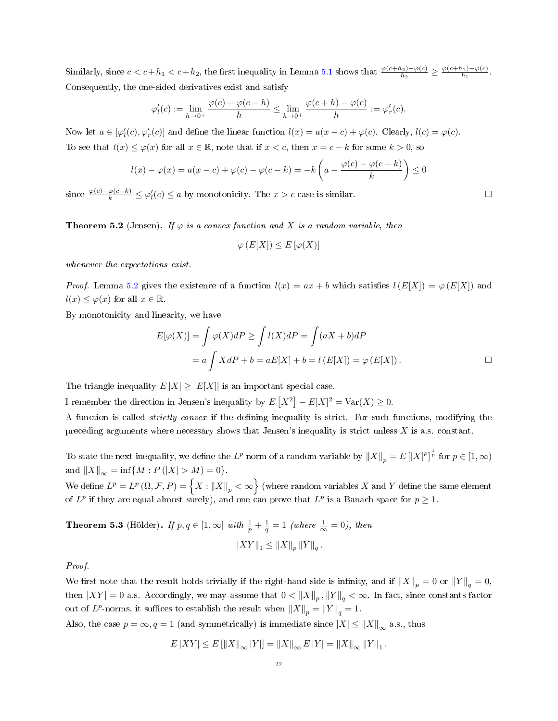Similarly, since  $c < c + h_1 < c + h_2$ , the first inequality in Lemma [5.1](#page-20-0) shows that  $\frac{\varphi(c+h_2) - \varphi(c)}{h_2} \ge \frac{\varphi(c+h_1) - \varphi(c)}{h_1}$  $\frac{\beta_1 - \varphi(c)}{h_1}$ . Consequently, the one-sided derivatives exist and satisfy

$$
\varphi_l'(c) := \lim_{h \to 0^+} \frac{\varphi(c) - \varphi(c - h)}{h} \le \lim_{h \to 0^+} \frac{\varphi(c + h) - \varphi(c)}{h} := \varphi_r'(c).
$$

Now let  $a \in [\varphi'_l(c), \varphi'_r(c)]$  and define the linear function  $l(x) = a(x - c) + \varphi(c)$ . Clearly,  $l(c) = \varphi(c)$ . To see that  $l(x) \leq \varphi(x)$  for all  $x \in \mathbb{R}$ , note that if  $x < c$ , then  $x = c - k$  for some  $k > 0$ , so

$$
l(x) - \varphi(x) = a(x - c) + \varphi(c) - \varphi(c - k) = -k\left(a - \frac{\varphi(c) - \varphi(c - k)}{k}\right) \le 0
$$

since  $\frac{\varphi(c)-\varphi(c-k)}{k} \leq \varphi'_l(c) \leq a$  by monotonicity. The  $x > c$  case is similar.

**Theorem 5.2** (Jensen). If  $\varphi$  is a convex function and X is a random variable, then

$$
\varphi(E[X]) \le E[\varphi(X)]
$$

whenever the expectations exist.

*Proof.* Lemma [5.2](#page-20-1) gives the existence of a function  $l(x) = ax + b$  which satisfies  $l(E[X]) = \varphi(E[X])$  and  $l(x) \leq \varphi(x)$  for all  $x \in \mathbb{R}$ .

By monotonicity and linearity, we have

$$
E[\varphi(X)] = \int \varphi(X)dP \ge \int l(X)dP = \int (aX + b)dP
$$
  
=  $a \int XdP + b = aE[X] + b = l(E[X]) = \varphi(E[X]).$ 

The triangle inequality  $E |X| \geq |E[X]|$  is an important special case.

I remember the direction in Jensen's inequality by  $E[X^2] - E[X]^2 = \text{Var}(X) \geq 0$ .

A function is called strictly convex if the dening inequality is strict. For such functions, modifying the preceding arguments where necessary shows that Jensen's inequality is strict unless  $X$  is a.s. constant.

To state the next inequality, we define the  $L^p$  norm of a random variable by  $\|X\|_p=E\left[|X|^p\right]^{\frac{1}{p}}$  for  $p\in[1,\infty)$ and  $||X||_{\infty} = \inf\{M : P(|X| > M) = 0\}.$ 

We define  $L^p=L^p\left(\Omega,\mathcal{F},P\right)=\Big\{X:\left\|X\right\|_p<\infty\Big\}$  (where random variables  $X$  and  $Y$  define the same element of  $L^p$  if they are equal almost surely), and one can prove that  $L^p$  is a Banach space for  $p \geq 1$ .

**Theorem 5.3** (Hölder). If  $p, q \in [1, \infty]$  with  $\frac{1}{p} + \frac{1}{q} = 1$  (where  $\frac{1}{\infty} = 0$ ), then  $||XY||_1 \leq ||X||_p ||Y||_q.$ 

Proof.

We first note that the result holds trivially if the right-hand side is infinity, and if  $||X||_p = 0$  or  $||Y||_q = 0$ , then  $|XY| = 0$  a.s. Accordingly, we may assume that  $0 < \|X\|_p$  ,  $\|Y\|_q < \infty$ . In fact, since constants factor out of  $L^p$ -norms, it suffices to establish the result when  $||X||_p = ||Y||_q = 1$ .

Also, the case  $p = \infty, q = 1$  (and symmetrically) is immediate since  $|X| \le ||X||_{\infty}$  a.s., thus

$$
E\left|XY\right| \leq E\left[\left\|X\right\|_{\infty} |Y|\right] = \left\|X\right\|_{\infty} E\left|Y\right| = \left\|X\right\|_{\infty} \left\|Y\right\|_{1}.
$$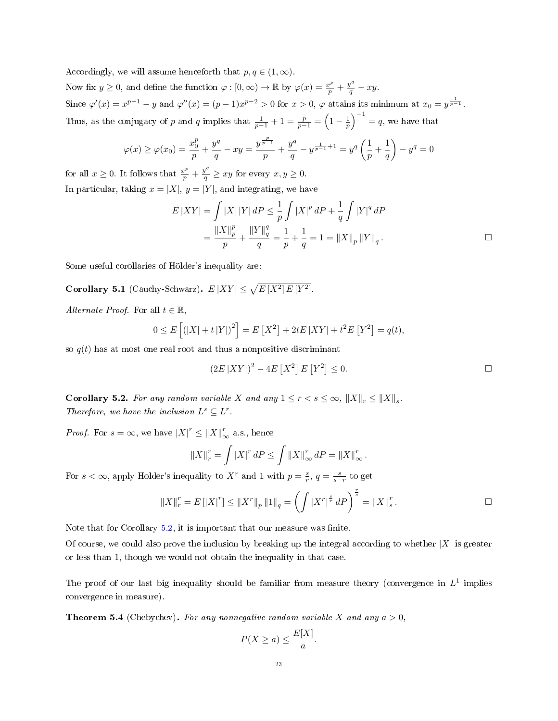Accordingly, we will assume henceforth that  $p, q \in (1, \infty)$ . Now fix  $y \ge 0$ , and define the function  $\varphi : [0, \infty) \to \mathbb{R}$  by  $\varphi(x) = \frac{x^p}{p} + \frac{y^q}{q} - xy$ . Since  $\varphi'(x) = x^{p-1} - y$  and  $\varphi''(x) = (p-1)x^{p-2} > 0$  for  $x > 0$ ,  $\varphi$  attains its minimum at  $x_0 = y^{\frac{1}{p-1}}$ . Thus, as the conjugacy of p and q implies that  $\frac{1}{p-1} + 1 = \frac{p}{p-1} = \left(1 - \frac{1}{p}\right)^{-1} = q$ , we have that

$$
\varphi(x) \ge \varphi(x_0) = \frac{x_0^p}{p} + \frac{y^q}{q} - xy = \frac{y^{\frac{p}{p-1}}}{p} + \frac{y^q}{q} - y^{\frac{1}{p-1}+1} = y^q \left(\frac{1}{p} + \frac{1}{q}\right) - y^q = 0
$$

for all  $x \geq 0$ . It follows that  $\frac{x^p}{p} + \frac{y^q}{q} \geq xy$  for every  $x, y \geq 0$ . In particular, taking  $x = |X|$ ,  $y = |Y|$ , and integrating, we have

$$
E|XY| = \int |X| |Y| dP \le \frac{1}{p} \int |X|^p dP + \frac{1}{q} \int |Y|^q dP
$$
  
= 
$$
\frac{\|X\|_p^p}{p} + \frac{\|Y\|_q^q}{q} = \frac{1}{p} + \frac{1}{q} = 1 = \|X\|_p \|Y\|_q.
$$

Some useful corollaries of Hölder's inequality are:

**Corollary 5.1** (Cauchy-Schwarz).  $E|XY| \leq \sqrt{E|X^2|E|Y^2|}$ .

Alternate Proof. For all  $t \in \mathbb{R}$ ,

$$
0 \le E\left[ (|X| + t |Y|)^{2} \right] = E\left[ X^{2} \right] + 2tE\left[ XY \right] + t^{2}E\left[ Y^{2} \right] = q(t),
$$

so  $q(t)$  has at most one real root and thus a nonpositive discriminant

$$
(2E|XY|)^2 - 4E[X^2]E[Y^2] \le 0.
$$

<span id="page-22-0"></span>**Corollary 5.2.** For any random variable X and any  $1 \leq r < s \leq \infty$ ,  $||X||_r \leq ||X||_s$ . Therefore, we have the inclusion  $L^s \subseteq L^r$ .

*Proof.* For  $s = \infty$ , we have  $|X|^r \leq ||X||_{\infty}^r$  a.s., hence

$$
||X||_{r}^{r} = \int |X|^{r} dP \le \int ||X||_{\infty}^{r} dP = ||X||_{\infty}^{r}.
$$

For  $s < \infty$ , apply Holder's inequality to  $X^r$  and 1 with  $p = \frac{s}{r}$ ,  $q = \frac{s}{s-r}$  to get

$$
||X||_{r}^{r} = E[|X|^{r}] \le ||X^{r}||_{p} ||1||_{q} = \left(\int |X^{r}|^{\frac{s}{r}} dP\right)^{\frac{r}{s}} = ||X||_{s}^{r}.
$$

Note that for Corollary  $5.2$ , it is important that our measure was finite.

Of course, we could also prove the inclusion by breaking up the integral according to whether  $|X|$  is greater or less than 1, though we would not obtain the inequality in that case.

The proof of our last big inequality should be familiar from measure theory (convergence in  $L^1$  implies convergence in measure).

**Theorem 5.4** (Chebychev). For any nonnegative random variable X and any  $a > 0$ .

$$
P(X \ge a) \le \frac{E[X]}{a}.
$$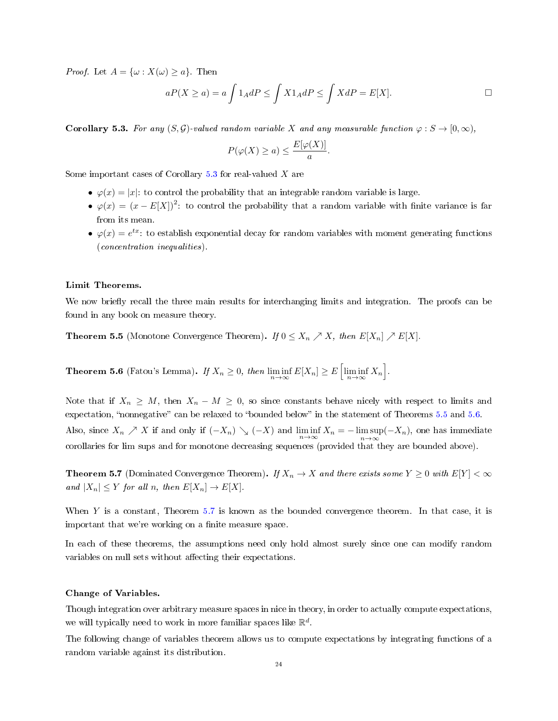*Proof.* Let  $A = {\omega : X(\omega) \geq a}$ . Then

$$
aP(X \ge a) = a \int 1_A dP \le \int X1_A dP \le \int XdP = E[X].
$$

<span id="page-23-0"></span>**Corollary 5.3.** For any  $(S, \mathcal{G})$ -valued random variable X and any measurable function  $\varphi : S \to [0, \infty)$ ,

$$
P(\varphi(X) \ge a) \le \frac{E[\varphi(X)]}{a}.
$$

Some important cases of Corollary  $5.3$  for real-valued X are

- $\varphi(x) = |x|$ : to control the probability that an integrable random variable is large.
- $\varphi(x) = (x E[X])^2$ : to control the probability that a random variable with finite variance is far from its mean.
- $\varphi(x) = e^{tx}$ : to establish exponential decay for random variables with moment generating functions (concentration inequalities).

## Limit Theorems.

We now briefly recall the three main results for interchanging limits and integration. The proofs can be found in any book on measure theory.

<span id="page-23-1"></span>**Theorem 5.5** (Monotone Convergence Theorem). If  $0 \leq X_n \nearrow X$ , then  $E[X_n] \nearrow E[X]$ .

<span id="page-23-2"></span>Theorem 5.6 (Fatou's Lemma). If  $X_n \ge 0$ , then  $\liminf_{n \to \infty} E[X_n] \ge E\left[\liminf_{n \to \infty} X_n\right]$ .

Note that if  $X_n \geq M$ , then  $X_n - M \geq 0$ , so since constants behave nicely with respect to limits and expectation, "nonnegative" can be relaxed to "bounded below" in the statement of Theorems [5.5](#page-23-1) and [5.6.](#page-23-2) Also, since  $X_n \nearrow X$  if and only if  $(-X_n) \searrow (-X)$  and  $\liminf_{n \to \infty} X_n = -\limsup_{n \to \infty} (-X_n)$ , one has immediate corollaries for lim sups and for monotone decreasing sequences (provided that they are bounded above).

<span id="page-23-3"></span>**Theorem 5.7** (Dominated Convergence Theorem). If  $X_n \to X$  and there exists some  $Y \geq 0$  with  $E[Y] < \infty$ and  $|X_n| \leq Y$  for all n, then  $E[X_n] \to E[X]$ .

When  $Y$  is a constant, Theorem [5.7](#page-23-3) is known as the bounded convergence theorem. In that case, it is important that we're working on a finite measure space.

In each of these theorems, the assumptions need only hold almost surely since one can modify random variables on null sets without affecting their expectations.

### Change of Variables.

Though integration over arbitrary measure spaces in nice in theory, in order to actually compute expectations, we will typically need to work in more familiar spaces like  $\mathbb{R}^d$ .

The following change of variables theorem allows us to compute expectations by integrating functions of a random variable against its distribution.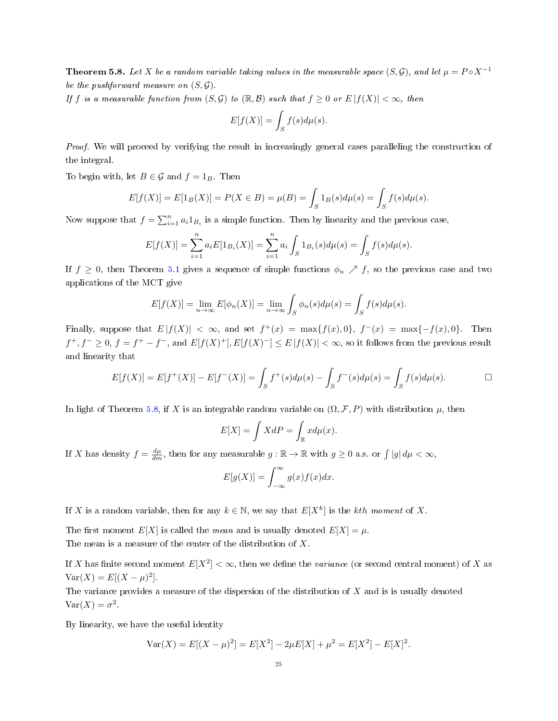<span id="page-24-0"></span>**Theorem 5.8.** Let X be a random variable taking values in the measurable space  $(S, \mathcal{G})$ , and let  $\mu = P \circ X^{-1}$ be the pushforward measure on  $(S, \mathcal{G})$ .

If f is a measurable function from  $(S, \mathcal{G})$  to  $(\mathbb{R}, \mathcal{B})$  such that  $f \geq 0$  or  $E |f(X)| < \infty$ , then

$$
E[f(X)] = \int_{S} f(s) d\mu(s).
$$

Proof. We will proceed by verifying the result in increasingly general cases paralleling the construction of the integral.

To begin with, let  $B \in \mathcal{G}$  and  $f = 1_B$ . Then

$$
E[f(X)] = E[1_B(X)] = P(X \in B) = \mu(B) = \int_S 1_B(s) d\mu(s) = \int_S f(s) d\mu(s).
$$

Now suppose that  $f = \sum_{i=1}^{n} a_i 1_{B_i}$  is a simple function. Then by linearity and the previous case,

$$
E[f(X)] = \sum_{i=1}^{n} a_i E[1_{B_i}(X)] = \sum_{i=1}^{n} a_i \int_{S} 1_{B_i}(s) d\mu(s) = \int_{S} f(s) d\mu(s).
$$

If  $f \geq 0$ , then Theorem [5.1](#page-19-0) gives a sequence of simple functions  $\phi_n \nearrow f$ , so the previous case and two applications of the MCT give

$$
E[f(X)] = \lim_{n \to \infty} E[\phi_n(X)] = \lim_{n \to \infty} \int_S \phi_n(s) d\mu(s) = \int_S f(s) d\mu(s).
$$

Finally, suppose that  $E|f(X)| < \infty$ , and set  $f^+(x) = \max\{f(x), 0\}$ ,  $f^-(x) = \max\{-f(x), 0\}$ . Then  $f^+, f^- \geq 0, f = f^+ - f^-,$  and  $E[f(X)^+]$ ,  $E[f(X)^-] \leq E[f(X)] < \infty$ , so it follows from the previous result and linearity that

$$
E[f(X)] = E[f^+(X)] - E[f^-(X)] = \int_S f^+(s)d\mu(s) - \int_S f^-(s)d\mu(s) = \int_S f(s)d\mu(s).
$$

In light of Theorem [5.8,](#page-24-0) if X is an integrable random variable on  $(\Omega, \mathcal{F}, P)$  with distribution  $\mu$ , then

$$
E[X] = \int XdP = \int_{\mathbb{R}} x d\mu(x).
$$

If X has density  $f = \frac{d\mu}{dm}$ , then for any measurable  $g : \mathbb{R} \to \mathbb{R}$  with  $g \geq 0$  a.s. or  $\int |g| d\mu < \infty$ ,

$$
E[g(X)] = \int_{-\infty}^{\infty} g(x)f(x)dx.
$$

If X is a random variable, then for any  $k \in \mathbb{N}$ , we say that  $E[X^k]$  is the kth moment of X.

The first moment  $E[X]$  is called the *mean* and is usually denoted  $E[X] = \mu$ . The mean is a measure of the center of the distribution of  $X$ .

If X has finite second moment  $E[X^2]<\infty$ , then we define the *variance* (or second central moment) of X as  $Var(X) = E[(X - \mu)^2].$ 

The variance provides a measure of the dispersion of the distribution of  $X$  and is is usually denoted  $\text{Var}(X) = \sigma^2.$ 

By linearity, we have the useful identity

$$
Var(X) = E[(X - \mu)^{2}] = E[X^{2}] - 2\mu E[X] + \mu^{2} = E[X^{2}] - E[X]^{2}.
$$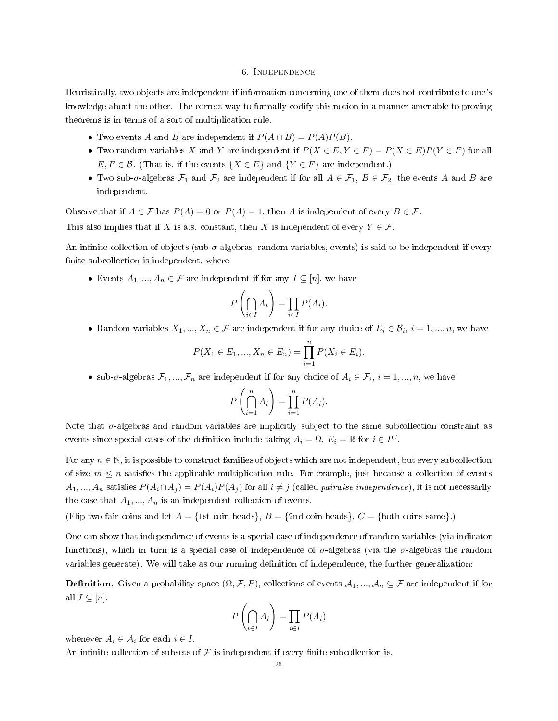## 6. Independence

Heuristically, two objects are independent if information concerning one of them does not contribute to one's knowledge about the other. The correct way to formally codify this notion in a manner amenable to proving theorems is in terms of a sort of multiplication rule.

- Two events A and B are independent if  $P(A \cap B) = P(A)P(B)$ .
- Two random variables X and Y are independent if  $P(X \in E, Y \in F) = P(X \in E)P(Y \in F)$  for all  $E, F \in \mathcal{B}$ . (That is, if the events  $\{X \in E\}$  and  $\{Y \in F\}$  are independent.)
- Two sub- $\sigma$ -algebras  $\mathcal{F}_1$  and  $\mathcal{F}_2$  are independent if for all  $A \in \mathcal{F}_1$ ,  $B \in \mathcal{F}_2$ , the events A and B are independent.

Observe that if  $A \in \mathcal{F}$  has  $P(A) = 0$  or  $P(A) = 1$ , then A is independent of every  $B \in \mathcal{F}$ .

This also implies that if X is a.s. constant, then X is independent of every  $Y \in \mathcal{F}$ .

An infinite collection of objects (sub- $\sigma$ -algebras, random variables, events) is said to be independent if every finite subcollection is independent, where

• Events  $A_1, ..., A_n \in \mathcal{F}$  are independent if for any  $I \subseteq [n]$ , we have

$$
P\left(\bigcap_{i\in I} A_i\right) = \prod_{i\in I} P(A_i).
$$

• Random variables  $X_1, ..., X_n \in \mathcal{F}$  are independent if for any choice of  $E_i \in \mathcal{B}_i$ ,  $i = 1, ..., n$ , we have

$$
P(X_1 \in E_1, ..., X_n \in E_n) = \prod_{i=1}^n P(X_i \in E_i).
$$

• sub- $\sigma$ -algebras  $\mathcal{F}_1, ..., \mathcal{F}_n$  are independent if for any choice of  $A_i \in \mathcal{F}_i$ ,  $i = 1, ..., n$ , we have

$$
P\left(\bigcap_{i=1}^n A_i\right) = \prod_{i=1}^n P(A_i).
$$

Note that  $\sigma$ -algebras and random variables are implicitly subject to the same subcollection constraint as events since special cases of the definition include taking  $A_i = \Omega$ ,  $E_i = \mathbb{R}$  for  $i \in I^C$ .

For any  $n \in \mathbb{N}$ , it is possible to construct families of objects which are not independent, but every subcollection of size  $m \leq n$  satisfies the applicable multiplication rule. For example, just because a collection of events  $A_1, ..., A_n$  satisfies  $P(A_i \cap A_j) = P(A_i)P(A_j)$  for all  $i \neq j$  (called *pairwise independence*), it is not necessarily the case that  $A_1, ..., A_n$  is an independent collection of events.

(Flip two fair coins and let  $A = \{1st \text{ coin heads}\}, B = \{2nd \text{ coin heads}\}, C = \{\text{both coins same}\}.$ )

One can show that independence of events is a special case of independence of random variables (via indicator functions), which in turn is a special case of independence of  $\sigma$ -algebras (via the  $\sigma$ -algebras the random variables generate). We will take as our running definition of independence, the further generalization:

**Definition.** Given a probability space  $(\Omega, \mathcal{F}, P)$ , collections of events  $\mathcal{A}_1, ..., \mathcal{A}_n \subseteq \mathcal{F}$  are independent if for all  $I \subseteq [n]$ ,

$$
P\left(\bigcap_{i\in I} A_i\right) = \prod_{i\in I} P(A_i)
$$

whenever  $A_i \in \mathcal{A}_i$  for each  $i \in I$ .

An infinite collection of subsets of  $\mathcal F$  is independent if every finite subcollection is.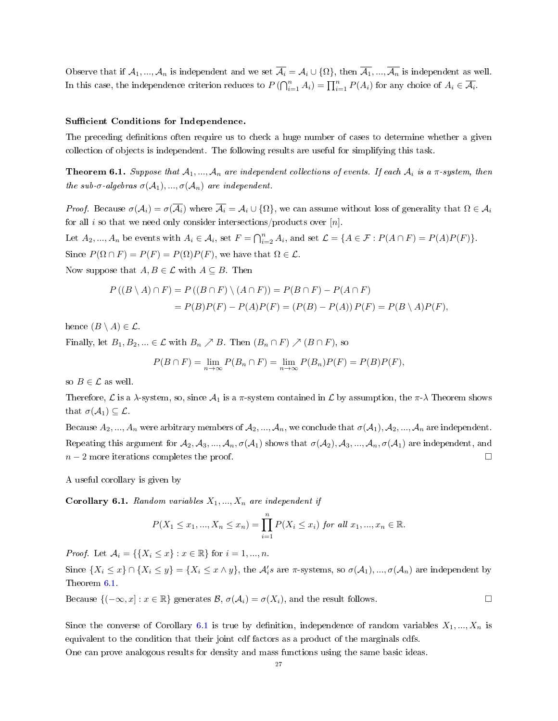Observe that if  $A_1, ..., A_n$  is independent and we set  $\overline{A_i} = A_i \cup \{\Omega\}$ , then  $\overline{A_1}, ..., \overline{A_n}$  is independent as well. In this case, the independence criterion reduces to  $P(\bigcap_{i=1}^{n} A_i) = \prod_{i=1}^{n} P(A_i)$  for any choice of  $A_i \in \overline{\mathcal{A}_i}$ .

## Sufficient Conditions for Independence.

The preceding definitions often require us to check a huge number of cases to determine whether a given collection of objects is independent. The following results are useful for simplifying this task.

<span id="page-26-0"></span>**Theorem 6.1.** Suppose that  $A_1, ..., A_n$  are independent collections of events. If each  $A_i$  is a  $\pi$ -system, then the sub- $\sigma$ -algebras  $\sigma(A_1), ..., \sigma(A_n)$  are independent.

*Proof.* Because  $\sigma(\mathcal{A}_i) = \sigma(\overline{\mathcal{A}_i})$  where  $\overline{\mathcal{A}_i} = \mathcal{A}_i \cup \{\Omega\}$ , we can assume without loss of generality that  $\Omega \in \mathcal{A}_i$ for all i so that we need only consider intersections/products over  $[n]$ .

Let  $A_2, ..., A_n$  be events with  $A_i \in \mathcal{A}_i$ , set  $F = \bigcap_{i=2}^n A_i$ , and set  $\mathcal{L} = \{A \in \mathcal{F} : P(A \cap F) = P(A)P(F)\}.$ Since  $P(\Omega \cap F) = P(F) = P(\Omega)P(F)$ , we have that  $\Omega \in \mathcal{L}$ . Now suppose that  $A, B \in \mathcal{L}$  with  $A \subseteq B$ . Then

$$
P((B \setminus A) \cap F) = P((B \cap F) \setminus (A \cap F)) = P(B \cap F) - P(A \cap F)
$$
  
= 
$$
P(B)P(F) - P(A)P(F) = (P(B) - P(A))P(F) = P(B \setminus A)P(F),
$$

hence  $(B \setminus A) \in \mathcal{L}$ .

Finally, let  $B_1, B_2, \ldots \in \mathcal{L}$  with  $B_n \nearrow B$ . Then  $(B_n \cap F) \nearrow (B \cap F)$ , so

$$
P(B \cap F) = \lim_{n \to \infty} P(B_n \cap F) = \lim_{n \to \infty} P(B_n)P(F) = P(B)P(F),
$$

so  $B \in \mathcal{L}$  as well.

Therefore,  $\mathcal L$  is a  $\lambda$ -system, so, since  $\mathcal A_1$  is a  $\pi$ -system contained in  $\mathcal L$  by assumption, the  $\pi$ - $\lambda$  Theorem shows that  $\sigma(\mathcal{A}_1) \subseteq \mathcal{L}$ .

Because  $A_2, ..., A_n$  were arbitrary members of  $A_2, ..., A_n$ , we conclude that  $\sigma(A_1), A_2, ..., A_n$  are independent. Repeating this argument for  $A_2, A_3, ..., A_n, \sigma(A_1)$  shows that  $\sigma(A_2), A_3, ..., A_n, \sigma(A_1)$  are independent, and  $n-2$  more iterations completes the proof.

A useful corollary is given by

<span id="page-26-1"></span>**Corollary 6.1.** Random variables  $X_1, ..., X_n$  are independent if

$$
P(X_1 \le x_1, ..., X_n \le x_n) = \prod_{i=1}^n P(X_i \le x_i) \text{ for all } x_1, ..., x_n \in \mathbb{R}.
$$

*Proof.* Let  $A_i = \{ \{X_i \leq x\} : x \in \mathbb{R} \}$  for  $i = 1, ..., n$ .

Since  $\{X_i \le x\} \cap \{X_i \le y\} = \{X_i \le x \wedge y\}$ , the  $\mathcal{A}'_i$ s are  $\pi$ -systems, so  $\sigma(\mathcal{A}_1),...,\sigma(\mathcal{A}_n)$  are independent by Theorem [6.1.](#page-26-0)

Because  $\{(-\infty, x] : x \in \mathbb{R}\}$  generates  $\mathcal{B}, \sigma(\mathcal{A}_i) = \sigma(X_i)$ , and the result follows.

Since the converse of Corollary [6.1](#page-26-1) is true by definition, independence of random variables  $X_1, ..., X_n$  is equivalent to the condition that their joint cdf factors as a product of the marginals cdfs.

One can prove analogous results for density and mass functions using the same basic ideas.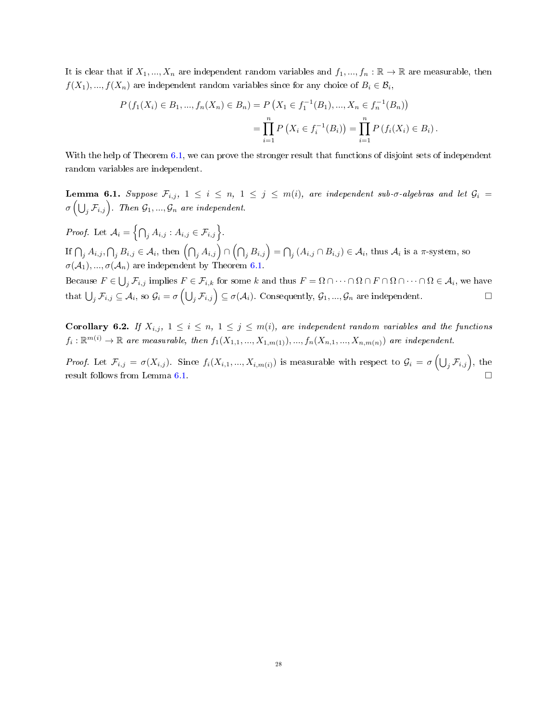It is clear that if  $X_1, ..., X_n$  are independent random variables and  $f_1, ..., f_n : \mathbb{R} \to \mathbb{R}$  are measurable, then  $f(X_1),..., f(X_n)$  are independent random variables since for any choice of  $B_i \in \mathcal{B}_i,$ 

$$
P(f_1(X_i) \in B_1, ..., f_n(X_n) \in B_n) = P(X_1 \in f_1^{-1}(B_1), ..., X_n \in f_n^{-1}(B_n))
$$
  
= 
$$
\prod_{i=1}^n P(X_i \in f_i^{-1}(B_i)) = \prod_{i=1}^n P(f_i(X_i) \in B_i).
$$

With the help of Theorem [6.1,](#page-26-0) we can prove the stronger result that functions of disjoint sets of independent random variables are independent.

<span id="page-27-0"></span>**Lemma 6.1.** Suppose  $\mathcal{F}_{i,j}$ ,  $1 \leq i \leq n, 1 \leq j \leq m(i)$ , are independent sub- $\sigma$ -algebras and let  $\mathcal{G}_i$  =  $\sigma\left(\bigcup_j \mathcal{F}_{i,j}\right)$ . Then  $\mathcal{G}_1,...,\mathcal{G}_n$  are independent.

*Proof.* Let  $A_i = \left\{ \bigcap_j A_{i,j} : A_{i,j} \in \mathcal{F}_{i,j} \right\}.$ If  $\bigcap_j A_{i,j}, \bigcap_j B_{i,j} \in \mathcal{A}_i$ , then  $\left(\bigcap_j A_{i,j}\right) \cap \left(\bigcap_j B_{i,j}\right) = \bigcap_j (A_{i,j} \cap B_{i,j}) \in \mathcal{A}_i$ , thus  $\mathcal{A}_i$  is a  $\pi$ -system, so  $\sigma(\mathcal{A}_1), ..., \sigma(\mathcal{A}_n)$  are independent by Theorem [6.1.](#page-26-0)

Because  $F \in \bigcup_j \mathcal{F}_{i,j}$  implies  $F \in \mathcal{F}_{i,k}$  for some k and thus  $F = \Omega \cap \cdots \cap \Omega \cap F \cap \Omega \cap \cdots \cap \Omega \in \mathcal{A}_i$ , we have that  $\bigcup_j \mathcal{F}_{i,j} \subseteq \mathcal{A}_i$ , so  $\mathcal{G}_i = \sigma\left(\bigcup_j \mathcal{F}_{i,j}\right) \subseteq \sigma(\mathcal{A}_i)$ . Consequently,  $\mathcal{G}_1, ..., \mathcal{G}_n$  are independent.

<span id="page-27-1"></span>Corollary 6.2. If  $X_{i,j}$ ,  $1 \leq i \leq n$ ,  $1 \leq j \leq m(i)$ , are independent random variables and the functions  $f_i: \mathbb{R}^{m(i)} \to \mathbb{R}$  are measurable, then  $f_1(X_{1,1},...,X_{1,m(1)}),...,f_n(X_{n,1},...,X_{n,m(n)})$  are independent.

Proof. Let  $\mathcal{F}_{i,j} = \sigma(X_{i,j})$ . Since  $f_i(X_{i,1},...,X_{i,m(i)})$  is measurable with respect to  $\mathcal{G}_i = \sigma\left(\bigcup_j \mathcal{F}_{i,j}\right)$ , the result follows from Lemma [6.1.](#page-27-0)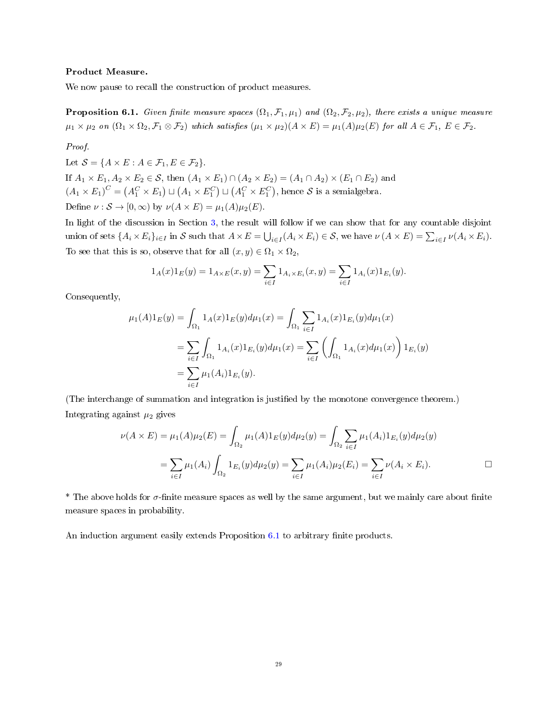## Product Measure.

We now pause to recall the construction of product measures.

<span id="page-28-0"></span>**Proposition 6.1.** Given finite measure spaces  $(\Omega_1, \mathcal{F}_1, \mu_1)$  and  $(\Omega_2, \mathcal{F}_2, \mu_2)$ , there exists a unique measure  $\mu_1 \times \mu_2$  on  $(\Omega_1 \times \Omega_2, \mathcal{F}_1 \otimes \mathcal{F}_2)$  which satisfies  $(\mu_1 \times \mu_2)(A \times E) = \mu_1(A)\mu_2(E)$  for all  $A \in \mathcal{F}_1$ ,  $E \in \mathcal{F}_2$ .

## Proof.

Let  $S = \{A \times E : A \in \mathcal{F}_1, E \in \mathcal{F}_2\}.$ If  $A_1 \times E_1, A_2 \times E_2 \in \mathcal{S}$ , then  $(A_1 \times E_1) \cap (A_2 \times E_2) = (A_1 \cap A_2) \times (E_1 \cap E_2)$  and  $(A_1\times E_1)^C=\left(A_1^C\times E_1\right)\sqcup\left(A_1\times E_1^C\right)\sqcup\left(A_1^C\times E_1^C\right),$  hence  ${\cal S}$  is a semialgebra. Define  $\nu : \mathcal{S} \to [0, \infty)$  by  $\nu(A \times E) = \mu_1(A)\mu_2(E)$ .

In light of the discussion in Section [3,](#page-11-0) the result will follow if we can show that for any countable disjoint union of sets  $\{A_i \times E_i\}_{i \in I}$  in S such that  $A \times E = \bigcup_{i \in I} (A_i \times E_i) \in S$ , we have  $\nu(A \times E) = \sum_{i \in I} \nu(A_i \times E_i)$ . To see that this is so, observe that for all  $(x, y) \in \Omega_1 \times \Omega_2$ ,

$$
1_A(x)1_E(y) = 1_{A \times E}(x, y) = \sum_{i \in I} 1_{A_i \times E_i}(x, y) = \sum_{i \in I} 1_{A_i}(x)1_{E_i}(y).
$$

Consequently,

$$
\mu_1(A)1_E(y) = \int_{\Omega_1} 1_A(x)1_E(y)d\mu_1(x) = \int_{\Omega_1} \sum_{i \in I} 1_{A_i}(x)1_{E_i}(y)d\mu_1(x)
$$
  
= 
$$
\sum_{i \in I} \int_{\Omega_1} 1_{A_i}(x)1_{E_i}(y)d\mu_1(x) = \sum_{i \in I} \left( \int_{\Omega_1} 1_{A_i}(x)d\mu_1(x) \right)1_{E_i}(y)
$$
  
= 
$$
\sum_{i \in I} \mu_1(A_i)1_{E_i}(y).
$$

(The interchange of summation and integration is justified by the monotone convergence theorem.) Integrating against  $\mu_2$  gives

$$
\nu(A \times E) = \mu_1(A)\mu_2(E) = \int_{\Omega_2} \mu_1(A)1_E(y)d\mu_2(y) = \int_{\Omega_2} \sum_{i \in I} \mu_1(A_i)1_{E_i}(y)d\mu_2(y)
$$

$$
= \sum_{i \in I} \mu_1(A_i) \int_{\Omega_2} 1_{E_i}(y)d\mu_2(y) = \sum_{i \in I} \mu_1(A_i)\mu_2(E_i) = \sum_{i \in I} \nu(A_i \times E_i).
$$

<sup>\*</sup> The above holds for  $\sigma$ -finite measure spaces as well by the same argument, but we mainly care about finite measure spaces in probability.

An induction argument easily extends Proposition [6.1](#page-28-0) to arbitrary finite products.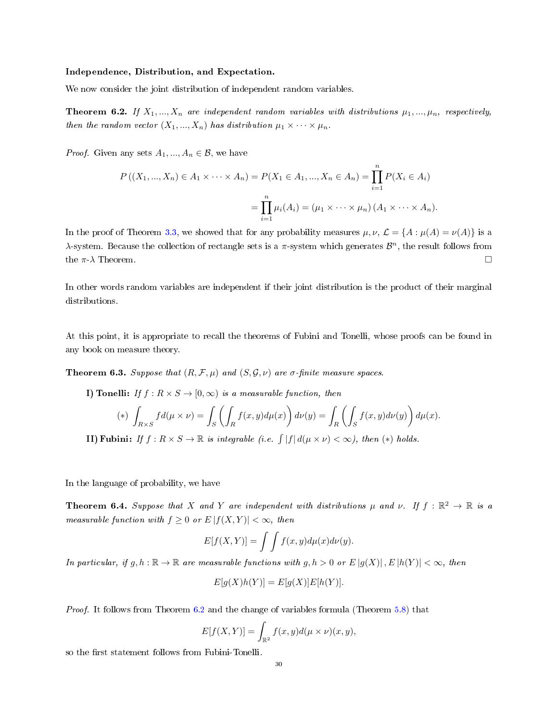#### Independence, Distribution, and Expectation.

We now consider the joint distribution of independent random variables.

<span id="page-29-0"></span>**Theorem 6.2.** If  $X_1, ..., X_n$  are independent random variables with distributions  $\mu_1, ..., \mu_n$ , respectively, then the random vector  $(X_1, ..., X_n)$  has distribution  $\mu_1 \times \cdots \times \mu_n$ .

*Proof.* Given any sets  $A_1, ..., A_n \in \mathcal{B}$ , we have

$$
P((X_1, ..., X_n) \in A_1 \times \cdots \times A_n) = P(X_1 \in A_1, ..., X_n \in A_n) = \prod_{i=1}^n P(X_i \in A_i)
$$
  
= 
$$
\prod_{i=1}^n \mu_i(A_i) = (\mu_1 \times \cdots \times \mu_n) (A_1 \times \cdots \times A_n).
$$

In the proof of Theorem [3.3,](#page-9-0) we showed that for any probability measures  $\mu, \nu, \mathcal{L} = \{A : \mu(A) = \nu(A)\}\$ is a λ-system. Because the collection of rectangle sets is a π-system which generates  $\mathcal{B}^n$ , the result follows from the  $\pi$ - $\lambda$  Theorem.

In other words random variables are independent if their joint distribution is the product of their marginal distributions.

At this point, it is appropriate to recall the theorems of Fubini and Tonelli, whose proofs can be found in any book on measure theory.

**Theorem 6.3.** Suppose that  $(R, \mathcal{F}, \mu)$  and  $(S, \mathcal{G}, \nu)$  are  $\sigma$ -finite measure spaces.

I) Tonelli: If  $f : R \times S \to [0, \infty)$  is a measurable function, then

$$
(*)\int_{R\times S} fd(\mu\times\nu)=\int_{S}\left(\int_{R} f(x,y)d\mu(x)\right)d\nu(y)=\int_{R}\left(\int_{S} f(x,y)d\nu(y)\right)d\mu(x).
$$

**II)** Fubini: If  $f: R \times S \to \mathbb{R}$  is integrable (i.e.  $\int |f| d(\mu \times \nu) < \infty$ ), then (\*) holds.

In the language of probability, we have

<span id="page-29-1"></span>**Theorem 6.4.** Suppose that X and Y are independent with distributions  $\mu$  and  $\nu$ . If  $f : \mathbb{R}^2 \to \mathbb{R}$  is a measurable function with  $f \geq 0$  or  $E |f(X, Y)| < \infty$ , then

$$
E[f(X,Y)] = \int \int f(x,y) d\mu(x) d\nu(y).
$$

In particular, if g, h :  $\mathbb{R} \to \mathbb{R}$  are measurable functions with g,  $h > 0$  or  $E[g(X)], E[h(Y)] < \infty$ , then

$$
E[g(X)h(Y)] = E[g(X)]E[h(Y)].
$$

Proof. It follows from Theorem [6.2](#page-29-0) and the change of variables formula (Theorem [5.8\)](#page-24-0) that

$$
E[f(X,Y)] = \int_{\mathbb{R}^2} f(x,y)d(\mu \times \nu)(x,y),
$$

so the first statement follows from Fubini-Tonelli.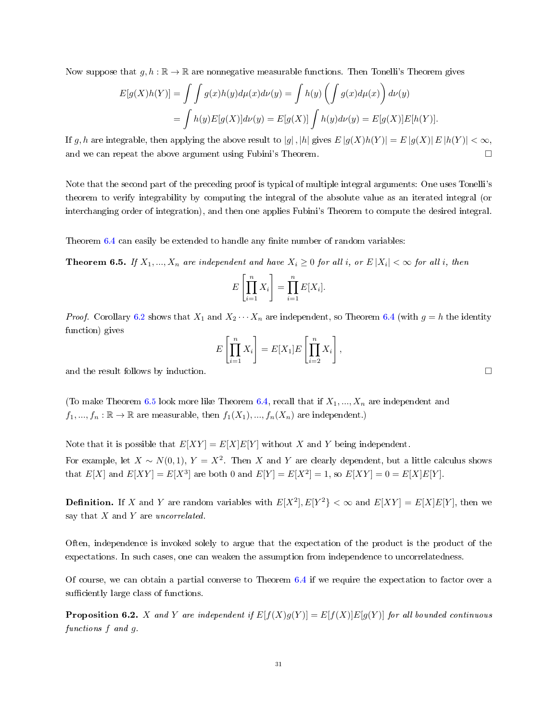Now suppose that  $q, h : \mathbb{R} \to \mathbb{R}$  are nonnegative measurable functions. Then Tonelli's Theorem gives

$$
E[g(X)h(Y)] = \int \int g(x)h(y)d\mu(x)d\nu(y) = \int h(y)\left(\int g(x)d\mu(x)\right)d\nu(y)
$$
  
= 
$$
\int h(y)E[g(X)]d\nu(y) = E[g(X)]\int h(y)d\nu(y) = E[g(X)]E[h(Y)].
$$

If g, h are integrable, then applying the above result to  $|g|$ ,  $|h|$  gives  $E|g(X)h(Y)| = E|g(X)|E|h(Y)| < \infty$ , and we can repeat the above argument using Fubini's Theorem.

Note that the second part of the preceding proof is typical of multiple integral arguments: One uses Tonelli's theorem to verify integrability by computing the integral of the absolute value as an iterated integral (or interchanging order of integration), and then one applies Fubini's Theorem to compute the desired integral.

Theorem  $6.4$  can easily be extended to handle any finite number of random variables:

<span id="page-30-0"></span>**Theorem 6.5.** If  $X_1, ..., X_n$  are independent and have  $X_i \geq 0$  for all i, or  $E|X_i| < \infty$  for all i, then

$$
E\left[\prod_{i=1}^n X_i\right] = \prod_{i=1}^n E[X_i].
$$

*Proof.* Corollary [6.2](#page-27-1) shows that  $X_1$  and  $X_2 \cdots X_n$  are independent, so Theorem [6.4](#page-29-1) (with  $g = h$  the identity function) gives

$$
E\left[\prod_{i=1}^n X_i\right] = E[X_1]E\left[\prod_{i=2}^n X_i\right],
$$

and the result follows by induction.  $\square$ 

(To make Theorem [6.5](#page-30-0) look more like Theorem [6.4,](#page-29-1) recall that if  $X_1, ..., X_n$  are independent and  $f_1, ..., f_n : \mathbb{R} \to \mathbb{R}$  are measurable, then  $f_1(X_1), ..., f_n(X_n)$  are independent.)

Note that it is possible that  $E[XY] = E[X]E[Y]$  without X and Y being independent. For example, let  $X \sim N(0, 1)$ ,  $Y = X^2$ . Then X and Y are clearly dependent, but a little calculus shows that  $E[X]$  and  $E[XY] = E[X^3]$  are both 0 and  $E[Y] = E[X^2] = 1$ , so  $E[XY] = 0 = E[X]E[Y]$ .

**Definition.** If X and Y are random variables with  $E[X^2], E[Y^2] < \infty$  and  $E[XY] = E[X]E[Y]$ , then we say that  $X$  and  $Y$  are uncorrelated.

Often, independence is invoked solely to argue that the expectation of the product is the product of the expectations. In such cases, one can weaken the assumption from independence to uncorrelatedness.

Of course, we can obtain a partial converse to Theorem [6.4](#page-29-1) if we require the expectation to factor over a sufficiently large class of functions.

**Proposition 6.2.** X and Y are independent if  $E[f(X)g(Y)] = E[f(X)]E[g(Y)]$  for all bounded continuous functions f and g.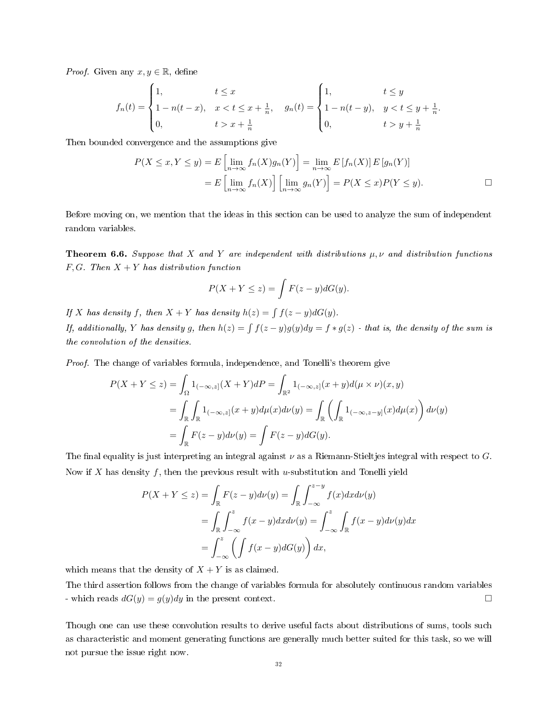*Proof.* Given any  $x, y \in \mathbb{R}$ , define

$$
f_n(t) = \begin{cases} 1, & t \le x \\ 1 - n(t - x), & x < t \le x + \frac{1}{n}, \\ 0, & t > x + \frac{1}{n} \end{cases}, \quad g_n(t) = \begin{cases} 1, & t \le y \\ 1 - n(t - y), & y < t \le y + \frac{1}{n}. \\ 0, & t > y + \frac{1}{n} \end{cases}
$$

Then bounded convergence and the assumptions give

$$
P(X \le x, Y \le y) = E\left[\lim_{n \to \infty} f_n(X)g_n(Y)\right] = \lim_{n \to \infty} E\left[f_n(X)\right] E\left[g_n(Y)\right]
$$

$$
= E\left[\lim_{n \to \infty} f_n(X)\right] \left[\lim_{n \to \infty} g_n(Y)\right] = P(X \le x)P(Y \le y).
$$

Before moving on, we mention that the ideas in this section can be used to analyze the sum of independent random variables.

**Theorem 6.6.** Suppose that X and Y are independent with distributions  $\mu, \nu$  and distribution functions  $F, G$ . Then  $X + Y$  has distribution function

$$
P(X + Y \le z) = \int F(z - y) dG(y).
$$

If X has density f, then  $X + Y$  has density  $h(z) = \int f(z - y) dG(y)$ .

If, additionally, Y has density g, then  $h(z) = \int \int (z-y)g(y)dy = f * g(z)$  - that is, the density of the sum is the convolution of the densities.

Proof. The change of variables formula, independence, and Tonelli's theorem give

$$
P(X + Y \le z) = \int_{\Omega} 1_{(-\infty, z]}(X + Y) dP = \int_{\mathbb{R}^2} 1_{(-\infty, z]}(x + y) d(\mu \times \nu)(x, y)
$$
  
= 
$$
\int_{\mathbb{R}} \int_{\mathbb{R}} 1_{(-\infty, z]}(x + y) d\mu(x) d\nu(y) = \int_{\mathbb{R}} \left( \int_{\mathbb{R}} 1_{(-\infty, z - y]}(x) d\mu(x) \right) d\nu(y)
$$
  
= 
$$
\int_{\mathbb{R}} F(z - y) d\nu(y) = \int F(z - y) dG(y).
$$

The final equality is just interpreting an integral against  $\nu$  as a Riemann-Stieltjes integral with respect to G. Now if X has density f, then the previous result with u-substitution and Tonelli yield

$$
P(X + Y \le z) = \int_{\mathbb{R}} F(z - y) d\nu(y) = \int_{\mathbb{R}} \int_{-\infty}^{z - y} f(x) dx d\nu(y)
$$
  
= 
$$
\int_{\mathbb{R}} \int_{-\infty}^{z} f(x - y) dx d\nu(y) = \int_{-\infty}^{z} \int_{\mathbb{R}} f(x - y) d\nu(y) dx
$$
  
= 
$$
\int_{-\infty}^{z} \left( \int f(x - y) dG(y) \right) dx,
$$

which means that the density of  $X + Y$  is as claimed.

The third assertion follows from the change of variables formula for absolutely continuous random variables - which reads  $dG(y) = g(y)dy$  in the present context.

Though one can use these convolution results to derive useful facts about distributions of sums, tools such as characteristic and moment generating functions are generally much better suited for this task, so we will not pursue the issue right now.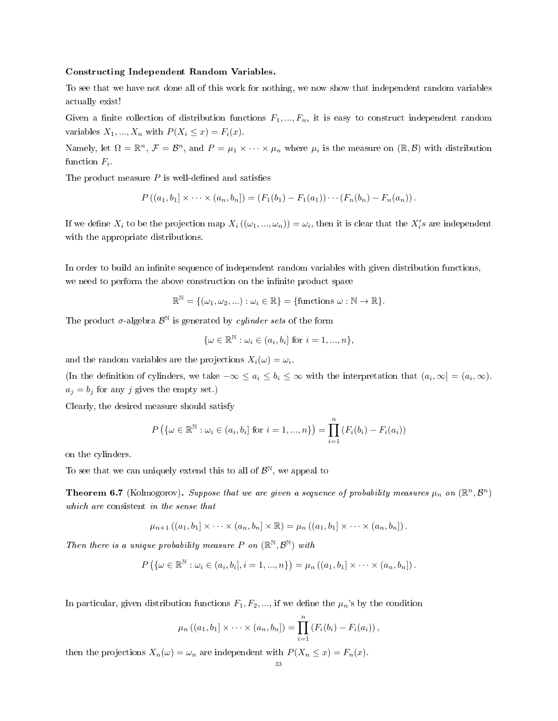#### Constructing Independent Random Variables.

To see that we have not done all of this work for nothing, we now show that independent random variables actually exist!

Given a finite collection of distribution functions  $F_1, ..., F_n$ , it is easy to construct independent random variables  $X_1, ..., X_n$  with  $P(X_i \leq x) = F_i(x)$ .

Namely, let  $\Omega = \mathbb{R}^n$ ,  $\mathcal{F} = \mathcal{B}^n$ , and  $P = \mu_1 \times \cdots \times \mu_n$  where  $\mu_i$  is the measure on  $(\mathbb{R}, \mathcal{B})$  with distribution function  $F_i$ .

The product measure  $P$  is well-defined and satisfies

$$
P((a_1, b_1] \times \cdots \times (a_n, b_n]) = (F_1(b_1) - F_1(a_1)) \cdots (F_n(b_n) - F_n(a_n)).
$$

If we define  $X_i$  to be the projection map  $X_i((\omega_1,...,\omega_n)) = \omega_i$ , then it is clear that the  $X_i's$  are independent with the appropriate distributions.

In order to build an infinite sequence of independent random variables with given distribution functions, we need to perform the above construction on the infinite product space

 $\mathbb{R}^{\mathbb{N}} = \{(\omega_1, \omega_2, ...) : \omega_i \in \mathbb{R}\} = \{\text{functions } \omega : \mathbb{N} \to \mathbb{R}\}.$ 

The product  $\sigma$ -algebra  $\mathcal{B}^{\mathbb{N}}$  is generated by *cylinder sets* of the form

$$
\{\omega \in \mathbb{R}^{\mathbb{N}} : \omega_i \in (a_i, b_i] \text{ for } i = 1, ..., n\},\
$$

and the random variables are the projections  $X_i(\omega) = \omega_i$ .

(In the definition of cylinders, we take  $-\infty \le a_i \le b_i \le \infty$  with the interpretation that  $(a_i, \infty] = (a_i, \infty)$ .  $a_j = b_j$  for any j gives the empty set.)

Clearly, the desired measure should satisfy

$$
P(\{\omega \in \mathbb{R}^{\mathbb{N}} : \omega_i \in (a_i, b_i] \text{ for } i = 1, ..., n\}) = \prod_{i=1}^{n} (F_i(b_i) - F_i(a_i))
$$

on the cylinders.

To see that we can uniquely extend this to all of  $\mathcal{B}^{\mathbb{N}},$  we appeal to

<span id="page-32-0"></span>**Theorem 6.7** (Kolmogorov). Suppose that we are given a sequence of probability measures  $\mu_n$  on  $(\mathbb{R}^n, \mathcal{B}^n)$ which are consistent in the sense that

$$
\mu_{n+1}((a_1,b_1]\times\cdots\times(a_n,b_n]\times\mathbb{R})=\mu_n((a_1,b_1]\times\cdots\times(a_n,b_n]).
$$

Then there is a unique probability measure P on  $(\mathbb{R}^{\mathbb{N}}, \mathcal{B}^{\mathbb{N}})$  with

$$
P\left(\left\{\omega\in\mathbb{R}^{\mathbb{N}}:\omega_i\in\left(a_i,b_i\right],i=1,...,n\right\}\right)=\mu_n\left(\left(a_1,b_1\right]\times\cdots\times\left(a_n,b_n\right]\right).
$$

In particular, given distribution functions  $F_1, F_2, \dots$ , if we define the  $\mu_n$ 's by the condition

$$
\mu_n ((a_1, b_1] \times \cdots \times (a_n, b_n]) = \prod_{i=1}^n (F_i(b_i) - F_i(a_i)),
$$

then the projections  $X_n(\omega) = \omega_n$  are independent with  $P(X_n \leq x) = F_n(x)$ .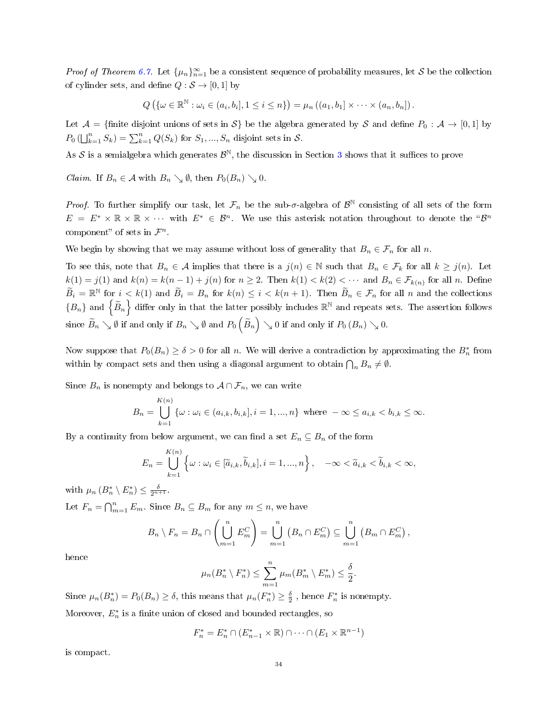*Proof of Theorem [6.7.](#page-32-0)* Let  $\{\mu_n\}_{n=1}^{\infty}$  be a consistent sequence of probability measures, let S be the collection of cylinder sets, and define  $Q : \mathcal{S} \to [0, 1]$  by

$$
Q\left(\{\omega \in \mathbb{R}^{\mathbb{N}} : \omega_i \in (a_i, b_i], 1 \leq i \leq n\}\right) = \mu_n\left((a_1, b_1] \times \cdots \times (a_n, b_n]\right).
$$

Let  $\mathcal{A} = \{\text{finite disjoint unions of sets in } \mathcal{S}\}\$  be the algebra generated by S and define  $P_0: \mathcal{A} \to [0,1]$  by  $P_0\left(\bigcup_{k=1}^n S_k\right) = \sum_{k=1}^n Q(S_k)$  for  $S_1, ..., S_n$  disjoint sets in  $S$ .

As  $\mathcal S$  is a semialgebra which generates  $\mathcal B^{\mathbb N},$  the discussion in Section [3](#page-11-0) shows that it suffices to prove

*Claim.* If  $B_n \in \mathcal{A}$  with  $B_n \searrow \emptyset$ , then  $P_0(B_n) \searrow 0$ .

*Proof.* To further simplify our task, let  $\mathcal{F}_n$  be the sub- $\sigma$ -algebra of  $\mathcal{B}^{\mathbb{N}}$  consisting of all sets of the form  $E = E^* \times \mathbb{R} \times \mathbb{R} \times \cdots$  with  $E^* \in \mathcal{B}^n$ . We use this asterisk notation throughout to denote the " $\mathcal{B}^n$ component" of sets in  $\mathcal{F}^n$ .

We begin by showing that we may assume without loss of generality that  $B_n \in \mathcal{F}_n$  for all n.

To see this, note that  $B_n \in \mathcal{A}$  implies that there is a  $j(n) \in \mathbb{N}$  such that  $B_n \in \mathcal{F}_k$  for all  $k \geq j(n)$ . Let  $k(1) = j(1)$  and  $k(n) = k(n-1) + j(n)$  for  $n \ge 2$ . Then  $k(1) < k(2) < \cdots$  and  $B_n \in \mathcal{F}_{k(n)}$  for all n. Define  $\widetilde{B}_i = \mathbb{R}^{\mathbb{N}}$  for  $i < k(1)$  and  $\widetilde{B}_i = B_n$  for  $k(n) \leq i < k(n+1)$ . Then  $\widetilde{B}_n \in \mathcal{F}_n$  for all n and the collections  $\{B_n\}$  and  $\left\{\widetilde{B}_n\right\}$  differ only in that the latter possibly includes  $\mathbb{R}^{\mathbb{N}}$  and repeats sets. The assertion follows since  $\widetilde{B}_n\searrow\emptyset$  if and only if  $B_n\searrow\emptyset$  and  $P_0\left(\widetilde{B}_n\right)\searrow 0$  if and only if  $P_0\left(B_n\right)\searrow 0$ .

Now suppose that  $P_0(B_n) \ge \delta > 0$  for all n. We will derive a contradiction by approximating the  $B_n^*$  from within by compact sets and then using a diagonal argument to obtain  $\bigcap_n B_n \neq \emptyset$ .

Since  $B_n$  is nonempty and belongs to  $A \cap \mathcal{F}_n$ , we can write

$$
B_n = \bigcup_{k=1}^{K(n)} \{ \omega : \omega_i \in (a_{i,k}, b_{i,k}], i = 1, ..., n \} \text{ where } -\infty \le a_{i,k} < b_{i,k} \le \infty.
$$

By a continuity from below argument, we can find a set  $E_n \subseteq B_n$  of the form

$$
E_n = \bigcup_{k=1}^{K(n)} \left\{ \omega : \omega_i \in [\widetilde{a}_{i,k}, \widetilde{b}_{i,k}], i = 1, ..., n \right\}, \quad -\infty < \widetilde{a}_{i,k} < \widetilde{b}_{i,k} < \infty,
$$

with  $\mu_n (B_n^* \setminus E_n^*) \leq \frac{\delta}{2^{n+1}}$ . Let  $F_n = \bigcap_{m=1}^n E_m$ . Since  $B_n \subseteq B_m$  for any  $m \leq n$ , we have

$$
B_n \setminus F_n = B_n \cap \left( \bigcup_{m=1}^n E_m^C \right) = \bigcup_{m=1}^n \left( B_n \cap E_m^C \right) \subseteq \bigcup_{m=1}^n \left( B_m \cap E_m^C \right),
$$

hence

$$
\mu_n(B_n^* \setminus F_n^*) \le \sum_{m=1}^n \mu_m(B_m^* \setminus E_m^*) \le \frac{\delta}{2}.
$$

Since  $\mu_n(B_n^*) = P_0(B_n) \ge \delta$ , this means that  $\mu_n(F_n^*) \ge \frac{\delta}{2}$ , hence  $F_n^*$  is nonempty.

Moreover,  $E_n^*$  is a finite union of closed and bounded rectangles, so

$$
F_n^* = E_n^* \cap (E_{n-1}^* \times \mathbb{R}) \cap \dots \cap (E_1 \times \mathbb{R}^{n-1})
$$

is compact.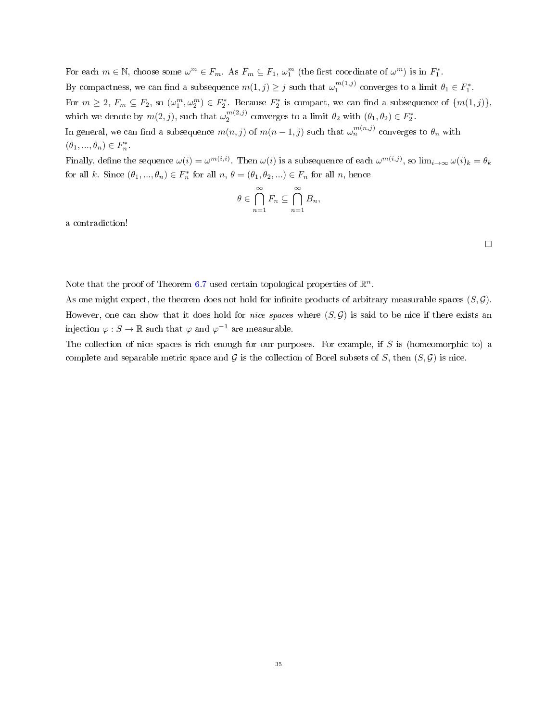For each  $m \in \mathbb{N}$ , choose some  $\omega^m \in F_m$ . As  $F_m \subseteq F_1$ ,  $\omega_1^m$  (the first coordinate of  $\omega^m$ ) is in  $F_1^*$ . By compactness, we can find a subsequence  $m(1, j) \geq j$  such that  $\omega_1^{m(1,j)}$  converges to a limit  $\theta_1 \in F_1^*$ . For  $m \geq 2$ ,  $F_m \subseteq F_2$ , so  $(\omega_1^m, \omega_2^m) \in F_2^*$ . Because  $F_2^*$  is compact, we can find a subsequence of  $\{m(1,j)\},$ which we denote by  $m(2, j)$ , such that  $\omega_2^{m(2,j)}$  converges to a limit  $\theta_2$  with  $(\theta_1, \theta_2) \in F_2^*$ . In general, we can find a subsequence  $m(n,j)$  of  $m(n-1,j)$  such that  $\omega_n^{m(n,j)}$  converges to  $\theta_n$  with  $(\theta_1, ..., \theta_n) \in F_n^*.$ 

Finally, define the sequence  $\omega(i) = \omega^{m(i,i)}$ . Then  $\omega(i)$  is a subsequence of each  $\omega^{m(i,j)}$ , so  $\lim_{i\to\infty}\omega(i)_k = \theta_k$ for all k. Since  $(\theta_1, ..., \theta_n) \in F_n^*$  for all  $n, \theta = (\theta_1, \theta_2, ...) \in F_n$  for all  $n$ , hence

$$
\theta \in \bigcap_{n=1}^{\infty} F_n \subseteq \bigcap_{n=1}^{\infty} B_n,
$$

a contradiction!

Note that the proof of Theorem [6.7](#page-32-0) used certain topological properties of  $\mathbb{R}^n$ .

As one might expect, the theorem does not hold for infinite products of arbitrary measurable spaces  $(S, \mathcal{G})$ . However, one can show that it does hold for *nice spaces* where  $(S, \mathcal{G})$  is said to be nice if there exists an injection  $\varphi : S \to \mathbb{R}$  such that  $\varphi$  and  $\varphi^{-1}$  are measurable.

The collection of nice spaces is rich enough for our purposes. For example, if  $S$  is (homeomorphic to) a complete and separable metric space and G is the collection of Borel subsets of S, then  $(S, \mathcal{G})$  is nice.

 $\Box$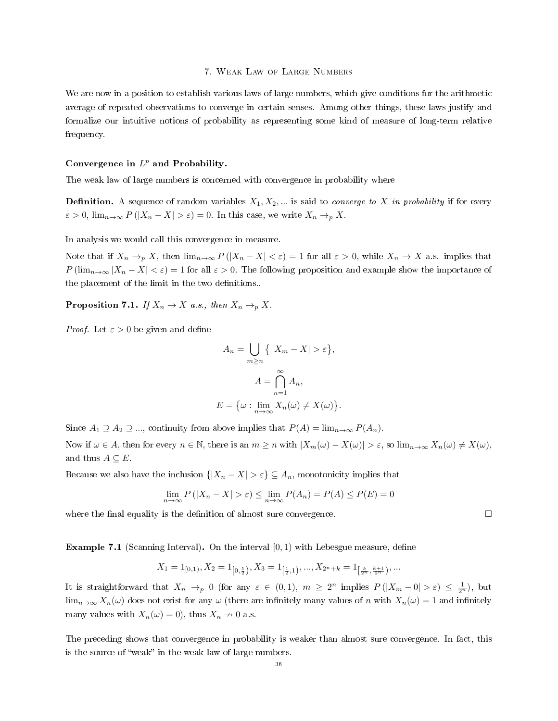#### 7. Weak Law of Large Numbers

We are now in a position to establish various laws of large numbers, which give conditions for the arithmetic average of repeated observations to converge in certain senses. Among other things, these laws justify and formalize our intuitive notions of probability as representing some kind of measure of long-term relative frequency.

# Convergence in  $L^p$  and Probability.

The weak law of large numbers is concerned with convergence in probability where

**Definition.** A sequence of random variables  $X_1, X_2, \ldots$  is said to *converge to X in probability* if for every  $\varepsilon > 0$ ,  $\lim_{n \to \infty} P(|X_n - X| > \varepsilon) = 0$ . In this case, we write  $X_n \to_p X$ .

In analysis we would call this convergence in measure.

Note that if  $X_n \to_p X$ , then  $\lim_{n\to\infty} P(|X_n - X| < \varepsilon) = 1$  for all  $\varepsilon > 0$ , while  $X_n \to X$  a.s. implies that  $P(\lim_{n\to\infty}|X_n - X| < \varepsilon) = 1$  for all  $\varepsilon > 0$ . The following proposition and example show the importance of the placement of the limit in the two definitions..

**Proposition 7.1.** If  $X_n \to X$  a.s., then  $X_n \to p X$ .

*Proof.* Let  $\varepsilon > 0$  be given and define

$$
A_n = \bigcup_{m \ge n} \{ |X_m - X| > \varepsilon \},
$$
  

$$
A = \bigcap_{n=1}^{\infty} A_n,
$$
  

$$
E = \{ \omega : \lim_{n \to \infty} X_n(\omega) \ne X(\omega) \}.
$$

Since  $A_1 \supseteq A_2 \supseteq ...$ , continuity from above implies that  $P(A) = \lim_{n \to \infty} P(A_n)$ .

Now if  $\omega \in A$ , then for every  $n \in \mathbb{N}$ , there is an  $m \geq n$  with  $|X_m(\omega) - X(\omega)| > \varepsilon$ , so  $\lim_{n \to \infty} X_n(\omega) \neq X(\omega)$ , and thus  $A \subseteq E$ .

Because we also have the inclusion  $\{|X_n - X| > \varepsilon\} \subseteq A_n$ , monotonicity implies that

$$
\lim_{n \to \infty} P(|X_n - X| > \varepsilon) \le \lim_{n \to \infty} P(A_n) = P(A) \le P(E) = 0
$$

where the final equality is the definition of almost sure convergence.  $\Box$ 

**Example 7.1** (Scanning Interval). On the interval  $[0,1)$  with Lebesgue measure, define

$$
X_1 = 1_{[0,1)}, X_2 = 1_{\left[0,\frac{1}{2}\right)}, X_3 = 1_{\left[\frac{1}{2},1\right)}, ..., X_{2^n + k} = 1_{\left[\frac{k}{2^n}, \frac{k+1}{2^n}\right)}, ...
$$

It is straightforward that  $X_n \to_p 0$  (for any  $\varepsilon \in (0,1)$ ,  $m \geq 2^n$  implies  $P(|X_m - 0| > \varepsilon) \leq \frac{1}{2^n}$ ), but  $\lim_{n\to\infty}X_n(\omega)$  does not exist for any  $\omega$  (there are infinitely many values of n with  $X_n(\omega) = 1$  and infinitely many values with  $X_n(\omega) = 0$ , thus  $X_n \to 0$  a.s.

The preceding shows that convergence in probability is weaker than almost sure convergence. In fact, this is the source of "weak" in the weak law of large numbers.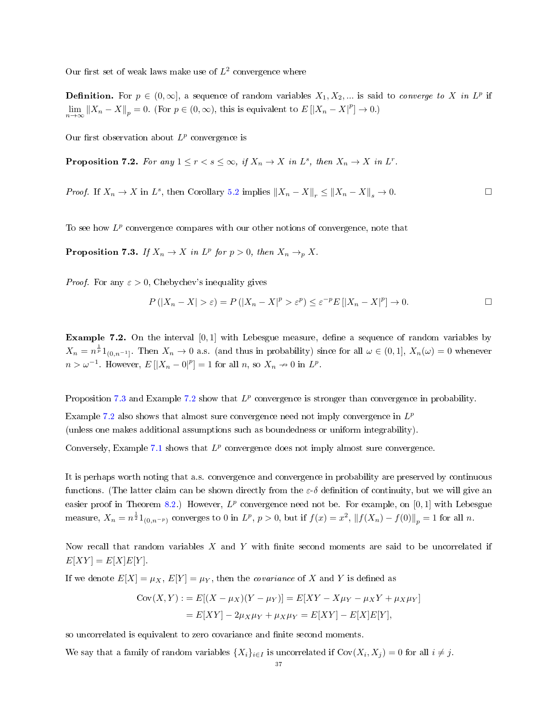Our first set of weak laws make use of  $L^2$  convergence where

**Definition.** For  $p \in (0, \infty]$ , a sequence of random variables  $X_1, X_2, ...$  is said to *converge to* X in L<sup>p</sup> if  $\lim_{n\to\infty} ||X_n - X||_p = 0.$  (For  $p \in (0, \infty)$ , this is equivalent to  $E[|X_n - X|^p] \to 0.$ )

Our first observation about  $L^p$  convergence is

**Proposition 7.2.** For any  $1 \le r < s \le \infty$ , if  $X_n \to X$  in  $L^s$ , then  $X_n \to X$  in  $L^r$ .

*Proof.* If  $X_n \to X$  in  $L^s$ , then Corollary [5.2](#page-22-0) implies  $||X_n - X||_r \le ||X_n - X||_s \to 0$ .

To see how  $L^p$  convergence compares with our other notions of convergence, note that

<span id="page-36-0"></span>**Proposition 7.3.** If  $X_n \to X$  in  $L^p$  for  $p > 0$ , then  $X_n \to_p X$ .

*Proof.* For any  $\varepsilon > 0$ , Chebychev's inequality gives

$$
P(|X_n - X| > \varepsilon) = P(|X_n - X|^p > \varepsilon^p) \le \varepsilon^{-p} E[|X_n - X|^p] \to 0.
$$

<span id="page-36-1"></span>**Example 7.2.** On the interval  $[0,1]$  with Lebesgue measure, define a sequence of random variables by  $X_n = n^{\frac{1}{p}} 1_{(0,n^{-1}]}.$  Then  $X_n \to 0$  a.s. (and thus in probability) since for all  $\omega \in (0,1], X_n(\omega) = 0$  whenever  $n > \omega^{-1}$ . However,  $E[|X_n - 0|^p] = 1$  for all  $n$ , so  $X_n \to 0$  in  $L^p$ .

Proposition [7.3](#page-36-0) and Example [7.2](#page-36-1) show that  $L^p$  convergence is stronger than convergence in probability.

Example [7.2](#page-36-1) also shows that almost sure convergence need not imply convergence in  $L^p$ (unless one makes additional assumptions such as boundedness or uniform integrability).

Conversely, Example [7.1](#page-35-0) shows that  $L^p$  convergence does not imply almost sure convergence.

It is perhaps worth noting that a.s. convergence and convergence in probability are preserved by continuous functions. (The latter claim can be shown directly from the  $\varepsilon-\delta$  definition of continuity, but we will give an easier proof in Theorem [8.2.](#page-46-0)) However,  $L^p$  convergence need not be. For example, on [0, 1] with Lebesgue measure,  $X_n = n^{\frac{1}{2}} 1_{(0,n^{-p})}$  converges to 0 in  $L^p$ ,  $p > 0$ , but if  $f(x) = x^2$ ,  $||f(X_n) - f(0)||_p = 1$  for all n.

Now recall that random variables  $X$  and  $Y$  with finite second moments are said to be uncorrelated if  $E[XY] = E[X]E[Y]$ .

If we denote  $E[X] = \mu_X$ ,  $E[Y] = \mu_Y$ , then the *covariance* of X and Y is defined as

$$
Cov(X, Y) := E[(X - \mu_X)(Y - \mu_Y)] = E[XY - X\mu_Y - \mu_X Y + \mu_X \mu_Y]
$$
  
= 
$$
E[XY] - 2\mu_X \mu_Y + \mu_X \mu_Y = E[XY] - E[X]E[Y],
$$

so uncorrelated is equivalent to zero covariance and finite second moments.

We say that a family of random variables  $\{X_i\}_{i\in I}$  is uncorrelated if  $Cov(X_i, X_j) = 0$  for all  $i \neq j$ .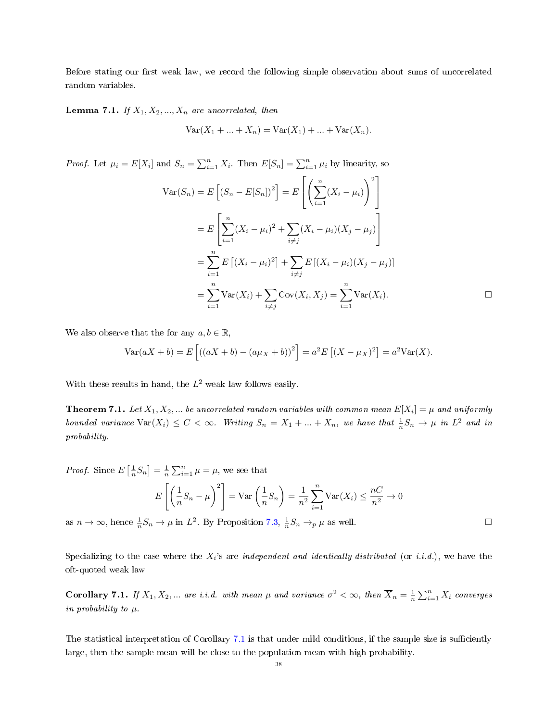Before stating our first weak law, we record the following simple observation about sums of uncorrelated random variables.

**Lemma 7.1.** If  $X_1, X_2, ..., X_n$  are uncorrelated, then

$$
Var(X_1 + ... + X_n) = Var(X_1) + ... + Var(X_n).
$$

*Proof.* Let  $\mu_i = E[X_i]$  and  $S_n = \sum_{i=1}^n X_i$ . Then  $E[S_n] = \sum_{i=1}^n \mu_i$  by linearity, so

$$
\text{Var}(S_n) = E\left[ (S_n - E[S_n])^2 \right] = E\left[ \left( \sum_{i=1}^n (X_i - \mu_i) \right)^2 \right]
$$
  
= 
$$
E\left[ \sum_{i=1}^n (X_i - \mu_i)^2 + \sum_{i \neq j} (X_i - \mu_i)(X_j - \mu_j) \right]
$$
  
= 
$$
\sum_{i=1}^n E\left[ (X_i - \mu_i)^2 \right] + \sum_{i \neq j} E\left[ (X_i - \mu_i)(X_j - \mu_j) \right]
$$
  
= 
$$
\sum_{i=1}^n \text{Var}(X_i) + \sum_{i \neq j} \text{Cov}(X_i, X_j) = \sum_{i=1}^n \text{Var}(X_i).
$$

We also observe that the for any  $a, b \in \mathbb{R}$ ,

$$
Var(aX + b) = E[(aX + b) - (a\mu_X + b))^2] = a^2 E[(X - \mu_X)^2] = a^2 Var(X).
$$

With these results in hand, the  $L^2$  weak law follows easily.

<span id="page-37-1"></span>**Theorem 7.1.** Let  $X_1, X_2, ...$  be uncorrelated random variables with common mean  $E[X_i] = \mu$  and uniformly bounded variance  $\text{Var}(X_i) \leq C < \infty$ . Writing  $S_n = X_1 + ... + X_n$ , we have that  $\frac{1}{n}S_n \to \mu$  in  $L^2$  and in probability.

*Proof.* Since 
$$
E\left[\frac{1}{n}S_n\right] = \frac{1}{n}\sum_{i=1}^n \mu = \mu
$$
, we see that  
\n
$$
E\left[\left(\frac{1}{n}S_n - \mu\right)^2\right] = \text{Var}\left(\frac{1}{n}S_n\right) = \frac{1}{n^2}\sum_{i=1}^n \text{Var}(X_i) \le \frac{nC}{n^2} \to 0
$$
\n
$$
\text{as } n \to \infty \text{ hence } \frac{1}{n}S_n \to \mu \text{ in } L^2. \text{ By Proposition 7.3, } \frac{1}{n}S_n \to \mu \text{ as well.}
$$

as  $n \to \infty$ , hence  $\frac{1}{n} S_n \to \mu$  in  $L^2$ . By Proposition [7.3,](#page-36-0)  $\frac{1}{n} S_n \to_p \mu$  as well.

Specializing to the case where the  $X_i$ 's are *independent and identically distributed* (or *i.i.d.*), we have the oft-quoted weak law

<span id="page-37-0"></span>**Corollary 7.1.** If  $X_1, X_2, ...$  are i.i.d. with mean  $\mu$  and variance  $\sigma^2 < \infty$ , then  $\overline{X}_n = \frac{1}{n} \sum_{i=1}^n X_i$  converges in probability to  $\mu$ .

The statistical interpretation of Corollary [7.1](#page-37-0) is that under mild conditions, if the sample size is sufficiently large, then the sample mean will be close to the population mean with high probability.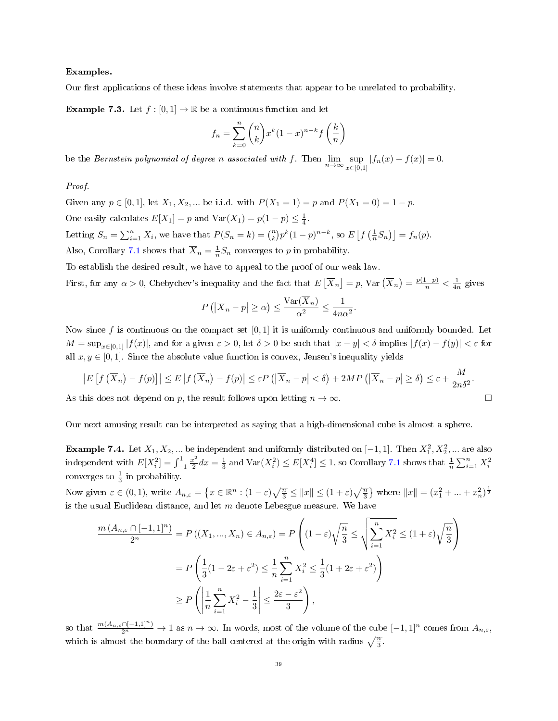## Examples.

Our first applications of these ideas involve statements that appear to be unrelated to probability.

**Example 7.3.** Let  $f : [0,1] \to \mathbb{R}$  be a continuous function and let

$$
f_n = \sum_{k=0}^{n} {n \choose k} x^k (1-x)^{n-k} f\left(\frac{k}{n}\right)
$$

be the *Bernstein polynomial of degree n associated with* f. Then  $\lim_{n\to\infty} \sup_{x\in [0]}$  $\sup_{x \in [0,1]} |f_n(x) - f(x)| = 0.$ 

# Proof.

Given any  $p \in [0, 1]$ , let  $X_1, X_2, ...$  be i.i.d. with  $P(X_1 = 1) = p$  and  $P(X_1 = 0) = 1 - p$ . One easily calculates  $E[X_1] = p$  and  $Var(X_1) = p(1 - p) \le \frac{1}{4}$ . Letting  $S_n = \sum_{i=1}^n X_i$ , we have that  $P(S_n = k) = {n \choose k} p^k (1-p)^{n-k}$ , so  $E\left[f\left(\frac{1}{n}S_n\right)\right] = f_n(p)$ . Also, Corollary [7.1](#page-37-0) shows that  $\overline{X}_n = \frac{1}{n} S_n$  converges to p in probability.

To establish the desired result, we have to appeal to the proof of our weak law.

First, for any  $\alpha > 0$ , Chebychev's inequality and the fact that  $E\left[\overline{X}_n\right] = p$ , Var  $\left(\overline{X}_n\right) = \frac{p(1-p)}{n} < \frac{1}{4n}$  gives

$$
P(|\overline{X}_n - p| \ge \alpha) \le \frac{\text{Var}(\overline{X}_n)}{\alpha^2} \le \frac{1}{4n\alpha^2}.
$$

Now since f is continuous on the compact set  $[0, 1]$  it is uniformly continuous and uniformly bounded. Let  $M = \sup_{x \in [0,1]} |f(x)|$ , and for a given  $\varepsilon > 0$ , let  $\delta > 0$  be such that  $|x - y| < \delta$  implies  $|f(x) - f(y)| < \varepsilon$  for all  $x, y \in [0, 1]$ . Since the absolute value function is convex, Jensen's inequality yields

$$
\left| E\left[ f\left( \overline{X}_n \right) - f(p) \right] \right| \le E \left| f\left( \overline{X}_n \right) - f(p) \right| \le \varepsilon P\left( \left| \overline{X}_n - p \right| < \delta \right) + 2MP\left( \left| \overline{X}_n - p \right| \ge \delta \right) \le \varepsilon + \frac{M}{2n\delta^2}.
$$

As this does not depend on p, the result follows upon letting  $n \to \infty$ .

Our next amusing result can be interpreted as saying that a high-dimensional cube is almost a sphere.

**Example 7.4.** Let  $X_1, X_2, ...$  be independent and uniformly distributed on  $[-1, 1]$ . Then  $X_1^2, X_2^2, ...$  are also independent with  $E[X_i^2] = \int_{-1}^{1} \frac{x^2}{2}$  $\frac{x^2}{2}dx = \frac{1}{3}$  and  $\text{Var}(X_i^2) \le E[X_i^4] \le 1$ , so Corollary [7.1](#page-37-0) shows that  $\frac{1}{n}\sum_{i=1}^n X_i^2$ converges to  $\frac{1}{3}$  in probability.

Now given  $\varepsilon \in (0,1)$ , write  $A_{n,\varepsilon} = \left\{ x \in \mathbb{R}^n : (1-\varepsilon)\sqrt{\frac{n}{3}} \le ||x|| \le (1+\varepsilon)\sqrt{\frac{n}{3}} \right\}$  where  $||x|| = (x_1^2 + ... + x_n^2)^{\frac{1}{2}}$ is the usual Euclidean distance, and let  $m$  denote Lebesgue measure. We have

$$
\frac{m\left(A_{n,\varepsilon}\cap[-1,1]^n\right)}{2^n} = P\left((X_1,\dots,X_n)\in A_{n,\varepsilon}\right) = P\left((1-\varepsilon)\sqrt{\frac{n}{3}}\leq \sqrt{\sum_{i=1}^n X_i^2} \leq (1+\varepsilon)\sqrt{\frac{n}{3}}\right)
$$

$$
= P\left(\frac{1}{3}(1-2\varepsilon+\varepsilon^2)\leq \frac{1}{n}\sum_{i=1}^n X_i^2 \leq \frac{1}{3}(1+2\varepsilon+\varepsilon^2)\right)
$$

$$
\geq P\left(\left|\frac{1}{n}\sum_{i=1}^n X_i^2 - \frac{1}{3}\right| \leq \frac{2\varepsilon-\varepsilon^2}{3}\right),
$$

so that  $\frac{m(A_{n,\varepsilon}\cap[-1,1]^n)}{2^n}\to 1$  as  $n\to\infty$ . In words, most of the volume of the cube  $[-1,1]^n$  comes from  $A_{n,\varepsilon}$ , which is almost the boundary of the ball centered at the origin with radius  $\sqrt{\frac{n}{3}}$ .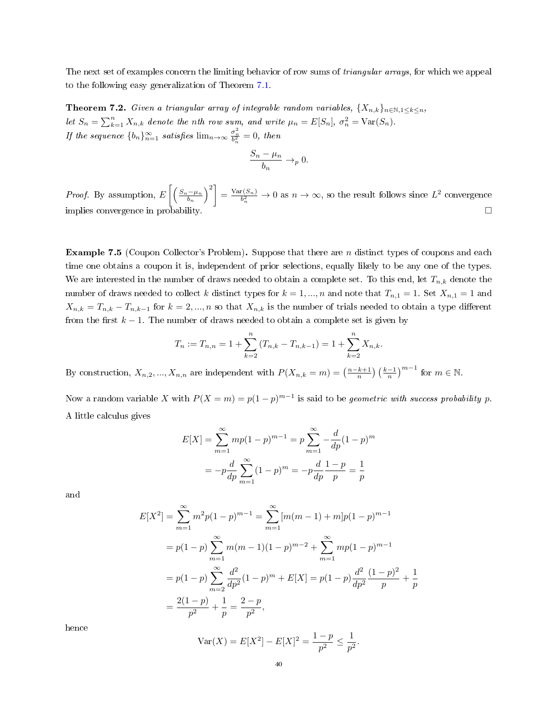The next set of examples concern the limiting behavior of row sums of *triangular arrays*, for which we appeal to the following easy generalization of Theorem [7.1.](#page-37-1)

<span id="page-39-0"></span>**Theorem 7.2.** Given a triangular array of integrable random variables,  $\{X_{n,k}\}_{n\in\mathbb{N},1\leq k\leq n}$ , let  $S_n = \sum_{k=1}^n X_{n,k}$  denote the nth row sum, and write  $\mu_n = E[S_n]$ ,  $\sigma_n^2 = \text{Var}(S_n)$ . If the sequence  ${b_n}_{n=1}^{\infty}$  satisfies  $\lim_{n\to\infty} \frac{\sigma_n^2}{b_n^2} = 0$ , then

$$
\frac{S_n - \mu_n}{b_n} \to_p 0.
$$

*Proof.* By assumption,  $E\left[\left(\frac{S_n-\mu_n}{b_n}\right)^2\right] = \frac{\text{Var}(S_n)}{b_n^2} \to 0$  as  $n \to \infty$ , so the result follows since  $L^2$  convergence implies convergence in probability.

Example 7.5 (Coupon Collector's Problem). Suppose that there are n distinct types of coupons and each time one obtains a coupon it is, independent of prior selections, equally likely to be any one of the types. We are interested in the number of draws needed to obtain a complete set. To this end, let  $T_{n,k}$  denote the number of draws needed to collect k distinct types for  $k = 1, ..., n$  and note that  $T_{n,1} = 1$ . Set  $X_{n,1} = 1$  and  $X_{n,k} = T_{n,k} - T_{n,k-1}$  for  $k = 2, ..., n$  so that  $X_{n,k}$  is the number of trials needed to obtain a type different from the first  $k - 1$ . The number of draws needed to obtain a complete set is given by

$$
T_n := T_{n,n} = 1 + \sum_{k=2}^{n} (T_{n,k} - T_{n,k-1}) = 1 + \sum_{k=2}^{n} X_{n,k}.
$$

By construction,  $X_{n,2},...,X_{n,n}$  are independent with  $P(X_{n,k}=m) = \left(\frac{n-k+1}{n}\right) \left(\frac{k-1}{n}\right)^{m-1}$  for  $m \in \mathbb{N}$ .

Now a random variable X with  $P(X = m) = p(1-p)^{m-1}$  is said to be *geometric with success probability p*. A little calculus gives

$$
E[X] = \sum_{m=1}^{\infty} m p (1-p)^{m-1} = p \sum_{m=1}^{\infty} -\frac{d}{dp} (1-p)^m
$$

$$
= -p \frac{d}{dp} \sum_{m=1}^{\infty} (1-p)^m = -p \frac{d}{dp} \frac{1-p}{p} = \frac{1}{p}
$$

and

$$
E[X^{2}] = \sum_{m=1}^{\infty} m^{2}p(1-p)^{m-1} = \sum_{m=1}^{\infty} [m(m-1) + m]p(1-p)^{m-1}
$$
  
=  $p(1-p) \sum_{m=1}^{\infty} m(m-1)(1-p)^{m-2} + \sum_{m=1}^{\infty} mp(1-p)^{m-1}$   
=  $p(1-p) \sum_{m=2}^{\infty} \frac{d^{2}}{dp^{2}}(1-p)^{m} + E[X] = p(1-p) \frac{d^{2}}{dp^{2}} \frac{(1-p)^{2}}{p} + \frac{1}{p}$   
=  $\frac{2(1-p)}{p^{2}} + \frac{1}{p} = \frac{2-p}{p^{2}},$ 

hence

$$
\text{Var}(X) = E[X^2] - E[X]^2 = \frac{1 - p}{p^2} \le \frac{1}{p^2}.
$$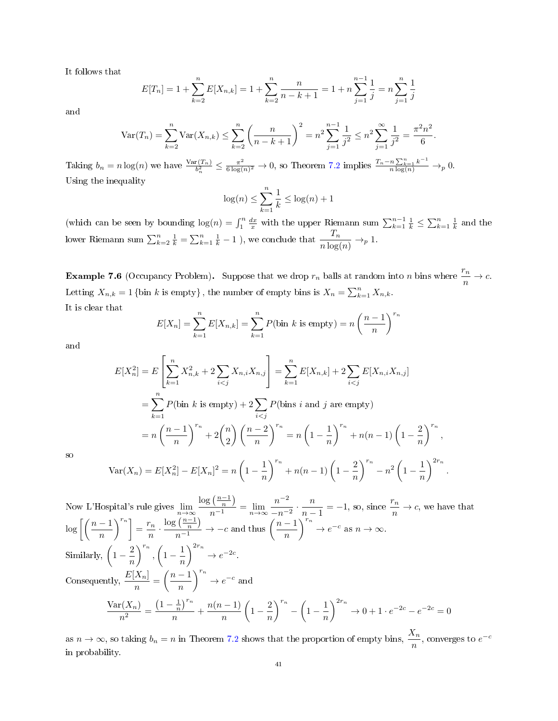It follows that

$$
E[T_n] = 1 + \sum_{k=2}^{n} E[X_{n,k}] = 1 + \sum_{k=2}^{n} \frac{n}{n-k+1} = 1 + n \sum_{j=1}^{n-1} \frac{1}{j} = n \sum_{j=1}^{n} \frac{1}{j}
$$

and

$$
\text{Var}(T_n) = \sum_{k=2}^n \text{Var}(X_{n,k}) \le \sum_{k=2}^n \left(\frac{n}{n-k+1}\right)^2 = n^2 \sum_{j=1}^{n-1} \frac{1}{j^2} \le n^2 \sum_{j=1}^\infty \frac{1}{j^2} = \frac{\pi^2 n^2}{6}.
$$

Taking  $b_n = n \log(n)$  we have  $\frac{\text{Var}(T_n)}{b_n^2} \leq \frac{\pi^2}{6 \log(n)}$  $\frac{\pi^2}{6 \log(n)^2} \to 0$ , so Theorem [7.2](#page-39-0) implies  $\frac{T_n - n \sum_{k=1}^n k^{-1}}{n \log(n)} \to_p 0$ . Using the inequality

$$
\log(n) \le \sum_{k=1}^{n} \frac{1}{k} \le \log(n) + 1
$$

(which can be seen by bounding  $log(n) = \int_1^n \frac{dx}{x}$  with the upper Riemann sum  $\sum_{k=1}^{n-1} \frac{1}{k} \le \sum_{k=1}^n \frac{1}{k}$  and the lower Riemann sum  $\sum_{k=2}^{n} \frac{1}{k} = \sum_{k=1}^{n} \frac{1}{k} - 1$  ), we conclude that  $\frac{T_n}{n \log(n)} \to_p 1$ .

**Example 7.6** (Occupancy Problem). Suppose that we drop  $r_n$  balls at random into n bins where  $\frac{r_n}{n} \to c$ . Letting  $X_{n,k} = 1$  {bin k is empty}, the number of empty bins is  $X_n = \sum_{k=1}^n X_{n,k}$ . It is clear that

$$
E[X_n] = \sum_{k=1}^{n} E[X_{n,k}] = \sum_{k=1}^{n} P(\text{bin } k \text{ is empty}) = n \left(\frac{n-1}{n}\right)^{r_n}
$$

and

$$
E[X_n^2] = E\left[\sum_{k=1}^n X_{n,k}^2 + 2\sum_{i < j} X_{n,i} X_{n,j}\right] = \sum_{k=1}^n E[X_{n,k}] + 2\sum_{i < j} E[X_{n,i} X_{n,j}]
$$
\n
$$
= \sum_{k=1}^n P(\text{bin } k \text{ is empty}) + 2\sum_{i < j} P(\text{bins } i \text{ and } j \text{ are empty})
$$
\n
$$
= n\left(\frac{n-1}{n}\right)^{r_n} + 2\binom{n}{2}\left(\frac{n-2}{n}\right)^{r_n} = n\left(1 - \frac{1}{n}\right)^{r_n} + n(n-1)\left(1 - \frac{2}{n}\right)^{r_n},
$$
\n
$$
\text{Var}(X_n) = E[X_n^2] - E[X_n]^2 = n\left(1 - \frac{1}{n}\right)^{r_n} + n(n-1)\left(1 - \frac{2}{n}\right)^{r_n} - n^2\left(1 - \frac{1}{n}\right)^{2r_n}
$$

.

so

Now L'Hospital's rule gives 
$$
\lim_{n \to \infty} \frac{\log(\frac{n-1}{n})}{n-1} = \lim_{n \to \infty} \frac{n^{-2}}{-n^{-2}} \cdot \frac{n}{n-1} = -1
$$
, so, since  $\frac{r_n}{n} \to c$ , we have that  
\n $\log \left[ \left( \frac{n-1}{n} \right)^{r_n} \right] = \frac{r_n}{n} \cdot \frac{\log(\frac{n-1}{n})}{n-1} \to -c$  and thus  $\left( \frac{n-1}{n} \right)^{r_n} \to e^{-c}$  as  $n \to \infty$ .  
\nSimilarly,  $\left( 1 - \frac{2}{n} \right)^{r_n}$ ,  $\left( 1 - \frac{1}{n} \right)^{2r_n} \to e^{-2c}$ .  
\nConsequently,  $\frac{E[X_n]}{n} = \left( \frac{n-1}{n} \right)^{r_n} \to e^{-c}$  and  
\n $\frac{\text{Var}(X_n)}{n^2} = \frac{\left( 1 - \frac{1}{n} \right)^{r_n}}{n} + \frac{n(n-1)}{n} \left( 1 - \frac{2}{n} \right)^{r_n} - \left( 1 - \frac{1}{n} \right)^{2r_n} \to 0 + 1 \cdot e^{-2c} - e^{-2c} = 0$ 

as  $n \to \infty$ , so taking  $b_n = n$  in Theorem [7.2](#page-39-0) shows that the proportion of empty bins,  $\frac{X_n}{n}$ , converges to  $e^{-c}$ in probability.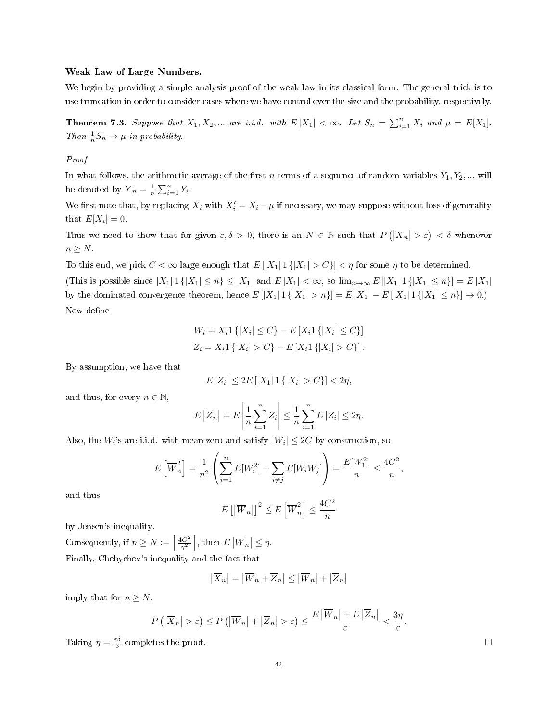### Weak Law of Large Numbers.

We begin by providing a simple analysis proof of the weak law in its classical form. The general trick is to use truncation in order to consider cases where we have control over the size and the probability, respectively.

<span id="page-41-0"></span>**Theorem 7.3.** Suppose that  $X_1, X_2, ...$  are i.i.d. with  $E|X_1| < \infty$ . Let  $S_n = \sum_{i=1}^n X_i$  and  $\mu = E[X_1]$ . Then  $\frac{1}{n}S_n \to \mu$  in probability.

# Proof.

In what follows, the arithmetic average of the first n terms of a sequence of random variables  $Y_1, Y_2, ...$  will be denoted by  $\overline{Y}_n = \frac{1}{n} \sum_{i=1}^n Y_i$ .

We first note that, by replacing  $X_i$  with  $X'_i = X_i - \mu$  if necessary, we may suppose without loss of generality that  $E[X_i] = 0$ .

Thus we need to show that for given  $\varepsilon, \delta > 0$ , there is an  $N \in \mathbb{N}$  such that  $P(|\overline{X}_n| > \varepsilon) < \delta$  whenever  $n \geq N$ .

To this end, we pick  $C < \infty$  large enough that  $E[|X_1| 1\{|X_1| > C\}] < \eta$  for some  $\eta$  to be determined.

(This is possible since  $|X_1| 1 \{ |X_1| \le n \} \le |X_1|$  and  $E |X_1| < \infty$ , so  $\lim_{n \to \infty} E [|X_1| 1 \{ |X_1| \le n \}] = E |X_1|$ by the dominated convergence theorem, hence  $E[|X_1|1\{|X_1|>n\}] = E[|X_1|] - E[|X_1|1\{|X_1| \le n\}] \to 0.$ Now define

$$
W_i = X_i 1\{|X_i| \le C\} - E[X_i 1\{|X_i| \le C\}]
$$
  

$$
Z_i = X_i 1\{|X_i| > C\} - E[X_i 1\{|X_i| > C\}].
$$

By assumption, we have that

$$
E\,|Z_i| \le 2E\,[|X_1| \, 1\,\{|X_i| > C\}] < 2\eta,
$$

and thus, for every  $n \in \mathbb{N}$ ,

$$
E|\overline{Z}_n| = E\left|\frac{1}{n}\sum_{i=1}^n Z_i\right| \leq \frac{1}{n}\sum_{i=1}^n E|Z_i| \leq 2\eta.
$$

Also, the  $W_i$ 's are i.i.d. with mean zero and satisfy  $|W_i| \leq 2C$  by construction, so

$$
E\left[\overline{W}_n^2\right] = \frac{1}{n^2} \left( \sum_{i=1}^n E[W_i^2] + \sum_{i \neq j} E[W_i W_j] \right) = \frac{E[W_1^2]}{n} \le \frac{4C^2}{n},
$$

and thus

$$
E\left[\left|\overline{W}_n\right|\right]^2 \le E\left[\overline{W}_n^2\right] \le \frac{4C^2}{n}
$$

by Jensen's inequality.

Consequently, if  $n \geq N := \left[\frac{4C^2}{n^2}\right]$  $\left|\frac{dC^2}{\eta^2}\right|$ , then  $E\left|\overline{W}_n\right| \leq \eta$ . Finally, Chebychev's inequality and the fact that

$$
\left|\overline{X}_{n}\right| = \left|\overline{W}_{n} + \overline{Z}_{n}\right| \leq \left|\overline{W}_{n}\right| + \left|\overline{Z}_{n}\right|
$$

imply that for  $n \geq N$ ,

$$
P(|\overline{X}_n| > \varepsilon) \le P(|\overline{W}_n| + |\overline{Z}_n| > \varepsilon) \le \frac{E|\overline{W}_n| + E|\overline{Z}_n|}{\varepsilon} < \frac{3\eta}{\varepsilon}.
$$

Taking  $\eta = \frac{\varepsilon \delta}{3}$  completes the proof.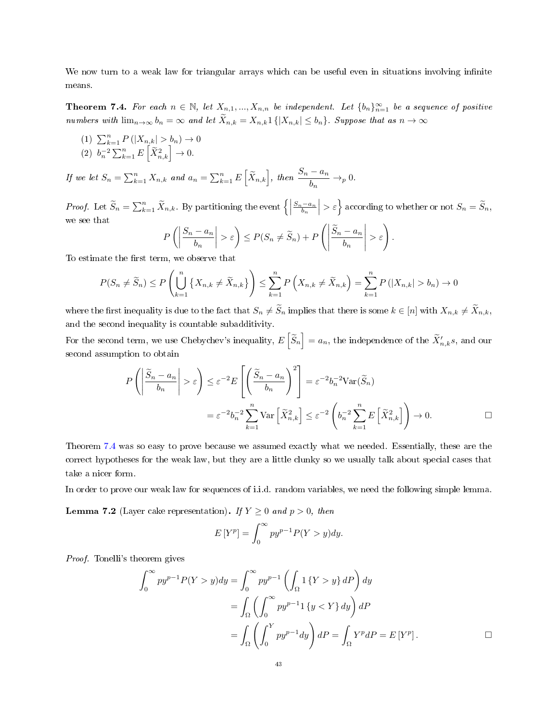We now turn to a weak law for triangular arrays which can be useful even in situations involving infinite means.

<span id="page-42-0"></span>**Theorem 7.4.** For each  $n \in \mathbb{N}$ , let  $X_{n,1},...,X_{n,n}$  be independent. Let  $\{b_n\}_{n=1}^{\infty}$  be a sequence of positive numbers with  $\lim_{n\to\infty} b_n = \infty$  and let  $\widetilde{X}_{n,k} = X_{n,k} 1\{|X_{n,k}| \leq b_n\}$ . Suppose that as  $n \to \infty$ 

(1)  $\sum_{k=1}^{n} P(|X_{n,k}| > b_n) \to 0$ (2)  $b_n^{-2} \sum_{k=1}^n E\left[\widetilde{X}_{n,k}^2\right] \to 0.$ 

If we let  $S_n = \sum_{k=1}^n X_{n,k}$  and  $a_n = \sum_{k=1}^n E\left[\tilde{X}_{n,k}\right]$ , then  $\frac{S_n - a_n}{b_n} \to_p 0$ .

*Proof.* Let  $\widetilde{S}_n = \sum_{k=1}^n \widetilde{X}_{n,k}$ . By partitioning the event  $\left\{ \right|$  $\left. \frac{S_n - a_n}{b_n} \right| > \varepsilon$  according to whether or not  $S_n = \widetilde{S}_n$ , we see that

$$
P\left(\left|\frac{S_n - a_n}{b_n}\right| > \varepsilon\right) \le P(S_n \ne \widetilde{S}_n) + P\left(\left|\frac{\widetilde{S}_n - a_n}{b_n}\right| > \varepsilon\right).
$$

To estimate the first term, we observe that

$$
P(S_n \neq \widetilde{S}_n) \le P\left(\bigcup_{k=1}^n \left\{X_{n,k} \neq \widetilde{X}_{n,k}\right\}\right) \le \sum_{k=1}^n P\left(X_{n,k} \neq \widetilde{X}_{n,k}\right) = \sum_{k=1}^n P\left(|X_{n,k}| > b_n\right) \to 0
$$

where the first inequality is due to the fact that  $S_n \neq S_n$  implies that there is some  $k \in [n]$  with  $X_{n,k} \neq \overline{X}_{n,k}$ , and the second inequality is countable subadditivity.

For the second term, we use Chebychev's inequality,  $E\left[\widetilde{S}_n\right] = a_n$ , the independence of the  $\widetilde{X}'_{n,k}s$ , and our second assumption to obtain

$$
P\left(\left|\frac{\widetilde{S}_n - a_n}{b_n}\right| > \varepsilon\right) \le \varepsilon^{-2} E\left[\left(\frac{\widetilde{S}_n - a_n}{b_n}\right)^2\right] = \varepsilon^{-2} b_n^{-2} \text{Var}(\widetilde{S}_n)
$$

$$
= \varepsilon^{-2} b_n^{-2} \sum_{k=1}^n \text{Var}\left[\widetilde{X}_{n,k}^2\right] \le \varepsilon^{-2} \left(b_n^{-2} \sum_{k=1}^n E\left[\widetilde{X}_{n,k}^2\right]\right) \to 0.
$$

Theorem [7.4](#page-42-0) was so easy to prove because we assumed exactly what we needed. Essentially, these are the correct hypotheses for the weak law, but they are a little clunky so we usually talk about special cases that take a nicer form.

In order to prove our weak law for sequences of i.i.d. random variables, we need the following simple lemma.

<span id="page-42-1"></span>**Lemma 7.2** (Layer cake representation). If  $Y \geq 0$  and  $p > 0$ , then

$$
E[Y^p] = \int_0^\infty py^{p-1} P(Y > y) dy.
$$

Proof. Tonelli's theorem gives

$$
\int_0^\infty py^{p-1} P(Y > y) dy = \int_0^\infty py^{p-1} \left( \int_\Omega 1 \{ Y > y \} dP \right) dy
$$
  
= 
$$
\int_\Omega \left( \int_0^\infty py^{p-1} 1 \{ y < Y \} dy \right) dP
$$
  
= 
$$
\int_\Omega \left( \int_0^Y py^{p-1} dy \right) dP = \int_\Omega Y^p dP = E[Y^p].
$$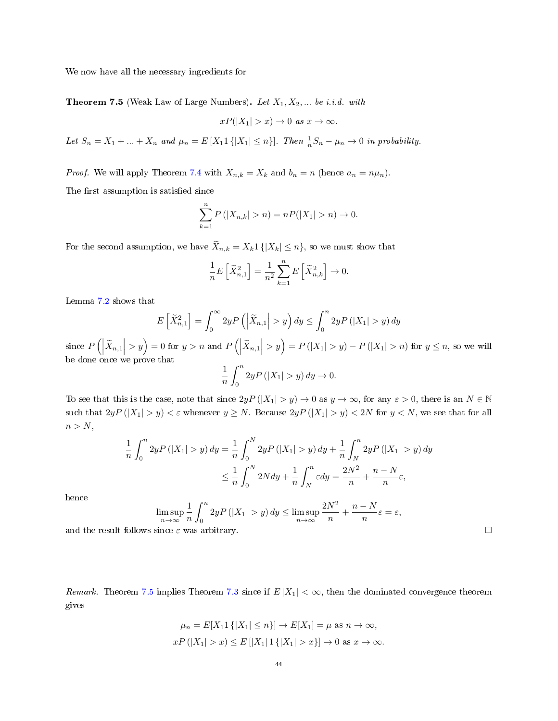We now have all the necessary ingredients for

<span id="page-43-0"></span>**Theorem 7.5** (Weak Law of Large Numbers). Let  $X_1, X_2, ...$  be i.i.d. with

$$
xP(|X_1| > x) \to 0 \text{ as } x \to \infty.
$$

Let  $S_n = X_1 + ... + X_n$  and  $\mu_n = E[X_1 1\{|X_1| \leq n\}]$ . Then  $\frac{1}{n}S_n - \mu_n \to 0$  in probability.

*Proof.* We will apply Theorem [7.4](#page-42-0) with  $X_{n,k} = X_k$  and  $b_n = n$  (hence  $a_n = n\mu_n$ ).

The first assumption is satisfied since

E

$$
\sum_{k=1}^{n} P(|X_{n,k}| > n) = nP(|X_1| > n) \to 0.
$$

For the second assumption, we have  $\widetilde{X}_{n,k} = X_k 1\{|X_k| \leq n\}$ , so we must show that

$$
\frac{1}{n}E\left[\widetilde{X}_{n,1}^2\right] = \frac{1}{n^2}\sum_{k=1}^n E\left[\widetilde{X}_{n,k}^2\right] \to 0.
$$

Lemma [7.2](#page-42-1) shows that

$$
E\left[\widetilde{X}_{n,1}^{2}\right] = \int_{0}^{\infty} 2y P\left(\left|\widetilde{X}_{n,1}\right| > y\right) dy \le \int_{0}^{n} 2y P\left(\left|X_{1}\right| > y\right) dy
$$

since  $P\left(\left|\widetilde{X}_{n,1}\right| > y\right) = 0$  for  $y > n$  and  $P\left(\left|\widetilde{X}_{n,1}\right| > y\right) = P\left(\left|X_1\right| > y\right) - P\left(\left|X_1\right| > n\right)$  for  $y \leq n$ , so we will be done once we prove that

$$
\frac{1}{n}\int_0^n 2yP(|X_1| > y) dy \to 0.
$$

To see that this is the case, note that since  $2yP(|X_1| > y) \to 0$  as  $y \to \infty$ , for any  $\varepsilon > 0$ , there is an  $N \in \mathbb{N}$ such that  $2yP(|X_1| > y) < \varepsilon$  whenever  $y \ge N$ . Because  $2yP(|X_1| > y) < 2N$  for  $y < N$ , we see that for all  $n > N$ ,

$$
\frac{1}{n} \int_0^n 2y P\left(|X_1| > y\right) dy = \frac{1}{n} \int_0^N 2y P\left(|X_1| > y\right) dy + \frac{1}{n} \int_N^n 2y P\left(|X_1| > y\right) dy
$$
  

$$
\leq \frac{1}{n} \int_0^N 2N dy + \frac{1}{n} \int_N^n \varepsilon dy = \frac{2N^2}{n} + \frac{n - N}{n} \varepsilon,
$$

hence

$$
\limsup_{n \to \infty} \frac{1}{n} \int_0^n 2y P(|X_1| > y) dy \le \limsup_{n \to \infty} \frac{2N^2}{n} + \frac{n - N}{n} \varepsilon = \varepsilon,
$$

and the result follows since  $\varepsilon$  was arbitrary.

Remark. Theorem [7.5](#page-43-0) implies Theorem [7.3](#page-41-0) since if  $E|X_1| < \infty$ , then the dominated convergence theorem gives

$$
\mu_n = E[X_1 1 \{ |X_1| \le n \}] \to E[X_1] = \mu \text{ as } n \to \infty,
$$
  

$$
xP(|X_1| > x) \le E[|X_1| 1 \{ |X_1| > x \}] \to 0 \text{ as } x \to \infty.
$$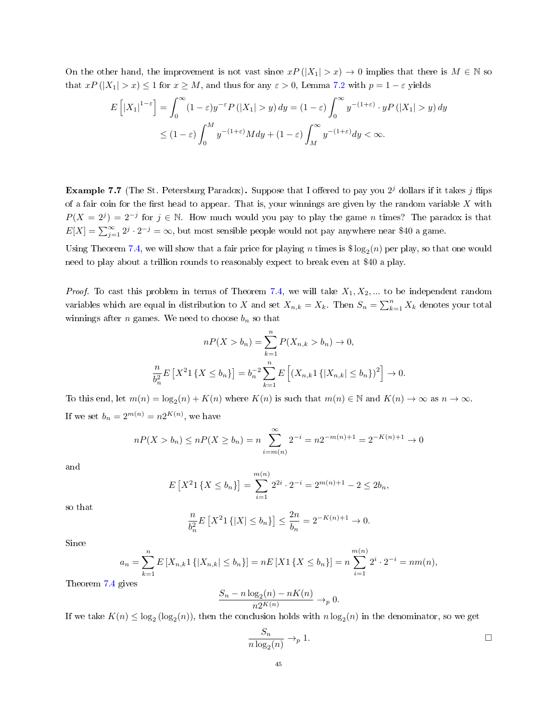On the other hand, the improvement is not vast since  $xP(|X_1| > x) \to 0$  implies that there is  $M \in \mathbb{N}$  so that  $xP(|X_1| > x) \le 1$  for  $x \ge M$ , and thus for any  $\varepsilon > 0$ , Lemma [7.2](#page-42-1) with  $p = 1 - \varepsilon$  yields

$$
E\left[\left|X_{1}\right|^{1-\varepsilon}\right] = \int_{0}^{\infty} (1-\varepsilon)y^{-\varepsilon} P\left(\left|X_{1}\right| > y\right) dy = (1-\varepsilon) \int_{0}^{\infty} y^{-\left(1+\varepsilon\right)} \cdot y P\left(\left|X_{1}\right| > y\right) dy
$$
  

$$
\leq (1-\varepsilon) \int_{0}^{M} y^{-\left(1+\varepsilon\right)} M dy + (1-\varepsilon) \int_{M}^{\infty} y^{-\left(1+\varepsilon\right)} dy < \infty.
$$

**Example 7.7** (The St. Petersburg Paradox). Suppose that I offered to pay you  $2^j$  dollars if it takes j flips of a fair coin for the first head to appear. That is, your winnings are given by the random variable  $X$  with  $P(X = 2^{j}) = 2^{-j}$  for  $j \in \mathbb{N}$ . How much would you pay to play the game n times? The paradox is that  $E[X] = \sum_{j=1}^{\infty} 2^j \cdot 2^{-j} = \infty$ , but most sensible people would not pay anywhere near \$40 a game.

Using Theorem [7.4,](#page-42-0) we will show that a fair price for playing  $n$  times is  $\$\log_2(n)$  per play, so that one would need to play about a trillion rounds to reasonably expect to break even at \$40 a play.

*Proof.* To cast this problem in terms of Theorem [7.4,](#page-42-0) we will take  $X_1, X_2, ...$  to be independent random variables which are equal in distribution to X and set  $X_{n,k} = X_k$ . Then  $S_n = \sum_{k=1}^n X_k$  denotes your total winnings after *n* games. We need to choose  $b_n$  so that

$$
nP(X > b_n) = \sum_{k=1}^{n} P(X_{n,k} > b_n) \to 0,
$$
  

$$
\frac{n}{b_n^2} E\left[X^2 1\{X \le b_n\}\right] = b_n^{-2} \sum_{k=1}^{n} E\left[\left(X_{n,k} 1\{|X_{n,k}| \le b_n\}\right)^2\right] \to 0.
$$

To this end, let  $m(n) = \log_2(n) + K(n)$  where  $K(n)$  is such that  $m(n) \in \mathbb{N}$  and  $K(n) \to \infty$  as  $n \to \infty$ . If we set  $b_n = 2^{m(n)} = n2^{K(n)}$ , we have

$$
nP(X > b_n) \le nP(X \ge b_n) = n \sum_{i=m(n)}^{\infty} 2^{-i} = n2^{-m(n)+1} = 2^{-K(n)+1} \to 0
$$

and

$$
E[X^21\{X \le b_n\}] = \sum_{i=1}^{m(n)} 2^{2i} \cdot 2^{-i} = 2^{m(n)+1} - 2 \le 2b_n,
$$

so that

$$
\frac{n}{b_n^2} E\left[X^2 1\{|X| \le b_n\}\right] \le \frac{2n}{b_n} = 2^{-K(n)+1} \to 0.
$$

Since

$$
a_n = \sum_{k=1}^n E[X_{n,k}1\{|X_{n,k}| \le b_n\}] = nE[X1\{X \le b_n\}] = n\sum_{i=1}^{m(n)} 2^i \cdot 2^{-i} = nm(n),
$$

Theorem [7.4](#page-42-0) gives

$$
\frac{S_n - n \log_2(n) - nK(n)}{n2^{K(n)}} \to_p 0.
$$

If we take  $K(n) \leq \log_2(\log_2(n))$ , then the conclusion holds with  $n \log_2(n)$  in the denominator, so we get

$$
\frac{S_n}{n \log_2(n)} \to_p 1.
$$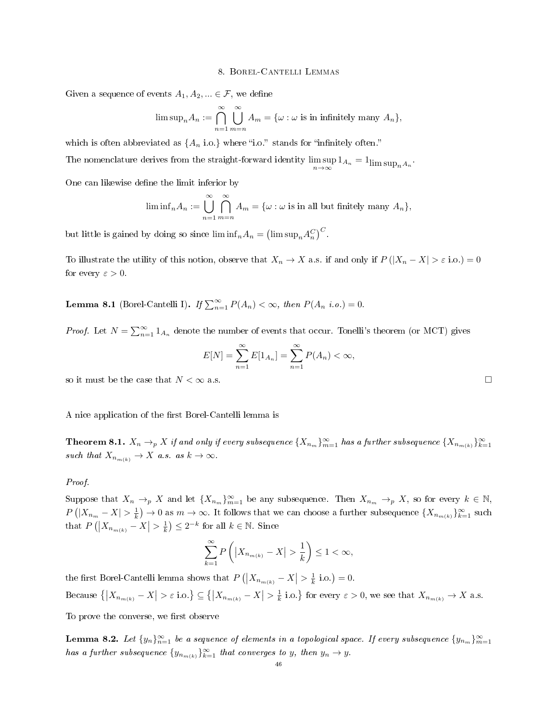### 8. Borel-Cantelli Lemmas

Given a sequence of events  $A_1, A_2, \dots \in \mathcal{F}$ , we define

$$
\limsup_n A_n := \bigcap_{n=1}^{\infty} \bigcup_{m=n}^{\infty} A_m = \{ \omega : \omega \text{ is in infinitely many } A_n \},
$$

which is often abbreviated as  $\{A_n \text{ i.o.}\}\$  where "i.o." stands for "infinitely often."

The nomenclature derives from the straight-forward identity  $\limsup_{n\to\infty} 1_{A_n} = 1_{\limsup_n A_n}$ .

One can likewise define the limit inferior by

$$
\liminf_{n} A_n := \bigcup_{n=1}^{\infty} \bigcap_{m=n}^{\infty} A_m = \{ \omega : \omega \text{ is in all but finitely many } A_n \},
$$

but little is gained by doing so since  $\liminf_n A_n = (\limsup_n A_n^C)^C$ .

To illustrate the utility of this notion, observe that  $X_n \to X$  a.s. if and only if  $P(|X_n - X| > \varepsilon \text{ i.o.}) = 0$ for every  $\varepsilon > 0$ .

**Lemma 8.1** (Borel-Cantelli I). If  $\sum_{n=1}^{\infty} P(A_n) < \infty$ , then  $P(A_n \ i.o.) = 0$ .

*Proof.* Let  $N = \sum_{n=1}^{\infty} 1_{A_n}$  denote the number of events that occur. Tonelli's theorem (or MCT) gives

$$
E[N] = \sum_{n=1}^{\infty} E[1_{A_n}] = \sum_{n=1}^{\infty} P(A_n) < \infty,
$$

so it must be the case that  $N<\infty$  a.s.

A nice application of the first Borel-Cantelli lemma is

<span id="page-45-1"></span>**Theorem 8.1.**  $X_n \to_p X$  if and only if every subsequence  $\{X_{n_m}\}_{m=1}^{\infty}$  has a further subsequence  $\{X_{n_{m(k)}}\}_{k=1}^{\infty}$ such that  $X_{n_m(k)} \to X$  a.s. as  $k \to \infty$ .

## Proof.

Suppose that  $X_n \to_p X$  and let  $\{X_{n_m}\}_{m=1}^{\infty}$  be any subsequence. Then  $X_{n_m} \to_p X$ , so for every  $k \in \mathbb{N}$ ,  $P(|X_{n_m} - X| > \frac{1}{k}) \to 0$  as  $m \to \infty$ . It follows that we can choose a further subsequence  $\{X_{n_{m(k)}}\}_{k=1}^{\infty}$  such that  $P\left(\left|X_{n_{m(k)}}-X\right|>\frac{1}{k}\right)\leq 2^{-k}$  for all  $k\in\mathbb{N}$ . Since

$$
\sum_{k=1}^{\infty} P\left( \left| X_{n_{m(k)}} - X \right| > \frac{1}{k} \right) \le 1 < \infty,
$$

the first Borel-Cantelli lemma shows that  $P(|X_{n_{m(k)}} - X| > \frac{1}{k} \text{ i.o.}) = 0$ . Because  $\{|X_{n_{m(k)}}-X|>\varepsilon \text{ i.o.}\}\subseteq\{|X_{n_{m(k)}}-X|>\frac{1}{k} \text{ i.o.}\}\$  for every  $\varepsilon>0$ , we see that  $X_{n_{m(k)}}\to X$  a.s.

To prove the converse, we first observe

<span id="page-45-0"></span>**Lemma 8.2.** Let  $\{y_n\}_{n=1}^{\infty}$  be a sequence of elements in a topological space. If every subsequence  $\{y_{n_m}\}_{m=1}^{\infty}$ has a further subsequence  $\{y_{n_{m(k)}}\}_{k=1}^{\infty}$  that converges to y, then  $y_n \to y$ .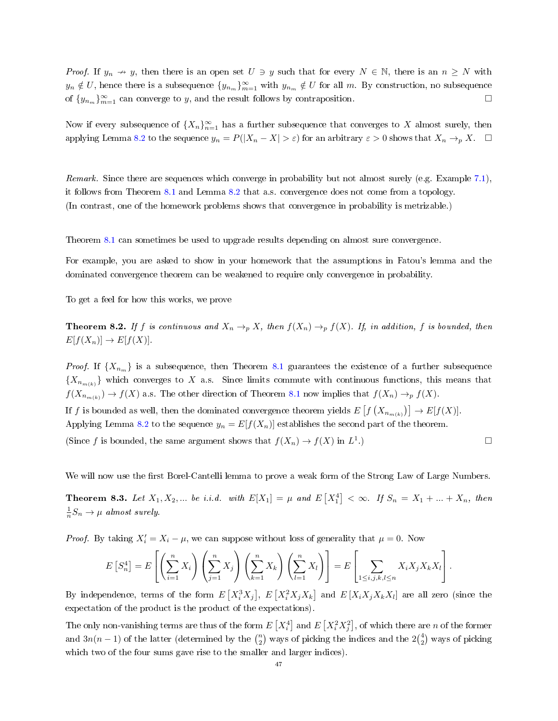*Proof.* If  $y_n \to y$ , then there is an open set  $U \ni y$  such that for every  $N \in \mathbb{N}$ , there is an  $n \geq N$  with  $y_n \notin U$ , hence there is a subsequence  $\{y_{n_m}\}_{m=1}^{\infty}$  with  $y_{n_m} \notin U$  for all m. By construction, no subsequence of  $\{y_{n_m}\}_{m=1}^{\infty}$  can converge to y, and the result follows by contraposition.

Now if every subsequence of  $\{X_n\}_{n=1}^{\infty}$  has a further subsequence that converges to  $X$  almost surely, then applying Lemma [8.2](#page-45-0) to the sequence  $y_n = P(|X_n - X| > \varepsilon)$  for an arbitrary  $\varepsilon > 0$  shows that  $X_n \to_p X$ .  $\Box$ 

Remark. Since there are sequences which converge in probability but not almost surely (e.g. Example [7.1\)](#page-35-0), it follows from Theorem [8.1](#page-45-1) and Lemma [8.2](#page-45-0) that a.s. convergence does not come from a topology. (In contrast, one of the homework problems shows that convergence in probability is metrizable.)

Theorem [8.1](#page-45-1) can sometimes be used to upgrade results depending on almost sure convergence.

For example, you are asked to show in your homework that the assumptions in Fatou's lemma and the dominated convergence theorem can be weakened to require only convergence in probability.

To get a feel for how this works, we prove

<span id="page-46-0"></span>**Theorem 8.2.** If f is continuous and  $X_n \to_p X$ , then  $f(X_n) \to_p f(X)$ . If, in addition, f is bounded, then  $E[f(X_n)] \to E[f(X)].$ 

*Proof.* If  ${X_{n_m}}$  is a subsequence, then Theorem [8.1](#page-45-1) guarantees the existence of a further subsequence  ${X_{n_{m(k)}}}$  which converges to X a.s. Since limits commute with continuous functions, this means that  $f(X_{n_{m(k)}}) \to f(X)$  a.s. The other direction of Theorem [8.1](#page-45-1) now implies that  $f(X_n) \to_p f(X)$ . If  $f$  is bounded as well, then the dominated convergence theorem yields  $E\left[f\left(X_{n_{m(k)}}\right)\right] \to E[f(X)].$ 

Applying Lemma [8.2](#page-45-0) to the sequence  $y_n = E[f(X_n)]$  establishes the second part of the theorem.

(Since f is bounded, the same argument shows that  $f(X_n) \to f(X)$  in  $L^1$ .)

We will now use the first Borel-Cantelli lemma to prove a weak form of the Strong Law of Large Numbers.

**Theorem 8.3.** Let  $X_1, X_2, ...$  be i.i.d. with  $E[X_1] = \mu$  and  $E\left[X_1^4\right] < \infty$ . If  $S_n = X_1 + ... + X_n$ , then  $\frac{1}{n}S_n \to \mu$  almost surely.

*Proof.* By taking  $X'_i = X_i - \mu$ , we can suppose without loss of generality that  $\mu = 0$ . Now

$$
E\left[S_n^4\right] = E\left[\left(\sum_{i=1}^n X_i\right)\left(\sum_{j=1}^n X_j\right)\left(\sum_{k=1}^n X_k\right)\left(\sum_{l=1}^n X_l\right)\right] = E\left[\sum_{1 \le i,j,k,l \le n} X_i X_j X_k X_l\right].
$$

By independence, terms of the form  $E\left[X_i^3X_j\right]$ ,  $E\left[X_i^2X_jX_k\right]$  and  $E\left[X_iX_jX_kX_l\right]$  are all zero (since the expectation of the product is the product of the expectations).

The only non-vanishing terms are thus of the form  $E\left[X_i^4\right]$  and  $E\left[X_i^2X_j^2\right]$ , of which there are  $n$  of the former and  $3n(n-1)$  of the latter (determined by the  $\binom{n}{2}$  ways of picking the indices and the  $2\binom{4}{2}$  ways of picking which two of the four sums gave rise to the smaller and larger indices).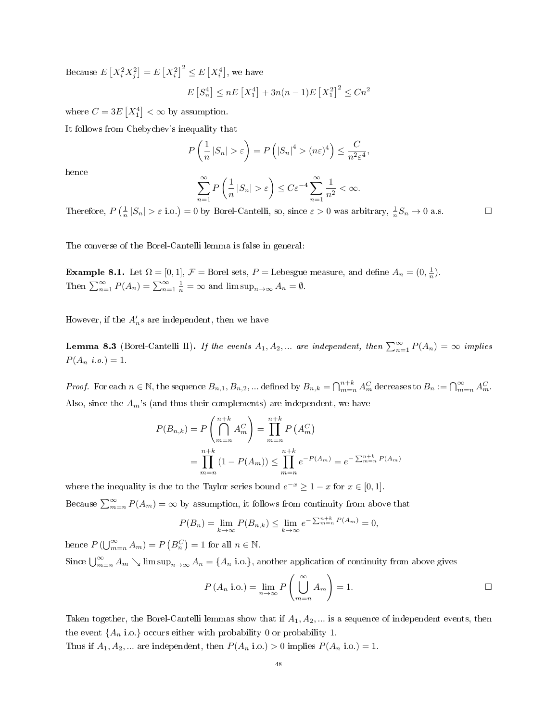Because  $E\left[X_i^2 X_j^2\right] = E\left[X_i^2\right]^2 \leq E\left[X_i^4\right]$ , we have

$$
E[S_n^4] \le nE[X_1^4] + 3n(n-1)E[X_1^2]^2 \le Cn^2
$$

where  $C = 3E[X_1^4] < \infty$  by assumption.

It follows from Chebychev's inequality that

$$
P\left(\frac{1}{n}|S_n| > \varepsilon\right) = P\left(|S_n|^4 > (n\varepsilon)^4\right) \le \frac{C}{n^2\varepsilon^4},
$$

hence

$$
\sum_{n=1}^{\infty} P\left(\frac{1}{n} |S_n| > \varepsilon\right) \le C\varepsilon^{-4} \sum_{n=1}^{\infty} \frac{1}{n^2} < \infty.
$$

Therefore,  $P\left(\frac{1}{n}|S_n| > \varepsilon \text{ i.o.}\right) = 0$  by Borel-Cantelli, so, since  $\varepsilon > 0$  was arbitrary,  $\frac{1}{n}S_n \to 0$  a.s.

The converse of the Borel-Cantelli lemma is false in general:

**Example 8.1.** Let  $\Omega = [0, 1], \mathcal{F} =$  Borel sets,  $P =$  Lebesgue measure, and define  $A_n = (0, \frac{1}{n})$ . Then  $\sum_{n=1}^{\infty} P(A_n) = \sum_{n=1}^{\infty} \frac{1}{n} = \infty$  and  $\limsup_{n \to \infty} A_n = \emptyset$ .

However, if the  $A_n's$  are independent, then we have

**Lemma 8.3** (Borel-Cantelli II). If the events  $A_1, A_2, ...$  are independent, then  $\sum_{n=1}^{\infty} P(A_n) = \infty$  implies  $P(A_n \; i.o.) = 1.$ 

*Proof.* For each  $n \in \mathbb{N}$ , the sequence  $B_{n,1}, B_{n,2}, ...$  defined by  $B_{n,k} = \bigcap_{m=n}^{n+k} A_m^C$  decreases to  $B_n := \bigcap_{m=n}^{\infty} A_m^C$ . Also, since the  $A_m$ 's (and thus their complements) are independent, we have

$$
P(B_{n,k}) = P\left(\bigcap_{m=n}^{n+k} A_m^C\right) = \prod_{m=n}^{n+k} P(A_m^C)
$$
  
= 
$$
\prod_{m=n}^{n+k} (1 - P(A_m)) \le \prod_{m=n}^{n+k} e^{-P(A_m)} = e^{-\sum_{m=n}^{n+k} P(A_m)}
$$

where the inequality is due to the Taylor series bound  $e^{-x} \ge 1 - x$  for  $x \in [0, 1]$ . Because  $\sum_{m=n}^{\infty} P(A_m) = \infty$  by assumption, it follows from continuity from above that

$$
P(B_n) = \lim_{k \to \infty} P(B_{n,k}) \le \lim_{k \to \infty} e^{-\sum_{m=n}^{n+k} P(A_m)} = 0,
$$

hence  $P(\bigcup_{m=n}^{\infty} A_m) = P(B_n^C) = 1$  for all  $n \in \mathbb{N}$ . Since  $\bigcup_{m=n}^{\infty} A_m \searrow \limsup_{n\to\infty} A_n = \{A_n \text{ i.o.}\}\$ , another application of continuity from above gives

$$
P(A_n \text{ i.o.}) = \lim_{n \to \infty} P\left(\bigcup_{m=n}^{\infty} A_m\right) = 1.
$$

Taken together, the Borel-Cantelli lemmas show that if  $A_1, A_2, \ldots$  is a sequence of independent events, then the event  $\{A_n$  i.o.} occurs either with probability 0 or probability 1.

Thus if  $A_1, A_2, ...$  are independent, then  $P(A_n \text{ i.o.}) > 0$  implies  $P(A_n \text{ i.o.}) = 1$ .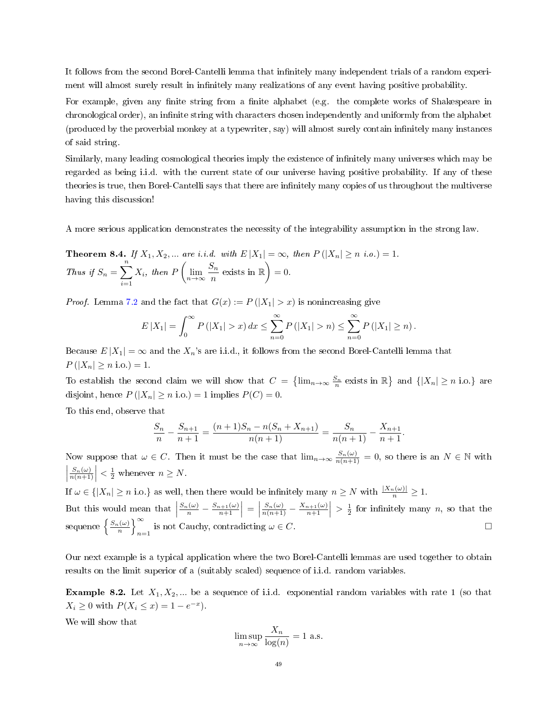It follows from the second Borel-Cantelli lemma that infinitely many independent trials of a random experiment will almost surely result in infinitely many realizations of any event having positive probability.

For example, given any finite string from a finite alphabet (e.g. the complete works of Shakespeare in chronological order), an infinite string with characters chosen independently and uniformly from the alphabet (produced by the proverbial monkey at a typewriter, say) will almost surely contain innitely many instances of said string.

Similarly, many leading cosmological theories imply the existence of infinitely many universes which may be regarded as being i.i.d. with the current state of our universe having positive probability. If any of these theories is true, then Borel-Cantelli says that there are infinitely many copies of us throughout the multiverse having this discussion!

A more serious application demonstrates the necessity of the integrability assumption in the strong law.

<span id="page-48-0"></span>**Theorem 8.4.** If 
$$
X_1, X_2, ...
$$
 are *i.i.d.* with  $E|X_1| = \infty$ , then  $P(|X_n| \ge n \text{ i.o.}) = 1$ .  
Thus if  $S_n = \sum_{i=1}^n X_i$ , then  $P\left(\lim_{n \to \infty} \frac{S_n}{n} \text{ exists in } \mathbb{R}\right) = 0$ .

*Proof.* Lemma [7.2](#page-42-1) and the fact that  $G(x) := P(|X_1| > x)$  is nonincreasing give

$$
E|X_1| = \int_0^\infty P(|X_1| > x) dx \le \sum_{n=0}^\infty P(|X_1| > n) \le \sum_{n=0}^\infty P(|X_1| \ge n).
$$

Because  $E|X_1| = \infty$  and the  $X_n$ 's are i.i.d., it follows from the second Borel-Cantelli lemma that  $P(|X_n| \geq n \text{ i.o.}) = 1.$ 

To establish the second claim we will show that  $C = \{\lim_{n\to\infty} \frac{S_n}{n} \text{ exists in } \mathbb{R}\}\$  and  $\{|X_n| \geq n \text{ i.o.}\}\$ are disjoint, hence  $P(|X_n| \ge n \text{ i.o.}) = 1$  implies  $P(C) = 0$ .

To this end, observe that

$$
\frac{S_n}{n} - \frac{S_{n+1}}{n+1} = \frac{(n+1)S_n - n(S_n + X_{n+1})}{n(n+1)} = \frac{S_n}{n(n+1)} - \frac{X_{n+1}}{n+1}.
$$

Now suppose that  $\omega \in C$ . Then it must be the case that  $\lim_{n\to\infty} \frac{S_n(\omega)}{n(n+1)} = 0$ , so there is an  $N \in \mathbb{N}$  with  $\left| \frac{S_n(\omega)}{n(n+1)} \right| < \frac{1}{2}$  whenever  $n \geq N$ . If  $\omega \in \{|X_n| \ge n \text{ i.o.}\}\$ as well, then there would be infinitely many  $n \ge N$  with  $\frac{|X_n(\omega)|}{n} \ge 1$ .

But this would mean that  $\Big|$  $\frac{S_n(\omega)}{n} - \frac{S_{n+1}(\omega)}{n+1} =$  $\left| \frac{S_n(\omega)}{n(n+1)} - \frac{X_{n+1}(\omega)}{n+1} \right| > \frac{1}{2}$  for infinitely many n, so that the sequence  $\left\{\frac{S_n(\omega)}{n}\right\}_{n=1}^{\infty}$ is not Cauchy, contradicting  $\omega \in C$ .

Our next example is a typical application where the two Borel-Cantelli lemmas are used together to obtain results on the limit superior of a (suitably scaled) sequence of i.i.d. random variables.

**Example 8.2.** Let  $X_1, X_2, ...$  be a sequence of i.i.d. exponential random variables with rate 1 (so that  $X_i \geq 0$  with  $P(X_i \leq x) = 1 - e^{-x}$ .

We will show that

$$
\limsup_{n \to \infty} \frac{X_n}{\log(n)} = 1 \text{ a.s.}
$$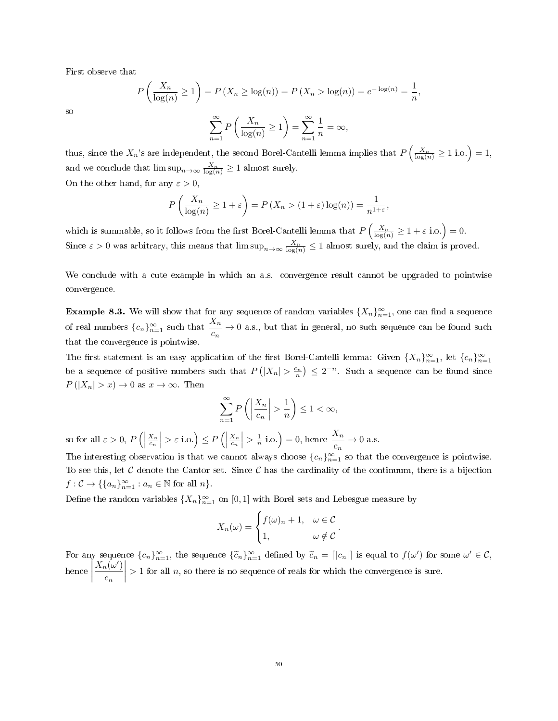First observe that

P

$$
P\left(\frac{X_n}{\log(n)} \ge 1\right) = P\left(X_n \ge \log(n)\right) = P\left(X_n > \log(n)\right) = e^{-\log(n)} = \frac{1}{n},
$$

so

$$
\sum_{n=1}^{\infty} P\left(\frac{X_n}{\log(n)} \ge 1\right) = \sum_{n=1}^{\infty} \frac{1}{n} = \infty,
$$

thus, since the  $X_n$ 's are independent, the second Borel-Cantelli lemma implies that  $P\left(\frac{X_n}{\log(n)} \ge 1 \text{ i.o.}\right) = 1$ , and we conclude that  $\limsup_{n\to\infty} \frac{X_n}{\log(n)} \geq 1$  almost surely. On the other hand, for any  $\varepsilon > 0$ ,

$$
P\left(\frac{X_n}{\log(n)} \ge 1 + \varepsilon\right) = P\left(X_n > (1 + \varepsilon)\log(n)\right) = \frac{1}{n^{1+\varepsilon}},
$$

which is summable, so it follows from the first Borel-Cantelli lemma that  $P\left(\frac{X_n}{\log(n)} \geq 1 + \varepsilon \text{ i.o.}\right) = 0.$ Since  $\varepsilon > 0$  was arbitrary, this means that  $\limsup_{n\to\infty} \frac{X_n}{\log(n)} \leq 1$  almost surely, and the claim is proved.

We conclude with a cute example in which an a.s. convergence result cannot be upgraded to pointwise convergence.

**Example 8.3.** We will show that for any sequence of random variables  $\{X_n\}_{n=1}^{\infty}$ , one can find a sequence of real numbers  ${c_n}_{n=1}^{\infty}$  such that  $\frac{X_n}{c_n} \to 0$  a.s., but that in general, no such sequence can be found such that the convergence is pointwise.

The first statement is an easy application of the first Borel-Cantelli lemma: Given  $\{X_n\}_{n=1}^{\infty}$ , let  $\{c_n\}_{n=1}^{\infty}$ be a sequence of positive numbers such that  $P(|X_n| > \frac{c_n}{n}) \leq 2^{-n}$ . Such a sequence can be found since  $P(|X_n| > x) \to 0$  as  $x \to \infty$ . Then

$$
\sum_{n=1}^{\infty} P\left(\left|\frac{X_n}{c_n}\right| > \frac{1}{n}\right) \le 1 < \infty,
$$

so for all  $\varepsilon > 0, P\left(\right)$  $\left| \frac{X_n}{c_n} \right| > \varepsilon$  i.o.)  $\leq P\left(\right|$  $\left| \frac{X_n}{c_n} \right| > \frac{1}{n}$  i.o.) = 0, hence  $\frac{X_n}{c_n} \to 0$  a.s.

The interesting observation is that we cannot always choose  ${c_n}_{n=1}^{\infty}$  so that the convergence is pointwise. To see this, let  $C$  denote the Cantor set. Since  $C$  has the cardinality of the continuum, there is a bijection  $f: \mathcal{C} \to \{\{a_n\}_{n=1}^{\infty} : a_n \in \mathbb{N} \text{ for all } n\}.$ 

Define the random variables  $\{X_n\}_{n=1}^{\infty}$  on  $[0,1]$  with Borel sets and Lebesgue measure by

$$
X_n(\omega) = \begin{cases} f(\omega)_n + 1, & \omega \in \mathcal{C} \\ 1, & \omega \notin \mathcal{C} \end{cases}.
$$

For any sequence  ${c_n}_{n=1}^{\infty}$ , the sequence  ${\tilde{c}_n}_{n=1}^{\infty}$  defined by  $\tilde{c}_n = |c_n|$  is equal to  $f(\omega')$  for some  $\omega' \in \mathcal{C}$ ,  $h$ ence  $X_n(\omega')$  $\overline{c}_n$  $\begin{array}{c} \hline \rule{0pt}{2ex} \rule{0pt}{2ex} \rule{0pt}{2ex} \rule{0pt}{2ex} \rule{0pt}{2ex} \rule{0pt}{2ex} \rule{0pt}{2ex} \rule{0pt}{2ex} \rule{0pt}{2ex} \rule{0pt}{2ex} \rule{0pt}{2ex} \rule{0pt}{2ex} \rule{0pt}{2ex} \rule{0pt}{2ex} \rule{0pt}{2ex} \rule{0pt}{2ex} \rule{0pt}{2ex} \rule{0pt}{2ex} \rule{0pt}{2ex} \rule{0pt}{2ex} \rule{0pt}{2ex} \rule{0pt}{2ex} \rule{0pt}{2ex} \rule{$  $> 1$  for all n, so there is no sequence of reals for which the convergence is sure.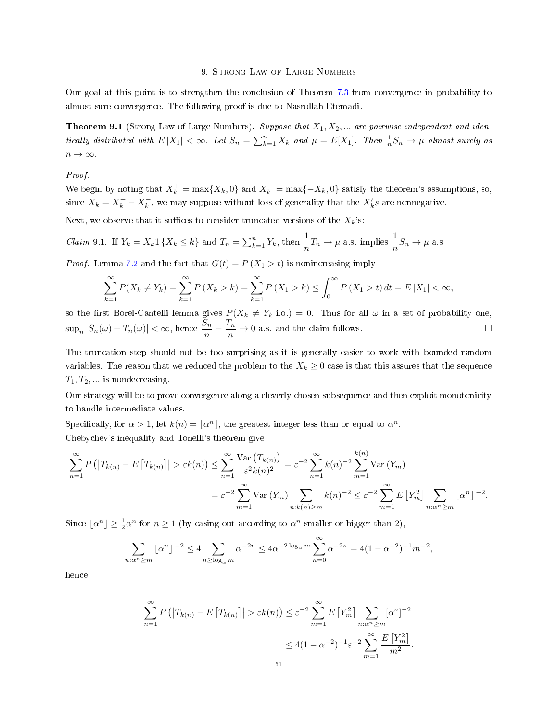### 9. Strong Law of Large Numbers

Our goal at this point is to strengthen the conclusion of Theorem [7.3](#page-41-0) from convergence in probability to almost sure convergence. The following proof is due to Nasrollah Etemadi.

<span id="page-50-0"></span>**Theorem 9.1** (Strong Law of Large Numbers). Suppose that  $X_1, X_2, ...$  are pairwise independent and identically distributed with  $E|X_1| < \infty$ . Let  $S_n = \sum_{k=1}^n X_k$  and  $\mu = E[X_1]$ . Then  $\frac{1}{n}S_n \to \mu$  almost surely as  $n \to \infty$ .

## Proof.

We begin by noting that  $X_k^+ = \max\{X_k, 0\}$  and  $X_k^- = \max\{-X_k, 0\}$  satisfy the theorem's assumptions, so, since  $X_k = X_k^+ - X_k^-$ , we may suppose without loss of generality that the  $X'_k s$  are nonnegative.

Next, we observe that it suffices to consider truncated versions of the  $X_k$ 's:

<span id="page-50-1"></span>*Claim* 9.1. If 
$$
Y_k = X_k 1 \{ X_k \le k \}
$$
 and  $T_n = \sum_{k=1}^n Y_k$ , then  $\frac{1}{n} T_n \to \mu$  a.s. implies  $\frac{1}{n} S_n \to \mu$  a.s.

*Proof.* Lemma [7.2](#page-42-1) and the fact that  $G(t) = P(X_1 > t)$  is nonincreasing imply

$$
\sum_{k=1}^{\infty} P(X_k \neq Y_k) = \sum_{k=1}^{\infty} P(X_k > k) = \sum_{k=1}^{\infty} P(X_k > k) \le \int_0^{\infty} P(X_k > t) dt = E|X_1| < \infty,
$$

so the first Borel-Cantelli lemma gives  $P(X_k \neq Y_k \text{ i.o.}) = 0$ . Thus for all  $\omega$  in a set of probability one,  $\sup_n |S_n(\omega) - T_n(\omega)| < \infty$ , hence  $\frac{S_n}{n} - \frac{T_n}{n}$  $\frac{n}{n} \to 0$  a.s. and the claim follows.

The truncation step should not be too surprising as it is generally easier to work with bounded random variables. The reason that we reduced the problem to the  $X_k \geq 0$  case is that this assures that the sequence  $T_1, T_2, \dots$  is nondecreasing.

Our strategy will be to prove convergence along a cleverly chosen subsequence and then exploit monotonicity to handle intermediate values.

Specifically, for  $\alpha > 1$ , let  $k(n) = |\alpha^n|$ , the greatest integer less than or equal to  $\alpha^n$ . Chebychev's inequality and Tonelli's theorem give

$$
\sum_{n=1}^{\infty} P\left(\left|T_{k(n)} - E\left[T_{k(n)}\right]\right| > \varepsilon k(n)\right) \le \sum_{n=1}^{\infty} \frac{\text{Var}\left(T_{k(n)}\right)}{\varepsilon^{2} k(n)^{2}} = \varepsilon^{-2} \sum_{n=1}^{\infty} k(n)^{-2} \sum_{m=1}^{k(n)} \text{Var}\left(Y_{m}\right)
$$
\n
$$
= \varepsilon^{-2} \sum_{m=1}^{\infty} \text{Var}\left(Y_{m}\right) \sum_{n:k(n)\ge m} k(n)^{-2} \le \varepsilon^{-2} \sum_{m=1}^{\infty} E\left[Y_{m}^{2}\right] \sum_{n:\alpha^{n}\ge m} \left\lfloor \alpha^{n} \right\rfloor^{-2}.
$$

Since  $\lfloor \alpha^n \rfloor \geq \frac{1}{2} \alpha^n$  for  $n \geq 1$  (by casing out according to  $\alpha^n$  smaller or bigger than 2),

$$
\sum_{n:\alpha^n \ge m} \lfloor \alpha^n \rfloor^{-2} \le 4 \sum_{n \ge \log_\alpha m} \alpha^{-2n} \le 4\alpha^{-2\log_\alpha m} \sum_{n=0}^\infty \alpha^{-2n} = 4(1 - \alpha^{-2})^{-1} m^{-2},
$$

hence

$$
\sum_{n=1}^{\infty} P\left( \left| T_{k(n)} - E\left[ T_{k(n)} \right] \right| > \varepsilon k(n) \right) \leq \varepsilon^{-2} \sum_{m=1}^{\infty} E\left[ Y_m^2 \right] \sum_{n:\alpha^n \geq m} [\alpha^n]^{-2}
$$

$$
\leq 4(1 - \alpha^{-2})^{-1} \varepsilon^{-2} \sum_{m=1}^{\infty} \frac{E\left[ Y_m^2 \right]}{m^2}.
$$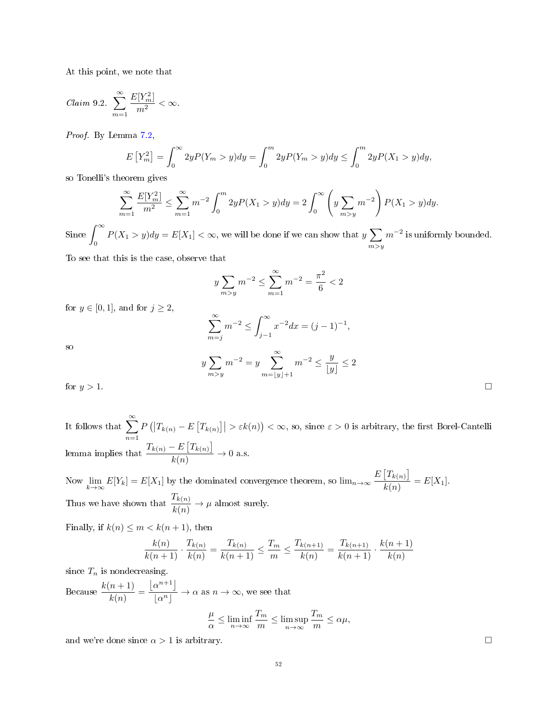At this point, we note that

<span id="page-51-0"></span>
$$
Claim\ 9.2. \sum_{m=1}^{\infty} \frac{E[Y_m^2]}{m^2} < \infty.
$$

Proof. By Lemma [7.2,](#page-42-1)

$$
E[Y_m^2] = \int_0^\infty 2y P(Y_m > y) dy = \int_0^m 2y P(Y_m > y) dy \le \int_0^m 2y P(X_1 > y) dy,
$$

so Tonelli's theorem gives

$$
\sum_{m=1}^{\infty} \frac{E[Y_m^2]}{m^2} \le \sum_{m=1}^{\infty} m^{-2} \int_0^m 2y P(X_1 > y) dy = 2 \int_0^{\infty} \left( y \sum_{m > y} m^{-2} \right) P(X_1 > y) dy.
$$

Since  $\int_{0}^{\infty}$  $P(X_1 > y)dy = E[X_1] < \infty$ , we will be done if we can show that  $y \sum_{m \geq n}$  $m > y$  $m^{-2}$  is uniformly bounded.

To see that this is the case, observe that

$$
y \sum_{m>y} m^{-2} \le \sum_{m=1}^{\infty} m^{-2} = \frac{\pi^2}{6} < 2
$$

for  $y \in [0, 1]$ , and for  $j \ge 2$ ,

$$
\sum_{m=j}^{\infty} m^{-2} \le \int_{j-1}^{\infty} x^{-2} dx = (j-1)^{-1},
$$

so

$$
y\sum_{m>y} m^{-2} = y \sum_{m=\lfloor y \rfloor+1}^{\infty} m^{-2} \le \frac{y}{\lfloor y \rfloor} \le 2
$$
\nfor  $y > 1$ .

It follows that  $\sum_{n=1}^{\infty}$  $n=1$  $P(|T_{k(n)} - E[T_{k(n)}]| > \varepsilon k(n)) < \infty$ , so, since  $\varepsilon > 0$  is arbitrary, the first Borel-Cantelli lemma implies that  $\frac{T_{k(n)} - E[T_{k(n)}]}{I(n)}$  $\frac{E\left[-k(n)\right]}{k(n)} \to 0$  a.s.

Now  $\lim_{k \to \infty} E[Y_k] = E[X_1]$  by the dominated convergence theorem, so  $\lim_{n \to \infty} \frac{E[T_{k(n)}]}{k(n)}$  $\frac{1 - k(n)}{k(n)} = E[X_1].$ Thus we have shown that  $\frac{T_{k(n)}}{T_{k(n)}}$  $\frac{\mathcal{L}_{k(n)}}{k(n)} \rightarrow \mu$  almost surely.

Finally, if  $k(n) \leq m < k(n+1)$ , then

$$
\frac{k(n)}{k(n+1)} \cdot \frac{T_{k(n)}}{k(n)} = \frac{T_{k(n)}}{k(n+1)} \le \frac{T_m}{m} \le \frac{T_{k(n+1)}}{k(n)} = \frac{T_{k(n+1)}}{k(n+1)} \cdot \frac{k(n+1)}{k(n)}
$$

since  $T_n$  is nondecreasing.

Because  $\frac{k(n+1)}{k(n)}$  =  $\left\lfloor \alpha^{n+1} \right\rfloor$  $\frac{\alpha}{|\alpha^n|} \to \alpha$  as  $n \to \infty$ , we see that

 $\boldsymbol{y}$ 

$$
\frac{\mu}{\alpha} \le \liminf_{n \to \infty} \frac{T_m}{m} \le \limsup_{n \to \infty} \frac{T_m}{m} \le \alpha \mu,
$$

and we're done since  $\alpha > 1$  is arbitrary.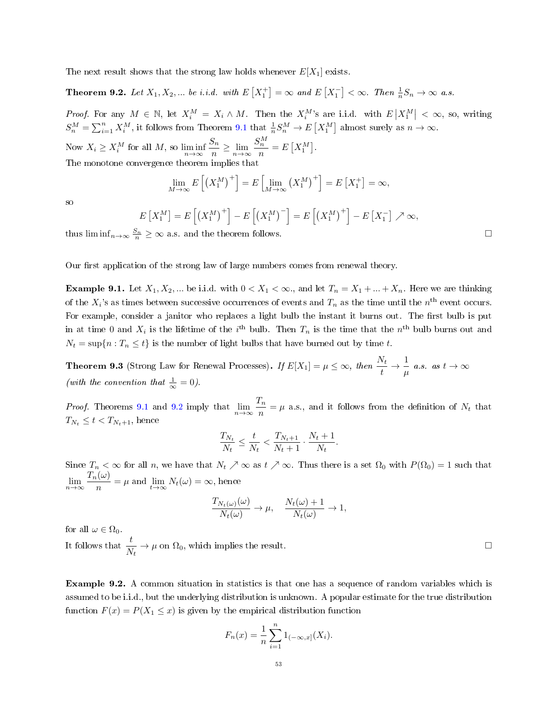The next result shows that the strong law holds whenever  $E[X_1]$  exists.

<span id="page-52-0"></span>**Theorem 9.2.** Let  $X_1, X_2, ...$  be i.i.d. with  $E[X_1^+] = \infty$  and  $E[X_1^-] < \infty$ . Then  $\frac{1}{n}S_n \to \infty$  a.s.

Proof. For any  $M \in \mathbb{N}$ , let  $X_i^M = X_i \wedge M$ . Then the  $X_i^M$ 's are i.i.d. with  $E\left|X_1^M\right| < \infty$ , so, writing  $S_n^M = \sum_{i=1}^n X_i^M$ , it follows from Theorem [9.1](#page-50-0) that  $\frac{1}{n} S_n^M \to E[X_1^M]$  almost surely as  $n \to \infty$ .

Now  $X_i \ge X_i^M$  for all  $M$ , so  $\liminf_{n \to \infty}$  $S_n$  $\frac{S_n}{n} \geq \lim_{n \to \infty} \frac{S_n^M}{n}$  $\frac{n}{n} = E[X_1^M].$ The monotone convergence theorem implies that

$$
\lim_{M \to \infty} E\left[ \left( X_1^M \right)^+ \right] = E\left[ \lim_{M \to \infty} \left( X_1^M \right)^+ \right] = E\left[ X_1^+ \right] = \infty,
$$

so

$$
E[X_1^M] = E\left[\left(X_1^M\right)^+\right] - E\left[\left(X_1^M\right)^-\right] = E\left[\left(X_1^M\right)^+\right] - E\left[X_1^-\right] \nearrow \infty,
$$

thus  $\liminf_{n\to\infty} \frac{S_n}{n} \geq \infty$  a.s. and the theorem follows.

Our first application of the strong law of large numbers comes from renewal theory.

**Example 9.1.** Let  $X_1, X_2, ...$  be i.i.d. with  $0 < X_1 < \infty$ , and let  $T_n = X_1 + ... + X_n$ . Here we are thinking of the  $X_i$ 's as times between successive occurrences of events and  $T_n$  as the time until the  $n^{\text{th}}$  event occurs. For example, consider a janitor who replaces a light bulb the instant it burns out. The first bulb is put in at time 0 and  $X_i$  is the lifetime of the i<sup>th</sup> bulb. Then  $T_n$  is the time that the  $n^{\text{th}}$  bulb burns out and  $N_t = \sup\{n : T_n \le t\}$  is the number of light bulbs that have burned out by time t.

**Theorem 9.3** (Strong Law for Renewal Processes). If  $E[X_1] = \mu \leq \infty$ , then  $\frac{N_t}{t} \to \frac{1}{\mu}$  $\frac{1}{\mu}$  a.s. as  $t \to \infty$ (with the convention that  $\frac{1}{\infty} = 0$ ).

*Proof.* Theorems [9.1](#page-50-0) and [9.2](#page-52-0) imply that  $\lim_{n\to\infty} \frac{T_n}{n}$  $\frac{m}{n} = \mu$  a.s., and it follows from the definition of  $N_t$  that  $T_{N_t} \leq t < T_{N_t+1}$ , hence

$$
\frac{T_{N_t}}{N_t} \le \frac{t}{N_t} < \frac{T_{N_t+1}}{N_t+1} \cdot \frac{N_t+1}{N_t}.
$$

Since  $T_n < \infty$  for all n, we have that  $N_t \nearrow \infty$  as  $t \nearrow \infty$ . Thus there is a set  $\Omega_0$  with  $P(\Omega_0) = 1$  such that  $\lim_{n\to\infty}\frac{T_n(\omega)}{n}$  $\lim_{n \to \infty} \frac{1}{n} = \mu$  and  $\lim_{t \to \infty} N_t(\omega) = \infty$ , hence

$$
\frac{T_{N_t(\omega)}(\omega)}{N_t(\omega)} \to \mu, \quad \frac{N_t(\omega) + 1}{N_t(\omega)} \to 1,
$$

for all  $\omega \in \Omega_0$ .

It follows that  $\frac{t}{N_t} \to \mu$  on  $\Omega_0$ , which implies the result.

Example 9.2. A common situation in statistics is that one has a sequence of random variables which is assumed to be i.i.d., but the underlying distribution is unknown. A popular estimate for the true distribution function  $F(x) = P(X_1 \leq x)$  is given by the empirical distribution function

$$
F_n(x) = \frac{1}{n} \sum_{i=1}^n 1_{(-\infty, x]}(X_i).
$$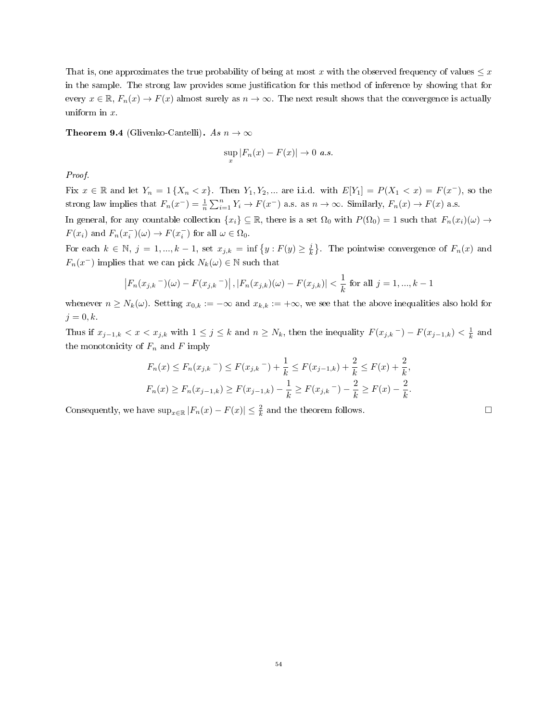That is, one approximates the true probability of being at most x with the observed frequency of values  $\leq x$ in the sample. The strong law provides some justification for this method of inference by showing that for every  $x \in \mathbb{R}$ ,  $F_n(x) \to F(x)$  almost surely as  $n \to \infty$ . The next result shows that the convergence is actually uniform in x.

**Theorem 9.4** (Glivenko-Cantelli). As  $n \to \infty$ 

$$
\sup_x |F_n(x) - F(x)| \to 0 \text{ a.s.}
$$

# Proof.

Fix  $x \in \mathbb{R}$  and let  $Y_n = 1 \{X_n < x\}$ . Then  $Y_1, Y_2, \ldots$  are i.i.d. with  $E[Y_1] = P(X_1 < x) = F(x^-)$ , so the strong law implies that  $F_n(x^-) = \frac{1}{n} \sum_{i=1}^n Y_i \to F(x^-)$  a.s. as  $n \to \infty$ . Similarly,  $F_n(x) \to F(x)$  a.s.

In general, for any countable collection  $\{x_i\} \subseteq \mathbb{R}$ , there is a set  $\Omega_0$  with  $P(\Omega_0) = 1$  such that  $F_n(x_i)(\omega) \to$  $F(x_i)$  and  $F_n(x_i^-)(\omega) \to F(x_i^-)$  for all  $\omega \in \Omega_0$ .

For each  $k \in \mathbb{N}$ ,  $j = 1, ..., k - 1$ , set  $x_{j,k} = \inf\{y : F(y) \geq \frac{j}{k}\}\$ . The pointwise convergence of  $F_n(x)$  and  $F_n(x^{-})$  implies that we can pick  $N_k(\omega) \in \mathbb{N}$  such that

$$
|F_n(x_{j,k}-)(\omega) - F(x_{j,k}-)|
$$
,  $|F_n(x_{j,k})(\omega) - F(x_{j,k})| < \frac{1}{k}$  for all  $j = 1, ..., k-1$ 

whenever  $n \geq N_k(\omega)$ . Setting  $x_{0,k} := -\infty$  and  $x_{k,k} := +\infty$ , we see that the above inequalities also hold for  $j = 0, k$ .

Thus if  $x_{j-1,k} < x < x_{j,k}$  with  $1 \leq j \leq k$  and  $n \geq N_k$ , then the inequality  $F(x_{j,k}^-) - F(x_{j-1,k}) < \frac{1}{k}$  and the monotonicity of  $F_n$  and  $F$  imply

$$
F_n(x) \le F_n(x_{j,k}) \le F(x_{j,k}) + \frac{1}{k} \le F(x_{j-1,k}) + \frac{2}{k} \le F(x) + \frac{2}{k},
$$
  

$$
F_n(x) \ge F_n(x_{j-1,k}) \ge F(x_{j-1,k}) - \frac{1}{k} \ge F(x_{j,k}) - \frac{2}{k} \ge F(x) - \frac{2}{k}.
$$

Consequently, we have  $\sup_{x \in \mathbb{R}} |F_n(x) - F(x)| \leq \frac{2}{k}$  and the theorem follows.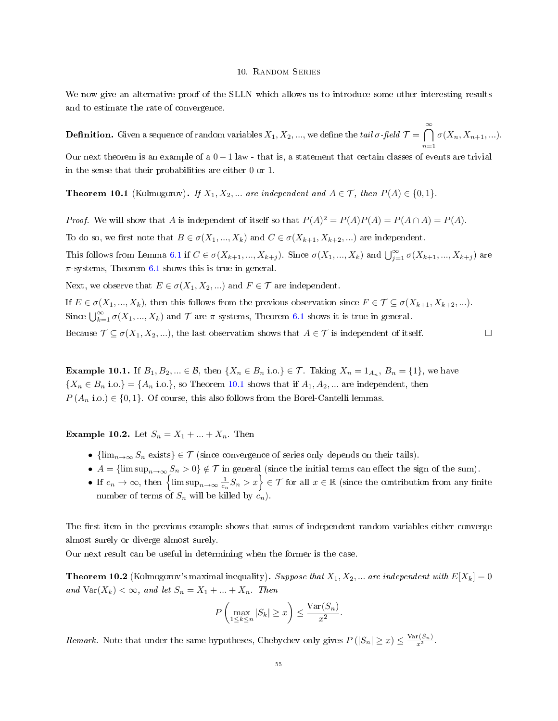### 10. Random Series

We now give an alternative proof of the SLLN which allows us to introduce some other interesting results and to estimate the rate of convergence.

**Definition.** Given a sequence of random variables  $X_1, X_2, ...$ , we define the  $tail$   $\sigma$ -field  $\mathcal{T} = \bigcap^{\infty}$  $n=1$  $\sigma(X_n, X_{n+1}, \ldots).$ 

Our next theorem is an example of a  $0 - 1$  law - that is, a statement that certain classes of events are trivial in the sense that their probabilities are either 0 or 1.

<span id="page-54-0"></span>**Theorem 10.1** (Kolmogorov). If  $X_1, X_2, ...$  are independent and  $A \in \mathcal{T}$ , then  $P(A) \in \{0, 1\}$ .

*Proof.* We will show that A is independent of itself so that  $P(A)^2 = P(A)P(A) = P(A \cap A) = P(A)$ .

To do so, we first note that  $B \in \sigma(X_1, ..., X_k)$  and  $C \in \sigma(X_{k+1}, X_{k+2}, ...)$  are independent.

This follows from Lemma [6.1](#page-27-0) if  $C \in \sigma(X_{k+1},...,X_{k+j})$ . Since  $\sigma(X_1,...,X_k)$  and  $\bigcup_{j=1}^{\infty} \sigma(X_{k+1},...,X_{k+j})$  are  $\pi$ -systems, Theorem [6.1](#page-26-0) shows this is true in general.

Next, we observe that  $E \in \sigma(X_1, X_2, ...)$  and  $F \in \mathcal{T}$  are independent.

If  $E \in \sigma(X_1, ..., X_k)$ , then this follows from the previous observation since  $F \in \mathcal{T} \subseteq \sigma(X_{k+1}, X_{k+2}, ...)$ . Since  $\bigcup_{k=1}^{\infty} \sigma(X_1, ..., X_k)$  and  $\mathcal T$  are  $\pi$ -systems, Theorem [6.1](#page-26-0) shows it is true in general.

Because  $\mathcal{T} \subseteq \sigma(X_1, X_2, \ldots)$ , the last observation shows that  $A \in \mathcal{T}$  is independent of itself.

**Example 10.1.** If  $B_1, B_2, ... \in \mathcal{B}$ , then  $\{X_n \in B_n \text{ i.o.}\}\in \mathcal{T}$ . Taking  $X_n = 1_{A_n}, B_n = \{1\}$ , we have  $\{X_n \in B_n \text{ i.o.}\} = \{A_n \text{ i.o.}\}\,$ , so Theorem [10.1](#page-54-0) shows that if  $A_1, A_2, \dots$  are independent, then  $P(A_n \text{ i.o.}) \in \{0,1\}.$  Of course, this also follows from the Borel-Cantelli lemmas.

**Example 10.2.** Let  $S_n = X_1 + ... + X_n$ . Then

- ${\{\lim_{n\to\infty} S_n \text{ exists}\}} \in \mathcal{T}$  (since convergence of series only depends on their tails).
- $A = \{\limsup_{n\to\infty} S_n > 0\} \notin \mathcal{T}$  in general (since the initial terms can effect the sign of the sum).
- If  $c_n \to \infty$ , then  $\left\{\limsup_{n\to\infty}\frac{1}{c_n}S_n > x\right\} \in \mathcal{T}$  for all  $x \in \mathbb{R}$  (since the contribution from any finite number of terms of  $S_n$  will be killed by  $c_n$ ).

The first item in the previous example shows that sums of independent random variables either converge almost surely or diverge almost surely.

Our next result can be useful in determining when the former is the case.

<span id="page-54-1"></span>**Theorem 10.2** (Kolmogorov's maximal inequality). Suppose that  $X_1, X_2, ...$  are independent with  $E[X_k] = 0$ and  $\text{Var}(X_k) < \infty$ , and let  $S_n = X_1 + ... + X_n$ . Then

$$
P\left(\max_{1\leq k\leq n}|S_k|\geq x\right)\leq \frac{\text{Var}(S_n)}{x^2}.
$$

Remark. Note that under the same hypotheses, Chebychev only gives  $P(|S_n| \geq x) \leq \frac{\text{Var}(S_n)}{x^2}$ .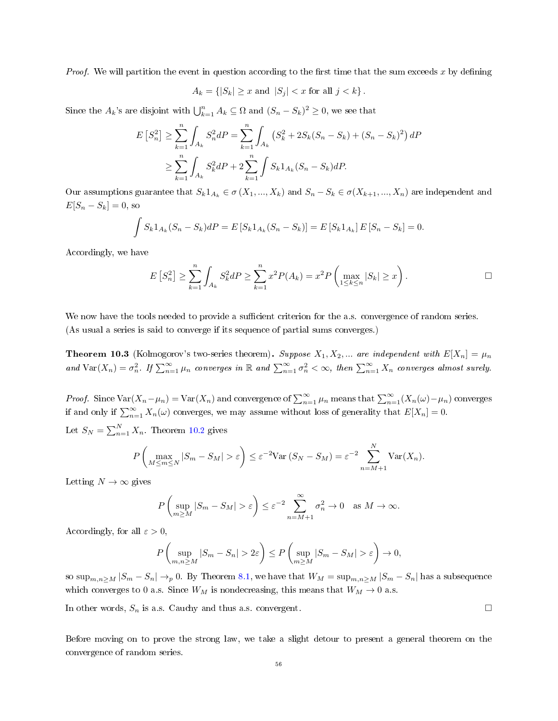*Proof.* We will partition the event in question according to the first time that the sum exceeds x by defining

$$
A_k = \{|S_k| \ge x \text{ and } |S_j| < x \text{ for all } j < k\}.
$$

Since the  $A_k$ 's are disjoint with  $\bigcup_{k=1}^n A_k \subseteq \Omega$  and  $(S_n - S_k)^2 \geq 0$ , we see that

$$
E\left[S_n^2\right] \ge \sum_{k=1}^n \int_{A_k} S_n^2 dP = \sum_{k=1}^n \int_{A_k} \left(S_k^2 + 2S_k(S_n - S_k) + (S_n - S_k)^2\right) dP
$$
  

$$
\ge \sum_{k=1}^n \int_{A_k} S_k^2 dP + 2 \sum_{k=1}^n \int S_k 1_{A_k} (S_n - S_k) dP.
$$

Our assumptions guarantee that  $S_k 1_{A_k} \in \sigma(X_1, ..., X_k)$  and  $S_n - S_k \in \sigma(X_{k+1}, ..., X_n)$  are independent and  $E[S_n - S_k] = 0$ , so

$$
\int S_k 1_{A_k} (S_n - S_k) dP = E \left[ S_k 1_{A_k} (S_n - S_k) \right] = E \left[ S_k 1_{A_k} \right] E \left[ S_n - S_k \right] = 0.
$$

Accordingly, we have

$$
E[S_n^2] \ge \sum_{k=1}^n \int_{A_k} S_k^2 dP \ge \sum_{k=1}^n x^2 P(A_k) = x^2 P\left(\max_{1 \le k \le n} |S_k| \ge x\right).
$$

We now have the tools needed to provide a sufficient criterion for the a.s. convergence of random series. (As usual a series is said to converge if its sequence of partial sums converges.)

<span id="page-55-0"></span>**Theorem 10.3** (Kolmogorov's two-series theorem). Suppose  $X_1, X_2, ...$  are independent with  $E[X_n] = \mu_n$ and  $\text{Var}(X_n) = \sigma_n^2$ . If  $\sum_{n=1}^{\infty} \mu_n$  converges in  $\mathbb{R}$  and  $\sum_{n=1}^{\infty} \sigma_n^2 < \infty$ , then  $\sum_{n=1}^{\infty} X_n$  converges almost surely.

*Proof.* Since  $\text{Var}(X_n - \mu_n) = \text{Var}(X_n)$  and convergence of  $\sum_{n=1}^{\infty} \mu_n$  means that  $\sum_{n=1}^{\infty} (X_n(\omega) - \mu_n)$  converges if and only if  $\sum_{n=1}^{\infty} X_n(\omega)$  converges, we may assume without loss of generality that  $E[X_n] = 0$ .

Let  $S_N = \sum_{n=1}^N X_n$ . Theorem [10.2](#page-54-1) gives

$$
P\left(\max_{M\leq m\leq N}|S_m-S_M|>\varepsilon\right)\leq \varepsilon^{-2}\text{Var}\left(S_N-S_M\right)=\varepsilon^{-2}\sum_{n=M+1}^N\text{Var}(X_n).
$$

Letting  $N \to \infty$  gives

$$
P\left(\sup_{m\geq M}|S_m - S_M| > \varepsilon\right) \leq \varepsilon^{-2} \sum_{n=M+1}^{\infty} \sigma_n^2 \to 0 \quad \text{as } M \to \infty.
$$

Accordingly, for all  $\varepsilon > 0$ ,

$$
P\left(\sup_{m,n\geq M}|S_m - S_n| > 2\varepsilon\right) \leq P\left(\sup_{m\geq M}|S_m - S_M| > \varepsilon\right) \to 0,
$$

so  $\sup_{m,n>M} |S_m - S_n| \to_p 0$ . By Theorem [8.1,](#page-45-1) we have that  $W_M = \sup_{m,n>M} |S_m - S_n|$  has a subsequence which converges to 0 a.s. Since  $W_M$  is nondecreasing, this means that  $W_M \to 0$  a.s.

In other words,  $S_n$  is a.s. Cauchy and thus a.s. convergent.

Before moving on to prove the strong law, we take a slight detour to present a general theorem on the convergence of random series.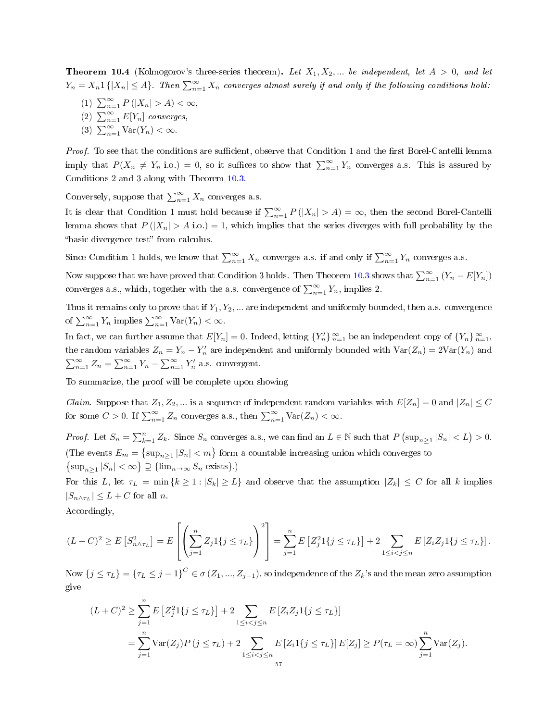**Theorem 10.4** (Kolmogorov's three-series theorem). Let  $X_1, X_2, ...$  be independent, let  $A > 0$ , and let  $Y_n = X_n 1\{|X_n| \leq A\}$ . Then  $\sum_{n=1}^{\infty} X_n$  converges almost surely if and only if the following conditions hold:

- (1)  $\sum_{n=1}^{\infty} P(|X_n| > A) < \infty$ ,
- (2)  $\sum_{n=1}^{\infty} E[Y_n]$  converges,
- (3)  $\sum_{n=1}^{\infty} \text{Var}(Y_n) < \infty$ .

Proof. To see that the conditions are sufficient, observe that Condition 1 and the first Borel-Cantelli lemma imply that  $P(X_n \neq Y_n \text{ i.o.}) = 0$ , so it suffices to show that  $\sum_{n=1}^{\infty} Y_n$  converges a.s. This is assured by Conditions 2 and 3 along with Theorem [10.3.](#page-55-0)

Conversely, suppose that  $\sum_{n=1}^{\infty} X_n$  converges a.s.

It is clear that Condition 1 must hold because if  $\sum_{n=1}^{\infty} P(|X_n| > A) = \infty$ , then the second Borel-Cantelli lemma shows that  $P(|X_n| > A \text{ i.o.}) = 1$ , which implies that the series diverges with full probability by the "basic divergence test" from calculus.

Since Condition 1 holds, we know that  $\sum_{n=1}^{\infty} X_n$  converges a.s. if and only if  $\sum_{n=1}^{\infty} Y_n$  converges a.s.

Now suppose that we have proved that Condition 3 holds. Then Theorem [10.3](#page-55-0) shows that  $\sum_{n=1}^{\infty} (Y_n - E[Y_n])$ converges a.s., which, together with the a.s. convergence of  $\sum_{n=1}^{\infty} Y_n$ , implies 2.

Thus it remains only to prove that if  $Y_1, Y_2, \ldots$  are independent and uniformly bounded, then a.s. convergence of  $\sum_{n=1}^{\infty} Y_n$  implies  $\sum_{n=1}^{\infty} \text{Var}(Y_n) < \infty$ .

In fact, we can further assume that  $E[Y_n] = 0$ . Indeed, letting  ${Y_n' \}_{n=1}^{\infty}$  be an independent copy of  ${Y_n \}_{n=1}^{\infty}$ , the random variables  $Z_n = Y_n - Y_n'$  are independent and uniformly bounded with  $Var(Z_n) = 2Var(Y_n)$  and  $\sum_{n=1}^{\infty} Z_n = \sum_{n=1}^{\infty} Y_n - \sum_{n=1}^{\infty} Y'_n$  a.s. convergent.

To summarize, the proof will be complete upon showing

*Claim.* Suppose that  $Z_1, Z_2, ...$  is a sequence of independent random variables with  $E[Z_n] = 0$  and  $|Z_n| \leq C$ for some  $C > 0$ . If  $\sum_{n=1}^{\infty} Z_n$  converges a.s., then  $\sum_{n=1}^{\infty} \text{Var}(Z_n) < \infty$ .

*Proof.* Let  $S_n = \sum_{k=1}^n Z_k$ . Since  $S_n$  converges a.s., we can find an  $L \in \mathbb{N}$  such that  $P(\sup_{n \geq 1} |S_n| < L) > 0$ . (The events  $E_m = \{\sup_{n \geq 1} |S_n| < m\}$  form a countable increasing union which converges to  $\{\sup_{n\geq 1} |S_n| < \infty\} \supseteq \{\lim_{n\to\infty} S_n \text{ exists}\}.$ 

For this L, let  $\tau_L = \min\{k \geq 1 : |S_k| \geq L\}$  and observe that the assumption  $|Z_k| \leq C$  for all k implies  $|S_{n \wedge \tau_L}| \leq L + C$  for all n.

Accordingly,

$$
(L+C)^2 \ge E\left[S_{n\wedge\tau_L}^2\right] = E\left[\left(\sum_{j=1}^n Z_j 1\{j \leq \tau_L\}\right)^2\right] = \sum_{j=1}^n E\left[Z_j^2 1\{j \leq \tau_L\}\right] + 2 \sum_{1 \leq i < j \leq n} E\left[Z_i Z_j 1\{j \leq \tau_L\}\right].
$$

Now  $\{j\leq \tau_L\}=\{\tau_L\leq j-1\}^C\in \sigma\left(Z_1,...,Z_{j-1}\right),$  so independence of the  $Z_k$ 's and the mean zero assumption give

$$
(L+C)^2 \ge \sum_{j=1}^n E\left[Z_j^2 1\{j \le \tau_L\}\right] + 2 \sum_{1 \le i < j \le n} E\left[Z_i Z_j 1\{j \le \tau_L\}\right]
$$
\n
$$
= \sum_{j=1}^n \text{Var}(Z_j) P\left(j \le \tau_L\right) + 2 \sum_{1 \le i < j \le n} E\left[Z_i 1\{j \le \tau_L\}\right] E[Z_j] \ge P(\tau_L = \infty) \sum_{j=1}^n \text{Var}(Z_j).
$$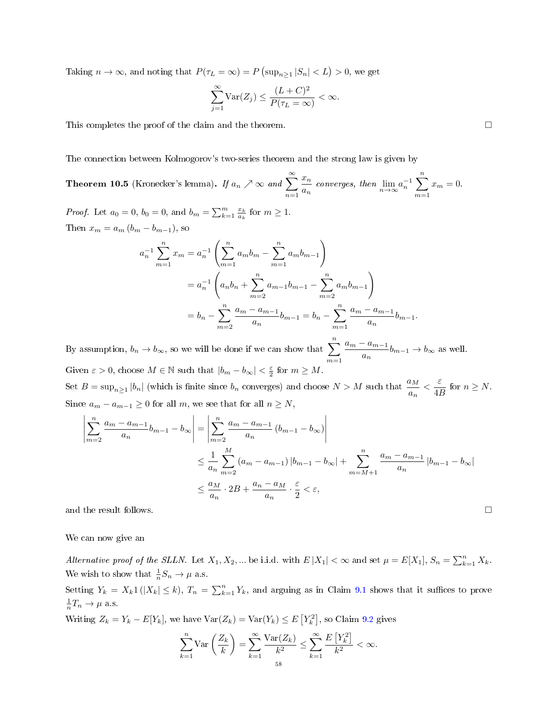Taking  $n \to \infty$ , and noting that  $P(\tau_L = \infty) = P(\sup_{n \geq 1} |S_n| < L) > 0$ , we get

$$
\sum_{j=1}^{\infty} \text{Var}(Z_j) \le \frac{(L+C)^2}{P(\tau_L = \infty)} < \infty.
$$

This completes the proof of the claim and the theorem.

The connection between Kolmogorov's two-series theorem and the strong law is given by

<span id="page-57-0"></span>Theorem 10.5 (Kronecker's lemma). If  $a_n\nearrow\infty$  and  $\sum^{\infty}$  $n=1$  $\bar{x}_n$  $rac{x_n}{a_n}$  converges, then  $\lim_{n\to\infty} a_n^{-1} \sum_{m=1}^n$  $m=1$  $x_m = 0.$ 

*Proof.* Let  $a_0 = 0$ ,  $b_0 = 0$ , and  $b_m = \sum_{k=1}^m \frac{x_k}{a_k}$  for  $m \ge 1$ . Then  $x_m = a_m (b_m - b_{m-1})$ , so

$$
a_n^{-1} \sum_{m=1}^n x_m = a_n^{-1} \left( \sum_{m=1}^n a_m b_m - \sum_{m=1}^n a_m b_{m-1} \right)
$$
  
=  $a_n^{-1} \left( a_n b_n + \sum_{m=2}^n a_{m-1} b_{m-1} - \sum_{m=2}^n a_m b_{m-1} \right)$   
=  $b_n - \sum_{m=2}^n \frac{a_m - a_{m-1}}{a_n} b_{m-1} = b_n - \sum_{m=1}^n \frac{a_m - a_{m-1}}{a_n} b_{m-1}.$ 

By assumption,  $b_n \to b_{\infty}$ , so we will be done if we can show that  $\sum_{n=1}^n$  $m=1$  $a_m - a_{m-1}$  $\frac{\omega_{m-1}}{a_n}b_{m-1}\to b_{\infty}$  as well. Given  $\varepsilon > 0$ , choose  $M \in \mathbb{N}$  such that  $|b_m - b_\infty| < \frac{\varepsilon}{2}$  for  $m \ge M$ .

Set  $B = \sup_{n\geq 1} |b_n|$  (which is finite since  $b_n$  converges) and choose  $N > M$  such that  $\frac{a_M}{a_n} < \frac{\varepsilon}{4R}$  $\frac{c}{4B}$  for  $n \geq N$ . Since  $a_m - a_{m-1} \geq 0$  for all m, we see that for all  $n \geq N$ ,

$$
\left| \sum_{m=2}^{n} \frac{a_m - a_{m-1}}{a_n} b_{m-1} - b_{\infty} \right| = \left| \sum_{m=2}^{n} \frac{a_m - a_{m-1}}{a_n} (b_{m-1} - b_{\infty}) \right|
$$
  

$$
\leq \frac{1}{a_n} \sum_{m=2}^{M} (a_m - a_{m-1}) |b_{m-1} - b_{\infty}| + \sum_{m=M+1}^{n} \frac{a_m - a_{m-1}}{a_n} |b_{m-1} - b_{\infty}|
$$
  

$$
\leq \frac{a_M}{a_n} \cdot 2B + \frac{a_n - a_M}{a_n} \cdot \frac{\varepsilon}{2} < \varepsilon,
$$
  
and the result follows.

We can now give an

Alternative proof of the SLLN. Let  $X_1, X_2, ...$  be i.i.d. with  $E|X_1| < \infty$  and set  $\mu = E[X_1], S_n = \sum_{k=1}^n X_k$ . We wish to show that  $\frac{1}{n}S_n \to \mu$  a.s.

Setting  $Y_k = X_k 1 (|X_k| \le k)$ ,  $T_n = \sum_{k=1}^n Y_k$ , and arguing as in Claim [9.1](#page-50-1) shows that it suffices to prove  $\frac{1}{n}T_n \to \mu$  a.s.

Writing  $Z_k = Y_k - E[Y_k]$ , we have  $Var(Z_k) = Var(Y_k) \le E[Y_k^2]$ , so Claim [9.2](#page-51-0) gives

$$
\sum_{k=1}^{n} \text{Var}\left(\frac{Z_k}{k}\right) = \sum_{k=1}^{\infty} \frac{\text{Var}(Z_k)}{k^2} \le \sum_{k=1}^{\infty} \frac{E\left[Y_k^2\right]}{k^2} < \infty.
$$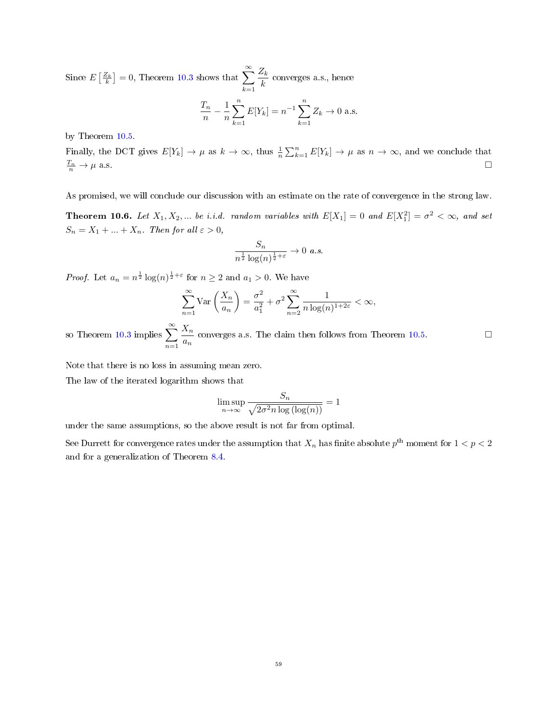Since  $E\left[\frac{Z_k}{k}\right] = 0$ , Theorem [10.3](#page-55-0) shows that  $\sum^{\infty}$  $k=1$  $Z_k$  $\frac{k}{k}$  converges a.s., hence

$$
\frac{T_n}{n} - \frac{1}{n} \sum_{k=1}^n E[Y_k] = n^{-1} \sum_{k=1}^n Z_k \to 0 \text{ a.s.}
$$

by Theorem [10.5.](#page-57-0)

Finally, the DCT gives  $E[Y_k] \to \mu$  as  $k \to \infty$ , thus  $\frac{1}{n} \sum_{k=1}^n E[Y_k] \to \mu$  as  $n \to \infty$ , and we conclude that  $rac{T_n}{n} \to \mu$  a.s.  $\frac{n_n}{n} \to \mu$  a.s.

As promised, we will conclude our discussion with an estimate on the rate of convergence in the strong law.

**Theorem 10.6.** Let  $X_1, X_2, ...$  be i.i.d. random variables with  $E[X_1] = 0$  and  $E[X_1^2] = \sigma^2 < \infty$ , and set  $S_n = X_1 + ... + X_n$ . Then for all  $\varepsilon > 0$ ,

$$
\frac{S_n}{n^{\frac{1}{2}}\log(n)^{\frac{1}{2}+\varepsilon}} \to 0 \ \ a.s.
$$

*Proof.* Let  $a_n = n^{\frac{1}{2}} \log(n)^{\frac{1}{2} + \varepsilon}$  for  $n \geq 2$  and  $a_1 > 0$ . We have

$$
\sum_{n=1}^{\infty} \text{Var}\left(\frac{X_n}{a_n}\right) = \frac{\sigma^2}{a_1^2} + \sigma^2 \sum_{n=2}^{\infty} \frac{1}{n \log(n)^{1+2\varepsilon}} < \infty,
$$

so Theorem [10.3](#page-55-0) implies  $\sum_{n=0}^{\infty}$  $n=1$  $X_n$  $\frac{\Delta_n}{a_n}$  converges a.s. The claim then follows from Theorem [10.5.](#page-57-0)

Note that there is no loss in assuming mean zero.

The law of the iterated logarithm shows that

$$
\limsup_{n \to \infty} \frac{S_n}{\sqrt{2\sigma^2 n \log(\log(n))}} = 1
$$

under the same assumptions, so the above result is not far from optimal.

See Durrett for convergence rates under the assumption that  $X_n$  has finite absolute  $p^{\text{th}}$  moment for  $1 < p < 2$ and for a generalization of Theorem [8.4.](#page-48-0)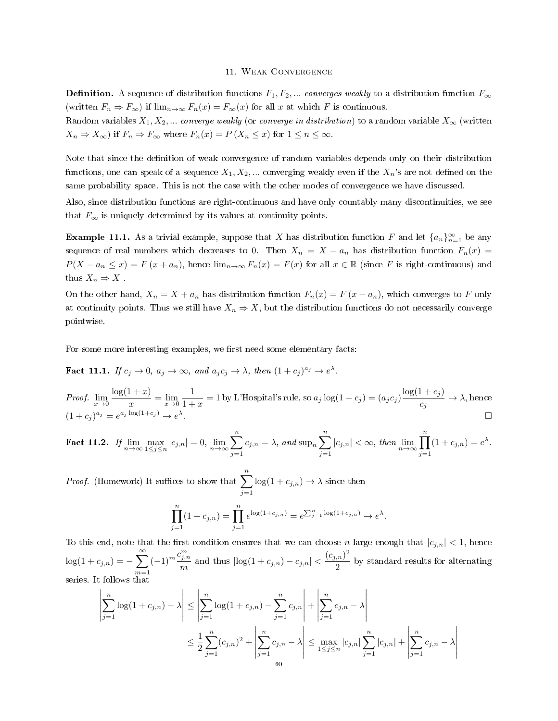## 11. Weak Convergence

**Definition.** A sequence of distribution functions  $F_1, F_2, ...$  converges weakly to a distribution function  $F_{\infty}$ (written  $F_n \Rightarrow F_\infty$ ) if  $\lim_{n\to\infty} F_n(x) = F_\infty(x)$  for all x at which F is continuous.

Random variables  $X_1, X_2, ...$  converge weakly (or converge in distribution) to a random variable  $X_\infty$  (written  $X_n \Rightarrow X_\infty$  if  $F_n \Rightarrow F_\infty$  where  $F_n(x) = P(X_n \leq x)$  for  $1 \leq n \leq \infty$ .

Note that since the definition of weak convergence of random variables depends only on their distribution functions, one can speak of a sequence  $X_1, X_2, ...$  converging weakly even if the  $X_n$ 's are not defined on the same probability space. This is not the case with the other modes of convergence we have discussed.

Also, since distribution functions are right-continuous and have only countably many discontinuities, we see that  $F_{\infty}$  is uniquely determined by its values at continuity points.

**Example 11.1.** As a trivial example, suppose that X has distribution function F and let  $\{a_n\}_{n=1}^{\infty}$  be any sequence of real numbers which decreases to 0. Then  $X_n = X - a_n$  has distribution function  $F_n(x) =$  $P(X - a_n \leq x) = F(x + a_n)$ , hence  $\lim_{n\to\infty} F_n(x) = F(x)$  for all  $x \in \mathbb{R}$  (since F is right-continuous) and thus  $X_n \Rightarrow X$ .

On the other hand,  $X_n = X + a_n$  has distribution function  $F_n(x) = F(x - a_n)$ , which converges to F only at continuity points. Thus we still have  $X_n \Rightarrow X$ , but the distribution functions do not necessarily converge pointwise.

For some more interesting examples, we first need some elementary facts:

<span id="page-59-0"></span>**Fact 11.1.** If  $c_j \to 0$ ,  $a_j \to \infty$ , and  $a_j c_j \to \lambda$ , then  $(1+c_j)^{a_j} \to e^{\lambda}$ .

*Proof.*  $\lim_{x\to 0} \frac{\log(1+x)}{x}$  $\frac{1+x}{x} = \lim_{x\to 0} \frac{1}{1+x}$  $\frac{1}{1+x} = 1$  by L'Hospital's rule, so  $a_j \log(1 + c_j) = (a_j c_j) \frac{\log(1 + c_j)}{c_j}$  $\frac{c_1 + c_2 j}{c_j} \rightarrow \lambda$ , hence  $(1+c_j)^{a_j}=e^{a_j \log(1+c_j)} \to e^{\lambda}$ .

<span id="page-59-1"></span>
$$
\textbf{Fact 11.2.} \quad \textit{If} \lim_{n \to \infty} \max_{1 \leq j \leq n} |c_{j,n}| = 0,\\ \lim_{n \to \infty} \sum_{j=1}^{n} c_{j,n} = \lambda, \text{ and } \sup_{n} \sum_{j=1}^{n} |c_{j,n}| < \infty, \text{ then } \lim_{n \to \infty} \prod_{j=1}^{n} (1 + c_{j,n}) = e^{\lambda}.
$$

*Proof.* (Homework) It suffices to show that  $\sum_{n=1}^{n}$  $j=1$  $log(1 + c_{j,n}) \rightarrow \lambda$  since then  $\prod_{i=1}^{n} (1 + c_{j,n}) = \prod_{i=1}^{n} e^{\log(1 + c_{j,n})} = e^{\sum_{j=1}^{n} \log(1 + c_{j,n})} \to e^{\log(1 + c_{j,n})}$ 

$$
\prod_{j=1} (1 + c_{j,n}) = \prod_{j=1} e^{\log(1 + c_{j,n})} = e^{\sum_{j=1}^{n} \log(1 + c_{j,n})} \to e^{\lambda}.
$$
  
To this end, note that the first condition ensures that we can choose *n* large enough that  $|c_{j,n}| < 1$ , hence

 $log(1 + c_{j,n}) = -\sum_{i=1}^{\infty}$  $m=1$  $(-1)^m \frac{c_{j,n}^m}{\cdots}$  $\frac{m^{m}}{m}$  and thus  $|\log(1 + c_{j,n}) - c_{j,n}| < \frac{(c_{j,n})^2}{2}$  $\frac{1}{2}$  by standard results for alternating series. It follows that

$$
\left| \sum_{j=1}^{n} \log(1 + c_{j,n}) - \lambda \right| \le \left| \sum_{j=1}^{n} \log(1 + c_{j,n}) - \sum_{j=1}^{n} c_{j,n} \right| + \left| \sum_{j=1}^{n} c_{j,n} - \lambda \right|
$$
  

$$
\le \frac{1}{2} \sum_{j=1}^{n} (c_{j,n})^2 + \left| \sum_{j=1}^{n} c_{j,n} - \lambda \right| \le \max_{1 \le j \le n} |c_{j,n}| \sum_{j=1}^{n} |c_{j,n}| + \left| \sum_{j=1}^{n} c_{j,n} - \lambda \right|
$$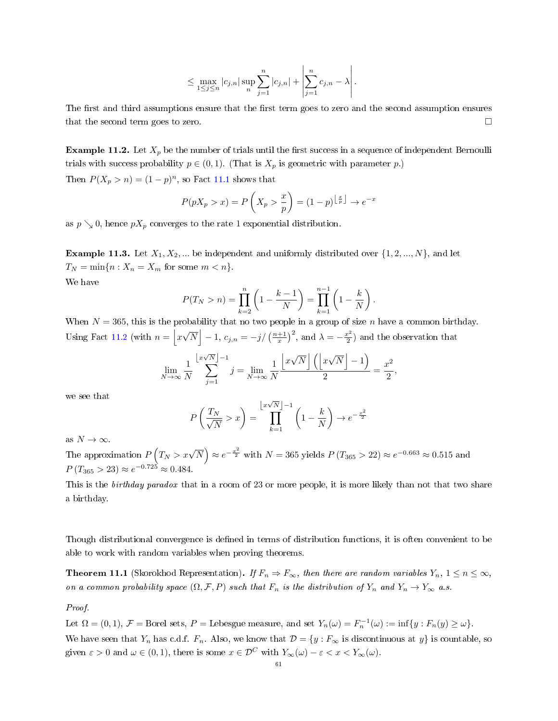$$
\leq \max_{1 \leq j \leq n} |c_{j,n}| \sup_n \sum_{j=1}^n |c_{j,n}| + \left| \sum_{j=1}^n c_{j,n} - \lambda \right|.
$$

The first and third assumptions ensure that the first term goes to zero and the second assumption ensures that the second term goes to zero.

**Example 11.2.** Let  $X_p$  be the number of trials until the first success in a sequence of independent Bernoulli trials with success probability  $p \in (0, 1)$ . (That is  $X_p$  is geometric with parameter p.)

Then  $P(X_p > n) = (1 - p)^n$ , so Fact [11.1](#page-59-0) shows that

$$
P(pX_p > x) = P\left(X_p > \frac{x}{p}\right) = (1-p)^{\left\lfloor \frac{x}{p} \right\rfloor} \to e^{-x}
$$

as  $p \searrow 0$ , hence  $pX_p$  converges to the rate 1 exponential distribution.

**Example 11.3.** Let  $X_1, X_2, ...$  be independent and uniformly distributed over  $\{1, 2, ..., N\}$ , and let  $T_N = \min\{n : X_n = X_m \text{ for some } m < n\}.$ 

We have

$$
P(T_N > n) = \prod_{k=2}^{n} \left( 1 - \frac{k-1}{N} \right) = \prod_{k=1}^{n-1} \left( 1 - \frac{k}{N} \right).
$$

When  $N = 365$ , this is the probability that no two people in a group of size n have a common birthday. Using Fact [11.2](#page-59-1) (with  $n = |x|$ √  $\overline{N}$  | -1,  $c_{j,n} = -j/\left(\frac{n+1}{x}\right)^2$ , and  $\lambda = -\frac{x^2}{2}$  $\frac{c^2}{2}$ ) and the observation that

$$
\lim_{N \to \infty} \frac{1}{N} \sum_{j=1}^{\lfloor x\sqrt{N} \rfloor - 1} j = \lim_{N \to \infty} \frac{1}{N} \frac{\lfloor x\sqrt{N} \rfloor \left( \lfloor x\sqrt{N} \rfloor - 1 \right)}{2} = \frac{x^2}{2}
$$

,

we see that

$$
P\left(\frac{T_N}{\sqrt{N}} > x\right) = \prod_{k=1}^{\left\lfloor x\sqrt{N} \right\rfloor-1} \left(1 - \frac{k}{N}\right) \to e^{-\frac{x^2}{2}}
$$

as  $N \to \infty$ .

The approximation  $P\left(T_N > x\sqrt{N}\right) \approx e^{-\frac{x^2}{2}}$  with  $N = 365$  yields  $P\left(T_{365} > 22\right) \approx e^{-0.663} \approx 0.515$  and  $P(T_{365} > 23) \approx e^{-0.725} \approx 0.484.$ 

This is the *birthday paradox* that in a room of 23 or more people, it is more likely than not that two share a birthday.

Though distributional convergence is defined in terms of distribution functions, it is often convenient to be able to work with random variables when proving theorems.

<span id="page-60-0"></span>**Theorem 11.1** (Skorokhod Representation). If  $F_n \Rightarrow F_\infty$ , then there are random variables  $Y_n$ ,  $1 \leq n \leq \infty$ , on a common probability space  $(\Omega, \mathcal{F}, P)$  such that  $F_n$  is the distribution of  $Y_n$  and  $Y_n \to Y_\infty$  a.s.

Proof.

Let  $\Omega = (0,1)$ ,  $\mathcal{F} =$  Borel sets,  $P =$  Lebesgue measure, and set  $Y_n(\omega) = F_n^{-1}(\omega) := \inf\{y : F_n(y) \ge \omega\}.$ We have seen that  $Y_n$  has c.d.f.  $F_n$ . Also, we know that  $\mathcal{D} = \{y : F_\infty \text{ is discontinuous at } y\}$  is countable, so given  $\varepsilon > 0$  and  $\omega \in (0, 1)$ , there is some  $x \in \mathcal{D}^C$  with  $Y_\infty(\omega) - \varepsilon < x < Y_\infty(\omega)$ .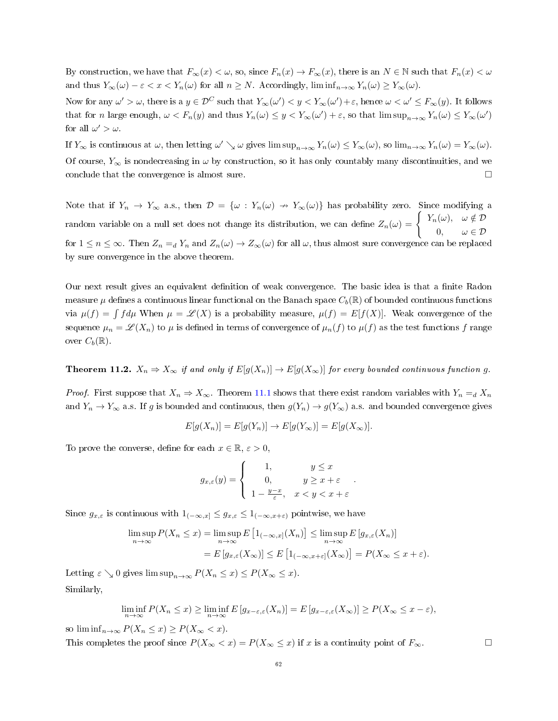By construction, we have that  $F_{\infty}(x) < \omega$ , so, since  $F_n(x) \to F_{\infty}(x)$ , there is an  $N \in \mathbb{N}$  such that  $F_n(x) < \omega$ and thus  $Y_\infty(\omega) - \varepsilon < x < Y_n(\omega)$  for all  $n \geq N$ . Accordingly,  $\liminf_{n \to \infty} Y_n(\omega) \geq Y_\infty(\omega)$ .

Now for any  $\omega'>\omega$ , there is a  $y\in\mathcal{D}^C$  such that  $Y_\infty(\omega')< y< Y_\infty(\omega')+\varepsilon$ , hence  $\omega<\omega'\leq F_\infty(y)$ . It follows that for *n* large enough,  $\omega < F_n(y)$  and thus  $Y_n(\omega) \leq y < Y_\infty(\omega') + \varepsilon$ , so that  $\limsup_{n\to\infty} Y_n(\omega) \leq Y_\infty(\omega')$ for all  $\omega' > \omega$ .

If  $Y_{\infty}$  is continuous at  $\omega$ , then letting  $\omega' \searrow \omega$  gives  $\limsup_{n \to \infty} Y_n(\omega) \le Y_{\infty}(\omega)$ , so  $\lim_{n \to \infty} Y_n(\omega) = Y_{\infty}(\omega)$ . Of course,  $Y_{\infty}$  is nondecreasing in  $\omega$  by construction, so it has only countably many discontinuities, and we conclude that the convergence is almost sure.

Note that if  $Y_n \to Y_\infty$  a.s., then  $\mathcal{D} = {\omega : Y_n(\omega) \to Y_\infty(\omega)}$  has probability zero. Since modifying a random variable on a null set does not change its distribution, we can define  $Z_n(\omega) = \begin{cases} Y_n(\omega), & \omega \notin \mathcal{D} \end{cases}$ 0,  $\omega \in \mathcal{D}$ for  $1 \le n \le \infty$ . Then  $Z_n =_d Y_n$  and  $Z_n(\omega) \to Z_\infty(\omega)$  for all  $\omega$ , thus almost sure convergence can be replaced by sure convergence in the above theorem.

Our next result gives an equivalent definition of weak convergence. The basic idea is that a finite Radon measure  $\mu$  defines a continuous linear functional on the Banach space  $C_b(\mathbb{R})$  of bounded continuous functions via  $\mu(f) = \int f d\mu$  When  $\mu = \mathscr{L}(X)$  is a probability measure,  $\mu(f) = E[f(X)]$ . Weak convergence of the sequence  $\mu_n = \mathscr{L}(X_n)$  to  $\mu$  is defined in terms of convergence of  $\mu_n(f)$  to  $\mu(f)$  as the test functions f range over  $C_b(\mathbb{R})$ .

<span id="page-61-0"></span>**Theorem 11.2.**  $X_n \Rightarrow X_\infty$  if and only if  $E[g(X_n)] \to E[g(X_\infty)]$  for every bounded continuous function g.

*Proof.* First suppose that  $X_n \Rightarrow X_\infty$ . Theorem [11.1](#page-60-0) shows that there exist random variables with  $Y_n = d X_n$ and  $Y_n \to Y_\infty$  a.s. If g is bounded and continuous, then  $g(Y_n) \to g(Y_\infty)$  a.s. and bounded convergence gives

$$
E[g(X_n)] = E[g(Y_n)] \to E[g(Y_\infty)] = E[g(X_\infty)].
$$

To prove the converse, define for each  $x \in \mathbb{R}, \varepsilon > 0$ ,

$$
g_{x,\varepsilon}(y) = \begin{cases} 1, & y \leq x \\ 0, & y \geq x + \varepsilon \\ 1 - \frac{y-x}{\varepsilon}, & x < y < x + \varepsilon \end{cases}.
$$

Since  $g_{x,\varepsilon}$  is continuous with  $1_{(-\infty,x]}\leq g_{x,\varepsilon}\leq 1_{(-\infty,x+\varepsilon)}$  pointwise, we have

$$
\limsup_{n \to \infty} P(X_n \le x) = \limsup_{n \to \infty} E\left[1_{(-\infty, x]}(X_n)\right] \le \limsup_{n \to \infty} E\left[g_{x, \varepsilon}(X_n)\right]
$$

$$
= E\left[g_{x, \varepsilon}(X_{\infty})\right] \le E\left[1_{(-\infty, x+\varepsilon]}(X_{\infty})\right] = P(X_{\infty} \le x+\varepsilon).
$$

Letting  $\varepsilon \searrow 0$  gives  $\limsup_{n\to\infty} P(X_n \leq x) \leq P(X_\infty \leq x)$ . Similarly,

$$
\liminf_{n \to \infty} P(X_n \le x) \ge \liminf_{n \to \infty} E[g_{x-\varepsilon,\varepsilon}(X_n)] = E[g_{x-\varepsilon,\varepsilon}(X_\infty)] \ge P(X_\infty \le x - \varepsilon),
$$

so  $\liminf_{n\to\infty} P(X_n \leq x) \geq P(X_\infty < x)$ .

This completes the proof since  $P(X_{\infty} < x) = P(X_{\infty} \leq x)$  if x is a continuity point of  $F_{\infty}$ .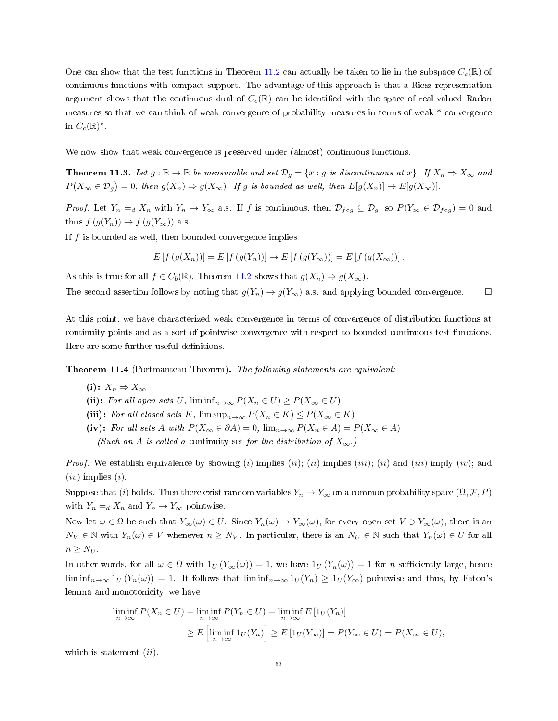One can show that the test functions in Theorem [11.2](#page-61-0) can actually be taken to lie in the subspace  $C_c(\mathbb{R})$  of continuous functions with compact support. The advantage of this approach is that a Riesz representation argument shows that the continuous dual of  $C_c(\mathbb{R})$  can be identified with the space of real-valued Radon measures so that we can think of weak convergence of probability measures in terms of weak-\* convergence in  $C_c(\mathbb{R})^*$ .

We now show that weak convergence is preserved under (almost) continuous functions.

**Theorem 11.3.** Let  $g : \mathbb{R} \to \mathbb{R}$  be measurable and set  $\mathcal{D}_g = \{x : g \text{ is discontinuous at } x\}$ . If  $X_n \Rightarrow X_\infty$  and  $P(X_{\infty} \in \mathcal{D}_g) = 0$ , then  $g(X_n) \Rightarrow g(X_{\infty})$ . If g is bounded as well, then  $E[g(X_n)] \to E[g(X_{\infty})]$ .

*Proof.* Let  $Y_n = d X_n$  with  $Y_n \to Y_\infty$  a.s. If f is continuous, then  $\mathcal{D}_{f \circ g} \subseteq \mathcal{D}_g$ , so  $P(Y_\infty \in \mathcal{D}_{f \circ g}) = 0$  and thus  $f(g(Y_n)) \to f(g(Y_\infty))$  a.s.

If  $f$  is bounded as well, then bounded convergence implies

$$
E[f(g(X_n))] = E[f(g(Y_n))] \to E[f(g(Y_{\infty}))] = E[f(g(X_{\infty}))].
$$

As this is true for all  $f \in C_b(\mathbb{R})$ , Theorem [11.2](#page-61-0) shows that  $g(X_n) \Rightarrow g(X_\infty)$ .

The second assertion follows by noting that  $g(Y_n) \to g(Y_\infty)$  a.s. and applying bounded convergence.

At this point, we have characterized weak convergence in terms of convergence of distribution functions at continuity points and as a sort of pointwise convergence with respect to bounded continuous test functions. Here are some further useful definitions.

Theorem 11.4 (Portmanteau Theorem). The following statements are equivalent:

- (i):  $X_n \Rightarrow X_\infty$
- (ii): For all open sets U,  $\liminf_{n\to\infty} P(X_n \in U) \geq P(X_\infty \in U)$
- (iii): For all closed sets K,  $\limsup_{n\to\infty} P(X_n \in K) \leq P(X_\infty \in K)$
- (iv): For all sets A with  $P(X_\infty \in \partial A) = 0$ ,  $\lim_{n \to \infty} P(X_n \in A) = P(X_\infty \in A)$

(Such an A is called a continuity set for the distribution of  $X_{\infty}$ .)

*Proof.* We establish equivalence by showing (i) implies (ii); (ii) implies (iii); (ii) and (iii) imply (iv); and  $(iv)$  implies  $(i)$ .

Suppose that (i) holds. Then there exist random variables  $Y_n \to Y_\infty$  on a common probability space  $(\Omega, \mathcal{F}, P)$ with  $Y_n =_d X_n$  and  $Y_n \to Y_\infty$  pointwise.

Now let  $\omega \in \Omega$  be such that  $Y_{\infty}(\omega) \in U$ . Since  $Y_n(\omega) \to Y_{\infty}(\omega)$ , for every open set  $V \ni Y_{\infty}(\omega)$ , there is an  $N_V \in \mathbb{N}$  with  $Y_n(\omega) \in V$  whenever  $n \ge N_V$ . In particular, there is an  $N_U \in \mathbb{N}$  such that  $Y_n(\omega) \in U$  for all  $n \geq N_U$ .

In other words, for all  $\omega \in \Omega$  with  $1_U(Y_\infty(\omega)) = 1$ , we have  $1_U(Y_n(\omega)) = 1$  for n sufficiently large, hence  $\liminf_{n\to\infty}$   $1_U(Y_n(\omega))=1$ . It follows that  $\liminf_{n\to\infty}$   $1_U(Y_n)\geq 1_U(Y_\infty)$  pointwise and thus, by Fatou's lemma and monotonicity, we have

$$
\liminf_{n \to \infty} P(X_n \in U) = \liminf_{n \to \infty} P(Y_n \in U) = \liminf_{n \to \infty} E\left[1_U(Y_n)\right]
$$
  
\n
$$
\geq E\left[\liminf_{n \to \infty} 1_U(Y_n)\right] \geq E\left[1_U(Y_\infty)\right] = P(Y_\infty \in U) = P(X_\infty \in U),
$$

which is statement  $(ii)$ .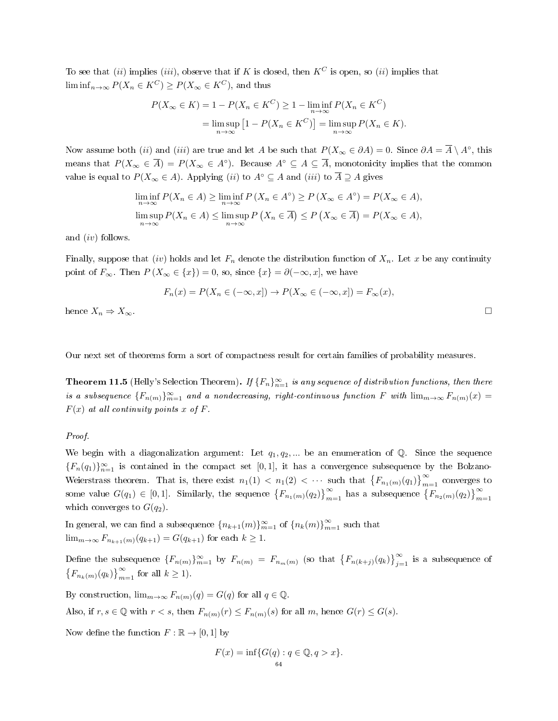To see that (ii) implies (iii), observe that if K is closed, then  $K^C$  is open, so (ii) implies that  $\liminf_{n\to\infty} P(X_n \in K^C) \geq P(X_\infty \in K^C)$ , and thus

$$
P(X_{\infty} \in K) = 1 - P(X_n \in K^C) \ge 1 - \liminf_{n \to \infty} P(X_n \in K^C)
$$
  
= 
$$
\limsup_{n \to \infty} [1 - P(X_n \in K^C)] = \limsup_{n \to \infty} P(X_n \in K).
$$

Now assume both (ii) and (iii) are true and let A be such that  $P(X_\infty \in \partial A) = 0$ . Since  $\partial A = \overline{A} \setminus A^\circ$ , this means that  $P(X_\infty \in \overline{A}) = P(X_\infty \in A^\circ)$ . Because  $A^\circ \subseteq A \subseteq \overline{A}$ , monotonicity implies that the common value is equal to  $P(X_\infty \in A)$ . Applying (ii) to  $A^\circ \subseteq A$  and (iii) to  $\overline{A} \supseteq A$  gives

$$
\liminf_{n \to \infty} P(X_n \in A) \ge \liminf_{n \to \infty} P(X_n \in A^\circ) \ge P(X_\infty \in A^\circ) = P(X_\infty \in A),
$$
  

$$
\limsup_{n \to \infty} P(X_n \in A) \le \limsup_{n \to \infty} P(X_n \in \overline{A}) \le P(X_\infty \in \overline{A}) = P(X_\infty \in A),
$$

and (iv) follows.

Finally, suppose that *(iv)* holds and let  $F_n$  denote the distribution function of  $X_n$ . Let x be any continuity point of  $F_{\infty}$ . Then  $P(X_{\infty} \in \{x\}) = 0$ , so, since  $\{x\} = \partial(-\infty, x]$ , we have

$$
F_n(x) = P(X_n \in (-\infty, x]) \to P(X_\infty \in (-\infty, x]) = F_\infty(x),
$$

hence  $X_n \Rightarrow X_\infty$ .

Our next set of theorems form a sort of compactness result for certain families of probability measures.

<span id="page-63-0"></span>**Theorem 11.5** (Helly's Selection Theorem). If  ${F_n}_{n=1}^{\infty}$  is any sequence of distribution functions, then there is a subsequence  ${F_{n(m)}}_{m=1}^{\infty}$  and a nondecreasing, right-continuous function F with  $\lim_{m\to\infty}F_{n(m)}(x)$  =  $F(x)$  at all continuity points x of F.

## Proof.

We begin with a diagonalization argument: Let  $q_1, q_2, ...$  be an enumeration of Q. Since the sequence  ${F_n(q_1)}_{n=1}^{\infty}$  is contained in the compact set [0,1], it has a convergence subsequence by the Bolzano-Weierstrass theorem. That is, there exist  $n_1(1) < n_1(2) < \cdots$  such that  $\{F_{n_1(m)}(q_1)\}_{m=1}^{\infty}$  converges to some value  $G(q_1) \in [0,1]$ . Similarly, the sequence  $\{F_{n_1(m)}(q_2)\}_{m=1}^{\infty}$  has a subsequence  $\{F_{n_2(m)}(q_2)\}_{m=1}^{\infty}$ which converges to  $G(q_2)$ .

In general, we can find a subsequence  ${n_{k+1}(m)}_{m=1}^{\infty}$  of  ${n_k(m)}_{m=1}^{\infty}$  such that  $\lim_{m\to\infty} F_{n_{k+1}(m)}(q_{k+1}) = G(q_{k+1})$  for each  $k \geq 1$ .

Define the subsequence  ${F_{n(m)}}_{m=1}^{\infty}$  by  $F_{n(m)} = F_{n_m(m)}$  (so that  ${F_{n(k+j)}(q_k)}_{j=1}^{\infty}$  is a subsequence of  $\left\{F_{n_k(m)}(q_k)\right\}_{m=1}^{\infty}$  for all  $k \geq 1$ ).

By construction,  $\lim_{m\to\infty} F_{n(m)}(q) = G(q)$  for all  $q \in \mathbb{Q}$ . Also, if  $r, s \in \mathbb{Q}$  with  $r < s$ , then  $F_{n(m)}(r) \leq F_{n(m)}(s)$  for all m, hence  $G(r) \leq G(s)$ .

Now define the function  $F : \mathbb{R} \to [0,1]$  by

$$
F(x) = \inf \{ G(q) : q \in \mathbb{Q}, q > x \}.
$$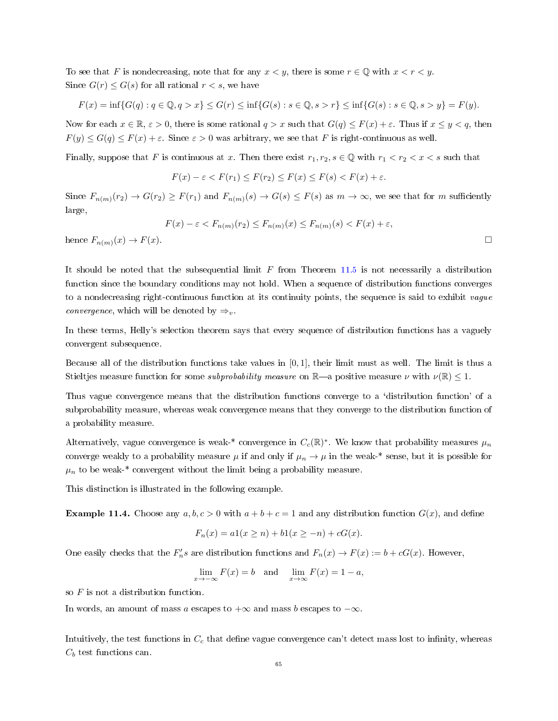To see that F is nondecreasing, note that for any  $x < y$ , there is some  $r \in \mathbb{Q}$  with  $x < r < y$ . Since  $G(r) \leq G(s)$  for all rational  $r < s$ , we have

$$
F(x) = \inf \{ G(q) : q \in \mathbb{Q}, q > x \} \le G(r) \le \inf \{ G(s) : s \in \mathbb{Q}, s > r \} \le \inf \{ G(s) : s \in \mathbb{Q}, s > y \} = F(y).
$$

Now for each  $x \in \mathbb{R}$ ,  $\varepsilon > 0$ , there is some rational  $q > x$  such that  $G(q) \leq F(x) + \varepsilon$ . Thus if  $x \leq y < q$ , then  $F(y) \leq G(q) \leq F(x) + \varepsilon$ . Since  $\varepsilon > 0$  was arbitrary, we see that F is right-continuous as well.

Finally, suppose that F is continuous at x. Then there exist  $r_1, r_2, s \in \mathbb{Q}$  with  $r_1 < r_2 < x < s$  such that

$$
F(x) - \varepsilon < F(r_1) \le F(r_2) \le F(x) \le F(s) < F(x) + \varepsilon.
$$

Since  $F_{n(m)}(r_2) \to G(r_2) \geq F(r_1)$  and  $F_{n(m)}(s) \to G(s) \leq F(s)$  as  $m \to \infty$ , we see that for m sufficiently large,

$$
F(x) - \varepsilon < F_{n(m)}(r_2) \le F_{n(m)}(x) \le F_{n(m)}(s) < F(x) + \varepsilon,
$$
\nhence  $F_{n(m)}(x) \to F(x)$ .

It should be noted that the subsequential limit  $F$  from Theorem [11.5](#page-63-0) is not necessarily a distribution function since the boundary conditions may not hold. When a sequence of distribution functions converges to a nondecreasing right-continuous function at its continuity points, the sequence is said to exhibit vague *convergence*, which will be denoted by  $\Rightarrow_v$ .

In these terms, Helly's selection theorem says that every sequence of distribution functions has a vaguely convergent subsequence.

Because all of the distribution functions take values in [0, 1], their limit must as well. The limit is thus a Stieltjes measure function for some *subprobability measure* on  $\mathbb{R}$ —a positive measure  $\nu$  with  $\nu(\mathbb{R})$  < 1.

Thus vague convergence means that the distribution functions converge to a 'distribution function' of a subprobability measure, whereas weak convergence means that they converge to the distribution function of a probability measure.

Alternatively, vague convergence is weak-\* convergence in  $C_c(\mathbb{R})^*$ . We know that probability measures  $\mu_n$ converge weakly to a probability measure  $\mu$  if and only if  $\mu_n \to \mu$  in the weak-\* sense, but it is possible for  $\mu_n$  to be weak-\* convergent without the limit being a probability measure.

This distinction is illustrated in the following example.

**Example 11.4.** Choose any  $a, b, c > 0$  with  $a + b + c = 1$  and any distribution function  $G(x)$ , and define

$$
F_n(x) = a1(x \ge n) + b1(x \ge -n) + cG(x).
$$

One easily checks that the  $F_n's$  are distribution functions and  $F_n(x) \to F(x) := b + cG(x)$ . However,

$$
\lim_{x \to -\infty} F(x) = b \quad \text{and} \quad \lim_{x \to \infty} F(x) = 1 - a,
$$

so  $F$  is not a distribution function.

In words, an amount of mass a escapes to  $+\infty$  and mass b escapes to  $-\infty$ .

Intuitively, the test functions in  $C_c$  that define vague convergence can't detect mass lost to infinity, whereas  $C_b$  test functions can.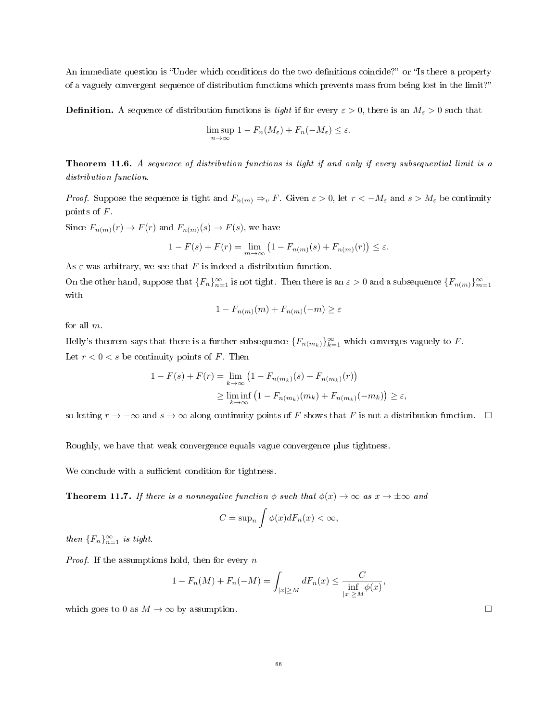An immediate question is "Under which conditions do the two definitions coincide?" or "Is there a property of a vaguely convergent sequence of distribution functions which prevents mass from being lost in the limit?

**Definition.** A sequence of distribution functions is tight if for every  $\varepsilon > 0$ , there is an  $M_{\varepsilon} > 0$  such that

$$
\limsup_{n\to\infty} 1 - F_n(M_\varepsilon) + F_n(-M_\varepsilon) \le \varepsilon.
$$

<span id="page-65-0"></span>Theorem 11.6. A sequence of distribution functions is tight if and only if every subsequential limit is a distribution function.

*Proof.* Suppose the sequence is tight and  $F_{n(m)} \Rightarrow_v F$ . Given  $\varepsilon > 0$ , let  $r < -M_{\varepsilon}$  and  $s > M_{\varepsilon}$  be continuity points of F.

Since  $F_{n(m)}(r) \to F(r)$  and  $F_{n(m)}(s) \to F(s)$ , we have

$$
1 - F(s) + F(r) = \lim_{m \to \infty} \left( 1 - F_{n(m)}(s) + F_{n(m)}(r) \right) \le \varepsilon.
$$

As  $\varepsilon$  was arbitrary, we see that F is indeed a distribution function.

On the other hand, suppose that  ${F_n}_{n=1}^{\infty}$  is not tight. Then there is an  $\varepsilon > 0$  and a subsequence  ${F_{n(m)}}_{m=1}^{\infty}$ with

$$
1 - F_{n(m)}(m) + F_{n(m)}(-m) \ge \varepsilon
$$

for all m.

Helly's theorem says that there is a further subsequence  $\{F_{n(m_k)}\}_{k=1}^{\infty}$  which converges vaguely to F. Let  $r < 0 < s$  be continuity points of F. Then

$$
1 - F(s) + F(r) = \lim_{k \to \infty} (1 - F_{n(m_k)}(s) + F_{n(m_k)}(r))
$$
  
 
$$
\geq \liminf_{k \to \infty} (1 - F_{n(m_k)}(m_k) + F_{n(m_k)}(-m_k)) \geq \varepsilon,
$$

so letting  $r \to -\infty$  and  $s \to \infty$  along continuity points of F shows that F is not a distribution function.  $\Box$ 

Roughly, we have that weak convergence equals vague convergence plus tightness.

We conclude with a sufficient condition for tightness.

**Theorem 11.7.** If there is a nonnegative function  $\phi$  such that  $\phi(x) \to \infty$  as  $x \to \pm \infty$  and

$$
C = \sup_n \int \phi(x) dF_n(x) < \infty,
$$

then  ${F_n}_{n=1}^{\infty}$  is tight.

*Proof.* If the assumptions hold, then for every  $n$ 

$$
1 - F_n(M) + F_n(-M) = \int_{|x| \ge M} dF_n(x) \le \frac{C}{\inf_{|x| \ge M} \phi(x)},
$$

which goes to 0 as  $M \to \infty$  by assumption.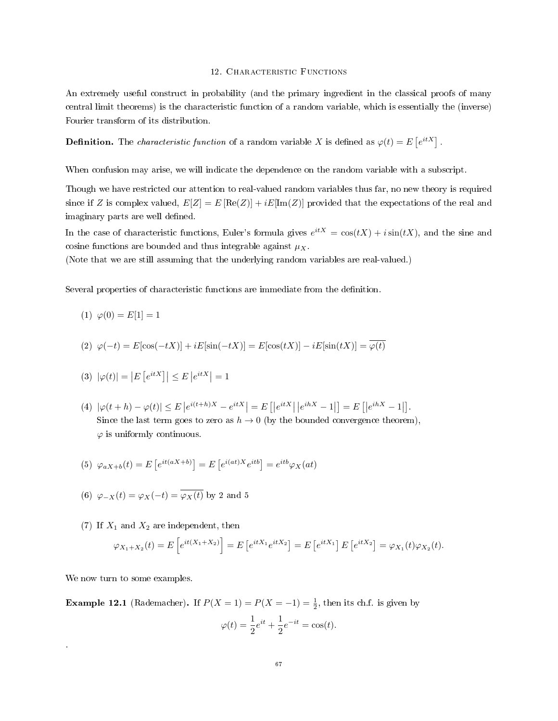### 12. CHARACTERISTIC FUNCTIONS

An extremely useful construct in probability (and the primary ingredient in the classical proofs of many central limit theorems) is the characteristic function of a random variable, which is essentially the (inverse) Fourier transform of its distribution.

**Definition.** The *characteristic function* of a random variable X is defined as  $\varphi(t) = E\left[e^{itX}\right]$ .

When confusion may arise, we will indicate the dependence on the random variable with a subscript.

Though we have restricted our attention to real-valued random variables thus far, no new theory is required since if Z is complex valued,  $E[Z] = E[Re(Z)] + iE[Im(Z)]$  provided that the expectations of the real and imaginary parts are well defined.

In the case of characteristic functions, Euler's formula gives  $e^{itX} = \cos(tX) + i\sin(tX)$ , and the sine and cosine functions are bounded and thus integrable against  $\mu_X$ .

(Note that we are still assuming that the underlying random variables are real-valued.)

Several properties of characteristic functions are immediate from the definition.

(1)  $\varphi(0) = E[1] = 1$ 

(2) 
$$
\varphi(-t) = E[\cos(-tX)] + iE[\sin(-tX)] = E[\cos(tX)] - iE[\sin(tX)] = \varphi(t)
$$

(3) 
$$
|\varphi(t)| = |E[e^{itX}]| \le E|e^{itX}| = 1
$$

(4)  $|\varphi(t+h) - \varphi(t)| \le E |e^{i(t+h)X} - e^{itX}| = E[|e^{itX}||e^{ihX} - 1|] = E[|e^{ihX} - 1|].$ Since the last term goes to zero as  $h \to 0$  (by the bounded convergence theorem).  $\varphi$  is uniformly continuous.

(5) 
$$
\varphi_{aX+b}(t) = E\left[e^{it(aX+b)}\right] = E\left[e^{i(at)X}e^{itb}\right] = e^{itb}\varphi_X(at)
$$

- (6)  $\varphi_{-X}(t) = \varphi_X(-t) = \overline{\varphi_X(t)}$  by 2 and 5
- (7) If  $X_1$  and  $X_2$  are independent, then

$$
\varphi_{X_1+X_2}(t) = E\left[e^{it(X_1+X_2)}\right] = E\left[e^{itX_1}e^{itX_2}\right] = E\left[e^{itX_1}\right]E\left[e^{itX_2}\right] = \varphi_{X_1}(t)\varphi_{X_2}(t).
$$

We now turn to some examples.

.

**Example 12.1** (Rademacher). If  $P(X = 1) = P(X = -1) = \frac{1}{2}$ , then its ch.f. is given by

$$
\varphi(t) = \frac{1}{2}e^{it} + \frac{1}{2}e^{-it} = \cos(t).
$$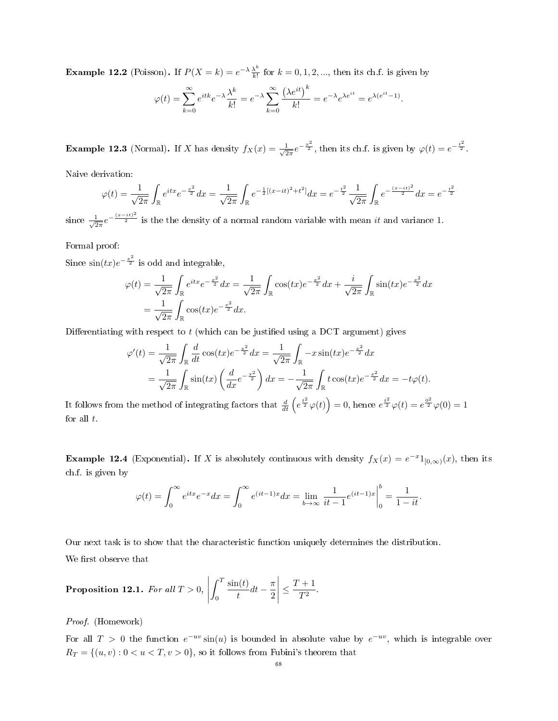**Example 12.2** (Poisson). If  $P(X = k) = e^{-\lambda} \frac{\lambda^k}{k!}$  $\frac{\lambda^{k}}{k!}$  for  $k = 0, 1, 2, ...,$  then its ch.f. is given by

$$
\varphi(t) = \sum_{k=0}^{\infty} e^{itk} e^{-\lambda} \frac{\lambda^k}{k!} = e^{-\lambda} \sum_{k=0}^{\infty} \frac{(\lambda e^{it})^k}{k!} = e^{-\lambda} e^{\lambda e^{it}} = e^{\lambda (e^{it} - 1)}.
$$

**Example 12.3** (Normal). If X has density  $f_X(x) = \frac{1}{\sqrt{2}}$  $\frac{1}{2\pi}e^{-\frac{x^2}{2}}$ , then its ch.f. is given by  $\varphi(t) = e^{-\frac{t^2}{2}}$ .

Naive derivation:

$$
\varphi(t) = \frac{1}{\sqrt{2\pi}} \int_{\mathbb{R}} e^{itx} e^{-\frac{x^2}{2}} dx = \frac{1}{\sqrt{2\pi}} \int_{\mathbb{R}} e^{-\frac{1}{2}[(x-it)^2 + t^2]} dx = e^{-\frac{t^2}{2}} \frac{1}{\sqrt{2\pi}} \int_{\mathbb{R}} e^{-\frac{(x-it)^2}{2}} dx = e^{-\frac{t^2}{2}}
$$

since  $\frac{1}{\sqrt{2}}$  $\frac{1}{2\pi}e^{-\frac{(x-it)^2}{2}}$  is the the density of a normal random variable with mean it and variance 1.

Formal proof:

Since  $\sin(tx)e^{-\frac{x^2}{2}}$  is odd and integrable,

$$
\varphi(t) = \frac{1}{\sqrt{2\pi}} \int_{\mathbb{R}} e^{itx} e^{-\frac{x^2}{2}} dx = \frac{1}{\sqrt{2\pi}} \int_{\mathbb{R}} \cos(tx) e^{-\frac{x^2}{2}} dx + \frac{i}{\sqrt{2\pi}} \int_{\mathbb{R}} \sin(tx) e^{-\frac{x^2}{2}} dx \n= \frac{1}{\sqrt{2\pi}} \int_{\mathbb{R}} \cos(tx) e^{-\frac{x^2}{2}} dx.
$$

Differentiating with respect to  $t$  (which can be justified using a DCT argument) gives

$$
\varphi'(t) = \frac{1}{\sqrt{2\pi}} \int_{\mathbb{R}} \frac{d}{dt} \cos(tx) e^{-\frac{x^2}{2}} dx = \frac{1}{\sqrt{2\pi}} \int_{\mathbb{R}} -x \sin(tx) e^{-\frac{x^2}{2}} dx
$$
  
=  $\frac{1}{\sqrt{2\pi}} \int_{\mathbb{R}} \sin(tx) \left(\frac{d}{dx} e^{-\frac{x^2}{2}}\right) dx = -\frac{1}{\sqrt{2\pi}} \int_{\mathbb{R}} t \cos(tx) e^{-\frac{x^2}{2}} dx = -t \varphi(t).$ 

It follows from the method of integrating factors that  $\frac{d}{dt}\left(e^{\frac{t^2}{2}}\varphi(t)\right) = 0$ , hence  $e^{\frac{t^2}{2}}\varphi(t) = e^{\frac{0^2}{2}}\varphi(0) = 1$ for all  $t$ .

**Example 12.4** (Exponential). If X is absolutely continuous with density  $f_X(x) = e^{-x}1_{[0,\infty)}(x)$ , then its ch.f. is given by

$$
\varphi(t) = \int_0^\infty e^{itx} e^{-x} dx = \int_0^\infty e^{(it-1)x} dx = \lim_{b \to \infty} \frac{1}{it-1} e^{(it-1)x} \Big|_0^b = \frac{1}{1-it}.
$$

Our next task is to show that the characteristic function uniquely determines the distribution. We first observe that

<span id="page-67-0"></span>**Proposition 12.1.** For all 
$$
T > 0
$$
,  $\left| \int_0^T \frac{\sin(t)}{t} dt - \frac{\pi}{2} \right| \leq \frac{T+1}{T^2}$ .

Proof. (Homework)

For all  $T > 0$  the function  $e^{-uv} \sin(u)$  is bounded in absolute value by  $e^{-uv}$ , which is integrable over  $R_T = \{(u, v) : 0 < u < T, v > 0\}$ , so it follows from Fubini's theorem that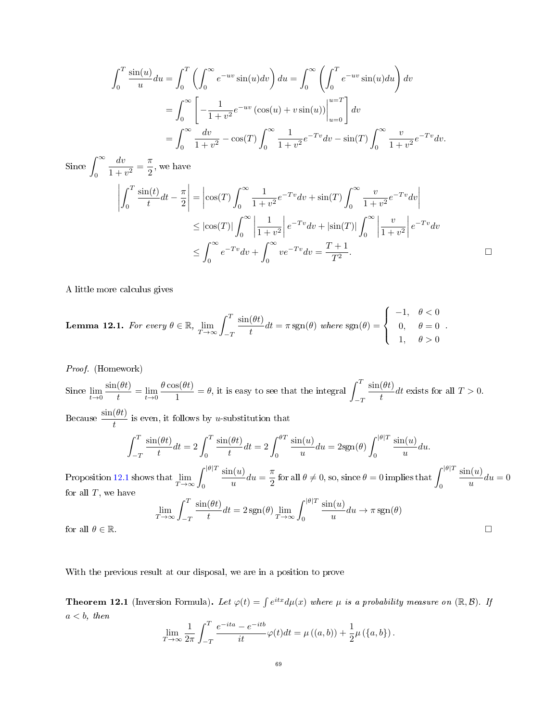$$
\int_0^T \frac{\sin(u)}{u} du = \int_0^T \left( \int_0^\infty e^{-uv} \sin(u) dv \right) du = \int_0^\infty \left( \int_0^T e^{-uv} \sin(u) du \right) dv
$$

$$
= \int_0^\infty \left[ -\frac{1}{1+v^2} e^{-uv} \left( \cos(u) + v \sin(u) \right) \Big|_{u=0}^{u=T} \right] dv
$$

$$
= \int_0^\infty \frac{dv}{1+v^2} - \cos(T) \int_0^\infty \frac{1}{1+v^2} e^{-Tv} dv - \sin(T) \int_0^\infty \frac{v}{1+v^2} e^{-Tv} dv.
$$

Since  $\int^{\infty}$ 0  $\frac{dv}{dt}$  $\frac{dv}{1+v^2} = \frac{\pi}{2}$  $\frac{\pi}{2}$ , we have

$$
\left| \int_0^T \frac{\sin(t)}{t} dt - \frac{\pi}{2} \right| = \left| \cos(T) \int_0^\infty \frac{1}{1 + v^2} e^{-Tv} dv + \sin(T) \int_0^\infty \frac{v}{1 + v^2} e^{-Tv} dv \right|
$$
  
\n
$$
\leq |\cos(T)| \int_0^\infty \left| \frac{1}{1 + v^2} \right| e^{-Tv} dv + |\sin(T)| \int_0^\infty \left| \frac{v}{1 + v^2} \right| e^{-Tv} dv
$$
  
\n
$$
\leq \int_0^\infty e^{-Tv} dv + \int_0^\infty ve^{-Tv} dv = \frac{T + 1}{T^2}.
$$

A little more calculus gives

<span id="page-68-0"></span>**Lemma 12.1.** For every 
$$
\theta \in \mathbb{R}
$$
,  $\lim_{T \to \infty} \int_{-T}^{T} \frac{\sin(\theta t)}{t} dt = \pi \operatorname{sgn}(\theta)$  where  $\operatorname{sgn}(\theta) = \begin{cases} -1, & \theta < 0 \\ 0, & \theta = 0 \\ 1, & \theta > 0 \end{cases}$ .

Proof. (Homework) Since  $\lim_{t\to 0}\frac{\sin(\theta t)}{t}$  $\frac{(\theta t)}{t} = \lim_{t \to 0} \frac{\theta \cos(\theta t)}{1}$  $\frac{s(\theta t)}{1} = \theta$ , it is easy to see that the integral  $\int_{-1}^{T}$  $-T$  $\sin(\theta t)$  $\frac{d}{dt}$  exists for all  $T > 0$ . Because  $\frac{\sin(\theta t)}{t}$  is even, it follows by u-substitution that

$$
\int_{-T}^{T} \frac{\sin(\theta t)}{t} dt = 2 \int_{0}^{T} \frac{\sin(\theta t)}{t} dt = 2 \int_{0}^{\theta T} \frac{\sin(u)}{u} du = 2\text{sgn}(\theta) \int_{0}^{|\theta|T} \frac{\sin(u)}{u} du.
$$
\n
$$
\int_{0}^{|\theta|T} \frac{\sin(u)}{u} du = \int_{0}^{\theta|T} \frac{\sin(u)}{u} du = \frac{\theta}{\theta} \int_{0}^{\theta|T} \frac{\sin(u)}{u} du.
$$

Proposition [12.1](#page-67-0) shows that  $\lim_{T\to\infty}\int_0^{|\theta|T}$  $\sin(u)$  $\frac{u(u)}{u}du = \frac{\pi}{2}$  $\frac{\pi}{2}$  for all  $\theta \neq 0$ , so, since  $\theta = 0$  implies that  $\int_0^{|\theta|T}$ 0  $\sin(u)$  $\frac{d(u)}{u}du=0$ for all  $T$ , we have

$$
\lim_{T \to \infty} \int_{-T}^{T} \frac{\sin(\theta t)}{t} dt = 2 \operatorname{sgn}(\theta) \lim_{T \to \infty} \int_{0}^{|\theta|T} \frac{\sin(u)}{u} du \to \pi \operatorname{sgn}(\theta)
$$

for all  $\theta \in \mathbb{R}$ .

With the previous result at our disposal, we are in a position to prove

<span id="page-68-1"></span>**Theorem 12.1** (Inversion Formula). Let  $\varphi(t) = \int e^{itx} d\mu(x)$  where  $\mu$  is a probability measure on  $(\mathbb{R}, \mathcal{B})$ . If  $a < b$ , then

$$
\lim_{T \to \infty} \frac{1}{2\pi} \int_{-T}^{T} \frac{e^{-ita} - e^{-itb}}{it} \varphi(t) dt = \mu((a, b)) + \frac{1}{2}\mu(\lbrace a, b \rbrace).
$$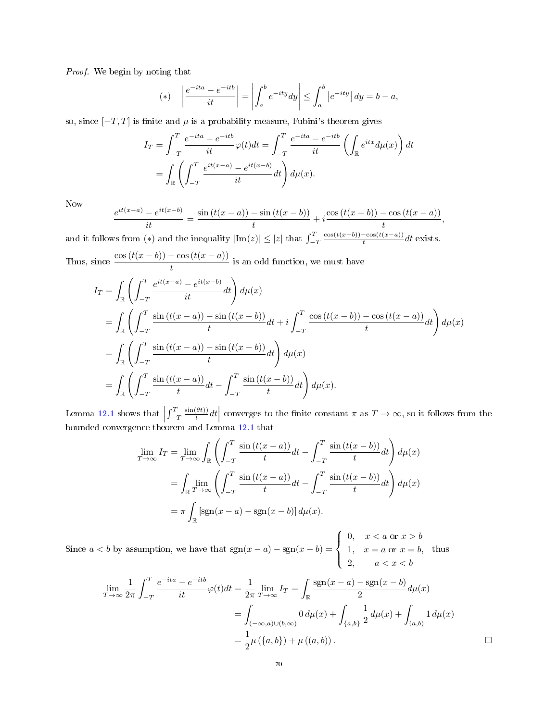Proof. We begin by noting that

(\*) 
$$
\left| \frac{e^{-ita} - e^{-itb}}{it} \right| = \left| \int_a^b e^{-ity} dy \right| \le \int_a^b \left| e^{-ity} \right| dy = b - a,
$$

so, since  $[-T, T]$  is finite and  $\mu$  is a probability measure, Fubini's theorem gives

$$
I_T = \int_{-T}^{T} \frac{e^{-ita} - e^{-itb}}{it} \varphi(t) dt = \int_{-T}^{T} \frac{e^{-ita} - e^{-itb}}{it} \left( \int_{\mathbb{R}} e^{itx} d\mu(x) \right) dt
$$
  
= 
$$
\int_{\mathbb{R}} \left( \int_{-T}^{T} \frac{e^{it(x-a)} - e^{it(x-b)}}{it} dt \right) d\mu(x).
$$

Now

$$
\frac{e^{it(x-a)} - e^{it(x-b)}}{it} = \frac{\sin(t(x-a)) - \sin(t(x-b))}{t} + i \frac{\cos(t(x-b)) - \cos(t(x-a))}{t},
$$

and it follows from  $(*)$  and the inequality  $|\text{Im}(z)| \leq |z|$  that  $\int_{-T}^{T}$  $cos(t(x-b)) - cos(t(x-a))$  $\frac{1}{t} \frac{\cos(t(x-a))}{\cos(t)} dt$  exists.

Thus, since  $\frac{\cos(t(x-b)) - \cos(t(x-a))}{t}$  is an odd function, we must have

$$
I_T = \int_{\mathbb{R}} \left( \int_{-T}^T \frac{e^{it(x-a)} - e^{it(x-b)}}{it} dt \right) d\mu(x)
$$
  
\n
$$
= \int_{\mathbb{R}} \left( \int_{-T}^T \frac{\sin(t(x-a)) - \sin(t(x-b))}{t} dt + i \int_{-T}^T \frac{\cos(t(x-b)) - \cos(t(x-a))}{t} dt \right) d\mu(x)
$$
  
\n
$$
= \int_{\mathbb{R}} \left( \int_{-T}^T \frac{\sin(t(x-a)) - \sin(t(x-b))}{t} dt \right) d\mu(x)
$$
  
\n
$$
= \int_{\mathbb{R}} \left( \int_{-T}^T \frac{\sin(t(x-a))}{t} dt - \int_{-T}^T \frac{\sin(t(x-b))}{t} dt \right) d\mu(x).
$$

Lemma [12.1](#page-68-0) shows that  $\left| \int_{-T}^{T}$  $sin(\theta t))$ Lemma [12.1](#page-68-0) shows that  $\left| \int_{-T}^{T} \frac{\sin(\theta t))}{t} dt \right|$  converges to the finite constant  $\pi$  as  $T \to \infty$ , so it follows from the bounded convergence theorem and Lemma 12.1 that

$$
\lim_{T \to \infty} I_T = \lim_{T \to \infty} \int_{\mathbb{R}} \left( \int_{-T}^T \frac{\sin(t(x-a))}{t} dt - \int_{-T}^T \frac{\sin(t(x-b))}{t} dt \right) d\mu(x)
$$

$$
= \int_{\mathbb{R}} \lim_{T \to \infty} \left( \int_{-T}^T \frac{\sin(t(x-a))}{t} dt - \int_{-T}^T \frac{\sin(t(x-b))}{t} dt \right) d\mu(x)
$$

$$
= \pi \int_{\mathbb{R}} \left[ \text{sgn}(x-a) - \text{sgn}(x-b) \right] d\mu(x).
$$

Since  $a < b$  by assumption, we have that  $sgn(x - a) - sgn(x - b) =$  $\sqrt{ }$  $\int$  $\overline{a}$ 0,  $x < a$  or  $x > b$ 1,  $x = a$  or  $x = b$ , 2,  $a < x < b$ thus

$$
\lim_{T \to \infty} \frac{1}{2\pi} \int_{-T}^{T} \frac{e^{-ita} - e^{-itb}}{it} \varphi(t) dt = \frac{1}{2\pi} \lim_{T \to \infty} I_T = \int_{\mathbb{R}} \frac{\text{sgn}(x - a) - \text{sgn}(x - b)}{2} d\mu(x)
$$

$$
= \int_{(-\infty, a) \cup (b, \infty)} 0 d\mu(x) + \int_{\{a, b\}} \frac{1}{2} d\mu(x) + \int_{(a, b)} 1 d\mu(x)
$$

$$
= \frac{1}{2} \mu (\{a, b\}) + \mu ((a, b)).
$$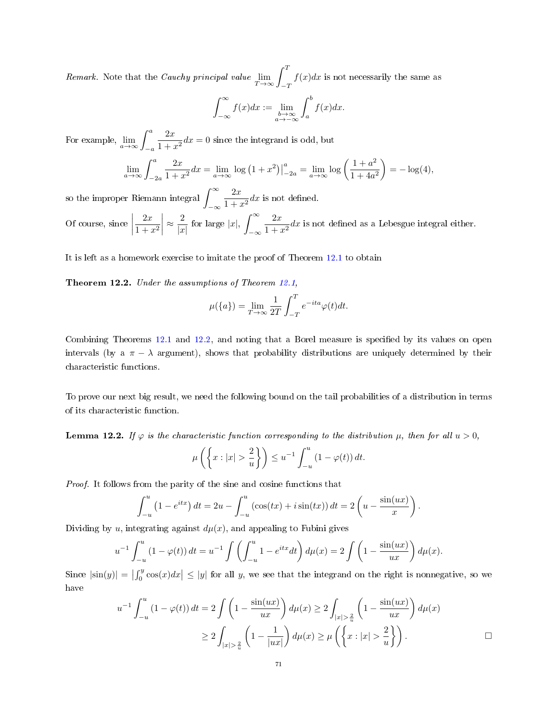*Remark.* Note that the *Cauchy principal value*  $\lim_{T \to \infty} \int_{-T}^{T}$  $f(x)dx$  is not necessarily the same as

$$
\int_{-\infty}^{\infty} f(x)dx := \lim_{\substack{b \to \infty \\ a \to -\infty}} \int_{a}^{b} f(x)dx.
$$

For example,  $\lim_{a \to \infty} \int_{-a}^{a}$  $2x$  $\frac{2x}{1+x^2}dx=0$  since the integrand is odd, but

$$
\lim_{a \to \infty} \int_{-2a}^{a} \frac{2x}{1+x^2} dx = \lim_{a \to \infty} \log (1+x^2) \Big|_{-2a}^{a} = \lim_{a \to \infty} \log \left( \frac{1+a^2}{1+4a^2} \right) = -\log(4),
$$

so the improper Riemann integral  $\int^\infty$ −∞  $2x$  $\frac{2x}{1+x^2}dx$  is not defined.

Of course, since  $\Big|$  $2x$  $1 + x^2$  $\approx \frac{2}{|x|}$  $\frac{2}{|x|}$  for large  $|x|, \int_{-\infty}^{\infty}$ −∞  $2x$  $\frac{2\pi}{1+x^2}dx$  is not defined as a Lebesgue integral either.

It is left as a homework exercise to imitate the proof of Theorem [12.1](#page-68-1) to obtain

<span id="page-70-0"></span>Theorem 12.2. Under the assumptions of Theorem [12.1,](#page-68-1)

$$
\mu({a}) = \lim_{T \to \infty} \frac{1}{2T} \int_{-T}^{T} e^{-ita} \varphi(t) dt.
$$

Combining Theorems  $12.1$  and  $12.2$ , and noting that a Borel measure is specified by its values on open intervals (by a  $\pi - \lambda$  argument), shows that probability distributions are uniquely determined by their characteristic functions.

To prove our next big result, we need the following bound on the tail probabilities of a distribution in terms of its characteristic function.

<span id="page-70-1"></span>**Lemma 12.2.** If  $\varphi$  is the characteristic function corresponding to the distribution  $\mu$ , then for all  $u > 0$ ,

$$
\mu\left(\left\{x: |x| > \frac{2}{u}\right\}\right) \leq u^{-1} \int_{-u}^{u} (1 - \varphi(t)) dt.
$$

Proof. It follows from the parity of the sine and cosine functions that

$$
\int_{-u}^{u} (1 - e^{itx}) dt = 2u - \int_{-u}^{u} (\cos(tx) + i \sin(tx)) dt = 2\left(u - \frac{\sin(ux)}{x}\right).
$$

Dividing by u, integrating against  $d\mu(x)$ , and appealing to Fubini gives

$$
u^{-1} \int_{-u}^{u} (1 - \varphi(t)) dt = u^{-1} \int \left( \int_{-u}^{u} 1 - e^{itx} dt \right) d\mu(x) = 2 \int \left( 1 - \frac{\sin(ux)}{ux} \right) d\mu(x).
$$

Since  $|\sin(y)| = \left|\int_0^y \cos(x) dx\right| \le |y|$  for all y, we see that the integrand on the right is nonnegative, so we have

$$
u^{-1} \int_{-u}^{u} (1 - \varphi(t)) dt = 2 \int \left( 1 - \frac{\sin(ux)}{ux} \right) d\mu(x) \ge 2 \int_{|x| > \frac{2}{u}} \left( 1 - \frac{\sin(ux)}{ux} \right) d\mu(x)
$$
  
 
$$
\ge 2 \int_{|x| > \frac{2}{u}} \left( 1 - \frac{1}{|ux|} \right) d\mu(x) \ge \mu \left( \left\{ x : |x| > \frac{2}{u} \right\} \right).
$$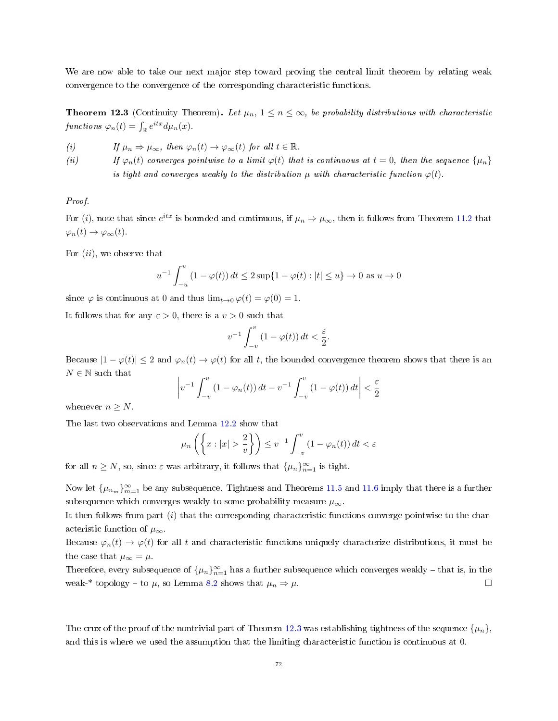We are now able to take our next major step toward proving the central limit theorem by relating weak convergence to the convergence of the corresponding characteristic functions.

<span id="page-71-0"></span>**Theorem 12.3** (Continuity Theorem). Let  $\mu_n$ ,  $1 \leq n \leq \infty$ , be probability distributions with characteristic functions  $\varphi_n(t) = \int_{\mathbb{R}} e^{itx} d\mu_n(x)$ .

(i) If  $\mu_n \Rightarrow \mu_\infty$ , then  $\varphi_n(t) \to \varphi_\infty(t)$  for all  $t \in \mathbb{R}$ .

(ii) If  $\varphi_n(t)$  converges pointwise to a limit  $\varphi(t)$  that is continuous at  $t = 0$ , then the sequence  $\{\mu_n\}$ is tight and converges weakly to the distribution  $\mu$  with characteristic function  $\varphi(t)$ .

# Proof.

For (i), note that since  $e^{itx}$  is bounded and continuous, if  $\mu_n \Rightarrow \mu_\infty$ , then it follows from Theorem [11.2](#page-61-0) that  $\varphi_n(t) \to \varphi_\infty(t)$ .

For  $(ii)$ , we observe that

$$
u^{-1} \int_{-u}^{u} (1 - \varphi(t)) dt \le 2 \sup\{1 - \varphi(t) : |t| \le u\} \to 0 \text{ as } u \to 0
$$

since  $\varphi$  is continuous at 0 and thus  $\lim_{t\to 0} \varphi(t) = \varphi(0) = 1$ .

It follows that for any  $\varepsilon > 0$ , there is a  $v > 0$  such that

$$
v^{-1}\int_{-v}^{v}\left(1-\varphi(t)\right)dt<\frac{\varepsilon}{2}.
$$

Because  $|1 - \varphi(t)| \le 2$  and  $\varphi_n(t) \to \varphi(t)$  for all t, the bounded convergence theorem shows that there is an  $N \in \mathbb{N}$  such that

$$
\left|v^{-1}\int_{-v}^{v}\left(1-\varphi_n(t)\right)dt-v^{-1}\int_{-v}^{v}\left(1-\varphi(t)\right)dt\right|<\frac{\varepsilon}{2}
$$

whenever  $n > N$ .

The last two observations and Lemma [12.2](#page-70-1) show that

$$
\mu_n\left(\left\{x: |x| > \frac{2}{v}\right\}\right) \le v^{-1} \int_{-v}^v (1 - \varphi_n(t)) dt < \varepsilon
$$

for all  $n \geq N$ , so, since  $\varepsilon$  was arbitrary, it follows that  $\{\mu_n\}_{n=1}^{\infty}$  is tight.

Now let  $\{\mu_{n_m}\}_{m=1}^{\infty}$  be any subsequence. Tightness and Theorems [11.5](#page-63-0) and [11.6](#page-65-0) imply that there is a further subsequence which converges weakly to some probability measure  $\mu_{\infty}$ .

It then follows from part  $(i)$  that the corresponding characteristic functions converge pointwise to the characteristic function of  $\mu_{\infty}$ .

Because  $\varphi_n(t) \to \varphi(t)$  for all t and characteristic functions uniquely characterize distributions, it must be the case that  $\mu_{\infty} = \mu$ .

Therefore, every subsequence of  $\{\mu_n\}_{n=1}^{\infty}$  has a further subsequence which converges weakly – that is, in the weak-\* topology – to  $\mu$ , so Lemma [8.2](#page-45-0) shows that  $\mu_n \Rightarrow \mu$ .

The crux of the proof of the nontrivial part of Theorem [12.3](#page-71-0) was establishing tightness of the sequence  $\{\mu_n\}$ , and this is where we used the assumption that the limiting characteristic function is continuous at 0.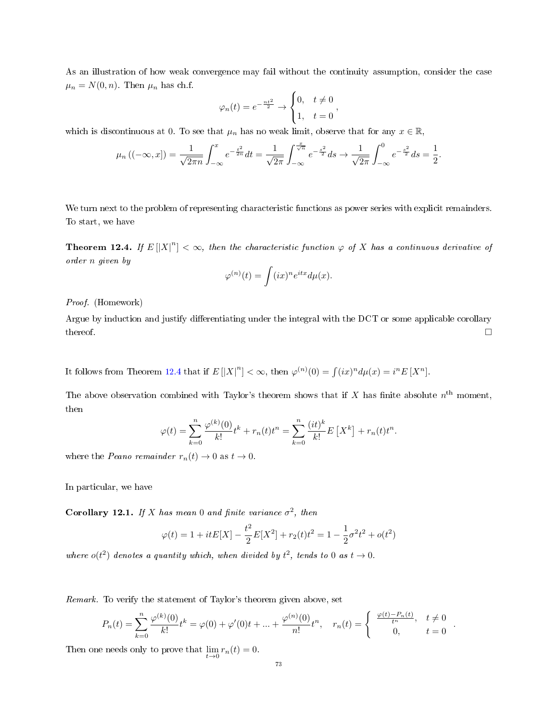As an illustration of how weak convergence may fail without the continuity assumption, consider the case  $\mu_n = N(0, n)$ . Then  $\mu_n$  has ch.f.

$$
\varphi_n(t) = e^{-\frac{nt^2}{2}} \to \begin{cases} 0, & t \neq 0 \\ 1, & t = 0 \end{cases}
$$

which is discontinuous at 0. To see that  $\mu_n$  has no weak limit, observe that for any  $x \in \mathbb{R}$ ,

$$
\mu_n\left((-\infty,x]\right) = \frac{1}{\sqrt{2\pi n}} \int_{-\infty}^x e^{-\frac{t^2}{2n}} dt = \frac{1}{\sqrt{2\pi}} \int_{-\infty}^{\frac{x}{\sqrt{n}}} e^{-\frac{s^2}{2}} ds \to \frac{1}{\sqrt{2\pi}} \int_{-\infty}^0 e^{-\frac{s^2}{2}} ds = \frac{1}{2}.
$$

We turn next to the problem of representing characteristic functions as power series with explicit remainders. To start, we have

<span id="page-72-0"></span>**Theorem 12.4.** If  $E\left[|X|^n\right]<\infty$ , then the characteristic function  $\varphi$  of X has a continuous derivative of order n given by

$$
\varphi^{(n)}(t) = \int (ix)^n e^{itx} d\mu(x).
$$

Proof. (Homework)

Argue by induction and justify differentiating under the integral with the DCT or some applicable corollary thereof.  $\Box$ 

It follows from Theorem [12.4](#page-72-0) that if  $E[|X|^n] < \infty$ , then  $\varphi^{(n)}(0) = \int (ix)^n d\mu(x) = i^n E[X^n]$ .

The above observation combined with Taylor's theorem shows that if X has finite absolute  $n^{\text{th}}$  moment, then

$$
\varphi(t) = \sum_{k=0}^{n} \frac{\varphi^{(k)}(0)}{k!} t^{k} + r_{n}(t)t^{n} = \sum_{k=0}^{n} \frac{(it)^{k}}{k!} E\left[X^{k}\right] + r_{n}(t)t^{n}.
$$

where the *Peano remainder*  $r_n(t) \to 0$  as  $t \to 0$ .

In particular, we have

<span id="page-72-1"></span>Corollary 12.1. If X has mean 0 and finite variance  $\sigma^2$ , then

$$
\varphi(t) = 1 + itE[X] - \frac{t^2}{2}E[X^2] + r_2(t)t^2 = 1 - \frac{1}{2}\sigma^2 t^2 + o(t^2)
$$

where  $o(t^2)$  denotes a quantity which, when divided by  $t^2$ , tends to 0 as  $t \to 0$ .

Remark. To verify the statement of Taylor's theorem given above, set

$$
P_n(t) = \sum_{k=0}^n \frac{\varphi^{(k)}(0)}{k!} t^k = \varphi(0) + \varphi'(0)t + \dots + \frac{\varphi^{(n)}(0)}{n!} t^n, \quad r_n(t) = \begin{cases} \frac{\varphi(t) - P_n(t)}{t^n}, & t \neq 0 \\ 0, & t = 0 \end{cases}
$$

.

Then one needs only to prove that  $\lim_{t\to 0} r_n(t) = 0$ .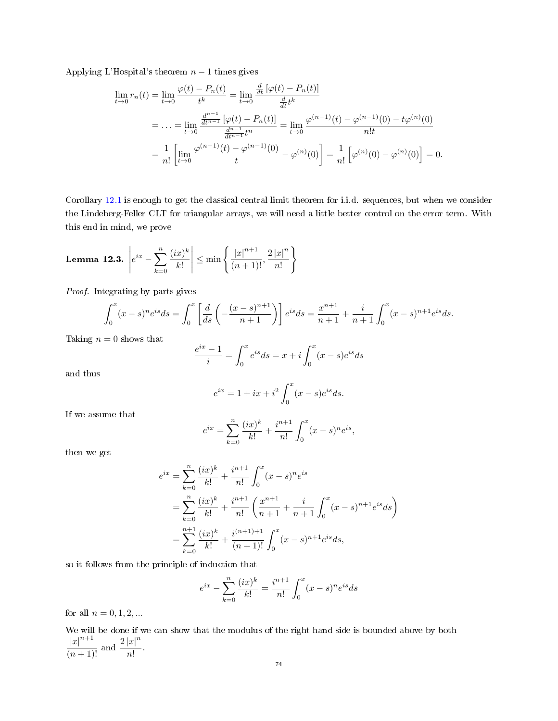Applying L'Hospital's theorem  $n - 1$  times gives

$$
\lim_{t \to 0} r_n(t) = \lim_{t \to 0} \frac{\varphi(t) - P_n(t)}{t^k} = \lim_{t \to 0} \frac{\frac{d}{dt} [\varphi(t) - P_n(t)]}{\frac{d}{dt} t^k}
$$
\n
$$
= \dots = \lim_{t \to 0} \frac{\frac{d^{n-1}}{dt^{n-1}} [\varphi(t) - P_n(t)]}{\frac{d^{n-1}}{dt^{n-1}} t^n} = \lim_{t \to 0} \frac{\varphi^{(n-1)}(t) - \varphi^{(n-1)}(0) - t\varphi^{(n)}(0)}{n!t}
$$
\n
$$
= \frac{1}{n!} \left[ \lim_{t \to 0} \frac{\varphi^{(n-1)}(t) - \varphi^{(n-1)}(0)}{t} - \varphi^{(n)}(0) \right] = \frac{1}{n!} \left[ \varphi^{(n)}(0) - \varphi^{(n)}(0) \right] = 0.
$$

Corollary [12.1](#page-72-1) is enough to get the classical central limit theorem for i.i.d. sequences, but when we consider the Lindeberg-Feller CLT for triangular arrays, we will need a little better control on the error term. With this end in mind, we prove

<span id="page-73-0"></span>**Lemma 12.3.** 
$$
\left| e^{ix} - \sum_{k=0}^{n} \frac{(ix)^k}{k!} \right| \le \min \left\{ \frac{|x|^{n+1}}{(n+1)!}, \frac{2|x|^n}{n!} \right\}
$$

Proof. Integrating by parts gives

$$
\int_0^x (x-s)^n e^{is} ds = \int_0^x \left[ \frac{d}{ds} \left( -\frac{(x-s)^{n+1}}{n+1} \right) \right] e^{is} ds = \frac{x^{n+1}}{n+1} + \frac{i}{n+1} \int_0^x (x-s)^{n+1} e^{is} ds.
$$

Taking  $n = 0$  shows that

$$
\frac{e^{ix} - 1}{i} = \int_0^x e^{is} ds = x + i \int_0^x (x - s)e^{is} ds
$$

and thus

$$
e^{ix} = 1 + ix + i^2 \int_0^x (x - s)e^{is} ds.
$$

If we assume that

$$
e^{ix} = \sum_{k=0}^{n} \frac{(ix)^k}{k!} + \frac{i^{n+1}}{n!} \int_0^x (x-s)^n e^{is},
$$

then we get

$$
e^{ix} = \sum_{k=0}^{n} \frac{(ix)^k}{k!} + \frac{i^{n+1}}{n!} \int_0^x (x-s)^n e^{is}
$$
  
= 
$$
\sum_{k=0}^{n} \frac{(ix)^k}{k!} + \frac{i^{n+1}}{n!} \left( \frac{x^{n+1}}{n+1} + \frac{i}{n+1} \int_0^x (x-s)^{n+1} e^{is} ds \right)
$$
  
= 
$$
\sum_{k=0}^{n+1} \frac{(ix)^k}{k!} + \frac{i^{(n+1)+1}}{(n+1)!} \int_0^x (x-s)^{n+1} e^{is} ds,
$$

so it follows from the principle of induction that

$$
e^{ix} - \sum_{k=0}^{n} \frac{(ix)^k}{k!} = \frac{i^{n+1}}{n!} \int_0^x (x-s)^n e^{is} ds
$$

for all  $n = 0, 1, 2, ...$ 

We will be done if we can show that the modulus of the right hand side is bounded above by both  $\frac{|x|^{n+1}}{(n+1)!}$  and  $\frac{2|x|^n}{n!}$  $rac{|w|}{n!}$ .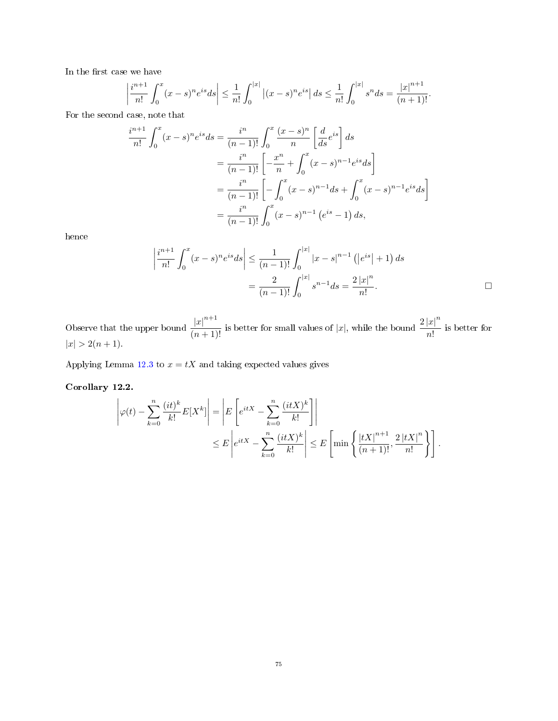In the first case we have

$$
\frac{i^{n+1}}{n!} \int_0^x (x-s)^n e^{is} ds \le \frac{1}{n!} \int_0^{|x|} |(x-s)^n e^{is}| ds \le \frac{1}{n!} \int_0^{|x|} s^n ds = \frac{|x|^{n+1}}{(n+1)!}.
$$

ļ For the second case, note that

 

$$
\frac{i^{n+1}}{n!} \int_0^x (x-s)^n e^{is} ds = \frac{i^n}{(n-1)!} \int_0^x \frac{(x-s)^n}{n} \left[ \frac{d}{ds} e^{is} \right] ds
$$
  

$$
= \frac{i^n}{(n-1)!} \left[ -\frac{x^n}{n} + \int_0^x (x-s)^{n-1} e^{is} ds \right]
$$
  

$$
= \frac{i^n}{(n-1)!} \left[ -\int_0^x (x-s)^{n-1} ds + \int_0^x (x-s)^{n-1} e^{is} ds \right]
$$
  

$$
= \frac{i^n}{(n-1)!} \int_0^x (x-s)^{n-1} (e^{is} - 1) ds,
$$

hence

$$
\left|\frac{i^{n+1}}{n!} \int_0^x (x-s)^n e^{is} ds\right| \le \frac{1}{(n-1)!} \int_0^{|x|} |x-s|^{n-1} (|e^{is}|+1) ds
$$

$$
= \frac{2}{(n-1)!} \int_0^{|x|} s^{n-1} ds = \frac{2 |x|^n}{n!}.
$$

Observe that the upper bound  $\frac{|x|^{n+1}}{(n+1)!}$  is better for small values of |x|, while the bound  $\frac{2|x|^n}{n!}$  $\frac{a}{n!}$  is better for  $|x| > 2(n+1)$ .

Applying Lemma [12.3](#page-73-0) to  $x = tX$  and taking expected values gives

# <span id="page-74-0"></span>Corollary 12.2.

$$
\left|\varphi(t) - \sum_{k=0}^{n} \frac{(it)^k}{k!} E[X^k]\right| = \left| E\left[e^{itX} - \sum_{k=0}^{n} \frac{(itX)^k}{k!}\right] \right|
$$
  

$$
\leq E \left| e^{itX} - \sum_{k=0}^{n} \frac{(itX)^k}{k!} \right| \leq E \left[\min\left\{ \frac{|tX|^{n+1}}{(n+1)!}, \frac{2|tX|^n}{n!} \right\} \right].
$$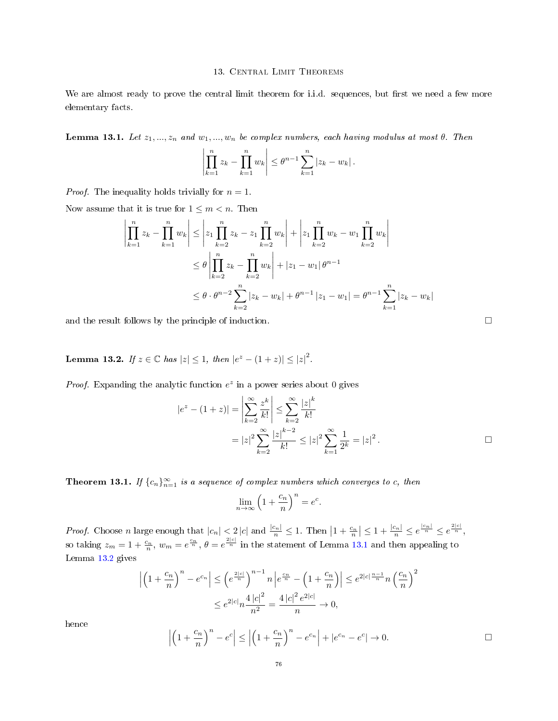### 13. CENTRAL LIMIT THEOREMS

We are almost ready to prove the central limit theorem for i.i.d. sequences, but first we need a few more elementary facts.

<span id="page-75-0"></span>**Lemma 13.1.** Let  $z_1, ..., z_n$  and  $w_1, ..., w_n$  be complex numbers, each having modulus at most  $\theta$ . Then

$$
\left| \prod_{k=1}^{n} z_k - \prod_{k=1}^{n} w_k \right| \leq \theta^{n-1} \sum_{k=1}^{n} |z_k - w_k|.
$$

*Proof.* The inequality holds trivially for  $n = 1$ .

Now assume that it is true for  $1 \leq m < n$ . Then

$$
\left| \prod_{k=1}^{n} z_{k} - \prod_{k=1}^{n} w_{k} \right| \leq \left| z_{1} \prod_{k=2}^{n} z_{k} - z_{1} \prod_{k=2}^{n} w_{k} \right| + \left| z_{1} \prod_{k=2}^{n} w_{k} - w_{1} \prod_{k=2}^{n} w_{k} \right|
$$
  

$$
\leq \theta \left| \prod_{k=2}^{n} z_{k} - \prod_{k=2}^{n} w_{k} \right| + |z_{1} - w_{1}| \theta^{n-1}
$$
  

$$
\leq \theta \cdot \theta^{n-2} \sum_{k=2}^{n} |z_{k} - w_{k}| + \theta^{n-1} |z_{1} - w_{1}| = \theta^{n-1} \sum_{k=1}^{n} |z_{k} - w_{k}|
$$

and the result follows by the principle of induction.

<span id="page-75-1"></span>**Lemma 13.2.** If  $z \in \mathbb{C}$  has  $|z| \leq 1$ , then  $|e^z - (1+z)| \leq |z|^2$ .

*Proof.* Expanding the analytic function  $e^z$  in a power series about 0 gives

$$
|e^{z} - (1 + z)| = \left| \sum_{k=2}^{\infty} \frac{z^{k}}{k!} \right| \le \sum_{k=2}^{\infty} \frac{|z|^{k}}{k!}
$$
  
=  $|z|^{2} \sum_{k=2}^{\infty} \frac{|z|^{k-2}}{k!} \le |z|^{2} \sum_{k=1}^{\infty} \frac{1}{2^{k}} = |z|^{2}.$ 

<span id="page-75-2"></span>**Theorem 13.1.** If  ${c_n}_{n=1}^{\infty}$  is a sequence of complex numbers which converges to c, then

$$
\lim_{n \to \infty} \left( 1 + \frac{c_n}{n} \right)^n = e^c.
$$

*Proof.* Choose *n* large enough that  $|c_n| < 2 |c|$  and  $\frac{|c_n|}{n} \leq 1$ . Then  $\left|1 + \frac{c_n}{n}\right| \leq 1 + \frac{|c_n|}{n} \leq e^{\frac{|c_n|}{n}} \leq e^{\frac{2|c|}{n}}$ , so taking  $z_m = 1 + \frac{c_n}{n}$ ,  $w_m = e^{\frac{c_n}{n}}$ ,  $\theta = e^{\frac{2|c|}{n}}$  in the statement of Lemma [13.1](#page-75-0) and then appealing to Lemma [13.2](#page-75-1) gives

$$
\left| \left( 1 + \frac{c_n}{n} \right)^n - e^{c_n} \right| \leq \left( e^{\frac{2|c|}{n}} \right)^{n-1} n \left| e^{\frac{c_n}{n}} - \left( 1 + \frac{c_n}{n} \right) \right| \leq e^{2|c| \frac{n-1}{n}} n \left( \frac{c_n}{n} \right)^2
$$

$$
\leq e^{2|c|} n \frac{4|c|^2}{n^2} = \frac{4|c|^2 e^{2|c|}}{n} \to 0,
$$

hence

$$
\left| \left( 1 + \frac{c_n}{n} \right)^n - e^c \right| \le \left| \left( 1 + \frac{c_n}{n} \right)^n - e^{c_n} \right| + |e^{c_n} - e^c| \to 0.
$$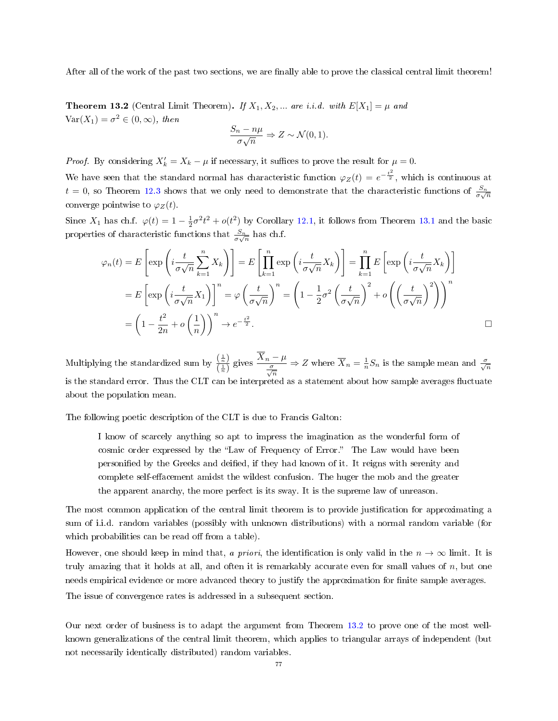After all of the work of the past two sections, we are finally able to prove the classical central limit theorem!

<span id="page-76-0"></span>**Theorem 13.2** (Central Limit Theorem). If  $X_1, X_2, ...$  are i.i.d. with  $E[X_1] = \mu$  and  $Var(X_1) = \sigma^2 \in (0, \infty)$ , then

$$
\frac{S_n - n\mu}{\sigma\sqrt{n}} \Rightarrow Z \sim \mathcal{N}(0, 1).
$$

*Proof.* By considering  $X'_k = X_k - \mu$  if necessary, it suffices to prove the result for  $\mu = 0$ .

We have seen that the standard normal has characteristic function  $\varphi_Z(t) = e^{-\frac{t^2}{2}}$ , which is continuous at  $t = 0$ , so Theorem [12.3](#page-71-0) shows that we only need to demonstrate that the characteristic functions of  $\frac{S_n}{\sigma\sqrt{n}}$ converge pointwise to  $\varphi_Z(t)$ .

Since  $X_1$  has ch.f.  $\varphi(t) = 1 - \frac{1}{2}\sigma^2 t^2 + o(t^2)$  by Corollary [12.1,](#page-72-1) it follows from Theorem [13.1](#page-75-2) and the basic properties of characteristic functions that  $\frac{S_n}{\sigma\sqrt{n}}$  has ch.f.

$$
\varphi_n(t) = E\left[\exp\left(i\frac{t}{\sigma\sqrt{n}}\sum_{k=1}^n X_k\right)\right] = E\left[\prod_{k=1}^n \exp\left(i\frac{t}{\sigma\sqrt{n}}X_k\right)\right] = \prod_{k=1}^n E\left[\exp\left(i\frac{t}{\sigma\sqrt{n}}X_k\right)\right]
$$

$$
= E\left[\exp\left(i\frac{t}{\sigma\sqrt{n}}X_1\right)\right]^n = \varphi\left(\frac{t}{\sigma\sqrt{n}}\right)^n = \left(1 - \frac{1}{2}\sigma^2\left(\frac{t}{\sigma\sqrt{n}}\right)^2 + o\left(\left(\frac{t}{\sigma\sqrt{n}}\right)^2\right)\right)^n
$$

$$
= \left(1 - \frac{t^2}{2n} + o\left(\frac{1}{n}\right)\right)^n \to e^{-\frac{t^2}{2}}.
$$

Multiplying the standardized sum by  $\frac{\left(\frac{1}{n}\right)}{\left(\frac{1}{n}\right)}$  $\frac{\left(\frac{1}{n}\right)}{\left(\frac{1}{n}\right)}$  gives  $\frac{\overline{X}_n - \mu}{\frac{\sigma}{\sqrt{n}}}$  $\frac{\sigma}{\sqrt{n}}$  $\Rightarrow Z$  where  $\overline{X}_n = \frac{1}{n} S_n$  is the sample mean and  $\frac{\sigma}{\sqrt{n}}$ is the standard error. Thus the CLT can be interpreted as a statement about how sample averages fluctuate about the population mean.

The following poetic description of the CLT is due to Francis Galton:

I know of scarcely anything so apt to impress the imagination as the wonderful form of cosmic order expressed by the "Law of Frequency of Error." The Law would have been personified by the Greeks and deified, if they had known of it. It reigns with serenity and complete self-effacement amidst the wildest confusion. The huger the mob and the greater the apparent anarchy, the more perfect is its sway. It is the supreme law of unreason.

The most common application of the central limit theorem is to provide justification for approximating a sum of i.i.d. random variables (possibly with unknown distributions) with a normal random variable (for which probabilities can be read off from a table).

However, one should keep in mind that, a priori, the identification is only valid in the  $n \to \infty$  limit. It is truly amazing that it holds at all, and often it is remarkably accurate even for small values of  $n$ , but one needs empirical evidence or more advanced theory to justify the approximation for nite sample averages.

The issue of convergence rates is addressed in a subsequent section.

Our next order of business is to adapt the argument from Theorem [13.2](#page-76-0) to prove one of the most wellknown generalizations of the central limit theorem, which applies to triangular arrays of independent (but not necessarily identically distributed) random variables.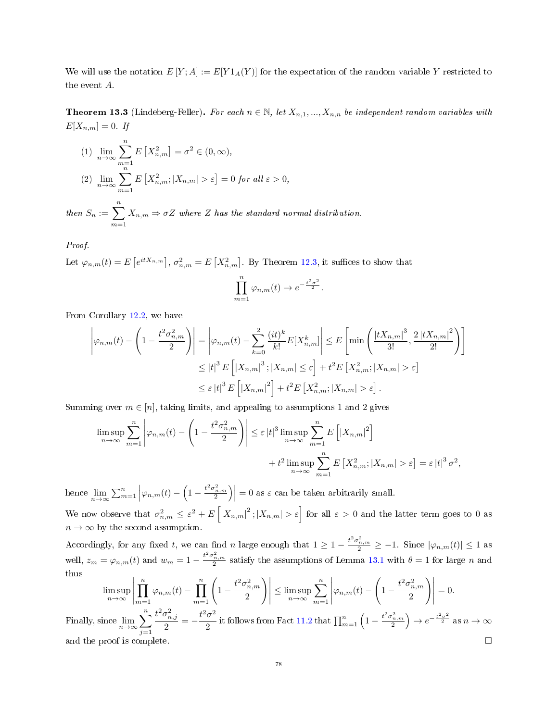We will use the notation  $E[Y;A] := E[Y1_A(Y)]$  for the expectation of the random variable Y restricted to the event A.

<span id="page-77-0"></span>**Theorem 13.3** (Lindeberg-Feller). For each  $n \in \mathbb{N}$ , let  $X_{n,1},...,X_{n,n}$  be independent random variables with  $E[X_{n,m}] = 0$ . If

(1) 
$$
\lim_{n \to \infty} \sum_{m=1}^{n} E\left[X_{n,m}^2\right] = \sigma^2 \in (0, \infty),
$$
  
(2) 
$$
\lim_{n \to \infty} \sum_{m=1}^{n} E\left[X_{n,m}^2; |X_{n,m}| > \varepsilon\right] = 0 \text{ for all } \varepsilon > 0,
$$

then  $S_n := \sum_{n=1}^n$  $m=1$  $X_{n,m} \Rightarrow \sigma Z$  where Z has the standard normal distribution.

Proof.

Let  $\varphi_{n,m}(t) = E\left[e^{itX_{n,m}}\right], \sigma_{n,m}^2 = E\left[X_{n,m}^2\right]$ . By Theorem [12.3,](#page-71-0) it suffices to show that

$$
\prod_{m=1}^{n} \varphi_{n,m}(t) \to e^{-\frac{t^2 \sigma^2}{2}}.
$$

From Corollary [12.2,](#page-74-0) we have

$$
\left|\varphi_{n,m}(t) - \left(1 - \frac{t^2 \sigma_{n,m}^2}{2}\right)\right| = \left|\varphi_{n,m}(t) - \sum_{k=0}^2 \frac{(it)^k}{k!} E[X_{n,m}^k]\right| \le E\left[\min\left(\frac{\left|tX_{n,m}\right|^3}{3!}, \frac{2\left|tX_{n,m}\right|^2}{2!}\right)\right]
$$

$$
\le |t|^3 E\left[|X_{n,m}|^3; |X_{n,m}| \le \varepsilon\right] + t^2 E\left[X_{n,m}^2; |X_{n,m}| > \varepsilon\right]
$$

$$
\le \varepsilon |t|^3 E\left[|X_{n,m}|^2\right] + t^2 E\left[X_{n,m}^2; |X_{n,m}| > \varepsilon\right].
$$

Summing over  $m \in [n]$ , taking limits, and appealing to assumptions 1 and 2 gives

$$
\limsup_{n \to \infty} \sum_{m=1}^{n} \left| \varphi_{n,m}(t) - \left( 1 - \frac{t^2 \sigma_{n,m}^2}{2} \right) \right| \leq \varepsilon |t|^3 \limsup_{n \to \infty} \sum_{m=1}^{n} E\left[ |X_{n,m}|^2 \right] + t^2 \limsup_{n \to \infty} \sum_{m=1}^{n} E\left[ X_{n,m}^2; |X_{n,m}| > \varepsilon \right] = \varepsilon |t|^3 \sigma^2,
$$

hence  $\lim_{n\to\infty}\sum_{m=1}^n\left|\varphi_{n,m}(t)-\left(1-\frac{t^2\sigma_{n,m}^2}{2}\right)\right|=0$  as  $\varepsilon$  can be taken arbitrarily small.

We now observe that  $\sigma_{n,m}^2 \leq \varepsilon^2 + E\left[ |X_{n,m}|^2; |X_{n,m}| > \varepsilon \right]$  for all  $\varepsilon > 0$  and the latter term goes to 0 as  $n \to \infty$  by the second assumption.

Accordingly, for any fixed t, we can find n large enough that  $1 \geq 1 - \frac{t^2 \sigma_{n,m}^2}{2} \geq -1$ . Since  $|\varphi_{n,m}(t)| \leq 1$  as well,  $z_m = \varphi_{n,m}(t)$  and  $w_m = 1 - \frac{t^2 \sigma_{n,m}^2}{2}$  satisfy the assumptions of Lemma [13.1](#page-75-0) with  $\theta = 1$  for large n and thus

$$
\limsup_{n \to \infty} \left| \prod_{m=1}^{n} \varphi_{n,m}(t) - \prod_{m=1}^{n} \left( 1 - \frac{t^2 \sigma_{n,m}^2}{2} \right) \right| \leq \limsup_{n \to \infty} \sum_{m=1}^{n} \left| \varphi_{n,m}(t) - \left( 1 - \frac{t^2 \sigma_{n,m}^2}{2} \right) \right| = 0.
$$
  
Finally, since  $\lim_{n \to \infty} \sum_{j=1}^{n} \frac{t^2 \sigma_{n,j}^2}{2} = -\frac{t^2 \sigma^2}{2}$  it follows from Fact 11.2 that  $\prod_{m=1}^{n} \left( 1 - \frac{t^2 \sigma_{n,m}^2}{2} \right) \to e^{-\frac{t^2 \sigma^2}{2}}$  as  $n \to \infty$   
and the proof is complete.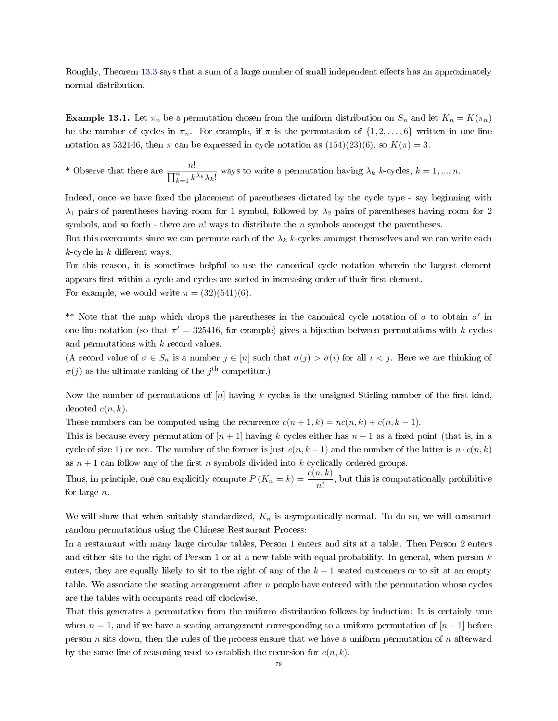Roughly, Theorem [13.3](#page-77-0) says that a sum of a large number of small independent effects has an approximately normal distribution.

**Example 13.1.** Let  $\pi_n$  be a permutation chosen from the uniform distribution on  $S_n$  and let  $K_n = K(\pi_n)$ be the number of cycles in  $\pi_n$ . For example, if  $\pi$  is the permutation of  $\{1, 2, \ldots, 6\}$  written in one-line notation as 532146, then  $\pi$  can be expressed in cycle notation as  $(154)(23)(6)$ , so  $K(\pi) = 3$ .

\* Observe that there are  $\frac{n!}{\prod_{k=1}^n k^{\lambda_k} \lambda_k!}$  ways to write a permutation having  $\lambda_k$  k-cycles,  $k = 1, ..., n$ .

Indeed, once we have fixed the placement of parentheses dictated by the cycle type - say beginning with  $\lambda_1$  pairs of parentheses having room for 1 symbol, followed by  $\lambda_2$  pairs of parentheses having room for 2 symbols, and so forth - there are  $n!$  ways to distribute the n symbols amongst the parentheses.

But this overcounts since we can permute each of the  $\lambda_k$  k-cycles amongst themselves and we can write each  $k$ -cycle in k different ways.

For this reason, it is sometimes helpful to use the canonical cycle notation wherein the largest element appears first within a cycle and cycles are sorted in increasing order of their first element. For example, we would write  $\pi = (32)(541)(6)$ .

\*\* Note that the map which drops the parentheses in the canonical cycle notation of  $\sigma$  to obtain  $\sigma'$  in one-line notation (so that  $\pi' = 325416$ , for example) gives a bijection between permutations with k cycles and permutations with k record values.

(A record value of  $\sigma \in S_n$  is a number  $j \in [n]$  such that  $\sigma(j) > \sigma(i)$  for all  $i < j$ . Here we are thinking of  $\sigma(j)$  as the ultimate ranking of the  $j^{\text{th}}$  competitor.)

Now the number of permutations of  $[n]$  having k cycles is the unsigned Stirling number of the first kind, denoted  $c(n, k)$ .

These numbers can be computed using the recurrence  $c(n + 1, k) = nc(n, k) + c(n, k - 1)$ .

This is because every permutation of  $[n+1]$  having k cycles either has  $n+1$  as a fixed point (that is, in a cycle of size 1) or not. The number of the former is just  $c(n, k - 1)$  and the number of the latter is  $n \cdot c(n, k)$ as  $n + 1$  can follow any of the first n symbols divided into k cyclically ordered groups.

Thus, in principle, one can explicitly compute  $P(K_n = k) = \frac{c(n, k)}{n!}$ , but this is computationally prohibitive for large n.

We will show that when suitably standardized,  $K_n$  is asymptotically normal. To do so, we will construct random permutations using the Chinese Restaurant Process:

In a restaurant with many large circular tables, Person 1 enters and sits at a table. Then Person 2 enters and either sits to the right of Person 1 or at a new table with equal probability. In general, when person  $k$ enters, they are equally likely to sit to the right of any of the  $k-1$  seated customers or to sit at an empty table. We associate the seating arrangement after  $n$  people have entered with the permutation whose cycles are the tables with occupants read off clockwise.

That this generates a permutation from the uniform distribution follows by induction: It is certainly true when  $n = 1$ , and if we have a seating arrangement corresponding to a uniform permutation of  $[n-1]$  before person n sits down, then the rules of the process ensure that we have a uniform permutation of n afterward by the same line of reasoning used to establish the recursion for  $c(n, k)$ .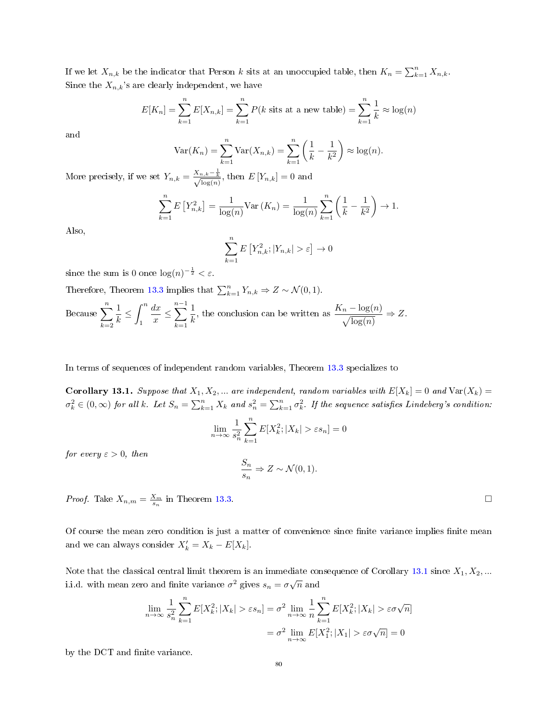If we let  $X_{n,k}$  be the indicator that Person k sits at an unoccupied table, then  $K_n = \sum_{k=1}^n X_{n,k}$ . Since the  $X_{n,k}$ 's are clearly independent, we have

$$
E[K_n] = \sum_{k=1}^{n} E[X_{n,k}] = \sum_{k=1}^{n} P(k \text{ sits at a new table}) = \sum_{k=1}^{n} \frac{1}{k} \approx \log(n)
$$

and

$$
\operatorname{Var}(K_n) = \sum_{k=1}^n \operatorname{Var}(X_{n,k}) = \sum_{k=1}^n \left(\frac{1}{k} - \frac{1}{k^2}\right) \approx \log(n).
$$
  

$$
X_n = \frac{1}{n}
$$

More precisely, if we set  $Y_{n,k} = \frac{X_{n,k}-\frac{1}{k}}{\sqrt{\log(n)}}$ , then  $E[Y_{n,k}] = 0$  and

$$
\sum_{k=1}^{n} E\left[Y_{n,k}^{2}\right] = \frac{1}{\log(n)} \text{Var}\left(K_{n}\right) = \frac{1}{\log(n)} \sum_{k=1}^{n} \left(\frac{1}{k} - \frac{1}{k^{2}}\right) \to 1.
$$

Also,

$$
\sum_{k=1}^{n} E\left[Y_{n,k}^2; |Y_{n,k}| > \varepsilon\right] \to 0
$$

since the sum is 0 once  $\log(n)^{-\frac{1}{2}} < \varepsilon$ .

Therefore, Theorem [13.3](#page-77-0) implies that  $\sum_{k=1}^{n} Y_{n,k} \Rightarrow Z \sim \mathcal{N}(0, 1)$ .

Because  $\sum_{n=1}^n$  $k=2$ 1  $\frac{1}{k} \leq \int_1^n$ 1  $dx$  $\frac{3x}{x} \le$  $\sum^{n-1}$  $k=1$ 1  $\frac{1}{k}$ , the conclusion can be written as  $\frac{K_n - \log(n)}{\sqrt{\log(n)}}$  $\Rightarrow Z$ .

In terms of sequences of independent random variables, Theorem [13.3](#page-77-0) specializes to

<span id="page-79-0"></span>**Corollary 13.1.** Suppose that  $X_1, X_2, ...$  are independent, random variables with  $E[X_k] = 0$  and  $Var(X_k) =$  $\sigma_k^2\in(0,\infty)$  for all k. Let  $S_n=\sum_{k=1}^nX_k$  and  $s_n^2=\sum_{k=1}^n\sigma_k^2$ . If the sequence satisfies Lindeberg's condition:

$$
\lim_{n \to \infty} \frac{1}{s_n^2} \sum_{k=1}^n E[X_k^2; |X_k| > \varepsilon s_n] = 0
$$

for every  $\varepsilon > 0$ , then

$$
\frac{S_n}{s_n} \Rightarrow Z \sim \mathcal{N}(0, 1).
$$

*Proof.* Take  $X_{n,m} = \frac{X_m}{s_n}$  in Theorem [13.3.](#page-77-0)

Of course the mean zero condition is just a matter of convenience since finite variance implies finite mean and we can always consider  $X'_k = X_k - E[X_k]$ .

Note that the classical central limit theorem is an immediate consequence of Corollary [13.1](#page-79-0) since  $X_1, X_2, ...$ i.i.d. with mean zero and finite variance  $\sigma^2$  gives  $s_n = \sigma \sqrt{n}$  and

$$
\lim_{n \to \infty} \frac{1}{s_n^2} \sum_{k=1}^n E[X_k^2; |X_k| > \varepsilon s_n] = \sigma^2 \lim_{n \to \infty} \frac{1}{n} \sum_{k=1}^n E[X_k^2; |X_k| > \varepsilon \sigma \sqrt{n}]
$$

$$
= \sigma^2 \lim_{n \to \infty} E[X_1^2; |X_1| > \varepsilon \sigma \sqrt{n}] = 0
$$

by the DCT and finite variance.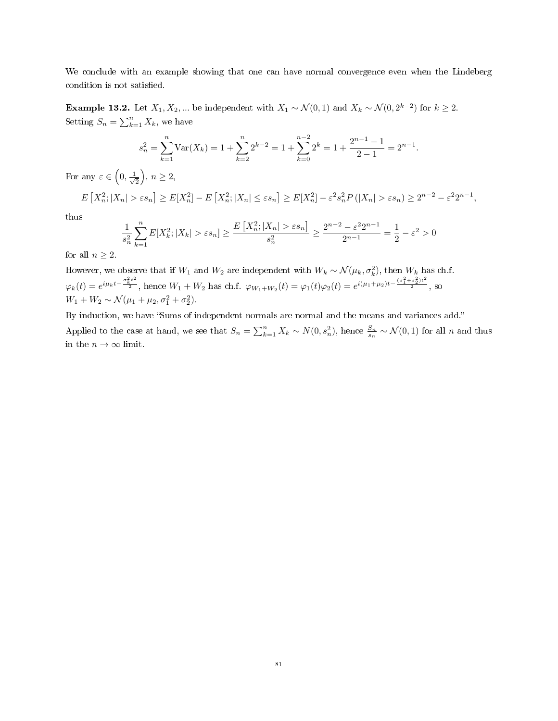We conclude with an example showing that one can have normal convergence even when the Lindeberg condition is not satisfied.

**Example 13.2.** Let  $X_1, X_2, ...$  be independent with  $X_1 \sim \mathcal{N}(0, 1)$  and  $X_k \sim \mathcal{N}(0, 2^{k-2})$  for  $k \geq 2$ . Setting  $S_n = \sum_{k=1}^n X_k$ , we have

$$
s_n^2 = \sum_{k=1}^n \text{Var}(X_k) = 1 + \sum_{k=2}^n 2^{k-2} = 1 + \sum_{k=0}^{n-2} 2^k = 1 + \frac{2^{n-1} - 1}{2 - 1} = 2^{n-1}.
$$

For any  $\varepsilon \in \left(0, \frac{1}{\sqrt{2}}\right)$  $\frac{1}{2}$ ,  $n \geq 2$ ,

$$
E[X_n^2; |X_n| > \varepsilon s_n] \ge E[X_n^2] - E[X_n^2; |X_n| \le \varepsilon s_n] \ge E[X_n^2] - \varepsilon^2 s_n^2 P(|X_n| > \varepsilon s_n) \ge 2^{n-2} - \varepsilon^2 2^{n-1},
$$

thus

$$
\frac{1}{s_n^2} \sum_{k=1}^n E[X_k^2; |X_k| > \varepsilon s_n] \ge \frac{E\left[X_n^2; |X_n| > \varepsilon s_n\right]}{s_n^2} \ge \frac{2^{n-2} - \varepsilon^2 2^{n-1}}{2^{n-1}} = \frac{1}{2} - \varepsilon^2 > 0
$$

for all  $n \geq 2$ .

However, we observe that if  $W_1$  and  $W_2$  are independent with  $W_k \sim \mathcal{N}(\mu_k, \sigma_k^2)$ , then  $W_k$  has ch.f.  $\varphi_k(t) = e^{i\mu_k t - \frac{\sigma_k^2 t^2}{2}}$ , hence  $W_1 + W_2$  has ch.f.  $\varphi_{W_1 + W_2}(t) = \varphi_1(t)\varphi_2(t) = e^{i(\mu_1 + \mu_2)t - \frac{(\sigma_1^2 + \sigma_2^2)t^2}{2}}$ , so  $W_1 + W_2 \sim \mathcal{N}(\mu_1 + \mu_2, \sigma_1^2 + \sigma_2^2).$ 

By induction, we have "Sums of independent normals are normal and the means and variances add." Applied to the case at hand, we see that  $S_n = \sum_{k=1}^n X_k \sim N(0, s_n^2)$ , hence  $\frac{S_n}{s_n} \sim \mathcal{N}(0, 1)$  for all n and thus in the  $n\to\infty$  limit.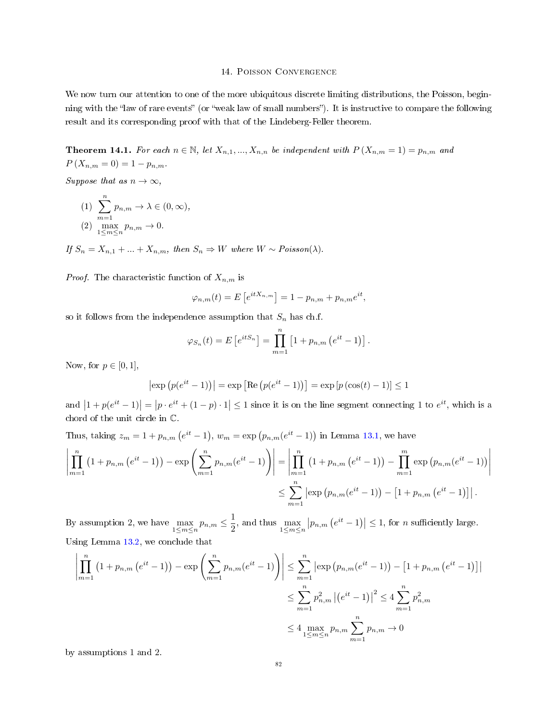### 14. Poisson Convergence

We now turn our attention to one of the more ubiquitous discrete limiting distributions, the Poisson, beginning with the "law of rare events" (or "weak law of small numbers"). It is instructive to compare the following result and its corresponding proof with that of the Lindeberg-Feller theorem.

<span id="page-81-0"></span>**Theorem 14.1.** For each  $n \in \mathbb{N}$ , let  $X_{n,1},...,X_{n,n}$  be independent with  $P(X_{n,m} = 1) = p_{n,m}$  and  $P(X_{n,m} = 0) = 1 - p_{n,m}.$ 

Suppose that as  $n \to \infty$ ,

(1) 
$$
\sum_{m=1}^{n} p_{n,m} \to \lambda \in (0, \infty),
$$
  
(2) 
$$
\max_{1 \le m \le n} p_{n,m} \to 0.
$$

If  $S_n = X_{n,1} + ... + X_{n,m}$ , then  $S_n \Rightarrow W$  where  $W \sim Poisson(\lambda)$ .

*Proof.* The characteristic function of  $X_{n,m}$  is

$$
\varphi_{n,m}(t) = E\left[e^{itX_{n,m}}\right] = 1 - p_{n,m} + p_{n,m}e^{it},
$$

so it follows from the independence assumption that  $S_n$  has ch.f.

$$
\varphi_{S_n}(t) = E[e^{itS_n}] = \prod_{m=1}^{n} [1 + p_{n,m}(e^{it} - 1)].
$$

Now, for  $p \in [0,1]$ ,

$$
|\exp (p(e^{it} - 1))| = \exp [\text{Re} (p(e^{it} - 1))] = \exp [p(\cos(t) - 1)] \le 1
$$

and  $|1 + p(e^{it} - 1)| = |p \cdot e^{it} + (1 - p) \cdot 1| \leq 1$  since it is on the line segment connecting 1 to  $e^{it}$ , which is a chord of the unit circle in C.

Thus, taking  $z_m = 1 + p_{n,m} (e^{it} - 1)$ ,  $w_m = \exp(p_{n,m}(e^{it} - 1))$  in Lemma [13.1,](#page-75-0) we have

$$
\left| \prod_{m=1}^{n} (1 + p_{n,m} (e^{it} - 1)) - \exp \left( \sum_{m=1}^{n} p_{n,m} (e^{it} - 1) \right) \right| = \left| \prod_{m=1}^{n} (1 + p_{n,m} (e^{it} - 1)) - \prod_{m=1}^{m} \exp (p_{n,m} (e^{it} - 1)) \right|
$$
  

$$
\leq \sum_{m=1}^{n} \left| \exp (p_{n,m} (e^{it} - 1)) - [1 + p_{n,m} (e^{it} - 1)] \right|.
$$

By assumption 2, we have  $\max_{1 \le m \le n} p_{n,m} \le \frac{1}{2}$  $\frac{1}{2}$ , and thus  $\max_{1 \le m \le n} |p_{n,m} (e^{it} - 1)| \le 1$ , for *n* sufficiently large. Using Lemma [13.2,](#page-75-1) we conclude that

$$
\left| \prod_{m=1}^{n} (1 + p_{n,m} (e^{it} - 1)) - \exp \left( \sum_{m=1}^{n} p_{n,m} (e^{it} - 1) \right) \right| \leq \sum_{m=1}^{n} \left| \exp \left( p_{n,m} (e^{it} - 1) \right) - \left[ 1 + p_{n,m} (e^{it} - 1) \right] \right|
$$
  

$$
\leq \sum_{m=1}^{n} p_{n,m}^2 \left| (e^{it} - 1) \right|^2 \leq 4 \sum_{m=1}^{n} p_{n,m}^2
$$
  

$$
\leq 4 \max_{1 \leq m \leq n} p_{n,m} \sum_{m=1}^{n} p_{n,m} \to 0
$$

by assumptions 1 and 2.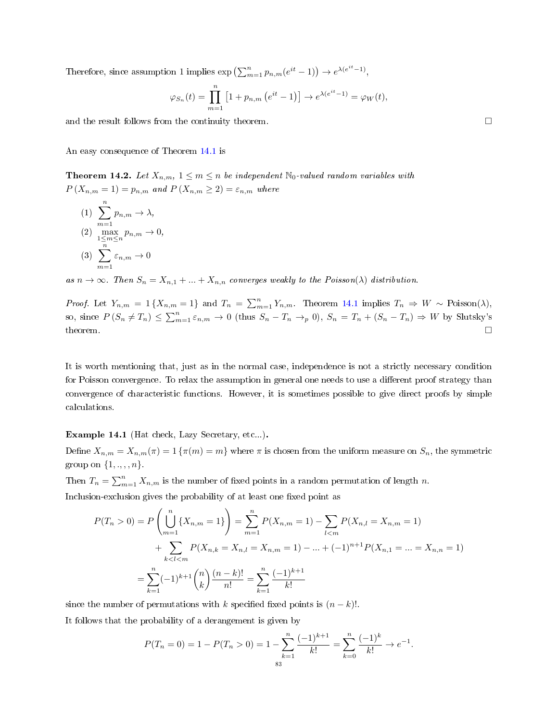Therefore, since assumption 1 implies  $\exp\left(\sum_{m=1}^n p_{n,m}(e^{it}-1)\right) \to e^{\lambda(e^{it}-1)},$ 

$$
\varphi_{S_n}(t) = \prod_{m=1}^n \left[1 + p_{n,m}\left(e^{it} - 1\right)\right] \to e^{\lambda(e^{it} - 1)} = \varphi_W(t),
$$

and the result follows from the continuity theorem.

An easy consequence of Theorem [14.1](#page-81-0) is

<span id="page-82-0"></span>**Theorem 14.2.** Let  $X_{n,m}$ ,  $1 \leq m \leq n$  be independent  $\mathbb{N}_0$ -valued random variables with  $P(X_{n,m} = 1) = p_{n,m}$  and  $P(X_{n,m} \geq 2) = \varepsilon_{n,m}$  where

(1) 
$$
\sum_{m=1}^{n} p_{n,m} \to \lambda,
$$
  
(2) 
$$
\max_{1 \le m \le n} p_{n,m} \to 0,
$$
  
(3) 
$$
\sum_{m=1}^{n} \varepsilon_{n,m} \to 0
$$

as  $n \to \infty$ . Then  $S_n = X_{n,1} + ... + X_{n,n}$  converges weakly to the Poisson( $\lambda$ ) distribution.

*Proof.* Let  $Y_{n,m} = 1 \{X_{n,m} = 1\}$  and  $T_n = \sum_{m=1}^n Y_{n,m}$ . Theorem [14.1](#page-81-0) implies  $T_n \Rightarrow W \sim \text{Poisson}(\lambda)$ , so, since  $P(S_n \neq T_n) \leq \sum_{m=1}^n \varepsilon_{n,m} \to 0$  (thus  $S_n - T_n \to_p 0$ ),  $S_n = T_n + (S_n - T_n) \Rightarrow W$  by Slutsky's theorem.  $\square$ 

It is worth mentioning that, just as in the normal case, independence is not a strictly necessary condition for Poisson convergence. To relax the assumption in general one needs to use a different proof strategy than convergence of characteristic functions. However, it is sometimes possible to give direct proofs by simple calculations.

## Example 14.1 (Hat check, Lazy Secretary, etc...).

Define  $X_{n,m} = X_{n,m}(\pi) = 1 \{\pi(m) = m\}$  where  $\pi$  is chosen from the uniform measure on  $S_n$ , the symmetric group on  $\{1, \ldots, n\}$ .

Then  $T_n = \sum_{m=1}^n X_{n,m}$  is the number of fixed points in a random permutation of length n.

Inclusion-exclusion gives the probability of at least one fixed point as

$$
P(T_n > 0) = P\left(\bigcup_{m=1}^n \{X_{n,m} = 1\}\right) = \sum_{m=1}^n P(X_{n,m} = 1) - \sum_{l < m} P(X_{n,l} = X_{n,m} = 1) + \sum_{k < l < m} P(X_{n,k} = X_{n,l} = X_{n,m} = 1) - \dots + (-1)^{n+1} P(X_{n,1} = \dots = X_{n,n} = 1) - \sum_{k=1}^n (-1)^{k+1} {n \choose k} \frac{(n-k)!}{n!} = \sum_{k=1}^n \frac{(-1)^{k+1}}{k!}
$$

since the number of permutations with k specified fixed points is  $(n - k)!$ .

It follows that the probability of a derangement is given by

$$
P(T_n = 0) = 1 - P(T_n > 0) = 1 - \sum_{k=1}^{n} \frac{(-1)^{k+1}}{k!} = \sum_{k=0}^{n} \frac{(-1)^k}{k!} \to e^{-1}.
$$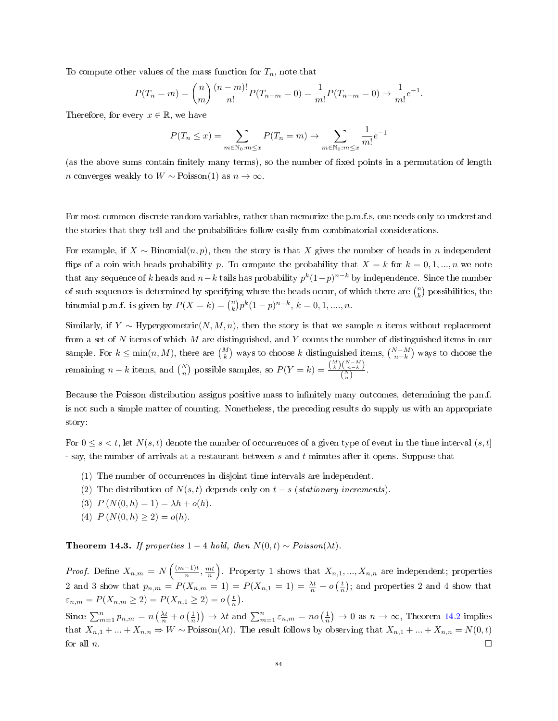To compute other values of the mass function for  $T_n$ , note that

$$
P(T_n = m) = {n \choose m} \frac{(n-m)!}{n!} P(T_{n-m} = 0) = \frac{1}{m!} P(T_{n-m} = 0) \rightarrow \frac{1}{m!} e^{-1}.
$$

Therefore, for every  $x \in \mathbb{R}$ , we have

$$
P(T_n \le x) = \sum_{m \in \mathbb{N}_0 : m \le x} P(T_n = m) \to \sum_{m \in \mathbb{N}_0 : m \le x} \frac{1}{m!} e^{-1}
$$

(as the above sums contain finitely many terms), so the number of fixed points in a permutation of length n converges weakly to  $W \sim \text{Poisson}(1)$  as  $n \to \infty$ .

For most common discrete random variables, rather than memorize the p.m.f.s, one needs only to understand the stories that they tell and the probabilities follow easily from combinatorial considerations.

For example, if  $X \sim \text{Binomial}(n, p)$ , then the story is that X gives the number of heads in n independent flips of a coin with heads probability p. To compute the probability that  $X = k$  for  $k = 0, 1, ..., n$  we note that any sequence of  $k$  heads and  $n-k$  tails has probability  $p^k(1-p)^{n-k}$  by independence. Since the number of such sequences is determined by specifying where the heads occur, of which there are  $\binom{n}{k}$  possibilities, the binomial p.m.f. is given by  $P(X = k) = {n \choose k} p^k (1-p)^{n-k}, k = 0, 1, \dots, n$ .

Similarly, if Y ∼ Hypergeometric(N, M, n), then the story is that we sample n items without replacement from a set of N items of which M are distinguished, and Y counts the number of distinguished items in our sample. For  $k \le \min(n, M)$ , there are  $\binom{M}{k}$  ways to choose k distinguished items,  $\binom{N-M}{n-k}$  ways to choose the remaining  $n - k$  items, and  $\binom{N}{n}$  possible samples, so  $P(Y = k) = \frac{\binom{M}{k}\binom{N-M}{n-k}}{\binom{N}{n}}$  $\frac{\binom{n-k}{n-k}}{\binom{N}{n}}$ .

Because the Poisson distribution assigns positive mass to infinitely many outcomes, determining the p.m.f. is not such a simple matter of counting. Nonetheless, the preceding results do supply us with an appropriate story:

For  $0 \leq s \leq t$ , let  $N(s,t)$  denote the number of occurrences of a given type of event in the time interval  $(s,t]$ - say, the number of arrivals at a restaurant between s and t minutes after it opens. Suppose that

- (1) The number of occurrences in disjoint time intervals are independent.
- (2) The distribution of  $N(s,t)$  depends only on  $t-s$  (stationary increments).
- (3)  $P(N(0, h) = 1) = \lambda h + o(h).$
- (4)  $P(N(0,h) > 2) = o(h)$ .

Theorem 14.3. If properties 1 – 4 hold, then  $N(0, t) \sim Poisson(\lambda t)$ .

*Proof.* Define  $X_{n,m} = N\left(\frac{(m-1)t}{n}\right)$  $\left(\frac{n-1}{n}, \frac{mt}{n}\right)$ . Property 1 shows that  $X_{n,1},...,X_{n,n}$  are independent; properties 2 and 3 show that  $p_{n,m} = P(X_{n,m} = 1) = P(X_{n,1} = 1) = \frac{\lambda t}{n} + o\left(\frac{t}{n}\right)$ ; and properties 2 and 4 show that  $\varepsilon_{n,m} = P(X_{n,m} \ge 2) = P(X_{n,1} \ge 2) = o\left(\frac{t}{n}\right).$ 

Since  $\sum_{m=1}^{n} p_{n,m} = n\left(\frac{\lambda t}{n} + o\left(\frac{1}{n}\right)\right) \rightarrow \lambda t$  and  $\sum_{m=1}^{n} \varepsilon_{n,m} = n o\left(\frac{1}{n}\right) \rightarrow 0$  as  $n \rightarrow \infty$ , Theorem [14.2](#page-82-0) implies that  $X_{n,1} + ... + X_{n,n} \Rightarrow W \sim \text{Poisson}(\lambda t)$ . The result follows by observing that  $X_{n,1} + ... + X_{n,n} = N(0,t)$ for all  $n$ .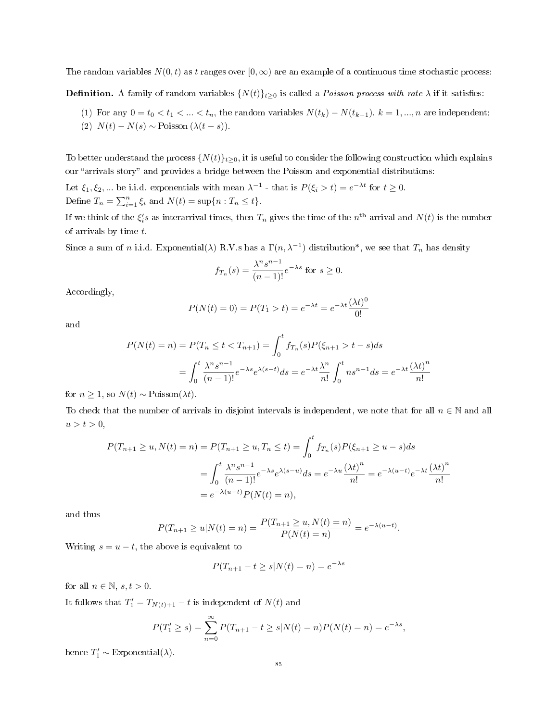The random variables  $N(0, t)$  as t ranges over  $[0, \infty)$  are an example of a continuous time stochastic process:

**Definition.** A family of random variables  $\{N(t)\}_{t\geq0}$  is called a *Poisson process with rate*  $\lambda$  if it satisfies:

(1) For any  $0 = t_0 < t_1 < ... < t_n$ , the random variables  $N(t_k) - N(t_{k-1}), k = 1, ..., n$  are independent; (2)  $N(t) - N(s) \sim \text{Poisson} (\lambda(t - s)).$ 

To better understand the process  $\{N(t)\}_{t\geq0}$ , it is useful to consider the following construction which explains our "arrivals story" and provides a bridge between the Poisson and exponential distributions:

Let  $\xi_1, \xi_2, ...$  be i.i.d. exponentials with mean  $\lambda^{-1}$  - that is  $P(\xi_i > t) = e^{-\lambda t}$  for  $t \ge 0$ . Define  $T_n = \sum_{i=1}^n \xi_i$  and  $N(t) = \sup\{n : T_n \le t\}.$ 

If we think of the  $\xi_i's$  as interarrival times, then  $T_n$  gives the time of the  $n^{\rm th}$  arrival and  $N(t)$  is the number of arrivals by time t.

Since a sum of n i.i.d. Exponential( $\lambda$ ) R.V.s has a  $\Gamma(n,\lambda^{-1})$  distribution\*, we see that  $T_n$  has density

$$
f_{T_n}(s) = \frac{\lambda^n s^{n-1}}{(n-1)!} e^{-\lambda s} \text{ for } s \ge 0.
$$

Accordingly,

$$
P(N(t) = 0) = P(T_1 > t) = e^{-\lambda t} = e^{-\lambda t} \frac{(\lambda t)^0}{0!}
$$

and

$$
P(N(t) = n) = P(T_n \le t < T_{n+1}) = \int_0^t f_{T_n}(s) P(\xi_{n+1} > t - s) ds
$$
  
= 
$$
\int_0^t \frac{\lambda^n s^{n-1}}{(n-1)!} e^{-\lambda s} e^{\lambda (s-t)} ds = e^{-\lambda t} \frac{\lambda^n}{n!} \int_0^t n s^{n-1} ds = e^{-\lambda t} \frac{(\lambda t)^n}{n!}
$$

for  $n \geq 1$ , so  $N(t) \sim \text{Poisson}(\lambda t)$ .

To check that the number of arrivals in disjoint intervals is independent, we note that for all  $n \in \mathbb{N}$  and all  $u > t > 0,$ 

$$
P(T_{n+1} \ge u, N(t) = n) = P(T_{n+1} \ge u, T_n \le t) = \int_0^t f_{T_n}(s) P(\xi_{n+1} \ge u - s) ds
$$
  
= 
$$
\int_0^t \frac{\lambda^n s^{n-1}}{(n-1)!} e^{-\lambda s} e^{\lambda(s-u)} ds = e^{-\lambda u} \frac{(\lambda t)^n}{n!} = e^{-\lambda(u-t)} e^{-\lambda t} \frac{(\lambda t)^n}{n!}
$$
  
= 
$$
e^{-\lambda(u-t)} P(N(t) = n),
$$

and thus

$$
P(T_{n+1} \ge u | N(t) = n) = \frac{P(T_{n+1} \ge u, N(t) = n)}{P(N(t) = n)} = e^{-\lambda(u-t)}.
$$

Writing  $s = u - t$ , the above is equivalent to

$$
P(T_{n+1} - t \ge s | N(t) = n) = e^{-\lambda s}
$$

for all  $n \in \mathbb{N}, s, t > 0$ .

It follows that  $T_1' = T_{N(t)+1} - t$  is independent of  $N(t)$  and

$$
P(T'_1 \ge s) = \sum_{n=0}^{\infty} P(T_{n+1} - t \ge s | N(t) = n) P(N(t) = n) = e^{-\lambda s},
$$

hence  $T'_1 \sim \text{Exponential}(\lambda)$ .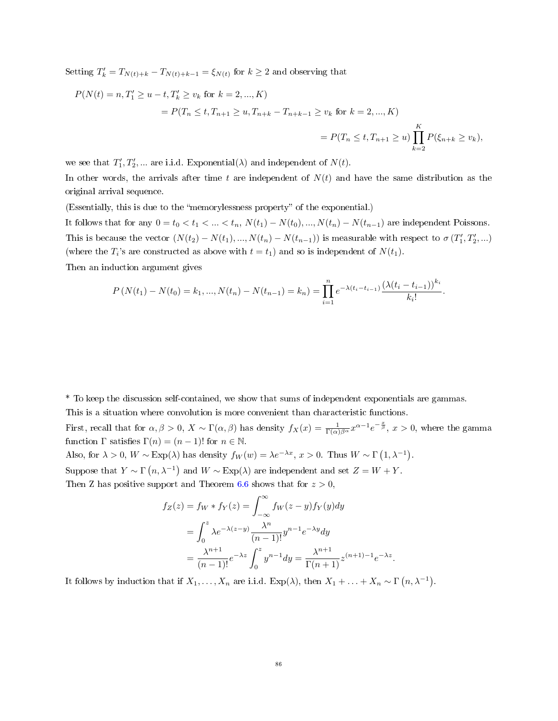Setting  $T'_{k} = T_{N(t)+k} - T_{N(t)+k-1} = \xi_{N(t)}$  for  $k \geq 2$  and observing that

$$
P(N(t) = n, T'_1 \ge u - t, T'_k \ge v_k \text{ for } k = 2, ..., K)
$$
  
=  $P(T_n \le t, T_{n+1} \ge u, T_{n+k} - T_{n+k-1} \ge v_k \text{ for } k = 2, ..., K)$   
=  $P(T_n \le t, T_{n+1} \ge u) \prod_{k=2}^K P(\xi_{n+k} \ge v_k),$ 

we see that  $T_1', T_2', \dots$  are i.i.d. Exponential( $\lambda$ ) and independent of  $N(t)$ .

In other words, the arrivals after time t are independent of  $N(t)$  and have the same distribution as the original arrival sequence.

(Essentially, this is due to the "memorylessness property" of the exponential.)

It follows that for any  $0 = t_0 < t_1 < \ldots < t_n$ ,  $N(t_1) - N(t_0), \ldots, N(t_n) - N(t_{n-1})$  are independent Poissons. This is because the vector  $(N(t_2) - N(t_1), ..., N(t_n) - N(t_{n-1}))$  is measurable with respect to  $\sigma(T'_1, T'_2, ...)$ (where the  $T_i$ 's are constructed as above with  $t = t_1$ ) and so is independent of  $N(t_1)$ .

Then an induction argument gives

$$
P\left(N(t_1)-N(t_0)=k_1,...,N(t_n)-N(t_{n-1})=k_n\right)=\prod_{i=1}^n e^{-\lambda(t_i-t_{i-1})}\frac{\left(\lambda(t_i-t_{i-1})\right)^{k_i}}{k_i!}.
$$

\* To keep the discussion self-contained, we show that sums of independent exponentials are gammas.

This is a situation where convolution is more convenient than characteristic functions.

First, recall that for  $\alpha, \beta > 0$ ,  $X \sim \Gamma(\alpha, \beta)$  has density  $f_X(x) = \frac{1}{\Gamma(\alpha)\beta^{\alpha}} x^{\alpha-1} e^{-\frac{x}{\beta}}, x > 0$ , where the gamma function  $\Gamma$  satisfies  $\Gamma(n) = (n-1)!$  for  $n \in \mathbb{N}$ .

Also, for  $\lambda > 0$ ,  $W \sim \text{Exp}(\lambda)$  has density  $f_W(w) = \lambda e^{-\lambda x}$ ,  $x > 0$ . Thus  $W \sim \Gamma(1, \lambda^{-1})$ . Suppose that  $Y \sim \Gamma(n, \lambda^{-1})$  and  $W \sim \text{Exp}(\lambda)$  are independent and set  $Z = W + Y$ . Then Z has positive support and Theorem [6.6](#page-31-0) shows that for  $z > 0$ ,

$$
f_Z(z) = f_W * f_Y(z) = \int_{-\infty}^{\infty} f_W(z - y) f_Y(y) dy
$$
  
= 
$$
\int_{0}^{z} \lambda e^{-\lambda(z-y)} \frac{\lambda^n}{(n-1)!} y^{n-1} e^{-\lambda y} dy
$$
  
= 
$$
\frac{\lambda^{n+1}}{(n-1)!} e^{-\lambda z} \int_{0}^{z} y^{n-1} dy = \frac{\lambda^{n+1}}{\Gamma(n+1)} z^{(n+1)-1} e^{-\lambda z}.
$$

It follows by induction that if  $X_1, \ldots, X_n$  are i.i.d.  $Exp(\lambda)$ , then  $X_1 + \ldots + X_n \sim \Gamma(n, \lambda^{-1})$ .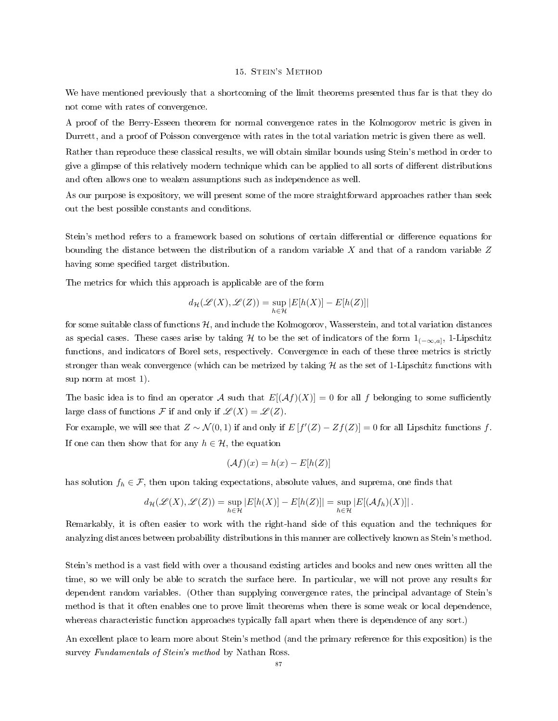#### 15. Stein's Method

We have mentioned previously that a shortcoming of the limit theorems presented thus far is that they do not come with rates of convergence.

A proof of the Berry-Esseen theorem for normal convergence rates in the Kolmogorov metric is given in Durrett, and a proof of Poisson convergence with rates in the total variation metric is given there as well.

Rather than reproduce these classical results, we will obtain similar bounds using Stein's method in order to give a glimpse of this relatively modern technique which can be applied to all sorts of different distributions and often allows one to weaken assumptions such as independence as well.

As our purpose is expository, we will present some of the more straightforward approaches rather than seek out the best possible constants and conditions.

Stein's method refers to a framework based on solutions of certain differential or difference equations for bounding the distance between the distribution of a random variable  $X$  and that of a random variable  $Z$ having some specified target distribution.

The metrics for which this approach is applicable are of the form

$$
d_{\mathcal{H}}(\mathscr{L}(X),\mathscr{L}(Z))=\sup_{h\in\mathcal{H}}|E[h(X)]-E[h(Z)]|
$$

for some suitable class of functions  $H$ , and include the Kolmogorov, Wasserstein, and total variation distances as special cases. These cases arise by taking  $H$  to be the set of indicators of the form  $1_{(-\infty,a]},$  1-Lipschitz functions, and indicators of Borel sets, respectively. Convergence in each of these three metrics is strictly stronger than weak convergence (which can be metrized by taking  $H$  as the set of 1-Lipschitz functions with sup norm at most 1).

The basic idea is to find an operator A such that  $E[(Af)(X)] = 0$  for all f belonging to some sufficiently large class of functions F if and only if  $\mathscr{L}(X) = \mathscr{L}(Z)$ .

For example, we will see that  $Z \sim \mathcal{N}(0, 1)$  if and only if  $E[f'(Z) - Zf(Z)] = 0$  for all Lipschitz functions f. If one can then show that for any  $h \in \mathcal{H}$ , the equation

$$
(\mathcal{A}f)(x) = h(x) - E[h(Z)]
$$

has solution  $f_h \in \mathcal{F}$ , then upon taking expectations, absolute values, and suprema, one finds that

$$
d_{\mathcal{H}}(\mathscr{L}(X), \mathscr{L}(Z)) = \sup_{h \in \mathcal{H}} |E[h(X)] - E[h(Z)]| = \sup_{h \in \mathcal{H}} |E[(\mathcal{A}f_h)(X)]|.
$$

Remarkably, it is often easier to work with the right-hand side of this equation and the techniques for analyzing distances between probability distributions in this manner are collectively known as Stein's method.

Stein's method is a vast field with over a thousand existing articles and books and new ones written all the time, so we will only be able to scratch the surface here. In particular, we will not prove any results for dependent random variables. (Other than supplying convergence rates, the principal advantage of Stein's method is that it often enables one to prove limit theorems when there is some weak or local dependence, whereas characteristic function approaches typically fall apart when there is dependence of any sort.)

An excellent place to learn more about Stein's method (and the primary reference for this exposition) is the survey Fundamentals of Stein's method by Nathan Ross.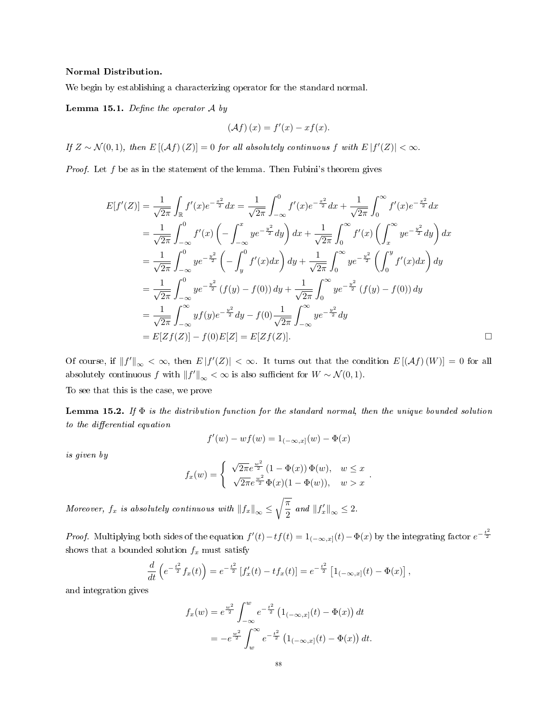### Normal Distribution.

We begin by establishing a characterizing operator for the standard normal.

### <span id="page-87-0"></span>**Lemma 15.1.** Define the operator  $\mathcal A$  by

$$
(\mathcal{A}f)(x) = f'(x) - xf(x).
$$

If  $Z \sim \mathcal{N}(0,1)$ , then  $E[(Af)(Z)] = 0$  for all absolutely continuous f with  $E[f'(Z)] < \infty$ .

*Proof.* Let  $f$  be as in the statement of the lemma. Then Fubini's theorem gives

$$
E[f'(Z)] = \frac{1}{\sqrt{2\pi}} \int_{\mathbb{R}} f'(x)e^{-\frac{x^2}{2}} dx = \frac{1}{\sqrt{2\pi}} \int_{-\infty}^{0} f'(x)e^{-\frac{x^2}{2}} dx + \frac{1}{\sqrt{2\pi}} \int_{0}^{\infty} f'(x)e^{-\frac{x^2}{2}} dx
$$
  
\n
$$
= \frac{1}{\sqrt{2\pi}} \int_{-\infty}^{0} f'(x) \left( -\int_{-\infty}^{x} ye^{-\frac{y^2}{2}} dy \right) dx + \frac{1}{\sqrt{2\pi}} \int_{0}^{\infty} f'(x) \left( \int_{x}^{\infty} ye^{-\frac{y^2}{2}} dy \right) dx
$$
  
\n
$$
= \frac{1}{\sqrt{2\pi}} \int_{-\infty}^{0} ye^{-\frac{y^2}{2}} \left( -\int_{y}^{0} f'(x) dx \right) dy + \frac{1}{\sqrt{2\pi}} \int_{0}^{\infty} ye^{-\frac{y^2}{2}} \left( \int_{0}^{y} f'(x) dx \right) dy
$$
  
\n
$$
= \frac{1}{\sqrt{2\pi}} \int_{-\infty}^{0} ye^{-\frac{y^2}{2}} (f(y) - f(0)) dy + \frac{1}{\sqrt{2\pi}} \int_{0}^{\infty} ye^{-\frac{y^2}{2}} (f(y) - f(0)) dy
$$
  
\n
$$
= \frac{1}{\sqrt{2\pi}} \int_{-\infty}^{\infty} yf(y)e^{-\frac{y^2}{2}} dy - f(0) \frac{1}{\sqrt{2\pi}} \int_{-\infty}^{\infty} ye^{-\frac{y^2}{2}} dy
$$
  
\n
$$
= E[Zf(Z)] - f(0)E[Z] = E[Zf(Z)].
$$

Of course, if  $||f'||_{\infty} < \infty$ , then  $E |f'(Z)| < \infty$ . It turns out that the condition  $E [(\mathcal{A}f)(W)] = 0$  for all absolutely continuous f with  $||f'||_{\infty} < \infty$  is also sufficient for  $W \sim \mathcal{N}(0, 1)$ .

To see that this is the case, we prove

<span id="page-87-1"></span>**Lemma 15.2.** If  $\Phi$  is the distribution function for the standard normal, then the unique bounded solution to the differential equation

$$
f'(w) - wf(w) = 1_{(-\infty, x]}(w) - \Phi(x)
$$

is given by

$$
f_x(w) = \begin{cases} \sqrt{2\pi}e^{\frac{w^2}{2}} (1 - \Phi(x)) \Phi(w), & w \leq x \\ \sqrt{2\pi}e^{\frac{w^2}{2}} \Phi(x) (1 - \Phi(w)), & w > x \end{cases}.
$$

Moreover,  $f_x$  is absolutely continuous with  $||f_x||_{\infty} \leq \sqrt{\frac{\pi}{2}}$  $\frac{\pi}{2}$  and  $||f'_x||_{\infty} \leq 2$ .

*Proof.* Multiplying both sides of the equation  $f'(t) - tf(t) = 1_{(-\infty, x]}(t) - \Phi(x)$  by the integrating factor  $e^{-\frac{t^2}{2}}$ shows that a bounded solution  $f_x$  must satisfy

$$
\frac{d}{dt}\left(e^{-\frac{t^2}{2}}f_x(t)\right) = e^{-\frac{t^2}{2}}\left[f'_x(t) - tf_x(t)\right] = e^{-\frac{t^2}{2}}\left[1_{(-\infty,x]}(t) - \Phi(x)\right],
$$

and integration gives

$$
f_x(w) = e^{\frac{w^2}{2}} \int_{-\infty}^w e^{-\frac{t^2}{2}} (1_{(-\infty, x]}(t) - \Phi(x)) dt
$$
  
=  $-e^{\frac{w^2}{2}} \int_w^{\infty} e^{-\frac{t^2}{2}} (1_{(-\infty, x]}(t) - \Phi(x)) dt.$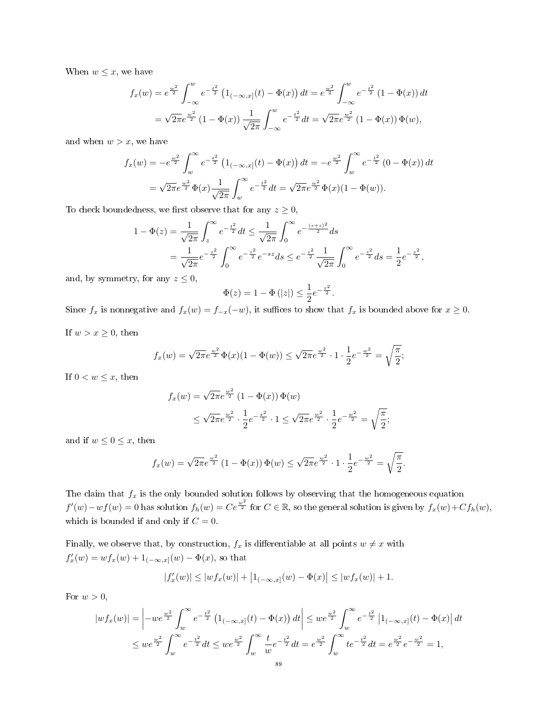When  $w \leq x$ , we have

$$
f_x(w) = e^{\frac{w^2}{2}} \int_{-\infty}^w e^{-\frac{t^2}{2}} (1_{(-\infty,x]}(t) - \Phi(x)) dt = e^{\frac{w^2}{2}} \int_{-\infty}^w e^{-\frac{t^2}{2}} (1 - \Phi(x)) dt
$$
  
=  $\sqrt{2\pi} e^{\frac{w^2}{2}} (1 - \Phi(x)) \frac{1}{\sqrt{2\pi}} \int_{-\infty}^w e^{-\frac{t^2}{2}} dt = \sqrt{2\pi} e^{\frac{w^2}{2}} (1 - \Phi(x)) \Phi(w),$ 

and when  $w > x$ , we have

$$
f_x(w) = -e^{\frac{w^2}{2}} \int_w^{\infty} e^{-\frac{t^2}{2}} (1_{(-\infty, x]}(t) - \Phi(x)) dt = -e^{\frac{w^2}{2}} \int_w^{\infty} e^{-\frac{t^2}{2}} (0 - \Phi(x)) dt
$$
  
=  $\sqrt{2\pi} e^{\frac{w^2}{2}} \Phi(x) \frac{1}{\sqrt{2\pi}} \int_w^{\infty} e^{-\frac{t^2}{2}} dt = \sqrt{2\pi} e^{\frac{w^2}{2}} \Phi(x) (1 - \Phi(w)).$ 

To check boundedness, we first observe that for any  $z \geq 0$ ,

$$
1 - \Phi(z) = \frac{1}{\sqrt{2\pi}} \int_{z}^{\infty} e^{-\frac{t^{2}}{2}} dt \le \frac{1}{\sqrt{2\pi}} \int_{0}^{\infty} e^{-\frac{(s+z)^{2}}{2}} ds
$$
  
=  $\frac{1}{\sqrt{2\pi}} e^{-\frac{z^{2}}{2}} \int_{0}^{\infty} e^{-\frac{s^{2}}{2}} e^{-sz} ds \le e^{-\frac{z^{2}}{2}} \frac{1}{\sqrt{2\pi}} \int_{0}^{\infty} e^{-\frac{s^{2}}{2}} ds = \frac{1}{2} e^{-\frac{z^{2}}{2}},$ 

and, by symmetry, for any  $z \leq 0$ ,

$$
\Phi(z) = 1 - \Phi(|z|) \le \frac{1}{2} e^{-\frac{z^2}{2}}.
$$

Since  $f_x$  is nonnegative and  $f_x(w) = f_{-x}(-w)$ , it suffices to show that  $f_x$  is bounded above for  $x \ge 0$ .

If  $w > x \geq 0$ , then

$$
f_x(w) = \sqrt{2\pi}e^{\frac{w^2}{2}}\Phi(x)(1-\Phi(w)) \le \sqrt{2\pi}e^{\frac{w^2}{2}} \cdot 1 \cdot \frac{1}{2}e^{-\frac{w^2}{2}} = \sqrt{\frac{\pi}{2}};
$$

If  $0 < w \leq x$ , then

$$
f_x(w) = \sqrt{2\pi}e^{\frac{w^2}{2}} (1 - \Phi(x)) \Phi(w)
$$
  
 
$$
\leq \sqrt{2\pi}e^{\frac{w^2}{2}} \cdot \frac{1}{2}e^{-\frac{x^2}{2}} \cdot 1 \leq \sqrt{2\pi}e^{\frac{w^2}{2}} \cdot \frac{1}{2}e^{-\frac{w^2}{2}} = \sqrt{\frac{\pi}{2}};
$$

and if  $w \leq 0 \leq x$ , then

$$
f_x(w) = \sqrt{2\pi}e^{\frac{w^2}{2}} (1 - \Phi(x)) \Phi(w) \le \sqrt{2\pi}e^{\frac{w^2}{2}} \cdot 1 \cdot \frac{1}{2}e^{-\frac{w^2}{2}} = \sqrt{\frac{\pi}{2}}.
$$

The claim that  $f_x$  is the only bounded solution follows by observing that the homogeneous equation  $f'(w)-wf(w)=0$  has solution  $f_h(w)=Ce^{\frac{w^2}{2}}$  for  $C\in\mathbb{R}$ , so the general solution is given by  $f_x(w)+Cf_h(w)$ , which is bounded if and only if  $C = 0$ .

Finally, we observe that, by construction,  $f_x$  is differentiable at all points  $w \neq x$  with  $f'_x(w) = wf_x(w) + 1_{(-\infty,x]}(w) - \Phi(x)$ , so that

$$
|f'_x(w)| \le |wf_x(w)| + |1_{(-\infty,x]}(w) - \Phi(x)| \le |wf_x(w)| + 1.
$$

For  $w > 0$ ,

$$
|wf_x(w)| = \left| -we^{\frac{w^2}{2}} \int_w^{\infty} e^{-\frac{t^2}{2}} (1_{(-\infty, x]}(t) - \Phi(x)) dt \right| \leq we^{\frac{w^2}{2}} \int_w^{\infty} e^{-\frac{t^2}{2}} |1_{(-\infty, x]}(t) - \Phi(x)| dt
$$
  

$$
\leq we^{\frac{w^2}{2}} \int_w^{\infty} e^{-\frac{t^2}{2}} dt \leq we^{\frac{w^2}{2}} \int_w^{\infty} \frac{t}{w} e^{-\frac{t^2}{2}} dt = e^{\frac{w^2}{2}} \int_w^{\infty} te^{-\frac{t^2}{2}} dt = e^{\frac{w^2}{2}} e^{-\frac{w^2}{2}} = 1,
$$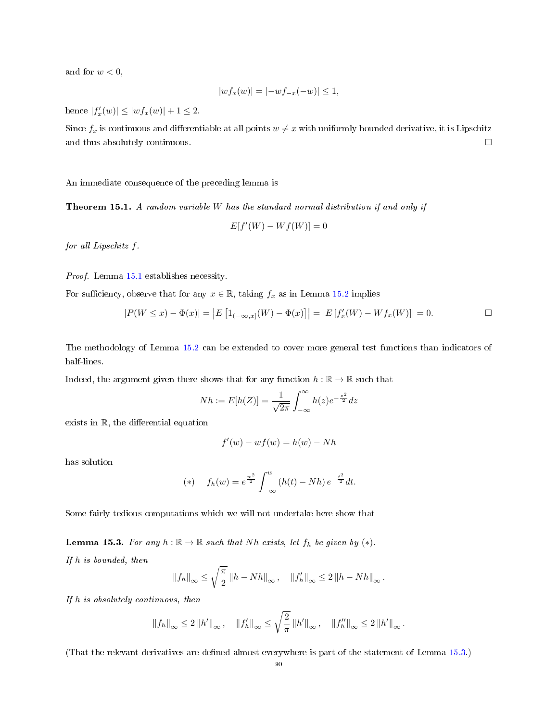and for  $w < 0$ ,

$$
|wf_x(w)| = |-wf_{-x}(-w)| \le 1,
$$

hence  $|f'_x(w)| \le |wf_x(w)| + 1 \le 2$ .

Since  $f_x$  is continuous and differentiable at all points  $w \neq x$  with uniformly bounded derivative, it is Lipschitz and thus absolutely continuous.  $\Box$ 

An immediate consequence of the preceding lemma is

Theorem 15.1. A random variable W has the standard normal distribution if and only if

$$
E[f'(W) - Wf(W)] = 0
$$

for all Lipschitz f.

Proof. Lemma [15.1](#page-87-0) establishes necessity.

For sufficiency, observe that for any  $x \in \mathbb{R}$ , taking  $f_x$  as in Lemma [15.2](#page-87-1) implies

$$
|P(W \le x) - \Phi(x)| = |E [1_{(-\infty, x]}(W) - \Phi(x)]| = |E [f'_x(W) - Wf_x(W)]| = 0.
$$

The methodology of Lemma [15.2](#page-87-1) can be extended to cover more general test functions than indicators of half-lines.

Indeed, the argument given there shows that for any function  $h : \mathbb{R} \to \mathbb{R}$  such that

$$
Nh := E[h(Z)] = \frac{1}{\sqrt{2\pi}} \int_{-\infty}^{\infty} h(z)e^{-\frac{z^2}{2}} dz
$$

exists in  $R$ , the differential equation

$$
f'(w) - wf(w) = h(w) - Nh
$$

has solution

(\*) 
$$
f_h(w) = e^{\frac{w^2}{2}} \int_{-\infty}^w (h(t) - Nh) e^{-\frac{t^2}{2}} dt.
$$

Some fairly tedious computations which we will not undertake here show that

<span id="page-89-0"></span>**Lemma 15.3.** For any  $h : \mathbb{R} \to \mathbb{R}$  such that Nh exists, let  $f_h$  be given by  $(*)$ . If h is bounded, then

$$
||f_h||_{\infty} \le \sqrt{\frac{\pi}{2}} \left\|h - Nh\right\|_{\infty}, \quad ||f_h'||_{\infty} \le 2 \left\|h -Nh\right\|_{\infty}.
$$

If h is absolutely continuous, then

$$
\left\|f_h\right\|_{\infty} \leq 2 \left\|h'\right\|_{\infty}, \quad \left\|f'_h\right\|_{\infty} \leq \sqrt{\frac{2}{\pi}} \left\|h'\right\|_{\infty}, \quad \left\|f''_h\right\|_{\infty} \leq 2 \left\|h'\right\|_{\infty}.
$$

(That the relevant derivatives are dened almost everywhere is part of the statement of Lemma [15.3.](#page-89-0))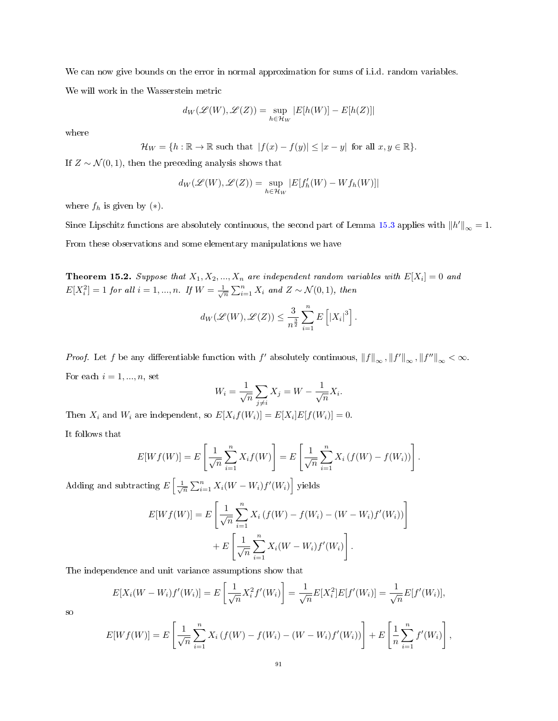We can now give bounds on the error in normal approximation for sums of i.i.d. random variables. We will work in the Wasserstein metric

$$
d_W(\mathscr{L}(W), \mathscr{L}(Z)) = \sup_{h \in \mathcal{H}_W} |E[h(W)] - E[h(Z)]|
$$

where

$$
\mathcal{H}_W = \{ h : \mathbb{R} \to \mathbb{R} \text{ such that } |f(x) - f(y)| \leq |x - y| \text{ for all } x, y \in \mathbb{R} \}.
$$

If  $Z \sim \mathcal{N}(0, 1)$ , then the preceding analysis shows that

$$
d_W(\mathscr{L}(W), \mathscr{L}(Z)) = \sup_{h \in \mathcal{H}_W} |E[f'_h(W) - Wf_h(W)]|
$$

where  $f_h$  is given by  $(*)$ .

Since Lipschitz functions are absolutely continuous, the second part of Lemma [15.3](#page-89-0) applies with  $||h'||_{\infty} = 1$ . From these observations and some elementary manipulations we have

<span id="page-90-0"></span>**Theorem 15.2.** Suppose that  $X_1, X_2, ..., X_n$  are independent random variables with  $E[X_i] = 0$  and  $E[X_i^2]=1$  for all  $i=1,...,n$ . If  $W=\frac{1}{\sqrt{n}}\sum_{i=1}^n X_i$  and  $Z\sim\mathcal{N}(0,1)$ , then

$$
d_W(\mathscr{L}(W), \mathscr{L}(Z)) \leq \frac{3}{n^{\frac{3}{2}}} \sum_{i=1}^n E\left[|X_i|^3\right].
$$

*Proof.* Let f be any differentiable function with f' absolutely continuous,  $||f||_{\infty}$ ,  $||f'||_{\infty}$ ,  $||f''||_{\infty} < \infty$ . For each  $i = 1, ..., n$ , set

$$
W_i = \frac{1}{\sqrt{n}} \sum_{j \neq i} X_j = W - \frac{1}{\sqrt{n}} X_i.
$$

Then  $X_i$  and  $W_i$  are independent, so  $E[X_i f(W_i)] = E[X_i] E[f(W_i)] = 0$ .

It follows that

$$
E[Wf(W)] = E\left[\frac{1}{\sqrt{n}} \sum_{i=1}^{n} X_i f(W)\right] = E\left[\frac{1}{\sqrt{n}} \sum_{i=1}^{n} X_i (f(W) - f(W_i))\right].
$$

Adding and subtracting  $E\left[\frac{1}{\sqrt{n}}\sum_{i=1}^{n}X_i(W-W_i)f'(W_i)\right]$  yields

$$
E[Wf(W)] = E\left[\frac{1}{\sqrt{n}} \sum_{i=1}^{n} X_i (f(W) - f(W_i) - (W - W_i)f'(W_i))\right] + E\left[\frac{1}{\sqrt{n}} \sum_{i=1}^{n} X_i (W - W_i)f'(W_i)\right].
$$

The independence and unit variance assumptions show that

$$
E[X_i(W - W_i)f'(W_i)] = E\left[\frac{1}{\sqrt{n}}X_i^2f'(W_i)\right] = \frac{1}{\sqrt{n}}E[X_i^2]E[f'(W_i)] = \frac{1}{\sqrt{n}}E[f'(W_i)],
$$

so

$$
E[Wf(W)] = E\left[\frac{1}{\sqrt{n}}\sum_{i=1}^{n}X_i\left(f(W) - f(W_i) - (W - W_i)f'(W_i)\right)\right] + E\left[\frac{1}{n}\sum_{i=1}^{n}f'(W_i)\right],
$$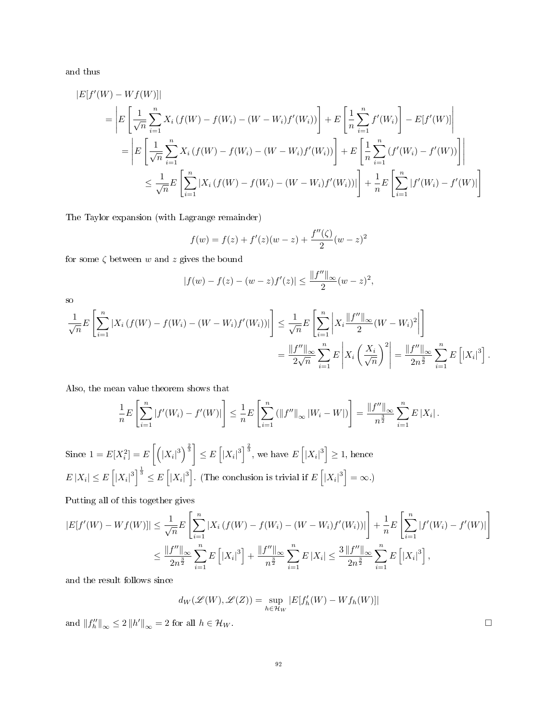and thus

$$
|E[f'(W) - Wf(W)]|
$$
  
\n
$$
= \left| E\left[\frac{1}{\sqrt{n}} \sum_{i=1}^{n} X_i (f(W) - f(W_i) - (W - W_i)f'(W_i))\right] + E\left[\frac{1}{n} \sum_{i=1}^{n} f'(W_i)\right] - E[f'(W)]\right|
$$
  
\n
$$
= \left| E\left[\frac{1}{\sqrt{n}} \sum_{i=1}^{n} X_i (f(W) - f(W_i) - (W - W_i)f'(W_i))\right] + E\left[\frac{1}{n} \sum_{i=1}^{n} (f'(W_i) - f'(W))\right] \right|
$$
  
\n
$$
\leq \frac{1}{\sqrt{n}} E\left[\sum_{i=1}^{n} |X_i (f(W) - f(W_i) - (W - W_i)f'(W_i))| \right] + \frac{1}{n} E\left[\sum_{i=1}^{n} |f'(W_i) - f'(W)|\right]
$$

The Taylor expansion (with Lagrange remainder)

$$
f(w) = f(z) + f'(z)(w - z) + \frac{f''(\zeta)}{2}(w - z)^2
$$

for some  $\zeta$  between w and z gives the bound

$$
|f(w) - f(z) - (w - z)f'(z)| \le \frac{\|f''\|_{\infty}}{2}(w - z)^2,
$$

so

$$
\frac{1}{\sqrt{n}}E\left[\sum_{i=1}^{n}|X_{i}(f(W)-f(W_{i})-(W-W_{i})f'(W_{i}))|\right] \leq \frac{1}{\sqrt{n}}E\left[\sum_{i=1}^{n}\left|X_{i}\frac{\|f''\|_{\infty}}{2}(W-W_{i})^{2}\right|\right]
$$
\n
$$
=\frac{\|f''\|_{\infty}}{2\sqrt{n}}\sum_{i=1}^{n}E\left|X_{i}\left(\frac{X_{i}}{\sqrt{n}}\right)^{2}\right|=\frac{\|f''\|_{\infty}}{2n^{\frac{3}{2}}}\sum_{i=1}^{n}E\left[|X_{i}|^{3}\right].
$$

Also, the mean value theorem shows that

$$
\frac{1}{n}E\left[\sum_{i=1}^n|f'(W_i)-f'(W)|\right]\leq \frac{1}{n}E\left[\sum_{i=1}^n\left(\|f''\|_{\infty}|W_i-W|\right)\right]=\frac{\|f''\|_{\infty}}{n^{\frac{3}{2}}}\sum_{i=1}^nE\left|X_i\right|.
$$

Since  $1 = E[X_i^2] = E\left[\left(|X_i|^3\right)^{\frac{2}{3}}\right] \leq E\left[|X_i|^3\right]^{\frac{2}{3}}$ , we have  $E\left[|X_i|^3\right] \geq 1$ , hence  $E|X_i| \leq E\left[|X_i|^3\right]^{\frac{1}{3}} \leq E\left[|X_i|^3\right]$ . (The conclusion is trivial if  $E\left[|X_i|^3\right] = \infty$ .)

Putting all of this together gives

$$
|E[f'(W) - Wf(W)]| \le \frac{1}{\sqrt{n}} E\left[\sum_{i=1}^{n} |X_i(f(W) - f(W_i) - (W - W_i)f'(W_i))|\right] + \frac{1}{n} E\left[\sum_{i=1}^{n} |f'(W_i) - f'(W)|\right]
$$
  

$$
\le \frac{\|f''\|_{\infty}}{2n^{\frac{3}{2}}} \sum_{i=1}^{n} E\left[|X_i|^3\right] + \frac{\|f''\|_{\infty}}{n^{\frac{3}{2}}} \sum_{i=1}^{n} E\left|X_i\right| \le \frac{3\|f''\|_{\infty}}{2n^{\frac{3}{2}}} \sum_{i=1}^{n} E\left[|X_i|^3\right],
$$

and the result follows since

$$
d_W(\mathscr{L}(W), \mathscr{L}(Z)) = \sup_{h \in \mathcal{H}_W} |E[f'_h(W) - Wf_h(W)]|
$$

and  $||f''_h||_{\infty} \le 2 ||h'||_{\infty} = 2$  for all  $h \in \mathcal{H}_W$ .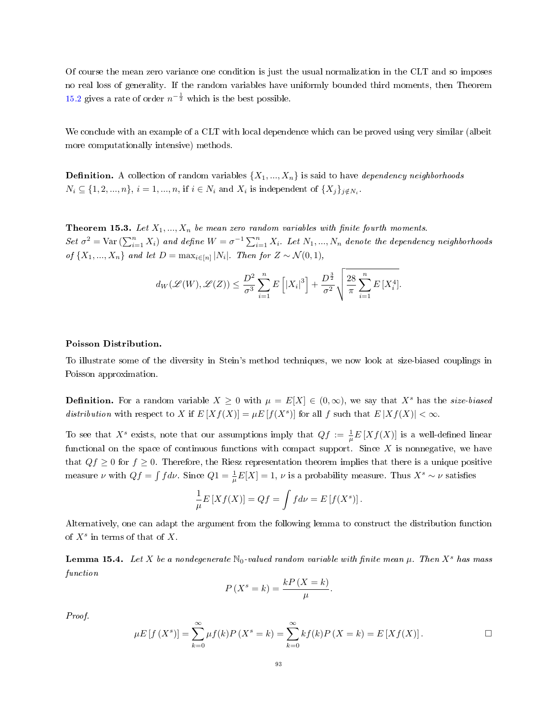Of course the mean zero variance one condition is just the usual normalization in the CLT and so imposes no real loss of generality. If the random variables have uniformly bounded third moments, then Theorem [15.2](#page-90-0) gives a rate of order  $n^{-\frac{1}{2}}$  which is the best possible.

We conclude with an example of a CLT with local dependence which can be proved using very similar (albeit more computationally intensive) methods.

**Definition.** A collection of random variables  $\{X_1, ..., X_n\}$  is said to have *dependency neighborhoods*  $N_i \subseteq \{1, 2, ..., n\}, i = 1, ..., n$ , if  $i \in N_i$  and  $X_i$  is independent of  $\{X_j\}_{j \notin N_i}$ .

**Theorem 15.3.** Let  $X_1, ..., X_n$  be mean zero random variables with finite fourth moments. Set  $\sigma^2$  = Var  $(\sum_{i=1}^n X_i)$  and define  $W = \sigma^{-1} \sum_{i=1}^n X_i$ . Let  $N_1, ..., N_n$  denote the dependency neighborhoods of  $\{X_1, ..., X_n\}$  and let  $D = \max_{i \in [n]} |N_i|$ . Then for  $Z \sim \mathcal{N}(0, 1)$ ,

$$
d_W(\mathscr{L}(W), \mathscr{L}(Z)) \le \frac{D^2}{\sigma^3} \sum_{i=1}^n E\left[|X_i|^3\right] + \frac{D^{\frac{3}{2}}}{\sigma^2} \sqrt{\frac{28}{\pi} \sum_{i=1}^n E\left[X_i^4\right]}.
$$

### Poisson Distribution.

To illustrate some of the diversity in Stein's method techniques, we now look at size-biased couplings in Poisson approximation.

**Definition.** For a random variable  $X \geq 0$  with  $\mu = E[X] \in (0, \infty)$ , we say that  $X^s$  has the *size-biased* distribution with respect to X if  $E[Xf(X)] = \mu E[f(X^s)]$  for all f such that  $E|Xf(X)| < \infty$ .

To see that  $X^s$  exists, note that our assumptions imply that  $Qf := \frac{1}{\mu} E[Xf(X)]$  is a well-defined linear functional on the space of continuous functions with compact support. Since  $X$  is nonnegative, we have that  $Qf \geq 0$  for  $f \geq 0$ . Therefore, the Riesz representation theorem implies that there is a unique positive measure  $\nu$  with  $Qf = \int f d\nu$ . Since  $Q1 = \frac{1}{\mu}E[X] = 1$ ,  $\nu$  is a probability measure. Thus  $X^s \sim \nu$  satisfies

$$
\frac{1}{\mu}E\left[Xf(X)\right] = Qf = \int f d\nu = E\left[f(X^s)\right].
$$

Alternatively, one can adapt the argument from the following lemma to construct the distribution function of  $X^s$  in terms of that of X.

**Lemma 15.4.** Let X be a nondegenerate  $\mathbb{N}_0$ -valued random variable with finite mean  $\mu$ . Then X<sup>s</sup> has mass function

$$
P(X^s = k) = \frac{kP(X = k)}{\mu}
$$

Proof.

$$
\mu E[f(X^s)] = \sum_{k=0}^{\infty} \mu f(k) P(X^s = k) = \sum_{k=0}^{\infty} k f(k) P(X = k) = E[Xf(X)].
$$

.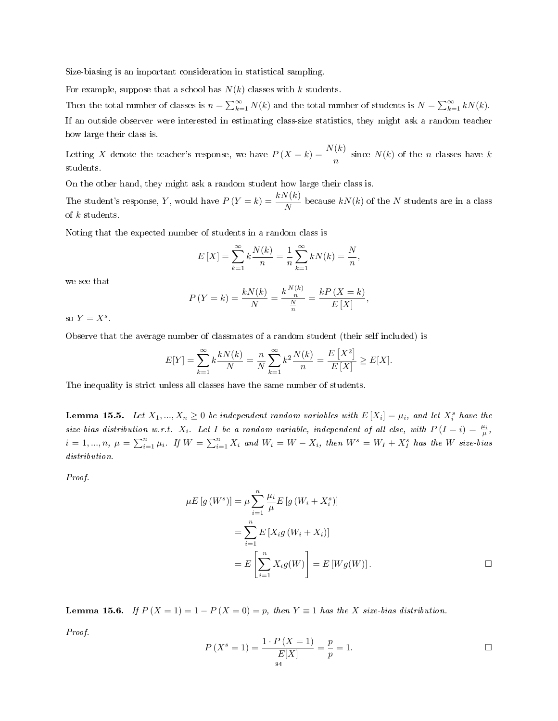Size-biasing is an important consideration in statistical sampling.

For example, suppose that a school has  $N(k)$  classes with k students.

Then the total number of classes is  $n = \sum_{k=1}^{\infty} N(k)$  and the total number of students is  $N = \sum_{k=1}^{\infty} kN(k)$ . If an outside observer were interested in estimating class-size statistics, they might ask a random teacher how large their class is.

Letting X denote the teacher's response, we have  $P(X = k) = \frac{N(k)}{n}$  since  $N(k)$  of the n classes have k students.

On the other hand, they might ask a random student how large their class is.

The student's response, Y, would have  $P(Y = k) = \frac{kN(k)}{N}$  because  $kN(k)$  of the N students are in a class of k students.

Noting that the expected number of students in a random class is

$$
E[X] = \sum_{k=1}^{\infty} k \frac{N(k)}{n} = \frac{1}{n} \sum_{k=1}^{\infty} k N(k) = \frac{N}{n},
$$

we see that

$$
P(Y = k) = \frac{kN(k)}{N} = \frac{k\frac{N(k)}{n}}{\frac{N}{n}} = \frac{kP(X = k)}{E[X]},
$$

so  $Y = X^s$ .

Observe that the average number of classmates of a random student (their self included) is

$$
E[Y] = \sum_{k=1}^{\infty} k \frac{kN(k)}{N} = \frac{n}{N} \sum_{k=1}^{\infty} k^2 \frac{N(k)}{n} = \frac{E[X^2]}{E[X]} \ge E[X].
$$

The inequality is strict unless all classes have the same number of students.

<span id="page-93-0"></span>**Lemma 15.5.** Let  $X_1, ..., X_n \geq 0$  be independent random variables with  $E[X_i] = \mu_i$ , and let  $X_i^s$  have the size-bias distribution w.r.t.  $X_i$ . Let I be a random variable, independent of all else, with  $P(I = i) = \frac{\mu_i}{\mu}$ ,  $i=1,...,n, \ \mu=\sum_{i=1}^n \mu_i$ . If  $W=\sum_{i=1}^n X_i$  and  $W_i=W-X_i$ , then  $W^s=W_I+X_I^s$  has the W size-bias distribution.

Proof.

$$
\mu E[g(W^s)] = \mu \sum_{i=1}^n \frac{\mu_i}{\mu} E[g(W_i + X_i^s)]
$$
  
= 
$$
\sum_{i=1}^n E[X_i g(W_i + X_i)]
$$
  
= 
$$
E\left[\sum_{i=1}^n X_i g(W)\right] = E[Wg(W)].
$$

<span id="page-93-1"></span>**Lemma 15.6.** If  $P(X = 1) = 1 - P(X = 0) = p$ , then  $Y \equiv 1$  has the X size-bias distribution.

Proof.

$$
P(X^s = 1) = \frac{1 \cdot P(X = 1)}{E[X]} = \frac{p}{p} = 1.
$$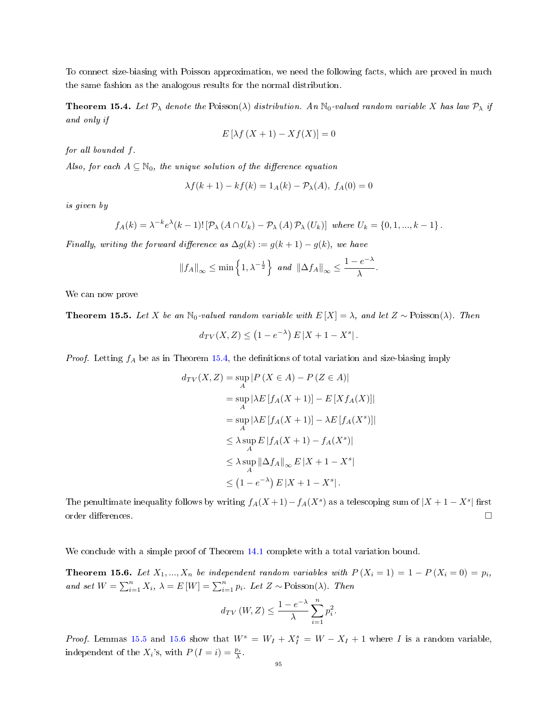To connect size-biasing with Poisson approximation, we need the following facts, which are proved in much the same fashion as the analogous results for the normal distribution.

<span id="page-94-0"></span>**Theorem 15.4.** Let  $\mathcal{P}_{\lambda}$  denote the Poisson( $\lambda$ ) distribution. An N<sub>0</sub>-valued random variable X has law  $\mathcal{P}_{\lambda}$  if and only if

$$
E\left[\lambda f\left(X+1\right) - Xf\left(X\right)\right] = 0
$$

for all bounded f.

Also, for each  $A \subseteq \mathbb{N}_0$ , the unique solution of the difference equation

$$
\lambda f(k+1) - kf(k) = 1_A(k) - \mathcal{P}_{\lambda}(A), \ f_A(0) = 0
$$

is given by

$$
f_A(k) = \lambda^{-k} e^{\lambda} (k-1)! \left[ \mathcal{P}_{\lambda} \left( A \cap U_k \right) - \mathcal{P}_{\lambda} \left( A \right) \mathcal{P}_{\lambda} \left( U_k \right) \right] \text{ where } U_k = \{0, 1, ..., k-1\}.
$$

Finally, writing the forward difference as  $\Delta g(k) := g(k+1) - g(k)$ , we have

$$
||f_A||_{\infty} \le \min\left\{1, \lambda^{-\frac{1}{2}}\right\} \text{ and } ||\Delta f_A||_{\infty} \le \frac{1 - e^{-\lambda}}{\lambda}
$$

.

We can now prove

<span id="page-94-1"></span>**Theorem 15.5.** Let X be an N<sub>0</sub>-valued random variable with  $E[X] = \lambda$ , and let  $Z \sim \text{Poisson}(\lambda)$ . Then

$$
d_{TV}(X,Z) \le (1 - e^{-\lambda}) E\left|X + 1 - X^s\right|.
$$

*Proof.* Letting  $f_A$  be as in Theorem [15.4,](#page-94-0) the definitions of total variation and size-biasing imply

$$
d_{TV}(X, Z) = \sup_{A} |P(X \in A) - P(Z \in A)|
$$
  
= 
$$
\sup_{A} |\lambda E [f_A(X + 1)] - E [X f_A(X)]|
$$
  
= 
$$
\sup_{A} |\lambda E [f_A(X + 1)] - \lambda E [f_A(X^s)]|
$$
  

$$
\leq \lambda \sup_{A} E |f_A(X + 1) - f_A(X^s)|
$$
  

$$
\leq \lambda \sup_{A} ||\Delta f_A||_{\infty} E |X + 1 - X^s|
$$
  

$$
\leq (1 - e^{-\lambda}) E |X + 1 - X^s|.
$$

The penultimate inequality follows by writing  $f_A(X+1) - f_A(X^s)$  as a telescoping sum of  $|X+1-X^s|$  first order differences.  $\Box$ 

We conclude with a simple proof of Theorem [14.1](#page-81-0) complete with a total variation bound.

<span id="page-94-2"></span>**Theorem 15.6.** Let  $X_1, ..., X_n$  be independent random variables with  $P(X_i = 1) = 1 - P(X_i = 0) = p_i$ , and set  $W = \sum_{i=1}^{n} X_i$ ,  $\lambda = E[W] = \sum_{i=1}^{n} p_i$ . Let  $Z \sim \text{Poisson}(\lambda)$ . Then

$$
d_{TV}(W, Z) \le \frac{1 - e^{-\lambda}}{\lambda} \sum_{i=1}^{n} p_i^2.
$$

*Proof.* Lemmas [15.5](#page-93-0) and [15.6](#page-93-1) show that  $W^s = W_I + X_I^s = W - X_I + 1$  where I is a random variable, independent of the  $X_i$ 's, with  $P(I = i) = \frac{p_i}{\lambda}$ .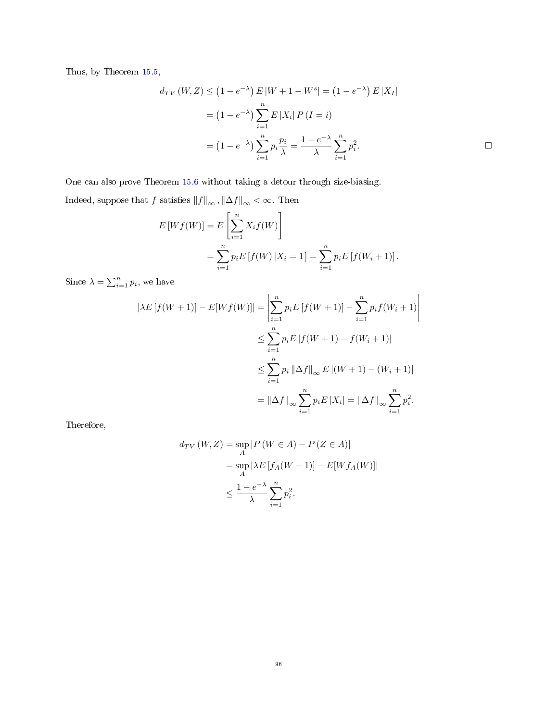Thus, by Theorem [15.5,](#page-94-1)

$$
d_{TV} (W, Z) \le (1 - e^{-\lambda}) E |W + 1 - W^s| = (1 - e^{-\lambda}) E |X_I|
$$
  
=  $(1 - e^{-\lambda}) \sum_{i=1}^n E |X_i| P (I = i)$   
=  $(1 - e^{-\lambda}) \sum_{i=1}^n p_i \frac{p_i}{\lambda} = \frac{1 - e^{-\lambda}}{\lambda} \sum_{i=1}^n p_i^2.$ 

One can also prove Theorem [15.6](#page-94-2) without taking a detour through size-biasing. Indeed, suppose that  $f$  satisfies  $\left\Vert f\right\Vert _{\infty},\left\Vert \Delta f\right\Vert _{\infty}<\infty.$  Then

$$
E[Wf(W)] = E\left[\sum_{i=1}^{n} X_i f(W)\right]
$$
  
= 
$$
\sum_{i=1}^{n} p_i E[f(W) | X_i = 1] = \sum_{i=1}^{n} p_i E[f(W_i + 1)].
$$

Since  $\lambda = \sum_{i=1}^n p_i$ , we have

$$
|\lambda E[f(W+1)] - E[Wf(W)]| = \left| \sum_{i=1}^{n} p_i E[f(W+1)] - \sum_{i=1}^{n} p_i f(W_i+1) \right|
$$
  

$$
\leq \sum_{i=1}^{n} p_i E |f(W+1) - f(W_i+1)|
$$
  

$$
\leq \sum_{i=1}^{n} p_i ||\Delta f||_{\infty} E |(W+1) - (W_i+1)|
$$
  

$$
= ||\Delta f||_{\infty} \sum_{i=1}^{n} p_i E |X_i| = ||\Delta f||_{\infty} \sum_{i=1}^{n} p_i^2.
$$

Therefore,

$$
d_{TV}(W, Z) = \sup_A |P(W \in A) - P(Z \in A)|
$$
  
= 
$$
\sup_A |\lambda E[f_A(W + 1)] - E[Wf_A(W)]|
$$
  

$$
\leq \frac{1 - e^{-\lambda}}{\lambda} \sum_{i=1}^n p_i^2.
$$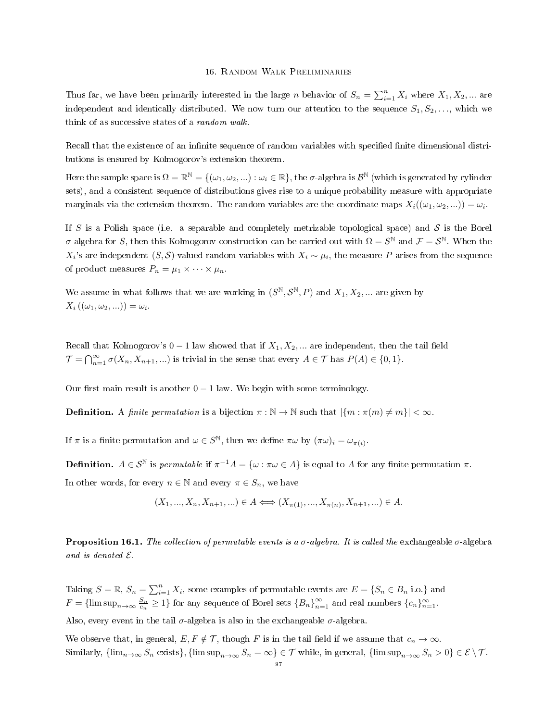#### 16. Random Walk Preliminaries

Thus far, we have been primarily interested in the large n behavior of  $S_n = \sum_{i=1}^n X_i$  where  $X_1, X_2, ...$  are independent and identically distributed. We now turn our attention to the sequence  $S_1, S_2, \ldots$ , which we think of as successive states of a random walk.

Recall that the existence of an infinite sequence of random variables with specified finite dimensional distributions is ensured by Kolmogorov's extension theorem.

Here the sample space is  $\Omega = \mathbb{R}^{\mathbb{N}} = \{(\omega_1, \omega_2, ...) : \omega_i \in \mathbb{R}\}$ , the  $\sigma$ -algebra is  $\mathcal{B}^{\mathbb{N}}$  (which is generated by cylinder sets), and a consistent sequence of distributions gives rise to a unique probability measure with appropriate marginals via the extension theorem. The random variables are the coordinate maps  $X_i((\omega_1, \omega_2, ...)$  =  $\omega_i$ .

If S is a Polish space (i.e. a separable and completely metrizable topological space) and S is the Borel σ-algebra for S, then this Kolmogorov construction can be carried out with  $\Omega = S^{\mathbb{N}}$  and  $\mathcal{F} = S^{\mathbb{N}}$ . When the  $X_i$ 's are independent  $(S, S)$ -valued random variables with  $X_i \sim \mu_i$ , the measure  $P$  arises from the sequence of product measures  $P_n = \mu_1 \times \cdots \times \mu_n$ .

We assume in what follows that we are working in  $(S^{\mathbb{N}}, S^{\mathbb{N}}, P)$  and  $X_1, X_2, ...$  are given by  $X_i((\omega_1,\omega_2,\ldots))=\omega_i.$ 

Recall that Kolmogorov's  $0 - 1$  law showed that if  $X_1, X_2, ...$  are independent, then the tail field  $\mathcal{T} = \bigcap_{n=1}^{\infty} \sigma(X_n, X_{n+1}, \ldots)$  is trivial in the sense that every  $A \in \mathcal{T}$  has  $P(A) \in \{0, 1\}.$ 

Our first main result is another  $0 - 1$  law. We begin with some terminology.

**Definition.** A *finite permutation* is a bijection  $\pi : \mathbb{N} \to \mathbb{N}$  such that  $|\{m : \pi(m) \neq m\}| < \infty$ .

If  $\pi$  is a finite permutation and  $\omega \in S^{\mathbb{N}}$ , then we define  $\pi \omega$  by  $(\pi \omega)_i = \omega_{\pi(i)}$ .

**Definition.**  $A \in S^{\mathbb{N}}$  is permutable if  $\pi^{-1}A = \{\omega : \pi \omega \in A\}$  is equal to A for any finite permutation  $\pi$ . In other words, for every  $n \in \mathbb{N}$  and every  $\pi \in S_n$ , we have

$$
(X_1, ..., X_n, X_{n+1}, ...) \in A \iff (X_{\pi(1)}, ..., X_{\pi(n)}, X_{n+1}, ...) \in A.
$$

**Proposition 16.1.** The collection of permutable events is a  $\sigma$ -algebra. It is called the exchangeable  $\sigma$ -algebra and is denoted E.

Taking  $S = \mathbb{R}$ ,  $S_n = \sum_{i=1}^n X_i$ , some examples of permutable events are  $E = \{S_n \in B_n \text{ i.o.}\}\$ and  $F = \{\limsup_{n \to \infty} \frac{S_n}{c_n} \geq 1\}$  for any sequence of Borel sets  $\{B_n\}_{n=1}^{\infty}$  and real numbers  $\{c_n\}_{n=1}^{\infty}$ .

Also, every event in the tail  $\sigma$ -algebra is also in the exchangeable  $\sigma$ -algebra.

We observe that, in general,  $E, F \notin \mathcal{T}$ , though F is in the tail field if we assume that  $c_n \to \infty$ . Similarly,  ${\{\lim_{n\to\infty}S_n \text{ exists}\}, \{\limsup_{n\to\infty}S_n=\infty\}} \in \mathcal{T}$  while, in general,  ${\{\limsup_{n\to\infty}S_n > 0\}} \in \mathcal{E} \setminus \mathcal{T}$ .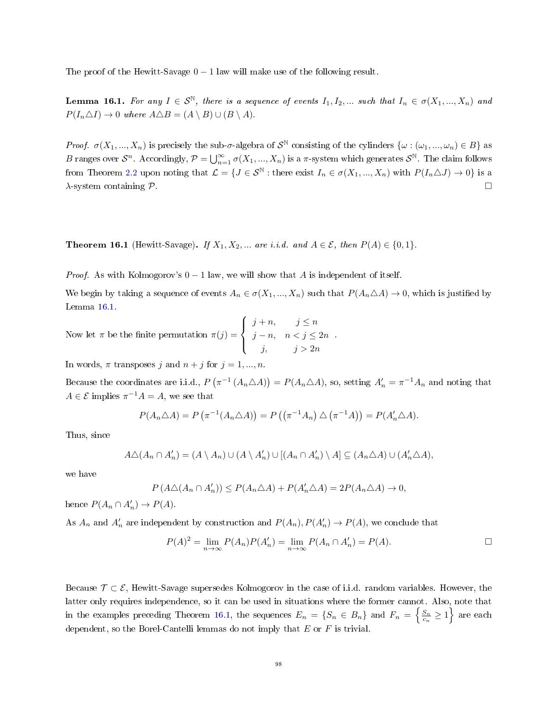The proof of the Hewitt-Savage  $0 - 1$  law will make use of the following result.

<span id="page-97-0"></span>**Lemma 16.1.** For any  $I \in \mathcal{S}^{\mathbb{N}}$ , there is a sequence of events  $I_1, I_2, ...$  such that  $I_n \in \sigma(X_1, ..., X_n)$  and  $P(I_n \triangle I) \rightarrow 0$  where  $A \triangle B = (A \setminus B) \cup (B \setminus A)$ .

Proof.  $\sigma(X_1, ..., X_n)$  is precisely the sub- $\sigma$ -algebra of  $S^{\mathbb{N}}$  consisting of the cylinders  $\{\omega : (\omega_1, ..., \omega_n) \in B\}$  as B ranges over  $\mathcal{S}^n$ . Accordingly,  $\mathcal{P} = \bigcup_{n=1}^{\infty} \sigma(X_1, ..., X_n)$  is a  $\pi$ -system which generates  $\mathcal{S}^{\mathbb{N}}$ . The claim follows from Theorem [2.2](#page-6-0) upon noting that  $\mathcal{L} = \{J \in \mathcal{S}^{\mathbb{N}} : \text{there exist } I_n \in \sigma(X_1, ..., X_n) \text{ with } P(I_n \triangle J) \to 0\}$  is a  $\lambda$ -system containing P.

<span id="page-97-1"></span>**Theorem 16.1** (Hewitt-Savage). If  $X_1, X_2, ...$  are i.i.d. and  $A \in \mathcal{E}$ , then  $P(A) \in \{0, 1\}$ .

*Proof.* As with Kolmogorov's  $0 - 1$  law, we will show that A is independent of itself.

We begin by taking a sequence of events  $A_n \in \sigma(X_1, ..., X_n)$  such that  $P(A_n \triangle A) \to 0$ , which is justified by Lemma [16.1.](#page-97-0)

Now let  $\pi$  be the finite permutation  $\pi(j)$  =  $\sqrt{ }$  $\int$  $\overline{\mathcal{L}}$  $j + n$ ,  $j \leq n$  $j - n$ ,  $n < j \leq 2n$ j,  $j > 2n$ 

In words,  $\pi$  transposes j and  $n + j$  for  $j = 1, ..., n$ .

Because the coordinates are i.i.d.,  $P(\pi^{-1}(A_n \triangle A)) = P(A_n \triangle A)$ , so, setting  $A'_n = \pi^{-1}A_n$  and noting that  $A \in \mathcal{E}$  implies  $\pi^{-1}A = A$ , we see that

$$
P(A_n \triangle A) = P\left(\pi^{-1}(A_n \triangle A)\right) = P\left(\left(\pi^{-1}A_n\right) \triangle \left(\pi^{-1}A\right)\right) = P(A'_n \triangle A).
$$

Thus, since

$$
A\triangle (A_n \cap A'_n) = (A \setminus A_n) \cup (A \setminus A'_n) \cup [(A_n \cap A'_n) \setminus A] \subseteq (A_n \triangle A) \cup (A'_n \triangle A),
$$

we have

$$
P(A\triangle (A_n \cap A'_n)) \le P(A_n \triangle A) + P(A'_n \triangle A) = 2P(A_n \triangle A) \to 0,
$$

hence  $P(A_n \cap A'_n) \to P(A)$ .

As  $A_n$  and  $A'_n$  are independent by construction and  $P(A_n), P(A'_n) \to P(A)$ , we conclude that

$$
P(A)^{2} = \lim_{n \to \infty} P(A_{n})P(A'_{n}) = \lim_{n \to \infty} P(A_{n} \cap A'_{n}) = P(A).
$$

.

Because  $\mathcal{T} \subset \mathcal{E}$ , Hewitt-Savage supersedes Kolmogorov in the case of i.i.d. random variables. However, the latter only requires independence, so it can be used in situations where the former cannot. Also, note that in the examples preceding Theorem [16.1,](#page-97-1) the sequences  $E_n = \{S_n \in B_n\}$  and  $F_n = \left\{\frac{S_n}{c_n} \ge 1\right\}$  are each dependent, so the Borel-Cantelli lemmas do not imply that  $E$  or  $F$  is trivial.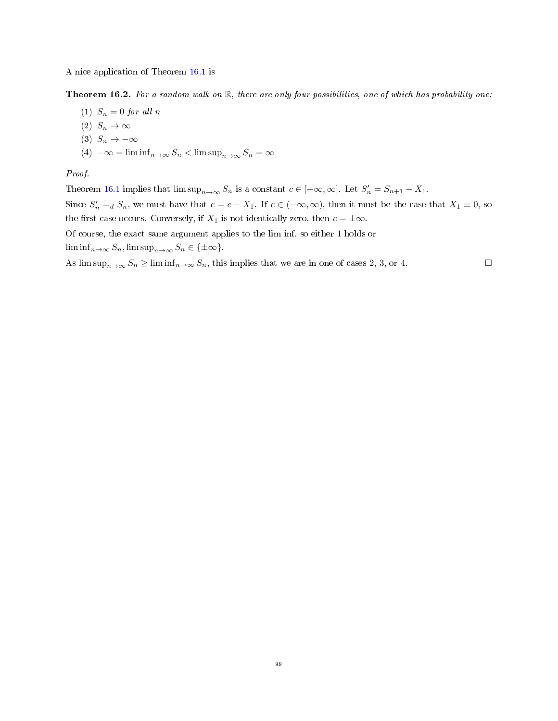A nice application of Theorem [16.1](#page-97-1) is

Theorem 16.2. For a random walk on  $\mathbb R$ , there are only four possibilities, one of which has probability one:

- (1)  $S_n = 0$  for all n
- (2)  $S_n \to \infty$
- (3)  $S_n \to -\infty$
- (4)  $-\infty = \liminf_{n \to \infty} S_n < \limsup_{n \to \infty} S_n = \infty$

# Proof.

Theorem [16.1](#page-97-1) implies that  $\limsup_{n\to\infty} S_n$  is a constant  $c \in [-\infty, \infty]$ . Let  $S'_n = S_{n+1} - X_1$ . Since  $S'_n =_d S_n$ , we must have that  $c = c - X_1$ . If  $c \in (-\infty, \infty)$ , then it must be the case that  $X_1 \equiv 0$ , so the first case occurs. Conversely, if  $X_1$  is not identically zero, then  $c = \pm \infty$ . Of course, the exact same argument applies to the lim inf, so either 1 holds or  $\liminf_{n\to\infty}S_n$ ,  $\limsup_{n\to\infty}S_n \in {\{\pm \infty\}}$ .

As  $\limsup_{n\to\infty} S_n \ge \liminf_{n\to\infty} S_n$ , this implies that we are in one of cases 2, 3, or 4.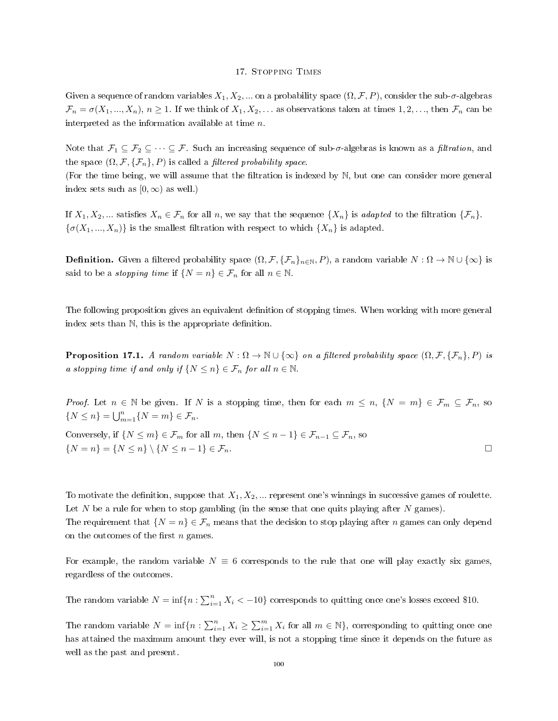### 17. Stopping Times

Given a sequence of random variables  $X_1, X_2, ...$  on a probability space  $(\Omega, \mathcal{F}, P)$ , consider the sub- $\sigma$ -algebras  $\mathcal{F}_n = \sigma(X_1, ..., X_n), n \ge 1$ . If we think of  $X_1, X_2, ...$  as observations taken at times  $1, 2, ...$ , then  $\mathcal{F}_n$  can be interpreted as the information available at time n.

Note that  $\mathcal{F}_1 \subseteq \mathcal{F}_2 \subseteq \cdots \subseteq \mathcal{F}$ . Such an increasing sequence of sub- $\sigma$ -algebras is known as a *filtration*, and the space  $(\Omega, \mathcal{F}, \{\mathcal{F}_n\}, P)$  is called a *filtered probability space*.

(For the time being, we will assume that the filtration is indexed by  $N$ , but one can consider more general index sets such as  $[0, \infty)$  as well.)

If  $X_1, X_2, ...$  satisfies  $X_n \in \mathcal{F}_n$  for all n, we say that the sequence  $\{X_n\}$  is adapted to the filtration  $\{\mathcal{F}_n\}$ .  ${\{\sigma(X_1, ..., X_n)\}}$  is the smallest filtration with respect to which  $\{X_n\}$  is adapted.

**Definition.** Given a filtered probability space  $(\Omega, \mathcal{F}, \{\mathcal{F}_n\}_{n\in\mathbb{N}}, P)$ , a random variable  $N : \Omega \to \mathbb{N} \cup \{\infty\}$  is said to be a *stopping time* if  $\{N = n\} \in \mathcal{F}_n$  for all  $n \in \mathbb{N}$ .

The following proposition gives an equivalent definition of stopping times. When working with more general index sets than  $\mathbb N$ , this is the appropriate definition.

**Proposition 17.1.** A random variable  $N : \Omega \to \mathbb{N} \cup \{\infty\}$  on a filtered probability space  $(\Omega, \mathcal{F}, \{\mathcal{F}_n\}, P)$  is a stopping time if and only if  $\{N \leq n\} \in \mathcal{F}_n$  for all  $n \in \mathbb{N}$ .

*Proof.* Let  $n \in \mathbb{N}$  be given. If N is a stopping time, then for each  $m \leq n$ ,  $\{N = m\} \in \mathcal{F}_m \subseteq \mathcal{F}_n$ , so  $\{N \leq n\} = \bigcup_{m=1}^{n} \{N = m\} \in \mathcal{F}_n.$ Conversely, if  $\{N \leq m\} \in \mathcal{F}_m$  for all m, then  $\{N \leq n-1\} \in \mathcal{F}_{n-1} \subseteq \mathcal{F}_n$ , so

 $\{N = n\} = \{N \leq n\} \setminus \{N \leq n-1\} \in \mathcal{F}_n.$ 

To motivate the definition, suppose that  $X_1, X_2, \ldots$  represent one's winnings in successive games of roulette. Let  $N$  be a rule for when to stop gambling (in the sense that one quits playing after  $N$  games). The requirement that  $\{N = n\} \in \mathcal{F}_n$  means that the decision to stop playing after n games can only depend on the outcomes of the first  $n$  games.

For example, the random variable  $N \equiv 6$  corresponds to the rule that one will play exactly six games, regardless of the outcomes.

The random variable  $N = \inf\{n : \sum_{i=1}^{n} X_i < -10\}$  corresponds to quitting once one's losses exceed \$10.

The random variable  $N = \inf\{n : \sum_{i=1}^{n} X_i \geq \sum_{i=1}^{m} X_i$  for all  $m \in \mathbb{N}\}$ , corresponding to quitting once one has attained the maximum amount they ever will, is not a stopping time since it depends on the future as well as the past and present.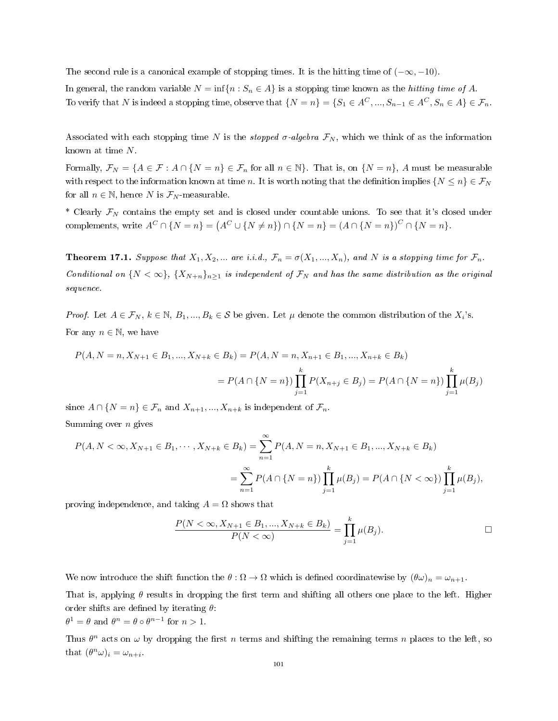The second rule is a canonical example of stopping times. It is the hitting time of  $(-\infty, -10)$ .

In general, the random variable  $N = \inf\{n : S_n \in A\}$  is a stopping time known as the *hitting time of A*. To verify that N is indeed a stopping time, observe that  $\{N = n\} = \{S_1 \in A^C, ..., S_{n-1} \in A^C, S_n \in A\} \in \mathcal{F}_n$ .

Associated with each stopping time N is the *stopped*  $\sigma$ -algebra  $\mathcal{F}_N$ , which we think of as the information known at time N.

Formally,  $\mathcal{F}_N = \{A \in \mathcal{F} : A \cap \{N = n\} \in \mathcal{F}_n \text{ for all } n \in \mathbb{N}\}\.$  That is, on  $\{N = n\},\,A$  must be measurable with respect to the information known at time n. It is worth noting that the definition implies  $\{N \leq n\} \in \mathcal{F}_N$ for all  $n \in \mathbb{N}$ , hence N is  $\mathcal{F}_N$ -measurable.

\* Clearly  $\mathcal{F}_N$  contains the empty set and is closed under countable unions. To see that it's closed under complements, write  $A^C \cap \{N = n\} = (A^C \cup \{N \neq n\}) \cap \{N = n\} = (A \cap \{N = n\})^C \cap \{N = n\}.$ 

<span id="page-100-0"></span>**Theorem 17.1.** Suppose that  $X_1, X_2, ...$  are i.i.d.,  $\mathcal{F}_n = \sigma(X_1, ..., X_n)$ , and N is a stopping time for  $\mathcal{F}_n$ . Conditional on  $\{N < \infty\}$ ,  $\{X_{N+n}\}_{n\geq 1}$  is independent of  $\mathcal{F}_N$  and has the same distribution as the original sequence.

*Proof.* Let  $A \in \mathcal{F}_N$ ,  $k \in \mathbb{N}$ ,  $B_1, ..., B_k \in \mathcal{S}$  be given. Let  $\mu$  denote the common distribution of the  $X_i$ 's. For any  $n \in \mathbb{N}$ , we have

$$
P(A, N = n, X_{N+1} \in B_1, ..., X_{N+k} \in B_k) = P(A, N = n, X_{n+1} \in B_1, ..., X_{n+k} \in B_k)
$$
  
=  $P(A \cap \{N = n\}) \prod_{j=1}^k P(X_{n+j} \in B_j) = P(A \cap \{N = n\}) \prod_{j=1}^k \mu(B_j)$ 

since  $A \cap \{N = n\} \in \mathcal{F}_n$  and  $X_{n+1}, ..., X_{n+k}$  is independent of  $\mathcal{F}_n$ . Summing over  $n$  gives

$$
5.41111116
$$

$$
P(A, N < \infty, X_{N+1} \in B_1, \cdots, X_{N+k} \in B_k) = \sum_{n=1}^{\infty} P(A, N = n, X_{N+1} \in B_1, \dots, X_{N+k} \in B_k)
$$
  
= 
$$
\sum_{n=1}^{\infty} P(A \cap \{N = n\}) \prod_{j=1}^{k} \mu(B_j) = P(A \cap \{N < \infty\}) \prod_{j=1}^{k} \mu(B_j),
$$

proving independence, and taking  $A = \Omega$  shows that

$$
\frac{P(N < \infty, X_{N+1} \in B_1, ..., X_{N+k} \in B_k)}{P(N < \infty)} = \prod_{j=1}^k \mu(B_j).
$$

We now introduce the shift function the  $\theta : \Omega \to \Omega$  which is defined coordinatewise by  $(\theta \omega)_n = \omega_{n+1}$ .

That is, applying  $\theta$  results in dropping the first term and shifting all others one place to the left. Higher order shifts are defined by iterating  $\theta$ :

$$
\theta^1 = \theta \text{ and } \theta^n = \theta \circ \theta^{n-1} \text{ for } n > 1.
$$

Thus  $\theta^n$  acts on  $\omega$  by dropping the first n terms and shifting the remaining terms n places to the left, so that  $(\theta^n \omega)_i = \omega_{n+i}$ .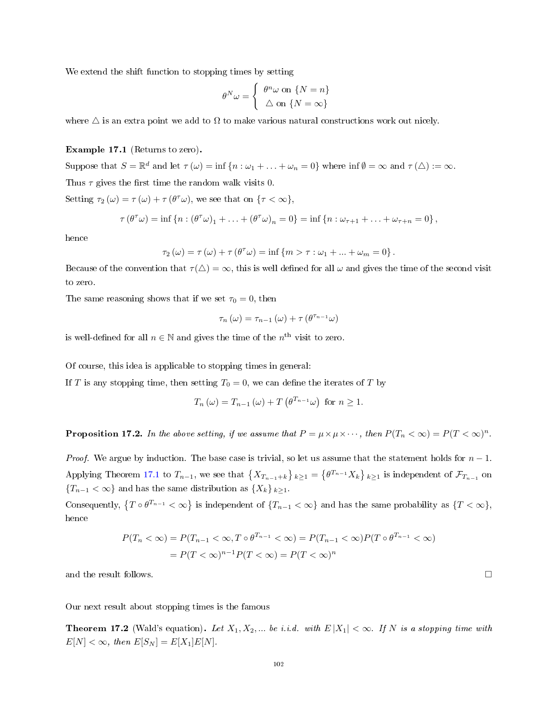We extend the shift function to stopping times by setting

$$
\theta^N \omega = \begin{cases} \theta^n \omega \text{ on } \{N = n\} \\ \Delta \text{ on } \{N = \infty\} \end{cases}
$$

where  $\Delta$  is an extra point we add to  $\Omega$  to make various natural constructions work out nicely.

# Example 17.1 (Returns to zero).

Suppose that  $S = \mathbb{R}^d$  and let  $\tau(\omega) = \inf \{ n : \omega_1 + \ldots + \omega_n = 0 \}$  where  $\inf \emptyset = \infty$  and  $\tau(\triangle) := \infty$ . Thus  $\tau$  gives the first time the random walk visits 0. Setting  $\tau_2(\omega) = \tau(\omega) + \tau(\theta^{\tau}\omega)$ , we see that on  $\{\tau < \infty\},$ 

$$
\tau(\theta^{\tau}\omega) = \inf \{ n : (\theta^{\tau}\omega)_1 + \ldots + (\theta^{\tau}\omega)_n = 0 \} = \inf \{ n : \omega_{\tau+1} + \ldots + \omega_{\tau+n} = 0 \},
$$

hence

$$
\tau_2(\omega) = \tau(\omega) + \tau(\theta^{\tau}\omega) = \inf \{m > \tau : \omega_1 + \dots + \omega_m = 0\}.
$$

Because of the convention that  $\tau(\Delta) = \infty$ , this is well defined for all  $\omega$  and gives the time of the second visit to zero.

The same reasoning shows that if we set  $\tau_0 = 0$ , then

$$
\tau_n(\omega) = \tau_{n-1}(\omega) + \tau(\theta^{\tau_{n-1}}\omega)
$$

is well-defined for all  $n \in \mathbb{N}$  and gives the time of the  $n^{\text{th}}$  visit to zero.

Of course, this idea is applicable to stopping times in general:

If T is any stopping time, then setting  $T_0 = 0$ , we can define the iterates of T by

$$
T_n(\omega) = T_{n-1}(\omega) + T(\theta^{T_{n-1}}\omega)
$$
 for  $n \ge 1$ .

<span id="page-101-0"></span>**Proposition 17.2.** In the above setting, if we assume that  $P = \mu \times \mu \times \cdots$ , then  $P(T_n < \infty) = P(T < \infty)^n$ .

*Proof.* We argue by induction. The base case is trivial, so let us assume that the statement holds for  $n-1$ . Applying Theorem [17.1](#page-100-0) to  $T_{n-1}$ , we see that  $\{X_{T_{n-1}+k}\}_{k\geq 1} = \{\theta^{T_{n-1}}X_k\}_{k\geq 1}$  is independent of  $\mathcal{F}_{T_{n-1}}$  on  ${T_{n-1} < \infty}$  and has the same distribution as  ${X_k}_{k \geq 1}$ .

Consequently,  $\{T \circ \theta^{T_{n-1}} < \infty\}$  is independent of  $\{T_{n-1} < \infty\}$  and has the same probability as  $\{T < \infty\}$ , hence

$$
P(T_n < \infty) = P(T_{n-1} < \infty, T \circ \theta^{T_{n-1}} < \infty) = P(T_{n-1} < \infty)P(T \circ \theta^{T_{n-1}} < \infty)
$$
\n
$$
= P(T < \infty)^{n-1}P(T < \infty) = P(T < \infty)^n
$$

and the result follows.

Our next result about stopping times is the famous

**Theorem 17.2** (Wald's equation). Let  $X_1, X_2, ...$  be i.i.d. with  $E|X_1| < \infty$ . If N is a stopping time with  $E[N] < \infty$ , then  $E[S_N] = E[X_1]E[N]$ .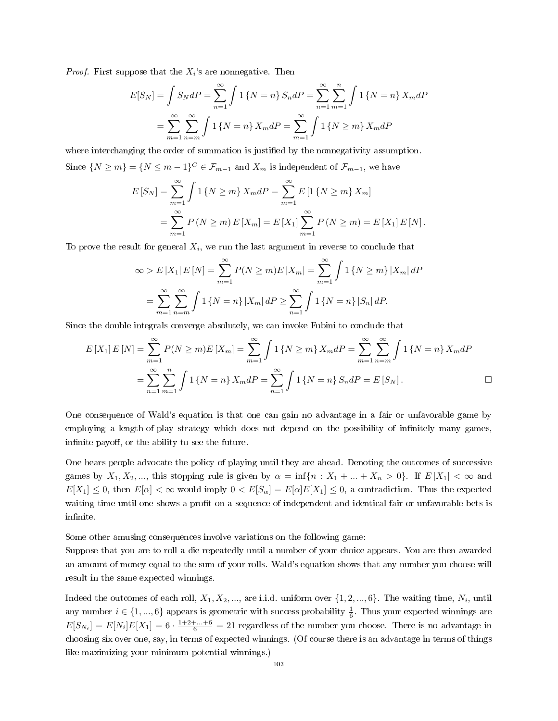*Proof.* First suppose that the  $X_i$ 's are nonnegative. Then

$$
E[S_N] = \int S_N dP = \sum_{n=1}^{\infty} \int 1 \{ N = n \} S_n dP = \sum_{n=1}^{\infty} \sum_{m=1}^{n} \int 1 \{ N = n \} X_m dP
$$

$$
= \sum_{m=1}^{\infty} \sum_{n=m}^{\infty} \int 1 \{ N = n \} X_m dP = \sum_{m=1}^{\infty} \int 1 \{ N \ge m \} X_m dP
$$

where interchanging the order of summation is justified by the nonnegativity assumption. Since  $\{N \ge m\} = \{N \le m-1\}^C \in \mathcal{F}_{m-1}$  and  $X_m$  is independent of  $\mathcal{F}_{m-1}$ , we have

$$
E\left[S_N\right] = \sum_{m=1}^{\infty} \int 1\left\{N \ge m\right\} X_m dP = \sum_{m=1}^{\infty} E\left[1\left\{N \ge m\right\} X_m\right]
$$
  
= 
$$
\sum_{m=1}^{\infty} P\left(N \ge m\right) E\left[X_m\right] = E\left[X_1\right] \sum_{m=1}^{\infty} P\left(N \ge m\right) = E\left[X_1\right] E\left[N\right].
$$

To prove the result for general  $X_i$ , we run the last argument in reverse to conclude that

$$
\infty > E |X_1| E[N] = \sum_{m=1}^{\infty} P(N \ge m) E |X_m| = \sum_{m=1}^{\infty} \int 1 \{ N \ge m \} |X_m| dP
$$
  
= 
$$
\sum_{m=1}^{\infty} \sum_{n=m}^{\infty} \int 1 \{ N = n \} |X_m| dP \ge \sum_{n=1}^{\infty} \int 1 \{ N = n \} |S_n| dP.
$$

Since the double integrals converge absolutely, we can invoke Fubini to conclude that

$$
E[X_1] E[N] = \sum_{m=1}^{\infty} P(N \ge m) E[X_m] = \sum_{m=1}^{\infty} \int 1 \{ N \ge m \} X_m dP = \sum_{m=1}^{\infty} \sum_{n=m}^{\infty} \int 1 \{ N = n \} X_m dP
$$
  
= 
$$
\sum_{n=1}^{\infty} \sum_{m=1}^{n} \int 1 \{ N = n \} X_m dP = \sum_{n=1}^{\infty} \int 1 \{ N = n \} S_n dP = E[S_N].
$$

One consequence of Wald's equation is that one can gain no advantage in a fair or unfavorable game by employing a length-of-play strategy which does not depend on the possibility of infinitely many games, infinite payoff, or the ability to see the future.

One hears people advocate the policy of playing until they are ahead. Denoting the outcomes of successive games by  $X_1, X_2, \ldots$ , this stopping rule is given by  $\alpha = \inf\{n : X_1 + \ldots + X_n > 0\}$ . If  $E|X_1| < \infty$  and  $E[X_1] \leq 0$ , then  $E[\alpha] < \infty$  would imply  $0 < E[S_\alpha] = E[\alpha]E[X_1] \leq 0$ , a contradiction. Thus the expected waiting time until one shows a profit on a sequence of independent and identical fair or unfavorable bets is infinite.

Some other amusing consequences involve variations on the following game:

Suppose that you are to roll a die repeatedly until a number of your choice appears. You are then awarded an amount of money equal to the sum of your rolls. Wald's equation shows that any number you choose will result in the same expected winnings.

Indeed the outcomes of each roll,  $X_1, X_2, ...,$  are i.i.d. uniform over  $\{1, 2, ..., 6\}$ . The waiting time,  $N_i$ , until any number  $i \in \{1, ..., 6\}$  appears is geometric with success probability  $\frac{1}{6}$ . Thus your expected winnings are  $E[S_{N_i}] = E[N_i]E[X_1] = 6 \cdot \frac{1+2+\ldots+6}{6} = 21$  regardless of the number you choose. There is no advantage in choosing six over one, say, in terms of expected winnings. (Of course there is an advantage in terms of things like maximizing your minimum potential winnings.)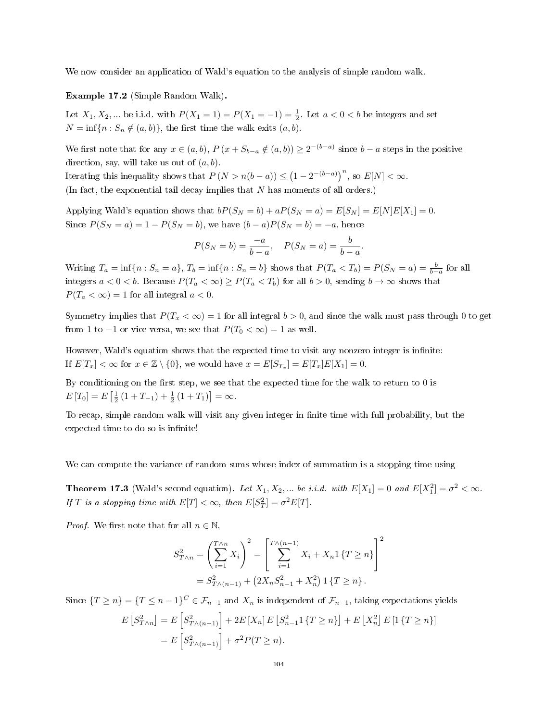We now consider an application of Wald's equation to the analysis of simple random walk.

Example 17.2 (Simple Random Walk).

Let  $X_1, X_2, ...$  be i.i.d. with  $P(X_1 = 1) = P(X_1 = -1) = \frac{1}{2}$ . Let  $a < 0 < b$  be integers and set  $N = \inf\{n : S_n \notin (a, b)\},\$  the first time the walk exits  $(a, b)$ .

We first note that for any  $x \in (a, b)$ ,  $P(x + S_{b-a} \notin (a, b)) \geq 2^{-(b-a)}$  since  $b-a$  steps in the positive direction, say, will take us out of  $(a, b)$ .

Iterating this inequality shows that  $P(N > n(b-a)) \leq (1 - 2^{-(b-a)})^n$ , so  $E[N] < \infty$ .

(In fact, the exponential tail decay implies that  $N$  has moments of all orders.)

Applying Wald's equation shows that  $bP(S_N = b) + aP(S_N = a) = E[S_N] = E[N]E[X_1] = 0$ . Since  $P(S_N = a) = 1 - P(S_N = b)$ , we have  $(b - a)P(S_N = b) = -a$ , hence

$$
P(S_N = b) = \frac{-a}{b-a}, \quad P(S_N = a) = \frac{b}{b-a}
$$

.

Writing  $T_a = \inf\{n : S_n = a\}$ ,  $T_b = \inf\{n : S_n = b\}$  shows that  $P(T_a < T_b) = P(S_N = a) = \frac{b}{b-a}$  for all integers  $a < 0 < b$ . Because  $P(T_a < \infty) \ge P(T_a < T_b)$  for all  $b > 0$ , sending  $b \to \infty$  shows that  $P(T_a < \infty) = 1$  for all integral  $a < 0$ .

Symmetry implies that  $P(T_x < \infty) = 1$  for all integral  $b > 0$ , and since the walk must pass through 0 to get from 1 to  $-1$  or vice versa, we see that  $P(T_0 < \infty) = 1$  as well.

However, Wald's equation shows that the expected time to visit any nonzero integer is infinite: If  $E[T_x] < \infty$  for  $x \in \mathbb{Z} \setminus \{0\}$ , we would have  $x = E[S_{T_x}] = E[T_x]E[X_1] = 0$ .

By conditioning on the first step, we see that the expected time for the walk to return to  $0$  is  $E[T_0] = E\left[\frac{1}{2}(1+T_{-1}) + \frac{1}{2}(1+T_1)\right] = \infty.$ 

To recap, simple random walk will visit any given integer in finite time with full probability, but the expected time to do so is infinite!

We can compute the variance of random sums whose index of summation is a stopping time using

<span id="page-103-0"></span>**Theorem 17.3** (Wald's second equation). Let  $X_1, X_2, ...$  be i.i.d. with  $E[X_1] = 0$  and  $E[X_1^2] = \sigma^2 < \infty$ . If T is a stopping time with  $E[T] < \infty$ , then  $E[S_T^2] = \sigma^2 E[T]$ .

*Proof.* We first note that for all  $n \in \mathbb{N}$ ,

$$
S_{T \wedge n}^{2} = \left(\sum_{i=1}^{T \wedge n} X_{i}\right)^{2} = \left[\sum_{i=1}^{T \wedge (n-1)} X_{i} + X_{n} 1 \{T \geq n\}\right]^{2}
$$

$$
= S_{T \wedge (n-1)}^{2} + \left(2X_{n} S_{n-1}^{2} + X_{n}^{2}\right) 1 \{T \geq n\}.
$$

Since  $\{T \ge n\} = \{T \le n-1\}^C \in \mathcal{F}_{n-1}$  and  $X_n$  is independent of  $\mathcal{F}_{n-1}$ , taking expectations yields

$$
E\left[S_{T\wedge n}^{2}\right] = E\left[S_{T\wedge(n-1)}^{2}\right] + 2E\left[X_{n}\right]E\left[S_{n-1}^{2}1\left\{T\geq n\right\}\right] + E\left[X_{n}^{2}\right]E\left[1\left\{T\geq n\right\}\right]
$$

$$
= E\left[S_{T\wedge(n-1)}^{2}\right] + \sigma^{2}P(T\geq n).
$$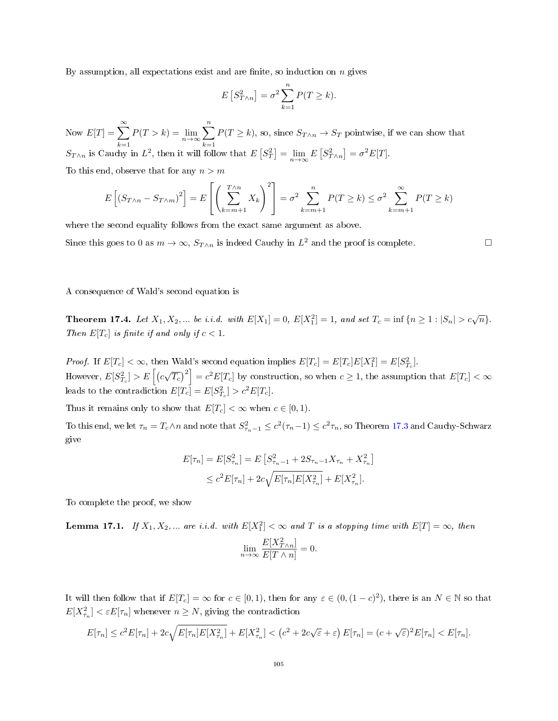By assumption, all expectations exist and are finite, so induction on  $n$  gives

$$
E[S_{T\wedge n}^2] = \sigma^2 \sum_{k=1}^n P(T \ge k).
$$

Now  $E[T] = \sum_{n=0}^{\infty}$  $\sum_{k=1}^{\infty} P(T > k) = \lim_{n \to \infty} \sum_{k=1}^{n}$  $k=1$  $P(T \ge k)$ , so, since  $S_{T \wedge n} \to S_T$  pointwise, if we can show that  $S_{T\wedge n}$  is Cauchy in  $L^2$ , then it will follow that  $E\left[S_T^2\right] = \lim_{n\to\infty} E\left[S_{T\wedge n}^2\right] = \sigma^2 E[T]$ .

To this end, observe that for any  $n > m$ 

$$
E\left[\left(S_{T\wedge n} - S_{T\wedge m}\right)^{2}\right] = E\left[\left(\sum_{k=m+1}^{T\wedge n} X_{k}\right)^{2}\right] = \sigma^{2} \sum_{k=m+1}^{n} P(T \ge k) \le \sigma^{2} \sum_{k=m+1}^{\infty} P(T \ge k)
$$

where the second equality follows from the exact same argument as above.

Since this goes to 0 as  $m \to \infty$ ,  $S_{T \wedge n}$  is indeed Cauchy in  $L^2$  and the proof is complete.

### A consequence of Wald's second equation is

**Theorem 17.4.** Let  $X_1, X_2, ...$  be i.i.d. with  $E[X_1] = 0$ ,  $E[X_1^2] = 1$ , and set  $T_c = \inf \{ n \ge 1 : |S_n| > c\sqrt{n} \}$ . Then  $E[T_c]$  is finite if and only if  $c < 1$ .

*Proof.* If  $E[T_c] < \infty$ , then Wald's second equation implies  $E[T_c] = E[T_c]E[X_1^2] = E[S_{T_c}^2]$ . However,  $E[S_{T_c}^2] > E\left[\left(c\sqrt{T_c}\right)^2\right] = c^2 E[T_c]$  by construction, so when  $c \ge 1$ , the assumption that  $E[T_c] < \infty$ leads to the contradiction  $E[T_c] = E[S_{T_c}^2] > c^2 E[T_c]$ .

Thus it remains only to show that  $E[T_c] < \infty$  when  $c \in [0, 1)$ .

To this end, we let  $\tau_n = T_c \wedge n$  and note that  $S_{\tau_n-1}^2 \le c^2(\tau_n-1) \le c^2\tau_n$ , so Theorem [17.3](#page-103-0) and Cauchy-Schwarz give

$$
E[\tau_n] = E[S_{\tau_n}^2] = E\left[S_{\tau_n-1}^2 + 2S_{\tau_n-1}X_{\tau_n} + X_{\tau_n}^2\right]
$$
  

$$
\leq c^2 E[\tau_n] + 2c\sqrt{E[\tau_n]E[X_{\tau_n}^2]} + E[X_{\tau_n}^2].
$$

To complete the proof, we show

<span id="page-104-0"></span>**Lemma 17.1.** If  $X_1, X_2, ...$  are i.i.d. with  $E[X_1^2] < \infty$  and T is a stopping time with  $E[T] = \infty$ , then

$$
\lim_{n \to \infty} \frac{E[X_{T \wedge n}^2]}{E[T \wedge n]} = 0.
$$

It will then follow that if  $E[T_c] = \infty$  for  $c \in [0,1)$ , then for any  $\varepsilon \in (0, (1-c)^2)$ , there is an  $N \in \mathbb{N}$  so that  $E[X_{\tau_n}^2] < \varepsilon E[\tau_n]$  whenever  $n \ge N$ , giving the contradiction

$$
E[\tau_n] \le c^2 E[\tau_n] + 2c\sqrt{E[\tau_n]E[X_{\tau_n}^2]} + E[X_{\tau_n}^2] < \left(c^2 + 2c\sqrt{\varepsilon} + \varepsilon\right)E[\tau_n] = (c + \sqrt{\varepsilon})^2 E[\tau_n] < E[\tau_n].
$$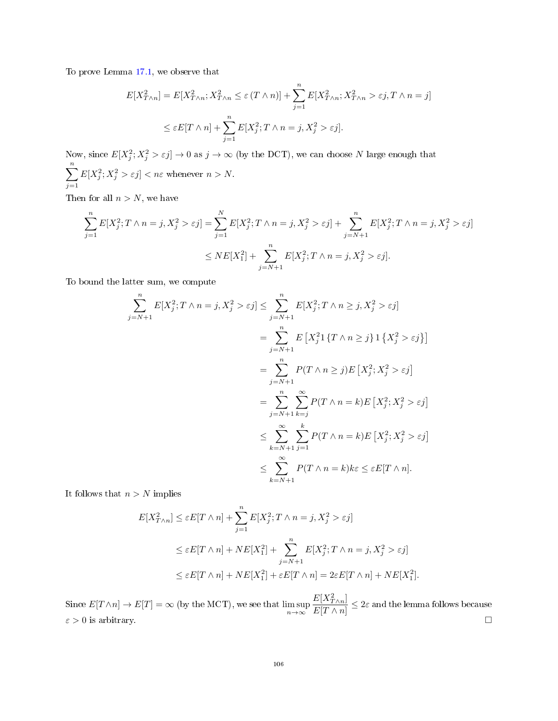To prove Lemma [17.1,](#page-104-0) we observe that

$$
E[X_{T\wedge n}^2] = E[X_{T\wedge n}^2; X_{T\wedge n}^2 \le \varepsilon (T\wedge n)] + \sum_{j=1}^n E[X_{T\wedge n}^2; X_{T\wedge n}^2 > \varepsilon j, T\wedge n = j]
$$
  

$$
\le \varepsilon E[T\wedge n] + \sum_{j=1}^n E[X_j^2; T\wedge n = j, X_j^2 > \varepsilon j].
$$

Now, since  $E[X_j^2; X_j^2 > \varepsilon j] \to 0$  as  $j \to \infty$  (by the DCT), we can choose N large enough that  $\sum_{n=1}^{\infty}$  $j=1$  $E[X_j^2; X_j^2 > \varepsilon j] < n\varepsilon$  whenever  $n > N$ .

Then for all  $n > N$ , we have

$$
\sum_{j=1}^{n} E[X_j^2; T \wedge n = j, X_j^2 > \varepsilon j] = \sum_{j=1}^{N} E[X_j^2; T \wedge n = j, X_j^2 > \varepsilon j] + \sum_{j=N+1}^{n} E[X_j^2; T \wedge n = j, X_j^2 > \varepsilon j]
$$
  

$$
\leq NE[X_1^2] + \sum_{j=N+1}^{n} E[X_j^2; T \wedge n = j, X_j^2 > \varepsilon j].
$$

To bound the latter sum, we compute

$$
\sum_{j=N+1}^{n} E[X_j^2; T \wedge n = j, X_j^2 > \varepsilon j] \le \sum_{j=N+1}^{n} E[X_j^2; T \wedge n \ge j, X_j^2 > \varepsilon j]
$$
  

$$
= \sum_{j=N+1}^{n} E[X_j^21\{T \wedge n \ge j\}1\{X_j^2 > \varepsilon j\}]
$$
  

$$
= \sum_{j=N+1}^{n} P(T \wedge n \ge j)E[X_j^2; X_j^2 > \varepsilon j]
$$
  

$$
= \sum_{j=N+1}^{n} \sum_{k=j}^{\infty} P(T \wedge n = k)E[X_j^2; X_j^2 > \varepsilon j]
$$
  

$$
\le \sum_{k=N+1}^{\infty} \sum_{j=1}^{k} P(T \wedge n = k)E[X_j^2; X_j^2 > \varepsilon j]
$$
  

$$
\le \sum_{k=N+1}^{\infty} P(T \wedge n = k)k\varepsilon \le \varepsilon E[T \wedge n].
$$

It follows that  $n > N$  implies

$$
E[X_{T\wedge n}^2] \le \varepsilon E[T \wedge n] + \sum_{j=1}^n E[X_j^2; T \wedge n = j, X_j^2 > \varepsilon j]
$$
  
\n
$$
\le \varepsilon E[T \wedge n] + NE[X_1^2] + \sum_{j=N+1}^n E[X_j^2; T \wedge n = j, X_j^2 > \varepsilon j]
$$
  
\n
$$
\le \varepsilon E[T \wedge n] + NE[X_1^2] + \varepsilon E[T \wedge n] = 2\varepsilon E[T \wedge n] + NE[X_1^2].
$$

Since  $E[T \wedge n] \to E[T] = \infty$  (by the MCT), we see that  $\limsup_{n \to \infty}$  $E[X_{T\wedge n}^2]$  $\frac{E\left[1+\frac{m}{r}\right]}{E[T\wedge n]} \leq 2\varepsilon$  and the lemma follows because  $\varepsilon > 0$  is arbitrary.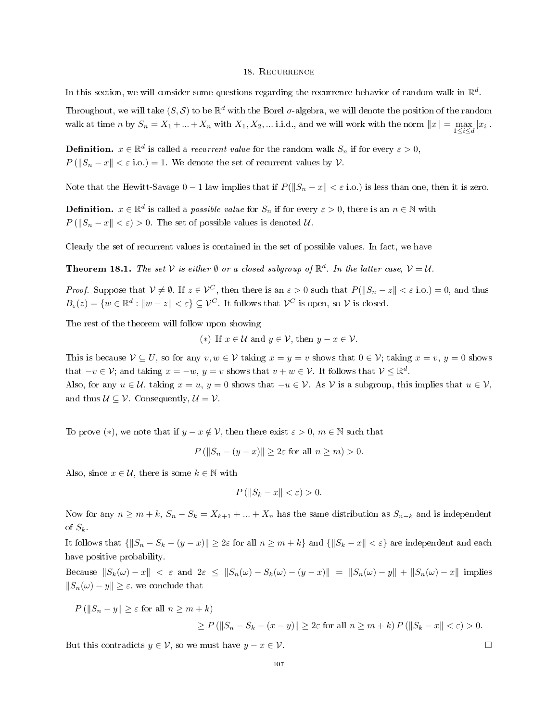#### 18. Recurrence

In this section, we will consider some questions regarding the recurrence behavior of random walk in  $\mathbb{R}^d$ .

Throughout, we will take  $(S, \mathcal{S})$  to be  $\mathbb{R}^d$  with the Borel  $\sigma$ -algebra, we will denote the position of the random walk at time n by  $S_n = X_1 + ... + X_n$  with  $X_1, X_2, ...$  i.i.d., and we will work with the norm  $||x|| = \max_{1 \leq i \leq d} |x_i|$ .

**Definition.**  $x \in \mathbb{R}^d$  is called a *recurrent value* for the random walk  $S_n$  if for every  $\varepsilon > 0$ ,  $P(||S_n - x|| < \varepsilon$  i.o.) = 1. We denote the set of recurrent values by  $\mathcal V$ .

Note that the Hewitt-Savage  $0 - 1$  law implies that if  $P(||S_n - x|| < \varepsilon$  i.o.) is less than one, then it is zero.

**Definition.**  $x \in \mathbb{R}^d$  is called a *possible value* for  $S_n$  if for every  $\varepsilon > 0$ , there is an  $n \in \mathbb{N}$  with  $P(||S_n - x|| < \varepsilon) > 0$ . The set of possible values is denoted U.

Clearly the set of recurrent values is contained in the set of possible values. In fact, we have

<span id="page-106-0"></span>**Theorem 18.1.** The set V is either  $\emptyset$  or a closed subgroup of  $\mathbb{R}^d$ . In the latter case,  $V = U$ .

*Proof.* Suppose that  $V \neq \emptyset$ . If  $z \in V^C$ , then there is an  $\varepsilon > 0$  such that  $P(||S_n - z|| < \varepsilon \text{ i.o.}) = 0$ , and thus  $B_{\varepsilon}(z) = \{w \in \mathbb{R}^d : ||w - z|| < \varepsilon\} \subseteq \mathcal{V}^C$ . It follows that  $\mathcal{V}^C$  is open, so  $\mathcal{V}$  is closed.

The rest of the theorem will follow upon showing

(\*) If  $x \in \mathcal{U}$  and  $y \in \mathcal{V}$ , then  $y - x \in \mathcal{V}$ .

This is because  $V \subseteq U$ , so for any  $v, w \in V$  taking  $x = y = v$  shows that  $0 \in V$ ; taking  $x = v, y = 0$  shows that  $-v \in \mathcal{V}$ ; and taking  $x = -w$ ,  $y = v$  shows that  $v + w \in \mathcal{V}$ . It follows that  $\mathcal{V} \leq \mathbb{R}^d$ . Also, for any  $u \in \mathcal{U}$ , taking  $x = u$ ,  $y = 0$  shows that  $-u \in \mathcal{V}$ . As  $\mathcal{V}$  is a subgroup, this implies that  $u \in \mathcal{V}$ ,

and thus  $U \subseteq V$ . Consequently,  $U = V$ .

To prove (\*), we note that if  $y - x \notin V$ , then there exist  $\varepsilon > 0$ ,  $m \in \mathbb{N}$  such that

$$
P\left(\|S_n - (y - x)\| \ge 2\varepsilon \text{ for all } n \ge m\right) > 0.
$$

Also, since  $x \in \mathcal{U}$ , there is some  $k \in \mathbb{N}$  with

$$
P\left(\|S_k - x\| < \varepsilon\right) > 0.
$$

Now for any  $n \ge m + k$ ,  $S_n - S_k = X_{k+1} + ... + X_n$  has the same distribution as  $S_{n-k}$  and is independent of  $S_k$ .

It follows that  $\{|S_n - S_k - (y - x)|| \geq 2\varepsilon$  for all  $n \geq m + k\}$  and  $\{|S_k - x|| < \varepsilon\}$  are independent and each have positive probability.

Because  $||S_k(\omega) - x|| < \varepsilon$  and  $2\varepsilon \le ||S_n(\omega) - S_k(\omega) - (y - x)|| = ||S_n(\omega) - y|| + ||S_n(\omega) - x||$  implies  $||S_n(\omega) - y|| \geq \varepsilon$ , we conclude that

 $P(||S_n - y|| > \varepsilon$  for all  $n > m + k$ )

$$
\geq P\left(\|S_n - S_k - (x - y)\|\right) \geq 2\varepsilon \text{ for all } n \geq m + k\right) P\left(\|S_k - x\| < \varepsilon\right) > 0.
$$

But this contradicts  $y \in \mathcal{V}$ , so we must have  $y - x \in \mathcal{V}$ .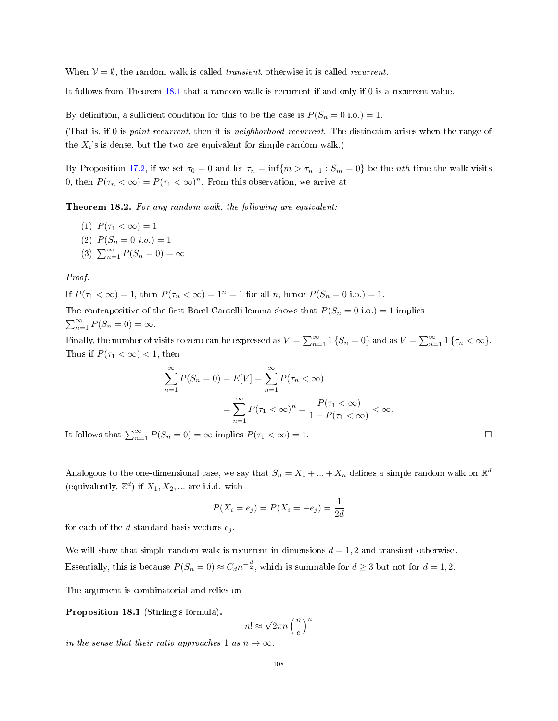When  $V = \emptyset$ , the random walk is called *transient*, otherwise it is called *recurrent*.

It follows from Theorem [18.1](#page-106-0) that a random walk is recurrent if and only if 0 is a recurrent value.

By definition, a sufficient condition for this to be the case is  $P(S_n = 0 \text{ i.o.}) = 1$ .

(That is, if 0 is point recurrent, then it is neighborhood recurrent. The distinction arises when the range of the  $X_i$ 's is dense, but the two are equivalent for simple random walk.)

By Proposition [17.2,](#page-101-0) if we set  $\tau_0 = 0$  and let  $\tau_n = \inf\{m > \tau_{n-1} : S_m = 0\}$  be the *nth* time the walk visits 0, then  $P(\tau_n < \infty) = P(\tau_1 < \infty)^n$ . From this observation, we arrive at

Theorem 18.2. For any random walk, the following are equivalent:

- (1)  $P(\tau_1 < \infty) = 1$
- (2)  $P(S_n = 0 \text{ i.o.}) = 1$
- (3)  $\sum_{n=1}^{\infty} P(S_n = 0) = \infty$

Proof.

If  $P(\tau_1 < \infty) = 1$ , then  $P(\tau_n < \infty) = 1^n = 1$  for all n, hence  $P(S_n = 0 \text{ i.o.}) = 1$ .

The contrapositive of the first Borel-Cantelli lemma shows that  $P(S_n = 0 \text{ i.o.}) = 1$  implies  $\sum_{n=1}^{\infty} P(S_n = 0) = \infty.$ 

Finally, the number of visits to zero can be expressed as  $V = \sum_{n=1}^{\infty} 1 \{S_n = 0\}$  and as  $V = \sum_{n=1}^{\infty} 1 \{ \tau_n < \infty \}$ . Thus if  $P(\tau_1 < \infty) < 1$ , then

$$
\sum_{n=1}^{\infty} P(S_n = 0) = E[V] = \sum_{n=1}^{\infty} P(\tau_n < \infty)
$$
\n
$$
= \sum_{n=1}^{\infty} P(\tau_1 < \infty)^n = \frac{P(\tau_1 < \infty)}{1 - P(\tau_1 < \infty)} < \infty.
$$

It follows that  $\sum_{n=1}^{\infty} P(S_n = 0) = \infty$  implies  $P(\tau_1 < \infty) = 1$ .

Analogous to the one-dimensional case, we say that  $S_n = X_1 + ... + X_n$  defines a simple random walk on  $\mathbb{R}^d$ (equivalently,  $\mathbb{Z}^d$ ) if  $X_1, X_2, \dots$  are i.i.d. with

$$
P(X_i = e_j) = P(X_i = -e_j) = \frac{1}{2d}
$$

for each of the  $d$  standard basis vectors  $e_j$ .

We will show that simple random walk is recurrent in dimensions  $d = 1, 2$  and transient otherwise. Essentially, this is because  $P(S_n = 0) \approx C_d n^{-\frac{d}{2}}$ , which is summable for  $d \geq 3$  but not for  $d = 1, 2$ .

The argument is combinatorial and relies on

Proposition 18.1 (Stirling's formula).

$$
n! \approx \sqrt{2\pi n} \left(\frac{n}{e}\right)^n
$$

in the sense that their ratio approaches 1 as  $n \to \infty$ .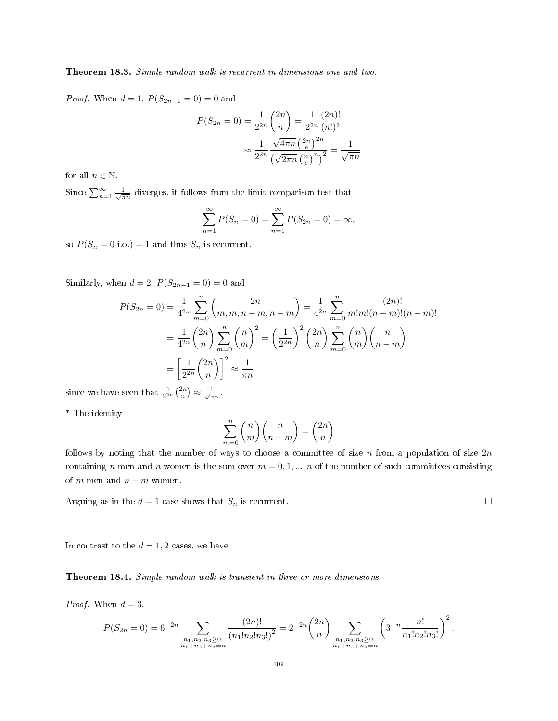Theorem 18.3. Simple random walk is recurrent in dimensions one and two.

*Proof.* When  $d = 1$ ,  $P(S_{2n-1} = 0) = 0$  and

$$
P(S_{2n} = 0) = \frac{1}{2^{2n}} \binom{2n}{n} = \frac{1}{2^{2n}} \frac{(2n)!}{(n!)^2}
$$

$$
\approx \frac{1}{2^{2n}} \frac{\sqrt{4\pi n} \left(\frac{2n}{e}\right)^{2n}}{\left(\sqrt{2\pi n} \left(\frac{n}{e}\right)^n\right)^2} = \frac{1}{\sqrt{\pi n}}
$$

for all  $n \in \mathbb{N}$ .

Since  $\sum_{n=1}^{\infty} \frac{1}{\sqrt{\pi n}}$  diverges, it follows from the limit comparison test that

$$
\sum_{n=1}^{\infty} P(S_n = 0) = \sum_{n=1}^{\infty} P(S_{2n} = 0) = \infty,
$$

so  $P(S_n = 0 \text{ i.o.}) = 1$  and thus  $S_n$  is recurrent.

Similarly, when  $d = 2$ ,  $P(S_{2n-1} = 0) = 0$  and

$$
P(S_{2n} = 0) = \frac{1}{4^{2n}} \sum_{m=0}^{n} {2n \choose m, m, n-m, n-m} = \frac{1}{4^{2n}} \sum_{m=0}^{n} \frac{(2n)!}{m!m!(n-m)!(n-m)!}
$$
  
=  $\frac{1}{4^{2n}} {2n \choose n} \sum_{m=0}^{n} {n \choose m}^2 = \left(\frac{1}{2^{2n}}\right)^2 {2n \choose n} \sum_{m=0}^{n} {n \choose m} {n \choose n-m}$   
=  $\left[\frac{1}{2^{2n}} {2n \choose n}\right]^2 \approx \frac{1}{\pi n}$   
seen that  $\frac{1}{2^n} {2n \choose n} \approx \frac{1}{2^n}$ .

since we have  $\frac{1}{2^{2n}}\binom{2n}{n}\approx \frac{1}{\sqrt{\pi n}}$ .

\* The identity

$$
\sum_{m=0}^{n} \binom{n}{m} \binom{n}{n-m} = \binom{2n}{n}
$$

follows by noting that the number of ways to choose a committee of size n from a population of size  $2n$ containing n men and n women is the sum over  $m = 0, 1, ..., n$  of the number of such committees consisting of m men and  $n - m$  women.

Arguing as in the  $d = 1$  case shows that  $S_n$  is recurrent.

In contrast to the  $d = 1, 2$  cases, we have

Theorem 18.4. Simple random walk is transient in three or more dimensions.

*Proof.* When  $d = 3$ ,

$$
P(S_{2n} = 0) = 6^{-2n} \sum_{\substack{n_1, n_2, n_3 \geq 0:\\n_1 + n_2 + n_3 = n}} \frac{(2n)!}{(n_1! n_2! n_3!)^2} = 2^{-2n} {2n \choose n} \sum_{\substack{n_1, n_2, n_3 \geq 0:\\n_1 + n_2 + n_3 = n}} \left( 3^{-n} \frac{n!}{n_1! n_2! n_3!} \right)^2.
$$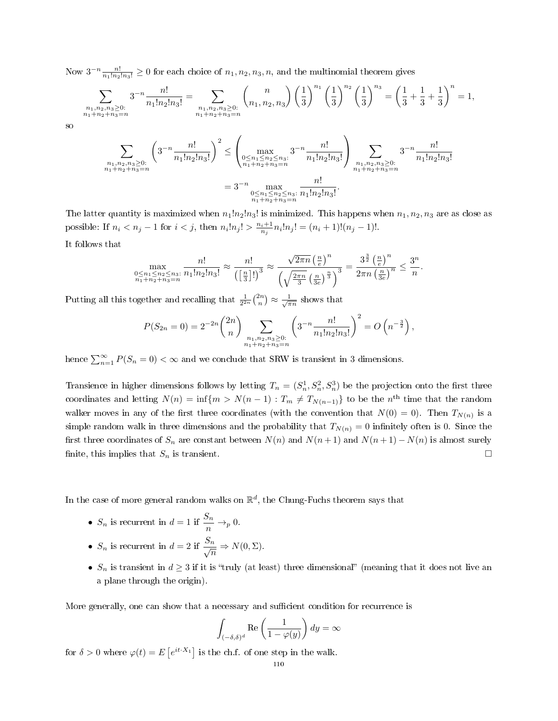Now  $3^{-n} \frac{n!}{n_1! n_2! n_3!} \ge 0$  for each choice of  $n_1, n_2, n_3, n$ , and the multinomial theorem gives

$$
\sum_{\substack{n_1, n_2, n_3 \ge 0:\\n_1 + n_2 + n_3 = n}} 3^{-n} \frac{n!}{n_1! n_2! n_3!} = \sum_{\substack{n_1, n_2, n_3 \ge 0:\\n_1 + n_2 + n_3 = n}} \binom{n}{n_1, n_2, n_3} \left(\frac{1}{3}\right)^{n_1} \left(\frac{1}{3}\right)^{n_2} \left(\frac{1}{3}\right)^{n_3} = \left(\frac{1}{3} + \frac{1}{3} + \frac{1}{3}\right)^n = 1,
$$

so

$$
\sum_{\substack{n_1, n_2, n_3 \ge 0:\\n_1 + n_2 + n_3 = n}} \left( 3^{-n} \frac{n!}{n_1! n_2! n_3!} \right)^2 \le \left( \max_{\substack{0 \le n_1 \le n_2 \le n_3:\\n_1 + n_2 + n_3 = n}} 3^{-n} \frac{n!}{n_1! n_2! n_3!} \right) \sum_{\substack{n_1, n_2, n_3 \ge 0:\\n_1 + n_2 + n_3 = n}} 3^{-n} \frac{n!}{n_1! n_2! n_3!}
$$

$$
= 3^{-n} \max_{\substack{0 \le n_1 \le n_2 \le n_3:\\n_1 + n_2 + n_3 = n}} \frac{n!}{n_1! n_2! n_3!}.
$$

The latter quantity is maximized when  $n_1!n_2!n_3!$  is minimized. This happens when  $n_1, n_2, n_3$  are as close as possible: If  $n_i < n_j - 1$  for  $i < j$ , then  $n_i! n_j! > \frac{n_i+1}{n_j} n_i! n_j! = (n_i+1)!(n_j-1)!$ . It follows that

 $\frac{n}{n}$ .

max<br>  $0 \leq n_1 \leq n_2 \leq n_3:$ <br>  $n_1+n_2+n_3=n$ n!  $\frac{n!}{n_1!n_2!n_3!} \approx \frac{n!}{(\lceil \frac{n}{3} \rceil)}$  $\frac{n}{\left(\left[\frac{n}{3}\right]!\right)^3} \approx$  $\sqrt{2\pi n} \left(\frac{n}{e}\right)^n$  $\frac{\sqrt{2\pi n}\left(\frac{n}{e}\right)^n}{\left(\sqrt{\frac{2\pi n}{3}}\left(\frac{n}{3e}\right)^{\frac{n}{3}}\right)^3}=\frac{3^{\frac{3}{2}}\left(\frac{n}{e}\right)^n}{2\pi n\left(\frac{n}{3e}\right)}$  $\frac{3^{\frac{3}{2}}\left(\frac{n}{e}\right)^n}{2\pi n\left(\frac{n}{3e}\right)^n} \leq \frac{3^n}{n}$ 

Putting all this together and recalling that  $\frac{1}{2^{2n}} {2n \choose n} \approx \frac{1}{\sqrt{\pi n}}$  shows that

$$
P(S_{2n} = 0) = 2^{-2n} {2n \choose n} \sum_{\substack{n_1, n_2, n_3 \ge 0:\\n_1 + n_2 + n_3 = n}} \left( 3^{-n} \frac{n!}{n_1! n_2! n_3!} \right)^2 = O\left(n^{-\frac{3}{2}}\right),
$$

hence  $\sum_{n=1}^{\infty} P(S_n = 0) < \infty$  and we conclude that SRW is transient in 3 dimensions.

Transience in higher dimensions follows by letting  $T_n = (S_n^1, S_n^2, S_n^3)$  be the projection onto the first three coordinates and letting  $N(n) = \inf\{m > N(n-1) : T_m \neq T_{N(n-1)}\}$  to be the n<sup>th</sup> time that the random walker moves in any of the first three coordinates (with the convention that  $N(0) = 0$ ). Then  $T_{N(n)}$  is a simple random walk in three dimensions and the probability that  $T_{N(n)} = 0$  infinitely often is 0. Since the first three coordinates of  $S_n$  are constant between  $N(n)$  and  $N(n+1)$  and  $N(n+1) - N(n)$  is almost surely finite, this implies that  $S_n$  is transient.

In the case of more general random walks on  $\mathbb{R}^d$ , the Chung-Fuchs theorem says that

- $S_n$  is recurrent in  $d=1$  if  $\frac{S_n}{n} \to_p 0$ .
- $S_n$  is recurrent in  $d = 2$  if  $\frac{S_n}{\sqrt{n}} \Rightarrow N(0, \Sigma)$ .
- $S_n$  is transient in  $d \geq 3$  if it is "truly (at least) three dimensional" (meaning that it does not live an a plane through the origin).

More generally, one can show that a necessary and sufficient condition for recurrence is

$$
\int_{(-\delta,\delta)^d} \text{Re}\left(\frac{1}{1-\varphi(y)}\right) dy = \infty
$$

for  $\delta > 0$  where  $\varphi(t) = E\left[e^{it \cdot X_1}\right]$  is the ch.f. of one step in the walk.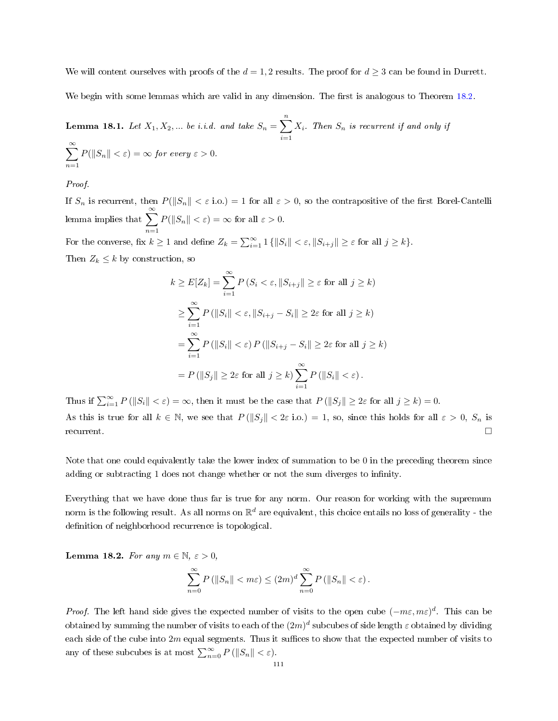We will content ourselves with proofs of the  $d = 1, 2$  results. The proof for  $d \geq 3$  can be found in Durrett.

We begin with some lemmas which are valid in any dimension. The first is analogous to Theorem [18.2.](#page-107-0)

<span id="page-110-0"></span>**Lemma 18.1.** Let 
$$
X_1, X_2, ...
$$
 be i.i.d. and take  $S_n = \sum_{i=1}^n X_i$ . Then  $S_n$  is recurrent if and only if  $\sum_{n=1}^\infty P(||S_n|| < \varepsilon) = \infty$  for every  $\varepsilon > 0$ .

Proof.

If  $S_n$  is recurrent, then  $P(||S_n|| < \varepsilon \text{ i.o.}) = 1$  for all  $\varepsilon > 0$ , so the contrapositive of the first Borel-Cantelli lemma implies that  $\sum_{n=0}^{\infty}$  $n=1$  $P(||S_n|| < \varepsilon) = \infty$  for all  $\varepsilon > 0$ . For the converse, fix  $k \geq 1$  and define  $Z_k = \sum_{i=1}^{\infty} 1 \{ ||S_i|| < \varepsilon, ||S_{i+j}|| \geq \varepsilon \text{ for all } j \geq k \}.$ 

Then  $Z_k \leq k$  by construction, so

$$
k \ge E[Z_k] = \sum_{i=1}^{\infty} P(S_i < \varepsilon, ||S_{i+j}|| \ge \varepsilon \text{ for all } j \ge k)
$$
  
\n
$$
\ge \sum_{i=1}^{\infty} P(||S_i|| < \varepsilon, ||S_{i+j} - S_i|| \ge 2\varepsilon \text{ for all } j \ge k)
$$
  
\n
$$
= \sum_{i=1}^{\infty} P(||S_i|| < \varepsilon) P(||S_{i+j} - S_i|| \ge 2\varepsilon \text{ for all } j \ge k)
$$
  
\n
$$
= P(||S_j|| \ge 2\varepsilon \text{ for all } j \ge k) \sum_{i=1}^{\infty} P(||S_i|| < \varepsilon).
$$

Thus if  $\sum_{i=1}^{\infty} P(||S_i|| < \varepsilon) = \infty$ , then it must be the case that  $P(||S_j|| \geq 2\varepsilon$  for all  $j \geq k) = 0$ . As this is true for all  $k \in \mathbb{N}$ , we see that  $P(||S_j|| < 2\varepsilon \text{ i.o.}) = 1$ , so, since this holds for all  $\varepsilon > 0$ ,  $S_n$  is  $r$ ecurrent.

Note that one could equivalently take the lower index of summation to be 0 in the preceding theorem since adding or subtracting 1 does not change whether or not the sum diverges to infinity.

Everything that we have done thus far is true for any norm. Our reason for working with the supremum norm is the following result. As all norms on  $\mathbb{R}^d$  are equivalent, this choice entails no loss of generality - the definition of neighborhood recurrence is topological.

<span id="page-110-1"></span>Lemma 18.2. For any  $m \in \mathbb{N}, \varepsilon > 0$ ,

$$
\sum_{n=0}^{\infty} P\left(\|S_n\| < m\varepsilon\right) \le (2m)^d \sum_{n=0}^{\infty} P\left(\|S_n\| < \varepsilon\right).
$$

*Proof.* The left hand side gives the expected number of visits to the open cube  $(-m\varepsilon, m\varepsilon)^d$ . This can be obtained by summing the number of visits to each of the  $(2m)^d$  subcubes of side length  $\varepsilon$  obtained by dividing each side of the cube into  $2m$  equal segments. Thus it suffices to show that the expected number of visits to any of these subcubes is at most  $\sum_{n=0}^{\infty} P(||S_n|| < \varepsilon)$ .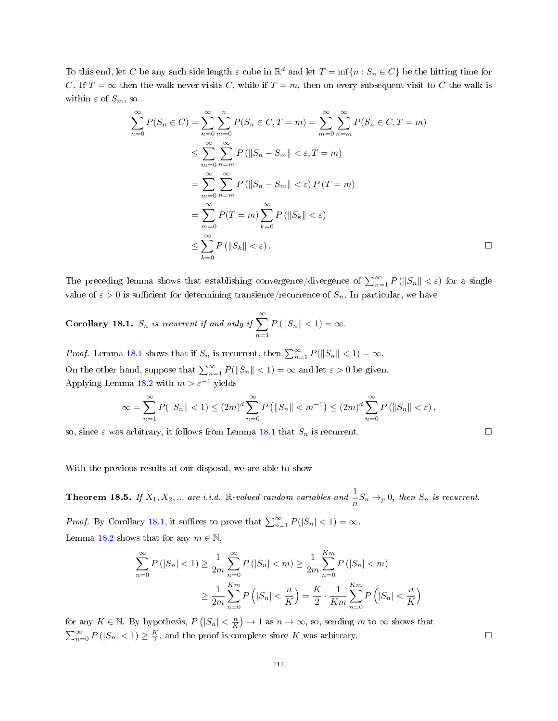To this end, let C be any such side length  $\varepsilon$  cube in  $\mathbb{R}^d$  and let  $T = \inf\{n : S_n \in C\}$  be the hitting time for C. If  $T = \infty$  then the walk never visits C, while if  $T = m$ , then on every subsequent visit to C the walk is within  $\varepsilon$  of  $S_m$ , so

$$
\sum_{n=0}^{\infty} P(S_n \in C) = \sum_{n=0}^{\infty} \sum_{m=0}^{n} P(S_n \in C, T = m) = \sum_{m=0}^{\infty} \sum_{n=m}^{\infty} P(S_n \in C, T = m)
$$
  

$$
\leq \sum_{m=0}^{\infty} \sum_{n=m}^{\infty} P(||S_n - S_m|| < \varepsilon, T = m)
$$
  

$$
= \sum_{m=0}^{\infty} \sum_{n=m}^{\infty} P(||S_n - S_m|| < \varepsilon) P(T = m)
$$
  

$$
= \sum_{m=0}^{\infty} P(T = m) \sum_{k=0}^{\infty} P(||S_k|| < \varepsilon)
$$
  

$$
\leq \sum_{k=0}^{\infty} P(||S_k|| < \varepsilon).
$$

The preceding lemma shows that establishing convergence/divergence of  $\sum_{n=1}^{\infty} P(||S_n|| < \varepsilon)$  for a single value of  $\varepsilon > 0$  is sufficient for determining transience/recurrence of  $S_n$ . In particular, we have

<span id="page-111-0"></span>Corollary 18.1.  $S_n$  is recurrent if and only if  $\sum_{n=1}^{\infty}$  $n=1$  $P\left(\|S_n\| < 1\right) = \infty.$ 

*Proof.* Lemma [18.1](#page-110-0) shows that if  $S_n$  is recurrent, then  $\sum_{n=1}^{\infty} P(||S_n|| < 1) = \infty$ . On the other hand, suppose that  $\sum_{n=1}^{\infty} P(||S_n|| < 1) = \infty$  and let  $\varepsilon > 0$  be given. Applying Lemma [18.2](#page-110-1) with  $m > \varepsilon^{-1}$  yields

$$
\infty = \sum_{n=1}^{\infty} P(||S_n|| < 1) \le (2m)^d \sum_{n=0}^{\infty} P(||S_n|| < m^{-1}) \le (2m)^d \sum_{n=0}^{\infty} P(||S_n|| < \varepsilon),
$$

so, since  $\varepsilon$  was arbitrary, it follows from Lemma [18.1](#page-110-0) that  $S_n$  is recurrent.

With the previous results at our disposal, we are able to show

<span id="page-111-1"></span>**Theorem 18.5.** If  $X_1, X_2, ...$  are i.i.d. R-valued random variables and  $\frac{1}{n}S_n \rightarrow_p 0$ , then  $S_n$  is recurrent.

*Proof.* By Corollary [18.1,](#page-111-0) it suffices to prove that  $\sum_{n=1}^{\infty} P(|S_n| < 1) = \infty$ . Lemma [18.2](#page-110-1) shows that for any  $m \in \mathbb{N}$ .

$$
\sum_{n=0}^{\infty} P(|S_n| < 1) \ge \frac{1}{2m} \sum_{n=0}^{\infty} P(|S_n| < m) \ge \frac{1}{2m} \sum_{n=0}^{Km} P(|S_n| < m)
$$
\n
$$
\ge \frac{1}{2m} \sum_{n=0}^{Km} P(|S_n| < \frac{n}{K}) = \frac{K}{2} \cdot \frac{1}{Km} \sum_{n=0}^{Km} P(|S_n| < \frac{n}{K})
$$

for any  $K \in \mathbb{N}$ . By hypothesis,  $P(|S_n| < \frac{n}{K}) \to 1$  as  $n \to \infty$ , so, sending m to  $\infty$  shows that  $\sum_{n=0}^{\infty} P(|S_n| < 1) \ge \frac{K}{2}$ , and the proof is complete since K was arbitrary.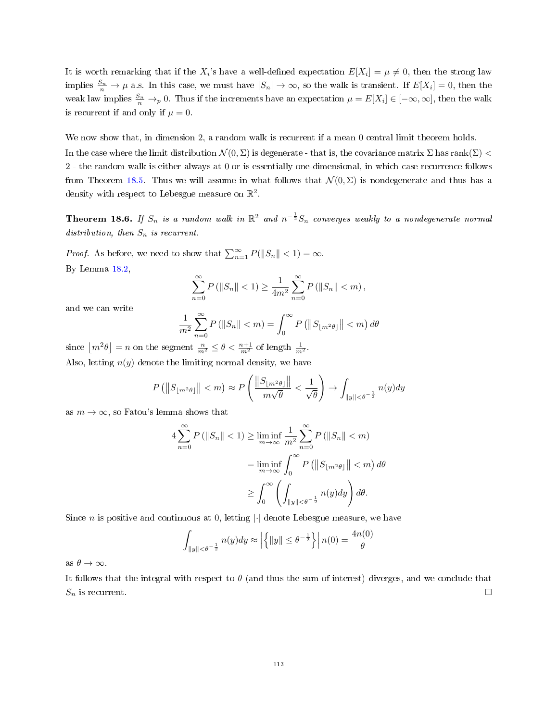It is worth remarking that if the  $X_i$ 's have a well-defined expectation  $E[X_i] = \mu \neq 0$ , then the strong law implies  $\frac{S_n}{n} \to \mu$  a.s. In this case, we must have  $|S_n| \to \infty$ , so the walk is transient. If  $E[X_i] = 0$ , then the weak law implies  $\frac{S_n}{n} \to_p 0$ . Thus if the increments have an expectation  $\mu = E[X_i] \in [-\infty, \infty]$ , then the walk is recurrent if and only if  $\mu = 0$ .

We now show that, in dimension 2, a random walk is recurrent if a mean 0 central limit theorem holds.

In the case where the limit distribution  $\mathcal{N}(0, \Sigma)$  is degenerate - that is, the covariance matrix  $\Sigma$  has rank $(\Sigma)$  < 2 - the random walk is either always at 0 or is essentially one-dimensional, in which case recurrence follows from Theorem [18.5.](#page-111-1) Thus we will assume in what follows that  $\mathcal{N}(0, \Sigma)$  is nondegenerate and thus has a density with respect to Lebesgue measure on  $\mathbb{R}^2$ .

**Theorem 18.6.** If  $S_n$  is a random walk in  $\mathbb{R}^2$  and  $n^{-\frac{1}{2}}S_n$  converges weakly to a nondegenerate normal distribution, then  $S_n$  is recurrent.

*Proof.* As before, we need to show that  $\sum_{n=1}^{\infty} P(||S_n|| < 1) = \infty$ . By Lemma [18.2,](#page-110-1)

$$
\sum_{n=0}^{\infty} P\left( \|S_n\| < 1 \right) \ge \frac{1}{4m^2} \sum_{n=0}^{\infty} P\left( \|S_n\| < m \right),
$$

and we can write

$$
\frac{1}{m^2} \sum_{n=0}^{\infty} P\left( \|S_n\| < m \right) = \int_0^{\infty} P\left( \left\| S_{\lfloor m^2 \theta \rfloor} \right\| < m \right) d\theta
$$

since  $\lfloor m^2 \theta \rfloor = n$  on the segment  $\frac{n}{m^2} \le \theta < \frac{n+1}{m^2}$  of length  $\frac{1}{m^2}$ . Also, letting  $n(y)$  denote the limiting normal density, we have

$$
P\left(\left\|S_{\lfloor m^2\theta\rfloor}\right\| < m\right) \approx P\left(\frac{\left\|S_{\lfloor m^2\theta\rfloor}\right\|}{m\sqrt{\theta}} < \frac{1}{\sqrt{\theta}}\right) \to \int_{\|y\| < \theta^{-\frac{1}{2}}} n(y) dy
$$

as  $m \to \infty$ , so Fatou's lemma shows that

$$
4\sum_{n=0}^{\infty} P\left(\|S_n\| < 1\right) \ge \liminf_{m \to \infty} \frac{1}{m^2} \sum_{n=0}^{\infty} P\left(\|S_n\| < m\right)
$$
\n
$$
= \liminf_{m \to \infty} \int_{0}^{\infty} P\left(\left\|S_{\lfloor m^2 \theta\rfloor}\right\| < m\right) d\theta
$$
\n
$$
\ge \int_{0}^{\infty} \left(\int_{\|y\| < \theta^{-\frac{1}{2}}} n(y) dy\right) d\theta.
$$

Since *n* is positive and continuous at 0, letting  $|\cdot|$  denote Lebesgue measure, we have

$$
\int_{\|y\| < \theta^{-\frac{1}{2}}} n(y) dy \approx \left| \left\{ \|y\| \le \theta^{-\frac{1}{2}} \right\} \right| n(0) = \frac{4n(0)}{\theta}
$$

as  $\theta \to \infty$ .

It follows that the integral with respect to  $\theta$  (and thus the sum of interest) diverges, and we conclude that  $S_n$  is recurrent.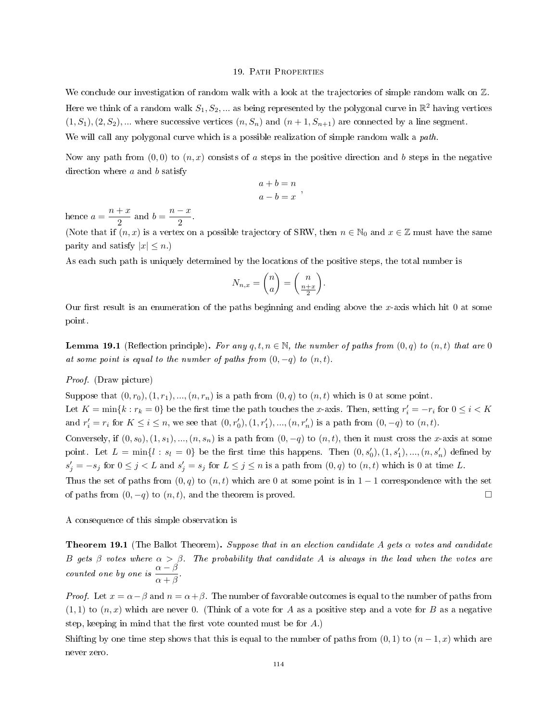# 19. PATH PROPERTIES

We conclude our investigation of random walk with a look at the trajectories of simple random walk on  $\mathbb{Z}$ . Here we think of a random walk  $S_1, S_2, ...$  as being represented by the polygonal curve in  $\mathbb{R}^2$  having vertices  $(1, S_1), (2, S_2), \dots$  where successive vertices  $(n, S_n)$  and  $(n + 1, S_{n+1})$  are connected by a line segment. We will call any polygonal curve which is a possible realization of simple random walk a *path*.

Now any path from  $(0,0)$  to  $(n, x)$  consists of a steps in the positive direction and b steps in the negative direction where  $a$  and  $b$  satisfy

$$
a + b = n
$$

$$
a - b = x
$$

,

hence  $a = \frac{n+x}{2}$  $\frac{+x}{2}$  and  $b = \frac{n-x}{2}$  $\frac{x}{2}$ .

(Note that if  $(n, x)$  is a vertex on a possible trajectory of SRW, then  $n \in \mathbb{N}_0$  and  $x \in \mathbb{Z}$  must have the same parity and satisfy  $|x| \leq n$ .)

As each such path is uniquely determined by the locations of the positive steps, the total number is

$$
N_{n,x} = \binom{n}{a} = \binom{n}{\frac{n+x}{2}}.
$$

Our first result is an enumeration of the paths beginning and ending above the x-axis which hit 0 at some point.

**Lemma 19.1** (Reflection principle). For any  $q, t, n \in \mathbb{N}$ , the number of paths from  $(0, q)$  to  $(n, t)$  that are 0 at some point is equal to the number of paths from  $(0, -q)$  to  $(n, t)$ .

# Proof. (Draw picture)

Suppose that  $(0, r_0), (1, r_1), ..., (n, r_n)$  is a path from  $(0, q)$  to  $(n, t)$  which is 0 at some point. Let  $K = \min\{k : r_k = 0\}$  be the first time the path touches the x-axis. Then, setting  $r'_i = -r_i$  for  $0 \le i < K$ 

and  $r'_{i} = r_{i}$  for  $K \leq i \leq n$ , we see that  $(0, r'_{0}), (1, r'_{1}), ..., (n, r'_{n})$  is a path from  $(0, -q)$  to  $(n, t)$ . Conversely, if  $(0, s_0), (1, s_1), ..., (n, s_n)$  is a path from  $(0, -q)$  to  $(n, t)$ , then it must cross the x-axis at some

point. Let  $L = \min\{l : s_l = 0\}$  be the first time this happens. Then  $(0, s'_0), (1, s'_1), ..., (n, s'_n)$  defined by  $s'_j = -s_j$  for  $0 \le j < L$  and  $s'_j = s_j$  for  $L \le j \le n$  is a path from  $(0, q)$  to  $(n, t)$  which is 0 at time L.

Thus the set of paths from  $(0, q)$  to  $(n, t)$  which are 0 at some point is in 1 − 1 correspondence with the set of paths from  $(0, -q)$  to  $(n, t)$ , and the theorem is proved.

A consequence of this simple observation is

**Theorem 19.1** (The Ballot Theorem). Suppose that in an election candidate A gets  $\alpha$  votes and candidate B gets β votes where  $\alpha > \beta$ . The probability that candidate A is always in the lead when the votes are counted one by one is  $\frac{\alpha-\beta}{\alpha+\beta}$ .

*Proof.* Let  $x = \alpha - \beta$  and  $n = \alpha + \beta$ . The number of favorable outcomes is equal to the number of paths from  $(1, 1)$  to  $(n, x)$  which are never 0. (Think of a vote for A as a positive step and a vote for B as a negative step, keeping in mind that the first vote counted must be for  $A$ .)

Shifting by one time step shows that this is equal to the number of paths from  $(0, 1)$  to  $(n - 1, x)$  which are never zero.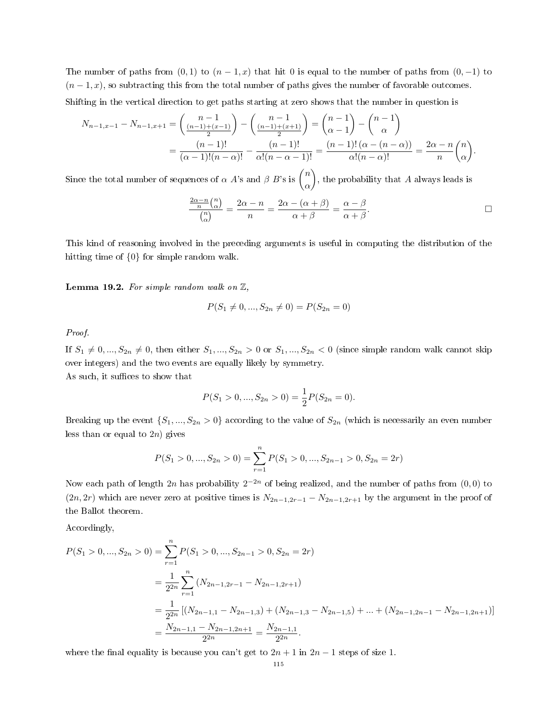The number of paths from  $(0, 1)$  to  $(n - 1, x)$  that hit 0 is equal to the number of paths from  $(0, -1)$  to  $(n-1, x)$ , so subtracting this from the total number of paths gives the number of favorable outcomes. Shifting in the vertical direction to get paths starting at zero shows that the number in question is

$$
N_{n-1,x-1} - N_{n-1,x+1} = \left(\frac{n-1}{\frac{n-1}{2}}\right) - \left(\frac{n-1}{\frac{(n-1)+(x+1)}{2}}\right) = \left(\frac{n-1}{\alpha-1}\right) - \left(\frac{n-1}{\alpha}\right)
$$

$$
= \frac{(n-1)!}{(\alpha-1)!(n-\alpha)!} - \frac{(n-1)!}{\alpha!(n-\alpha-1)!} = \frac{(n-1)!(\alpha-(n-\alpha))}{\alpha!(n-\alpha)!} = \frac{2\alpha-n}{n}\binom{n}{\alpha}
$$

Since the total number of sequences of  $\alpha$   $A$ 's and  $\beta$   $B$ 's is  $\binom{n}{n}$ α ), the probability that  $A$  always leads is

$$
\frac{\frac{2\alpha - n}{n} \binom{n}{\alpha}}{\binom{n}{\alpha}} = \frac{2\alpha - n}{n} = \frac{2\alpha - (\alpha + \beta)}{\alpha + \beta} = \frac{\alpha - \beta}{\alpha + \beta}.
$$

.

This kind of reasoning involved in the preceding arguments is useful in computing the distribution of the hitting time of {0} for simple random walk.

<span id="page-114-0"></span>**Lemma 19.2.** For simple random walk on  $\mathbb{Z}$ ,

$$
P(S_1 \neq 0, ..., S_{2n} \neq 0) = P(S_{2n} = 0)
$$

Proof.

If  $S_1 \neq 0, ..., S_{2n} \neq 0$ , then either  $S_1, ..., S_{2n} > 0$  or  $S_1, ..., S_{2n} < 0$  (since simple random walk cannot skip over integers) and the two events are equally likely by symmetry. As such, it suffices to show that

$$
P(S_1 > 0, ..., S_{2n} > 0) = \frac{1}{2}P(S_{2n} = 0).
$$

Breaking up the event  $\{S_1, ..., S_{2n} > 0\}$  according to the value of  $S_{2n}$  (which is necessarily an even number less than or equal to  $2n$ ) gives

$$
P(S_1 > 0, ..., S_{2n} > 0) = \sum_{r=1}^{n} P(S_1 > 0, ..., S_{2n-1} > 0, S_{2n} = 2r)
$$

Now each path of length 2n has probability  $2^{-2n}$  of being realized, and the number of paths from  $(0,0)$  to  $(2n, 2r)$  which are never zero at positive times is  $N_{2n-1,2r-1} - N_{2n-1,2r+1}$  by the argument in the proof of the Ballot theorem.

Accordingly,

$$
P(S_1 > 0, ..., S_{2n} > 0) = \sum_{r=1}^{n} P(S_1 > 0, ..., S_{2n-1} > 0, S_{2n} = 2r)
$$
  
= 
$$
\frac{1}{2^{2n}} \sum_{r=1}^{n} (N_{2n-1,2r-1} - N_{2n-1,2r+1})
$$
  
= 
$$
\frac{1}{2^{2n}} [(N_{2n-1,1} - N_{2n-1,3}) + (N_{2n-1,3} - N_{2n-1,5}) + ... + (N_{2n-1,2n-1} - N_{2n-1,2n+1})]
$$
  
= 
$$
\frac{N_{2n-1,1} - N_{2n-1,2n+1}}{2^{2n}} = \frac{N_{2n-1,1}}{2^{2n}}.
$$

where the final equality is because you can't get to  $2n + 1$  in  $2n - 1$  steps of size 1.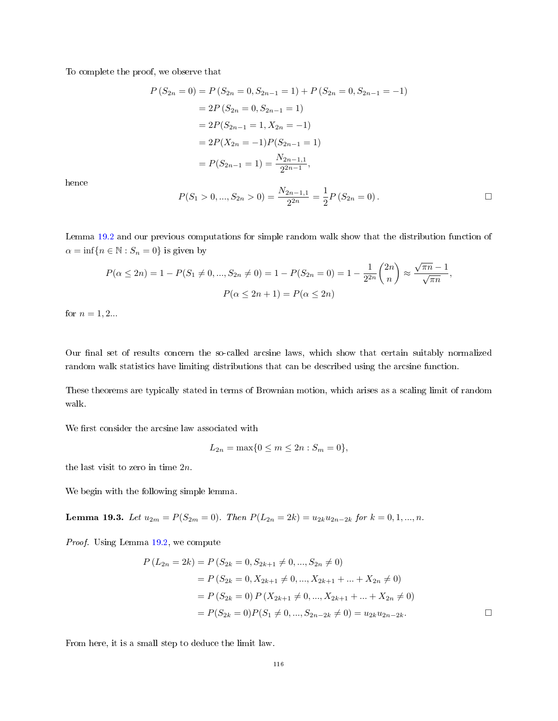To complete the proof, we observe that

$$
P(S_{2n} = 0) = P(S_{2n} = 0, S_{2n-1} = 1) + P(S_{2n} = 0, S_{2n-1} = -1)
$$
  
= 2P(S\_{2n} = 0, S\_{2n-1} = 1)  
= 2P(S\_{2n-1} = 1, X\_{2n} = -1)  
= 2P(X\_{2n} = -1)P(S\_{2n-1} = 1)  
= P(S\_{2n-1} = 1) = \frac{N\_{2n-1,1}}{2^{2n-1}},

hence

$$
P(S_1 > 0, ..., S_{2n} > 0) = \frac{N_{2n-1,1}}{2^{2n}} = \frac{1}{2}P(S_{2n} = 0).
$$

Lemma [19.2](#page-114-0) and our previous computations for simple random walk show that the distribution function of  $\alpha = \inf\{n \in \mathbb{N} : S_n = 0\}$  is given by

$$
P(\alpha \le 2n) = 1 - P(S_1 \ne 0, ..., S_{2n} \ne 0) = 1 - P(S_{2n} = 0) = 1 - \frac{1}{2^{2n}} {2n \choose n} \approx \frac{\sqrt{\pi n} - 1}{\sqrt{\pi n}},
$$
  

$$
P(\alpha \le 2n + 1) = P(\alpha \le 2n)
$$

for  $n = 1, 2...$ 

Our final set of results concern the so-called arcsine laws, which show that certain suitably normalized random walk statistics have limiting distributions that can be described using the arcsine function.

These theorems are typically stated in terms of Brownian motion, which arises as a scaling limit of random walk.

We first consider the arcsine law associated with

$$
L_{2n} = \max\{0 \le m \le 2n : S_m = 0\},\
$$

the last visit to zero in time  $2n$ .

We begin with the following simple lemma.

<span id="page-115-0"></span>Lemma 19.3. Let  $u_{2m} = P(S_{2m} = 0)$ . Then  $P(L_{2n} = 2k) = u_{2k}u_{2n-2k}$  for  $k = 0, 1, ..., n$ .

Proof. Using Lemma [19.2,](#page-114-0) we compute

$$
P(L_{2n} = 2k) = P(S_{2k} = 0, S_{2k+1} \neq 0, ..., S_{2n} \neq 0)
$$
  
=  $P(S_{2k} = 0, X_{2k+1} \neq 0, ..., X_{2k+1} + ... + X_{2n} \neq 0)$   
=  $P(S_{2k} = 0) P(X_{2k+1} \neq 0, ..., X_{2k+1} + ... + X_{2n} \neq 0)$   
=  $P(S_{2k} = 0) P(S_1 \neq 0, ..., S_{2n-2k} \neq 0) = u_{2k} u_{2n-2k}$ .

From here, it is a small step to deduce the limit law.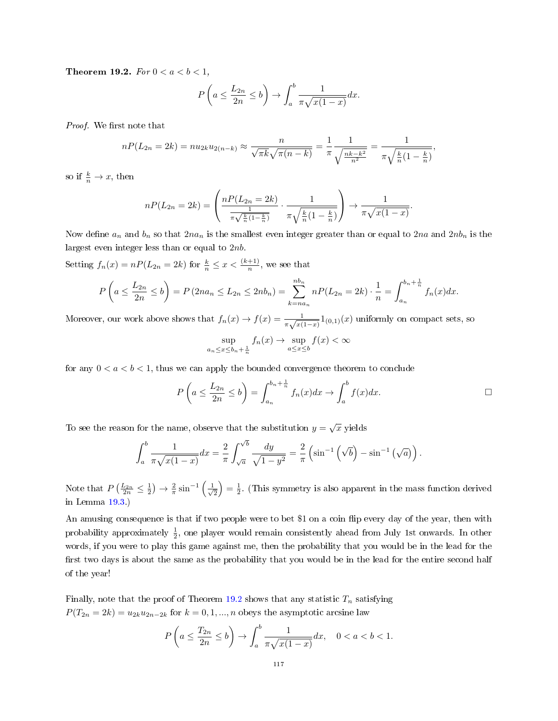<span id="page-116-0"></span>Theorem 19.2. For  $0 < a < b < 1$ ,

$$
P\left(a \le \frac{L_{2n}}{2n} \le b\right) \to \int_a^b \frac{1}{\pi\sqrt{x(1-x)}}dx.
$$

Proof. We first note that

$$
nP(L_{2n} = 2k) = nu_{2k}u_{2(n-k)} \approx \frac{n}{\sqrt{\pi k}\sqrt{\pi(n-k)}} = \frac{1}{\pi} \frac{1}{\sqrt{\frac{nk-k^2}{n^2}}} = \frac{1}{\pi\sqrt{\frac{k}{n}(1-\frac{k}{n})}},
$$

so if  $\frac{k}{n} \to x$ , then

$$
nP(L_{2n} = 2k) = \left(\frac{nP(L_{2n} = 2k)}{\frac{1}{\pi\sqrt{\frac{k}{n}(1-\frac{k}{n})}}}\cdot \frac{1}{\pi\sqrt{\frac{k}{n}(1-\frac{k}{n})}}\right) \to \frac{1}{\pi\sqrt{x(1-x)}}.
$$

Now define  $a_n$  and  $b_n$  so that  $2na_n$  is the smallest even integer greater than or equal to  $2na$  and  $2nb_n$  is the largest even integer less than or equal to 2nb.

Setting  $f_n(x) = nP(L_{2n} = 2k)$  for  $\frac{k}{n} \leq x < \frac{(k+1)}{n}$ , we see that

$$
P\left(a \leq \frac{L_{2n}}{2n} \leq b\right) = P\left(2na_n \leq L_{2n} \leq 2nb_n\right) = \sum_{k=na_n}^{nb_n} nP(L_{2n} = 2k) \cdot \frac{1}{n} = \int_{a_n}^{b_n + \frac{1}{n}} f_n(x) dx.
$$

Moreover, our work above shows that  $f_n(x) \to f(x) = \frac{1}{\pi \sqrt{x(1-x)}} 1_{(0,1)}(x)$  uniformly on compact sets, so

$$
\sup_{a_n \le x \le b_n + \frac{1}{n}} f_n(x) \to \sup_{a \le x \le b} f(x) < \infty
$$

for any  $0 < a < b < 1$ , thus we can apply the bounded convergence theorem to conclude

$$
P\left(a \leq \frac{L_{2n}}{2n} \leq b\right) = \int_{a_n}^{b_n + \frac{1}{n}} f_n(x) dx \to \int_a^b f(x) dx.
$$

To see the reason for the name, observe that the substitution  $y = \sqrt{x}$  yields

$$
\int_{a}^{b} \frac{1}{\pi \sqrt{x(1-x)}} dx = \frac{2}{\pi} \int_{\sqrt{a}}^{\sqrt{b}} \frac{dy}{\sqrt{1-y^2}} = \frac{2}{\pi} \left( \sin^{-1} \left( \sqrt{b} \right) - \sin^{-1} \left( \sqrt{a} \right) \right).
$$

Note that  $P\left(\frac{L_{2n}}{2n} \leq \frac{1}{2}\right) \to \frac{2}{\pi} \sin^{-1}\left(\frac{1}{\sqrt{n}}\right)$  $\left(\frac{1}{2}\right) = \frac{1}{2}$ . (This symmetry is also apparent in the mass function derived in Lemma [19.3.](#page-115-0))

An amusing consequence is that if two people were to bet \$1 on a coin flip every day of the year, then with probability approximately  $\frac{1}{2}$ , one player would remain consistently ahead from July 1st onwards. In other words, if you were to play this game against me, then the probability that you would be in the lead for the first two days is about the same as the probability that you would be in the lead for the entire second half of the year!

Finally, note that the proof of Theorem [19.2](#page-116-0) shows that any statistic  $T_n$  satisfying  $P(T_{2n} = 2k) = u_{2k}u_{2n-2k}$  for  $k = 0, 1, ..., n$  obeys the asymptotic arcsine law

$$
P\left(a \le \frac{T_{2n}}{2n} \le b\right) \to \int_a^b \frac{1}{\pi\sqrt{x(1-x)}}dx, \quad 0 < a < b < 1.
$$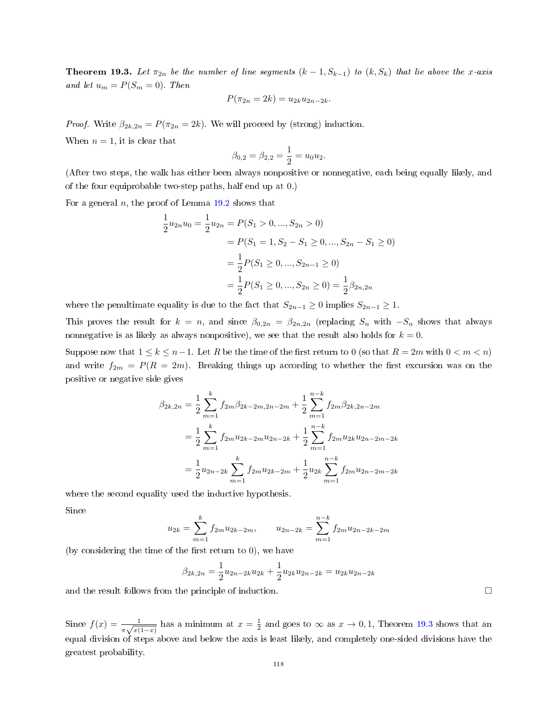<span id="page-117-0"></span>**Theorem 19.3.** Let  $\pi_{2n}$  be the number of line segments  $(k-1, S_{k-1})$  to  $(k, S_k)$  that lie above the x-axis and let  $u_m = P(S_m = 0)$ . Then

$$
P(\pi_{2n} = 2k) = u_{2k}u_{2n-2k}.
$$

*Proof.* Write  $\beta_{2k,2n} = P(\pi_{2n} = 2k)$ . We will proceed by (strong) induction. When  $n = 1$ , it is clear that

$$
\beta_{0,2} = \beta_{2,2} = \frac{1}{2} = u_0 u_2.
$$

(After two steps, the walk has either been always nonpositive or nonnegative, each being equally likely, and of the four equiprobable two-step paths, half end up at 0.)

For a general  $n$ , the proof of Lemma [19.2](#page-114-0) shows that

$$
\frac{1}{2}u_{2n}u_0 = \frac{1}{2}u_{2n} = P(S_1 > 0, ..., S_{2n} > 0)
$$
  
=  $P(S_1 = 1, S_2 - S_1 \ge 0, ..., S_{2n} - S_1 \ge 0)$   
=  $\frac{1}{2}P(S_1 \ge 0, ..., S_{2n-1} \ge 0)$   
=  $\frac{1}{2}P(S_1 \ge 0, ..., S_{2n} \ge 0) = \frac{1}{2}\beta_{2n, 2n}$ 

where the penultimate equality is due to the fact that  $S_{2n-1} \geq 0$  implies  $S_{2n-1} \geq 1$ .

This proves the result for  $k = n$ , and since  $\beta_{0,2n} = \beta_{2n,2n}$  (replacing  $S_n$  with  $-S_n$  shows that always nonnegative is as likely as always nonpositive), we see that the result also holds for  $k = 0$ .

Suppose now that  $1 \leq k \leq n-1$ . Let R be the time of the first return to 0 (so that  $R = 2m$  with  $0 \lt m \lt n$ ) and write  $f_{2m} = P(R = 2m)$ . Breaking things up according to whether the first excursion was on the positive or negative side gives

$$
\beta_{2k,2n} = \frac{1}{2} \sum_{m=1}^{k} f_{2m} \beta_{2k-2m,2n-2m} + \frac{1}{2} \sum_{m=1}^{n-k} f_{2m} \beta_{2k,2n-2m}
$$
  

$$
= \frac{1}{2} \sum_{m=1}^{k} f_{2m} u_{2k-2m} u_{2n-2k} + \frac{1}{2} \sum_{m=1}^{n-k} f_{2m} u_{2k} u_{2n-2m-2k}
$$
  

$$
= \frac{1}{2} u_{2n-2k} \sum_{m=1}^{k} f_{2m} u_{2k-2m} + \frac{1}{2} u_{2k} \sum_{m=1}^{n-k} f_{2m} u_{2n-2m-2k}
$$

where the second equality used the inductive hypothesis. Since

$$
u_{2k} = \sum_{m=1}^{k} f_{2m} u_{2k-2m}, \qquad u_{2n-2k} = \sum_{m=1}^{n-k} f_{2m} u_{2n-2k-2m}
$$

(by considering the time of the first return to  $0$ ), we have

$$
\beta_{2k,2n} = \frac{1}{2}u_{2n-2k}u_{2k} + \frac{1}{2}u_{2k}u_{2n-2k} = u_{2k}u_{2n-2k}
$$

and the result follows from the principle of induction.

Since  $f(x) = \frac{1}{\pi\sqrt{x(1-x)}}$  has a minimum at  $x = \frac{1}{2}$  and goes to  $\infty$  as  $x \to 0, 1$ , Theorem [19.3](#page-117-0) shows that an equal division of steps above and below the axis is least likely, and completely one-sided divisions have the greatest probability.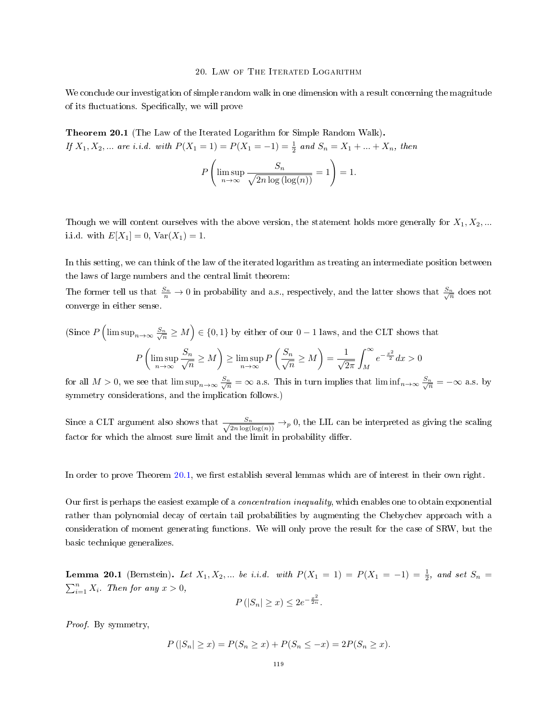#### 20. LAW OF THE ITERATED LOGARITHM

We conclude our investigation of simple random walk in one dimension with a result concerning the magnitude of its fluctuations. Specifically, we will prove

<span id="page-118-0"></span>Theorem 20.1 (The Law of the Iterated Logarithm for Simple Random Walk). If  $X_1, X_2, ...$  are i.i.d. with  $P(X_1 = 1) = P(X_1 = -1) = \frac{1}{2}$  and  $S_n = X_1 + ... + X_n$ , then

$$
P\left(\limsup_{n\to\infty}\frac{S_n}{\sqrt{2n\log\left(\log(n)\right)}}=1\right)=1.
$$

Though we will content ourselves with the above version, the statement holds more generally for  $X_1, X_2, ...$ i.i.d. with  $E[X_1] = 0$ ,  $Var(X_1) = 1$ .

In this setting, we can think of the law of the iterated logarithm as treating an intermediate position between the laws of large numbers and the central limit theorem:

The former tell us that  $\frac{S_n}{n} \to 0$  in probability and a.s., respectively, and the latter shows that  $\frac{S_n}{\sqrt{n}}$  does not converge in either sense.

(Since 
$$
P\left(\limsup_{n\to\infty}\frac{S_n}{\sqrt{n}}\geq M\right) \in \{0,1\}
$$
 by either of our  $0-1$  laws, and the CLT shows that\n
$$
P\left(\limsup_{n\to\infty}\frac{S_n}{\sqrt{n}}\geq M\right) \geq \limsup_{n\to\infty}P\left(\frac{S_n}{\sqrt{n}}\geq M\right) = \frac{1}{\sqrt{2\pi}}\int_M^\infty e^{-\frac{x^2}{2}}dx > 0
$$

for all  $M > 0$ , we see that  $\limsup_{n \to \infty} \frac{S_n}{\sqrt{n}} = \infty$  a.s. This in turn implies that  $\liminf_{n \to \infty} \frac{S_n}{\sqrt{n}} = -\infty$  a.s. by symmetry considerations, and the implication follows.)

Since a CLT argument also shows that  $\frac{S_n}{\sqrt{S_n} S_n}$  $\frac{S_n}{2n \log(\log(n))} \rightarrow_p 0$ , the LIL can be interpreted as giving the scaling factor for which the almost sure limit and the limit in probability differ.

In order to prove Theorem [20.1,](#page-118-0) we first establish several lemmas which are of interest in their own right.

Our first is perhaps the easiest example of a *concentration inequality*, which enables one to obtain exponential rather than polynomial decay of certain tail probabilities by augmenting the Chebychev approach with a consideration of moment generating functions. We will only prove the result for the case of SRW, but the basic technique generalizes.

<span id="page-118-1"></span>**Lemma 20.1** (Bernstein). Let  $X_1, X_2, ...$  be i.i.d. with  $P(X_1 = 1) = P(X_1 = -1) = \frac{1}{2}$ , and set  $S_n =$  $\sum_{i=1}^{n} X_i$ . Then for any  $x > 0$ ,

$$
P(|S_n| \ge x) \le 2e^{-\frac{x^2}{2n}}.
$$

Proof. By symmetry,

$$
P(|S_n| \ge x) = P(S_n \ge x) + P(S_n \le -x) = 2P(S_n \ge x).
$$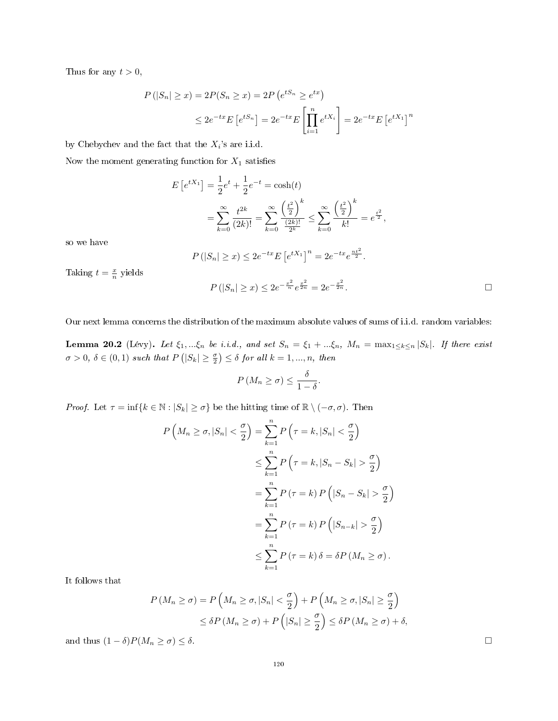Thus for any  $t > 0$ ,

$$
P(|S_n| \ge x) = 2P(S_n \ge x) = 2P(e^{tS_n} \ge e^{tx})
$$
  

$$
\le 2e^{-tx}E[e^{tS_n}] = 2e^{-tx}E\left[\prod_{i=1}^n e^{tX_i}\right] = 2e^{-tx}E[e^{tX_1}]^n
$$

by Chebychev and the fact that the  $X_i$ 's are i.i.d.

Now the moment generating function for  $X_1$  satisfies

$$
E[e^{tX_1}] = \frac{1}{2}e^t + \frac{1}{2}e^{-t} = \cosh(t)
$$
  
= 
$$
\sum_{k=0}^{\infty} \frac{t^{2k}}{(2k)!} = \sum_{k=0}^{\infty} \frac{\left(\frac{t^2}{2}\right)^k}{\frac{(2k)!}{2^k}} \le \sum_{k=0}^{\infty} \frac{\left(\frac{t^2}{2}\right)^k}{k!} = e^{\frac{t^2}{2}},
$$

so we have

$$
P(|S_n| \ge x) \le 2e^{-tx} E\left[e^{tX_1}\right]^n = 2e^{-tx}e^{\frac{nt^2}{2}}.
$$

 $P(|S_n| \geq x) \leq 2e^{-\frac{x^2}{n}}e^{\frac{x^2}{2n}} = 2e^{-\frac{x^2}{2n}}$ 

Taking  $t = \frac{x}{n}$  yields

Our next lemma concerns the distribution of the maximum absolute values of sums of i.i.d. random variables:

 $rac{x^2}{2n}$ .

<span id="page-119-0"></span>**Lemma 20.2** (Lévy). Let  $\xi_1, \dots, \xi_n$  be i.i.d., and set  $S_n = \xi_1 + \dots + \xi_n$ ,  $M_n = \max_{1 \leq k \leq n} |S_k|$ . If there exist  $\sigma > 0$ ,  $\delta \in (0,1)$  such that  $P(|S_k| \geq \frac{\sigma}{2}) \leq \delta$  for all  $k = 1, ..., n$ , then

$$
P\left(M_n \geq \sigma\right) \leq \frac{\delta}{1-\delta}.
$$

*Proof.* Let  $\tau = \inf\{k \in \mathbb{N} : |S_k| \geq \sigma\}$  be the hitting time of  $\mathbb{R} \setminus (-\sigma, \sigma)$ . Then

$$
P\left(M_n \geq \sigma, |S_n| < \frac{\sigma}{2}\right) = \sum_{k=1}^n P\left(\tau = k, |S_n| < \frac{\sigma}{2}\right)
$$
\n
$$
\leq \sum_{k=1}^n P\left(\tau = k, |S_n - S_k| > \frac{\sigma}{2}\right)
$$
\n
$$
= \sum_{k=1}^n P\left(\tau = k\right) P\left(|S_n - S_k| > \frac{\sigma}{2}\right)
$$
\n
$$
= \sum_{k=1}^n P\left(\tau = k\right) P\left(|S_{n-k}| > \frac{\sigma}{2}\right)
$$
\n
$$
\leq \sum_{k=1}^n P\left(\tau = k\right) \delta = \delta P\left(M_n \geq \sigma\right).
$$

It follows that

$$
P(M_n \ge \sigma) = P\left(M_n \ge \sigma, |S_n| < \frac{\sigma}{2}\right) + P\left(M_n \ge \sigma, |S_n| \ge \frac{\sigma}{2}\right)
$$
\n
$$
\le \delta P\left(M_n \ge \sigma\right) + P\left(|S_n| \ge \frac{\sigma}{2}\right) \le \delta P\left(M_n \ge \sigma\right) + \delta,
$$

and thus  $(1 - \delta)P(M_n \ge \sigma) \le \delta$ .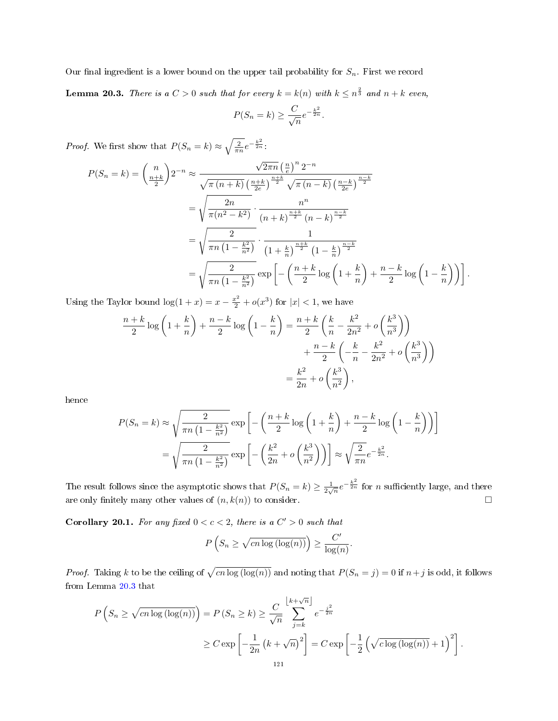<span id="page-120-0"></span>Our final ingredient is a lower bound on the upper tail probability for  $S_n$ . First we record **Lemma 20.3.** There is a  $C > 0$  such that for every  $k = k(n)$  with  $k \leq n^{\frac{2}{3}}$  and  $n + k$  even,

$$
P(S_n = k) \ge \frac{C}{\sqrt{n}} e^{-\frac{k^2}{2n}}.
$$

*Proof.* We first show that  $P(S_n = k) \approx \sqrt{\frac{2}{\pi n}} e^{-\frac{k^2}{2n}}$ . √

$$
P(S_n = k) = {n \choose \frac{n+k}{2}} 2^{-n} \approx \frac{\sqrt{2\pi n} \left(\frac{n}{e}\right)^n 2^{-n}}{\sqrt{\pi (n+k)} \left(\frac{n+k}{2e}\right)^{\frac{n+k}{2}} \sqrt{\pi (n-k)} \left(\frac{n-k}{2e}\right)^{\frac{n-k}{2}}}
$$
  
=  $\sqrt{\frac{2n}{\pi (n^2 - k^2)}} \cdot \frac{n^n}{(n+k)^{\frac{n+k}{2}} (n-k)^{\frac{n-k}{2}}}$   
=  $\sqrt{\frac{2}{\pi n \left(1 - \frac{k^2}{n^2}\right)}} \cdot \frac{1}{\left(1 + \frac{k}{n}\right)^{\frac{n+k}{2}} \left(1 - \frac{k}{n}\right)^{\frac{n-k}{2}}}$   
=  $\sqrt{\frac{2}{\pi n \left(1 - \frac{k^2}{n^2}\right)}} \exp\left[-\left(\frac{n+k}{2} \log\left(1 + \frac{k}{n}\right) + \frac{n-k}{2} \log\left(1 - \frac{k}{n}\right)\right)\right].$ 

Using the Taylor bound  $\log(1+x) = x - \frac{x^2}{2} + o(x^3)$  for  $|x| < 1$ , we have

$$
\frac{n+k}{2}\log\left(1+\frac{k}{n}\right) + \frac{n-k}{2}\log\left(1-\frac{k}{n}\right) = \frac{n+k}{2}\left(\frac{k}{n} - \frac{k^2}{2n^2} + o\left(\frac{k^3}{n^3}\right)\right) + \frac{n-k}{2}\left(-\frac{k}{n} - \frac{k^2}{2n^2} + o\left(\frac{k^3}{n^3}\right)\right) = \frac{k^2}{2n} + o\left(\frac{k^3}{n^2}\right),
$$

hence

$$
P(S_n = k) \approx \sqrt{\frac{2}{\pi n \left(1 - \frac{k^2}{n^2}\right)}} \exp\left[-\left(\frac{n+k}{2}\log\left(1 + \frac{k}{n}\right) + \frac{n-k}{2}\log\left(1 - \frac{k}{n}\right)\right)\right]
$$

$$
= \sqrt{\frac{2}{\pi n \left(1 - \frac{k^2}{n^2}\right)}} \exp\left[-\left(\frac{k^2}{2n} + o\left(\frac{k^3}{n^2}\right)\right)\right] \approx \sqrt{\frac{2}{\pi n}} e^{-\frac{k^2}{2n}}.
$$

The result follows since the asymptotic shows that  $P(S_n = k) \ge \frac{1}{2\sqrt{n}} e^{-\frac{k^2}{2n}}$  for *n* sufficiently large, and there are only finitely many other values of  $(n, k(n))$  to consider.

<span id="page-120-1"></span>**Corollary 20.1.** For any fixed  $0 < c < 2$ , there is a  $C' > 0$  such that

$$
P\left(S_n \geq \sqrt{cn\log\left(\log(n)\right)}\right) \geq \frac{C'}{\log(n)}.
$$

*Proof.* Taking k to be the ceiling of  $\sqrt{cn \log(\log(n))}$  and noting that  $P(S_n = j) = 0$  if  $n+j$  is odd, it follows from Lemma [20.3](#page-120-0) that

$$
P\left(S_n \ge \sqrt{cn\log\left(\log(n)\right)}\right) = P\left(S_n \ge k\right) \ge \frac{C}{\sqrt{n}} \sum_{j=k}^{\left\lfloor k+\sqrt{n} \right\rfloor} e^{-\frac{j^2}{2n}}
$$

$$
\ge C \exp\left[-\frac{1}{2n}\left(k+\sqrt{n}\right)^2\right] = C \exp\left[-\frac{1}{2}\left(\sqrt{c\log\left(\log(n)\right)}+1\right)^2\right].
$$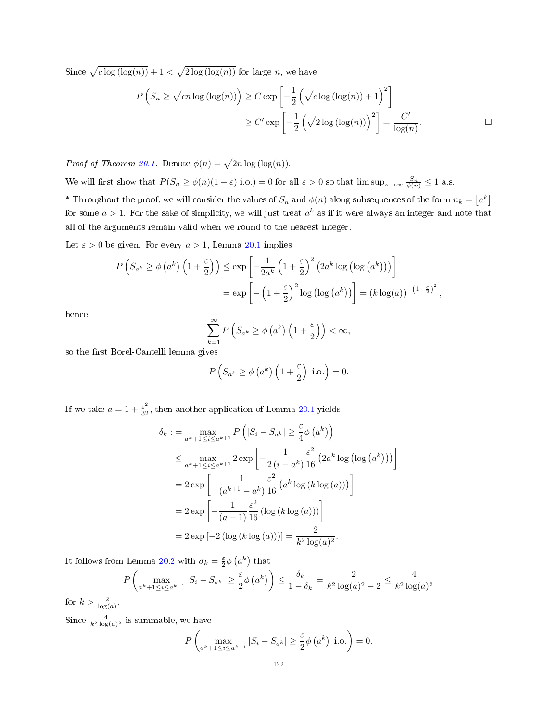Since  $\sqrt{c \log (\log(n))} + 1 < \sqrt{2 \log (\log(n))}$  for large n, we have

$$
P\left(S_n \ge \sqrt{cn\log\left(\log(n)\right)}\right) \ge C \exp\left[-\frac{1}{2}\left(\sqrt{c\log\left(\log(n)\right)} + 1\right)^2\right]
$$

$$
\ge C' \exp\left[-\frac{1}{2}\left(\sqrt{2\log\left(\log(n)\right)}\right)^2\right] = \frac{C'}{\log(n)}.
$$

*Proof of Theorem [20.1.](#page-118-0)* Denote  $\phi(n) = \sqrt{2n \log(\log(n))}$ .

We will first show that  $P(S_n \ge \phi(n)(1+\varepsilon))$  i.o.) = 0 for all  $\varepsilon > 0$  so that  $\limsup_{n\to\infty} \frac{S_n}{\phi(n)} \le 1$  a.s.

\* Throughout the proof, we will consider the values of  $S_n$  and  $\phi(n)$  along subsequences of the form  $n_k = \lceil a^k \rceil$ for some  $a > 1$ . For the sake of simplicity, we will just treat  $a^k$  as if it were always an integer and note that all of the arguments remain valid when we round to the nearest integer.

Let  $\varepsilon > 0$  be given. For every  $a > 1$ , Lemma [20.1](#page-118-1) implies

$$
P\left(S_{a^k} \ge \phi\left(a^k\right)\left(1+\frac{\varepsilon}{2}\right)\right) \le \exp\left[-\frac{1}{2a^k}\left(1+\frac{\varepsilon}{2}\right)^2\left(2a^k\log\left(\log\left(a^k\right)\right)\right)\right]
$$
  
=  $\exp\left[-\left(1+\frac{\varepsilon}{2}\right)^2\log\left(\log\left(a^k\right)\right)\right] = (k\log(a))^{-\left(1+\frac{\varepsilon}{2}\right)^2}$ ,

hence

$$
\sum_{k=1}^{\infty} P\left(S_{a^k} \ge \phi\left(a^k\right)\left(1+\frac{\varepsilon}{2}\right)\right) < \infty,
$$

so the first Borel-Cantelli lemma gives

$$
P(S_{a^k} \ge \phi(a^k) \left(1 + \frac{\varepsilon}{2}\right) \text{ i.o.}\right) = 0.
$$

If we take  $a = 1 + \frac{\varepsilon^2}{32}$ , then another application of Lemma [20.1](#page-118-1) yields

$$
\delta_k := \max_{a^k+1 \le i \le a^{k+1}} P\left(|S_i - S_{a^k}| \ge \frac{\varepsilon}{4} \phi\left(a^k\right)\right)
$$
  
\n
$$
\le \max_{a^k+1 \le i \le a^{k+1}} 2 \exp\left[-\frac{1}{2\left(i - a^k\right)} \frac{\varepsilon^2}{16} \left(2a^k \log\left(\log\left(a^k\right)\right)\right)\right]
$$
  
\n
$$
= 2 \exp\left[-\frac{1}{\left(a^{k+1} - a^k\right)} \frac{\varepsilon^2}{16} \left(a^k \log\left(k \log\left(a\right)\right)\right)\right]
$$
  
\n
$$
= 2 \exp\left[-\frac{1}{\left(a - 1\right)} \frac{\varepsilon^2}{16} \left(\log\left(k \log\left(a\right)\right)\right)\right]
$$
  
\n
$$
= 2 \exp\left[-2\left(\log\left(k \log\left(a\right)\right)\right)\right] = \frac{2}{k^2 \log(a)^2}.
$$

It follows from Lemma [20.2](#page-119-0) with  $\sigma_k = \frac{\varepsilon}{2} \phi \left( a^k \right)$  that

$$
P\left(\max_{a^k+1\leq i\leq a^{k+1}} |S_i - S_{a^k}| \geq \frac{\varepsilon}{2}\phi\left(a^k\right)\right) \leq \frac{\delta_k}{1 - \delta_k} = \frac{2}{k^2 \log(a)^2 - 2} \leq \frac{4}{k^2 \log(a)^2}
$$

for  $k > \frac{2}{\log(a)}$ .

Since  $\frac{4}{k^2 \log(a)^2}$  is summable, we have

$$
P\left(\max_{a^k+1\leq i\leq a^{k+1}} |S_i - S_{a^k}| \geq \frac{\varepsilon}{2}\phi\left(a^k\right) \text{ i.o.}\right) = 0.
$$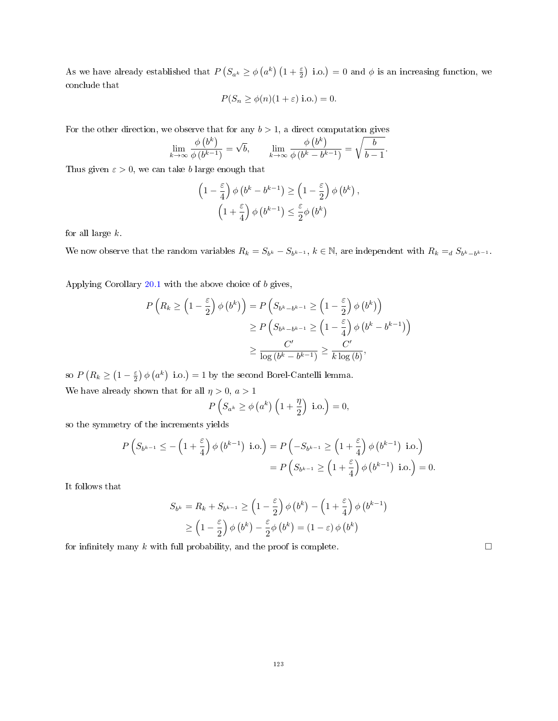As we have already established that  $P(S_{a^k} \ge \phi(a^k) (1 + \frac{\varepsilon}{2})$  i.o.) = 0 and  $\phi$  is an increasing function, we conclude that

$$
P(S_n \ge \phi(n)(1+\varepsilon) \text{ i.o.}) = 0.
$$

For the other direction, we observe that for any  $b > 1$ , a direct computation gives

$$
\lim_{k \to \infty} \frac{\phi(b^k)}{\phi(b^{k-1})} = \sqrt{b}, \qquad \lim_{k \to \infty} \frac{\phi(b^k)}{\phi(b^k - b^{k-1})} = \sqrt{\frac{b}{b-1}}.
$$

Thus given  $\varepsilon > 0$ , we can take b large enough that

$$
\begin{aligned} \left(1-\frac{\varepsilon}{4}\right)\phi\left(b^k-b^{k-1}\right)&\geq \left(1-\frac{\varepsilon}{2}\right)\phi\left(b^k\right),\\ \left(1+\frac{\varepsilon}{4}\right)\phi\left(b^{k-1}\right)&\leq \frac{\varepsilon}{2}\phi\left(b^k\right) \end{aligned}
$$

for all large  $k$ .

We now observe that the random variables  $R_k = S_{b^k} - S_{b^{k-1}}$ ,  $k \in \mathbb{N}$ , are independent with  $R_k =_d S_{b^k-b^{k-1}}$ .

Applying Corollary [20.1](#page-120-1) with the above choice of b gives,

$$
P\left(R_k \ge \left(1 - \frac{\varepsilon}{2}\right) \phi\left(b^k\right)\right) = P\left(S_{b^k - b^{k-1}} \ge \left(1 - \frac{\varepsilon}{2}\right) \phi\left(b^k\right)\right)
$$
  

$$
\ge P\left(S_{b^k - b^{k-1}} \ge \left(1 - \frac{\varepsilon}{4}\right) \phi\left(b^k - b^{k-1}\right)\right)
$$
  

$$
\ge \frac{C'}{\log\left(b^k - b^{k-1}\right)} \ge \frac{C'}{k \log\left(b\right)},
$$

so  $P(R_k \geq (1 - \frac{\varepsilon}{2}) \phi(a^k)$  i.o.) = 1 by the second Borel-Cantelli lemma.

We have already shown that for all  $\eta>0,$ <br> $a>1$ 

$$
P(S_{a^k} \ge \phi\left(a^k\right)\left(1+\frac{\eta}{2}\right) \text{ i.o.}\right) = 0,
$$

so the symmetry of the increments yields

$$
P\left(S_{b^{k-1}} \leq -\left(1+\frac{\varepsilon}{4}\right)\phi\left(b^{k-1}\right) \text{ i.o.}\right) = P\left(-S_{b^{k-1}} \geq \left(1+\frac{\varepsilon}{4}\right)\phi\left(b^{k-1}\right) \text{ i.o.}\right)
$$

$$
= P\left(S_{b^{k-1}} \geq \left(1+\frac{\varepsilon}{4}\right)\phi\left(b^{k-1}\right) \text{ i.o.}\right) = 0.
$$

It follows that

$$
S_{b^k} = R_k + S_{b^{k-1}} \ge \left(1 - \frac{\varepsilon}{2}\right) \phi\left(b^k\right) - \left(1 + \frac{\varepsilon}{4}\right) \phi\left(b^{k-1}\right)
$$
  

$$
\ge \left(1 - \frac{\varepsilon}{2}\right) \phi\left(b^k\right) - \frac{\varepsilon}{2} \phi\left(b^k\right) = \left(1 - \varepsilon\right) \phi\left(b^k\right)
$$

for infinitely many k with full probability, and the proof is complete.  $\square$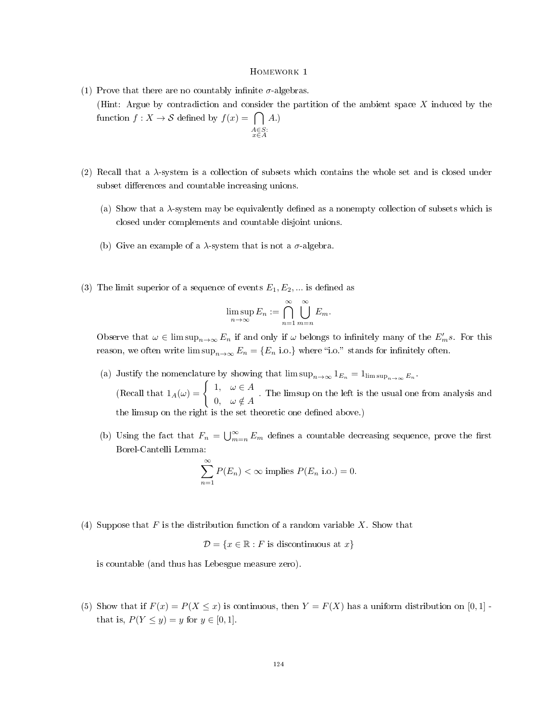- (1) Prove that there are no countably infinite  $\sigma$ -algebras. (Hint: Argue by contradiction and consider the partition of the ambient space  $X$  induced by the function  $f: X \to S$  defined by  $f(x) = \bigcap A$ .  $A \in S:$ <br> $x \in A$
- (2) Recall that a  $\lambda$ -system is a collection of subsets which contains the whole set and is closed under subset differences and countable increasing unions.
	- (a) Show that a  $\lambda$ -system may be equivalently defined as a nonempty collection of subsets which is closed under complements and countable disjoint unions.
	- (b) Give an example of a  $\lambda$ -system that is not a  $\sigma$ -algebra.
- (3) The limit superior of a sequence of events  $E_1, E_2, \dots$  is defined as

$$
\limsup_{n \to \infty} E_n := \bigcap_{n=1}^{\infty} \bigcup_{m=n}^{\infty} E_m.
$$

Observe that  $\omega \in \limsup_{n\to\infty} E_n$  if and only if  $\omega$  belongs to infinitely many of the  $E'_m s$ . For this reason, we often write  $\limsup_{n\to\infty} E_n = \{E_n \text{ i.o.}\}\$  where "i.o." stands for infinitely often.

- (a) Justify the nomenclature by showing that  $\limsup_{n\to\infty} 1_{E_n} = 1_{\limsup_{n\to\infty} E_n}$ . (Recall that  $1_A(\omega) = \begin{cases} 1, & \omega \in A \\ 0, & \omega \in A \end{cases}$  $\begin{array}{c} 0, \quad \omega \in A \end{array}$ . The limsup on the left is the usual one from analysis and the limsup on the right is the set theoretic one defined above.)
- (b) Using the fact that  $F_n = \bigcup_{m=n}^{\infty} E_m$  defines a countable decreasing sequence, prove the first Borel-Cantelli Lemma:

$$
\sum_{n=1}^{\infty} P(E_n) < \infty \text{ implies } P(E_n \text{ i.o.}) = 0.
$$

(4) Suppose that  $F$  is the distribution function of a random variable  $X$ . Show that

 $\mathcal{D} = \{x \in \mathbb{R} : F \text{ is discontinuous at } x\}$ 

is countable (and thus has Lebesgue measure zero).

(5) Show that if  $F(x) = P(X \leq x)$  is continuous, then  $Y = F(X)$  has a uniform distribution on [0, 1] that is,  $P(Y \le y) = y$  for  $y \in [0, 1]$ .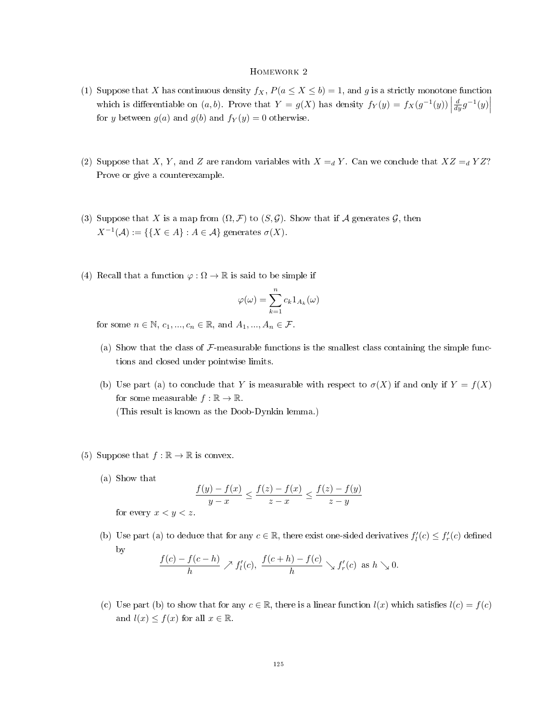- (1) Suppose that X has continuous density  $f_X$ ,  $P(a \le X \le b) = 1$ , and g is a strictly monotone function which is differentiable on  $(a, b)$ . Prove that  $Y = g(X)$  has density  $f_Y(y) = f_X(g^{-1}(y))$  $\frac{d}{dy}g^{-1}(y)\Big|$ for y between  $g(a)$  and  $g(b)$  and  $f_Y(y) = 0$  otherwise.
- (2) Suppose that X, Y, and Z are random variables with  $X = dY$ . Can we conclude that  $XZ = dYZ$ ? Prove or give a counterexample.
- (3) Suppose that X is a map from  $(\Omega, \mathcal{F})$  to  $(S, \mathcal{G})$ . Show that if A generates G, then  $X^{-1}(\mathcal{A}) := \{ \{ X \in \mathcal{A} \} : A \in \mathcal{A} \}$  generates  $\sigma(X)$ .
- (4) Recall that a function  $\varphi : \Omega \to \mathbb{R}$  is said to be simple if

$$
\varphi(\omega) = \sum_{k=1}^{n} c_k 1_{A_k}(\omega)
$$

for some  $n \in \mathbb{N}$ ,  $c_1, ..., c_n \in \mathbb{R}$ , and  $A_1, ..., A_n \in \mathcal{F}$ .

- (a) Show that the class of  $\mathcal{F}\text{-measurable functions}$  is the smallest class containing the simple functions and closed under pointwise limits.
- (b) Use part (a) to conclude that Y is measurable with respect to  $\sigma(X)$  if and only if  $Y = f(X)$ for some measurable  $f : \mathbb{R} \to \mathbb{R}$ . (This result is known as the Doob-Dynkin lemma.)
- (5) Suppose that  $f : \mathbb{R} \to \mathbb{R}$  is convex.
	- (a) Show that

$$
\frac{f(y) - f(x)}{y - x} \le \frac{f(z) - f(x)}{z - x} \le \frac{f(z) - f(y)}{z - y}
$$

for every  $x < y < z$ .

(b) Use part (a) to deduce that for any  $c \in \mathbb{R}$ , there exist one-sided derivatives  $f'_l(c) \leq f'_r(c)$  defined by

$$
\frac{f(c)-f(c-h)}{h} \nearrow f'_l(c), \ \frac{f(c+h)-f(c)}{h} \searrow f'_r(c) \ \text{as} \ h \searrow 0.
$$

(c) Use part (b) to show that for any  $c \in \mathbb{R}$ , there is a linear function  $l(x)$  which satisfies  $l(c) = f(c)$ and  $l(x) \leq f(x)$  for all  $x \in \mathbb{R}$ .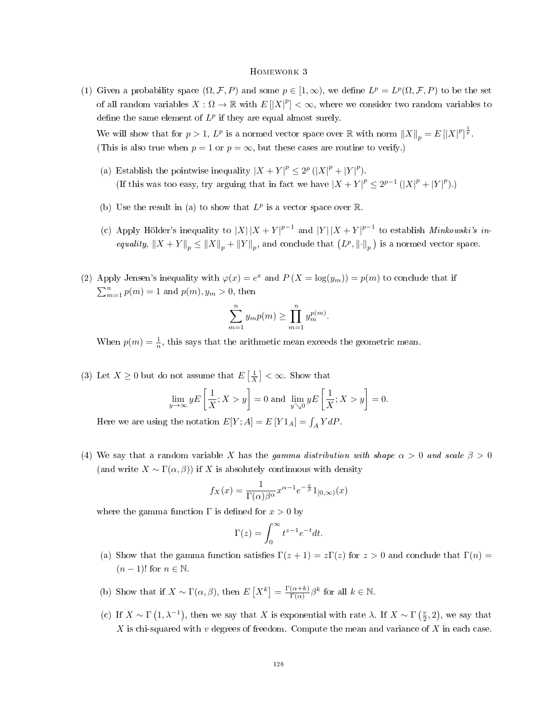(1) Given a probability space  $(\Omega, \mathcal{F}, P)$  and some  $p \in [1, \infty)$ , we define  $L^p = L^p(\Omega, \mathcal{F}, P)$  to be the set of all random variables  $X:\Omega\to\mathbb{R}$  with  $E[|X|^p]<\infty$ , where we consider two random variables to define the same element of  $L^p$  if they are equal almost surely.

We will show that for  $p > 1$ ,  $L^p$  is a normed vector space over  $\mathbb R$  with norm  $||X||_p = E[|X|^p]^{\frac{1}{p}}$ . (This is also true when  $p = 1$  or  $p = \infty$ , but these cases are routine to verify.)

- (a) Establish the pointwise inequality  $|X + Y|^p \leq 2^p (|X|^p + |Y|^p)$ . (If this was too easy, try arguing that in fact we have  $|X + Y|^p \le 2^{p-1} (|X|^p + |Y|^p)$ .)
- (b) Use the result in (a) to show that  $L^p$  is a vector space over  $\mathbb{R}$ .
- (c) Apply Hölder's inequality to  $|X||X + Y|^{p-1}$  and  $|Y||X + Y|^{p-1}$  to establish *Minkowski's in*equality,  $||X + Y||_p \le ||X||_p + ||Y||_p$ , and conclude that  $(L^p, ||\cdot||_p)$  is a normed vector space.
- (2) Apply Jensen's inequality with  $\varphi(x) = e^x$  and  $P(X = \log(y_m)) = p(m)$  to conclude that if  $\sum_{m=1}^{n} p(m) = 1$  and  $p(m), y_m > 0$ , then

$$
\sum_{m=1}^{n} y_m p(m) \ge \prod_{m=1}^{n} y_m^{p(m)}.
$$

When  $p(m) = \frac{1}{n}$ , this says that the arithmetic mean exceeds the geometric mean.

(3) Let  $X \geq 0$  but do not assume that  $E\left[\frac{1}{X}\right] < \infty$ . Show that

$$
\lim_{y \to \infty} yE\left[\frac{1}{X}; X > y\right] = 0 \text{ and } \lim_{y \searrow 0} yE\left[\frac{1}{X}; X > y\right] = 0.
$$

Here we are using the notation  $E[Y;A] = E[Y1_A] = \int_A Y dP$ .

(4) We say that a random variable X has the gamma distribution with shape  $\alpha > 0$  and scale  $\beta > 0$ (and write  $X \sim \Gamma(\alpha, \beta)$ ) if X is absolutely continuous with density

$$
f_X(x) = \frac{1}{\Gamma(\alpha)\beta^{\alpha}} x^{\alpha - 1} e^{-\frac{x}{\beta}} 1_{[0,\infty)}(x)
$$

where the gamma function  $\Gamma$  is defined for  $x > 0$  by

$$
\Gamma(z) = \int_0^\infty t^{z-1} e^{-t} dt.
$$

- (a) Show that the gamma function satisfies  $\Gamma(z+1) = z\Gamma(z)$  for  $z > 0$  and conclude that  $\Gamma(n) =$  $(n-1)!$  for  $n \in \mathbb{N}$ .
- (b) Show that if  $X \sim \Gamma(\alpha, \beta)$ , then  $E[X^k] = \frac{\Gamma(\alpha + k)}{\Gamma(\alpha)}$  $\frac{(\alpha+k)}{\Gamma(\alpha)}\beta^k$  for all  $k \in \mathbb{N}$ .
- (c) If  $X \sim \Gamma(1, \lambda^{-1})$ , then we say that X is exponential with rate  $\lambda$ . If  $X \sim \Gamma(\frac{v}{2}, 2)$ , we say that X is chi-squared with  $v$  degrees of freedom. Compute the mean and variance of  $X$  in each case.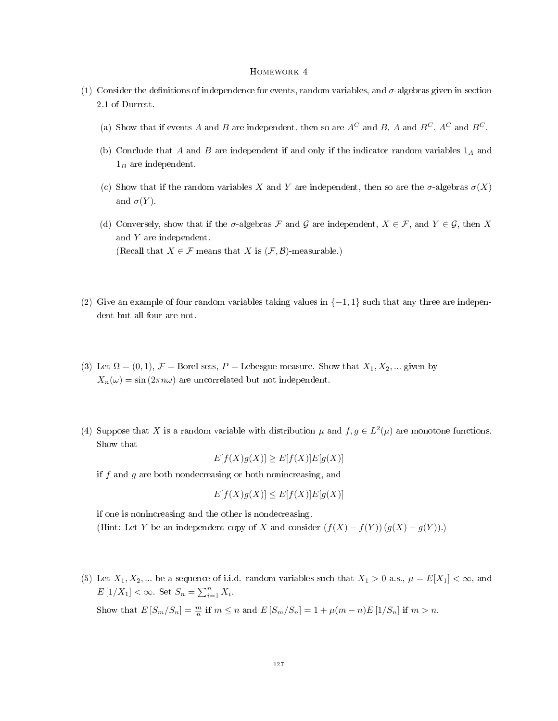- (1) Consider the definitions of independence for events, random variables, and  $\sigma$ -algebras given in section 2.1 of Durrett.
	- (a) Show that if events A and B are independent, then so are  $A^C$  and  $B$ , A and  $B^C$ ,  $A^C$  and  $B^C$ .
	- (b) Conclude that A and B are independent if and only if the indicator random variables  $1_A$  and  $1_B$  are independent.
	- (c) Show that if the random variables X and Y are independent, then so are the  $\sigma$ -algebras  $\sigma(X)$ and  $\sigma(Y)$ .
	- (d) Conversely, show that if the  $\sigma$ -algebras F and G are independent,  $X \in \mathcal{F}$ , and  $Y \in \mathcal{G}$ , then X and Y are independent. (Recall that  $X \in \mathcal{F}$  means that X is  $(\mathcal{F}, \mathcal{B})$ -measurable.)
- (2) Give an example of four random variables taking values in  $\{-1,1\}$  such that any three are independent but all four are not.
- (3) Let  $\Omega = (0, 1), \mathcal{F} =$  Borel sets, P = Lebesgue measure. Show that  $X_1, X_2, ...$  given by  $X_n(\omega) = \sin(2\pi n\omega)$  are uncorrelated but not independent.
- (4) Suppose that X is a random variable with distribution  $\mu$  and  $f, g \in L^2(\mu)$  are monotone functions. Show that

$$
E[f(X)g(X)] \ge E[f(X)]E[g(X)]
$$

if  $f$  and  $g$  are both nondecreasing or both nonincreasing, and

$$
E[f(X)g(X)] \le E[f(X)]E[g(X)]
$$

if one is nonincreasing and the other is nondecreasing. (Hint: Let Y be an independent copy of X and consider  $(f(X) - f(Y))(g(X) - g(Y))$ .)

(5) Let  $X_1, X_2, ...$  be a sequence of i.i.d. random variables such that  $X_1 > 0$  a.s.,  $\mu = E[X_1] < \infty$ , and  $E[1/X_1] < \infty$ . Set  $S_n = \sum_{i=1}^n X_i$ . Show that  $E[S_m/S_n] = \frac{m}{n}$  if  $m \le n$  and  $E[S_m/S_n] = 1 + \mu(m - n)E[1/S_n]$  if  $m > n$ .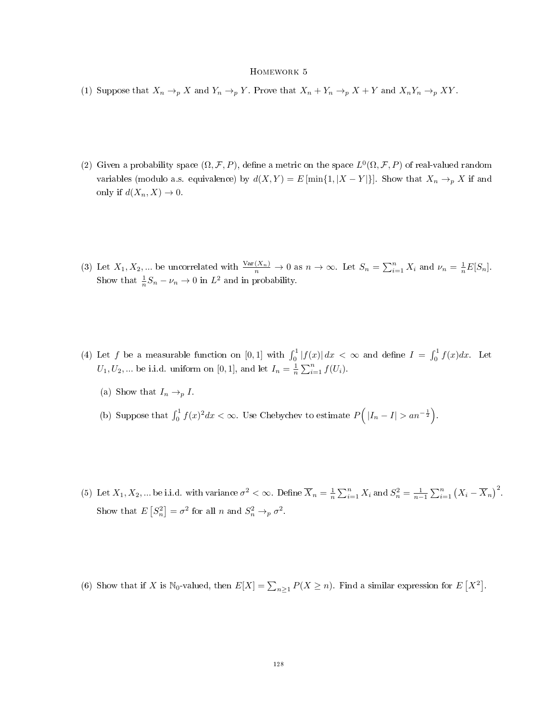- (1) Suppose that  $X_n \to_p X$  and  $Y_n \to_p Y$ . Prove that  $X_n + Y_n \to_p X + Y$  and  $X_n Y_n \to_p XY$ .
- (2) Given a probability space  $(\Omega, \mathcal{F}, P)$ , define a metric on the space  $L^0(\Omega, \mathcal{F}, P)$  of real-valued random variables (modulo a.s. equivalence) by  $d(X,Y) = E[\min\{1, |X-Y|\}]$ . Show that  $X_n \to_p X$  if and only if  $d(X_n, X) \to 0$ .
- (3) Let  $X_1, X_2, ...$  be uncorrelated with  $\frac{\text{Var}(X_n)}{n} \to 0$  as  $n \to \infty$ . Let  $S_n = \sum_{i=1}^n X_i$  and  $\nu_n = \frac{1}{n} E[S_n]$ . Show that  $\frac{1}{n}S_n - \nu_n \to 0$  in  $L^2$  and in probability.
- (4) Let f be a measurable function on  $[0,1]$  with  $\int_0^1 |f(x)| dx < \infty$  and define  $I = \int_0^1 f(x) dx$ . Let  $U_1, U_2, ...$  be i.i.d. uniform on [0, 1], and let  $I_n = \frac{1}{n} \sum_{i=1}^n f(U_i)$ .
	- (a) Show that  $I_n \rightarrow_p I$ .
	- (b) Suppose that  $\int_0^1 f(x)^2 dx < \infty$ . Use Chebychev to estimate  $P(|I_n I| > a n^{-\frac{1}{2}})$ .
- (5) Let  $X_1, X_2, ...$  be i.i.d. with variance  $\sigma^2 < \infty$ . Define  $\overline{X}_n = \frac{1}{n} \sum_{i=1}^n X_i$  and  $S_n^2 = \frac{1}{n-1} \sum_{i=1}^n (X_i \overline{X}_n)^2$ . Show that  $E[S_n^2] = \sigma^2$  for all n and  $S_n^2 \to_p \sigma^2$ .
- (6) Show that if X is N<sub>0</sub>-valued, then  $E[X] = \sum_{n \geq 1} P(X \geq n)$ . Find a similar expression for  $E[X^2]$ .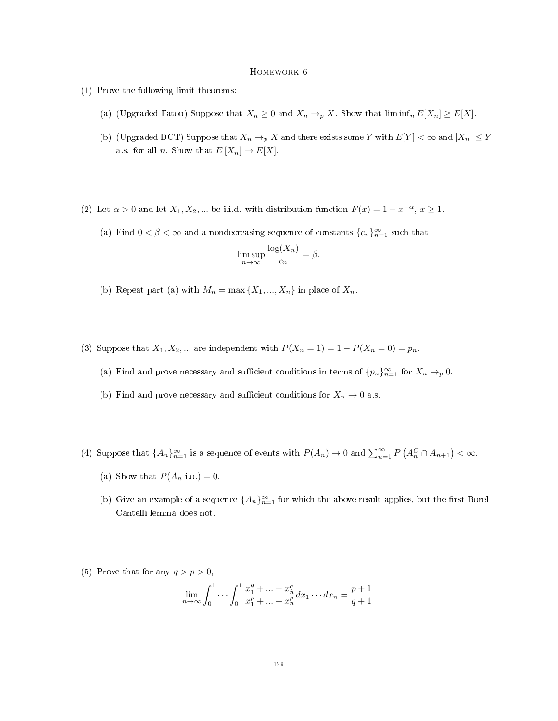- (1) Prove the following limit theorems:
	- (a) (Upgraded Fatou) Suppose that  $X_n \geq 0$  and  $X_n \to_p X$ . Show that  $\liminf_n E[X_n] \geq E[X]$ .
	- (b) (Upgraded DCT) Suppose that  $X_n \to_p X$  and there exists some Y with  $E[Y] < \infty$  and  $|X_n| \le Y$ a.s. for all n. Show that  $E[X_n] \to E[X]$ .
- (2) Let  $\alpha > 0$  and let  $X_1, X_2, ...$  be i.i.d. with distribution function  $F(x) = 1 x^{-\alpha}, x \ge 1$ .
	- (a) Find  $0 < \beta < \infty$  and a nondecreasing sequence of constants  ${c_n}_{n=1}^{\infty}$  such that

$$
\limsup_{n \to \infty} \frac{\log(X_n)}{c_n} = \beta.
$$

- (b) Repeat part (a) with  $M_n = \max\{X_1, ..., X_n\}$  in place of  $X_n$ .
- (3) Suppose that  $X_1, X_2, ...$  are independent with  $P(X_n = 1) = 1 P(X_n = 0) = p_n$ .
	- (a) Find and prove necessary and sufficient conditions in terms of  $\{p_n\}_{n=1}^{\infty}$  for  $X_n \to_p 0$ .
	- (b) Find and prove necessary and sufficient conditions for  $X_n \to 0$  a.s.
- (4) Suppose that  $\{A_n\}_{n=1}^{\infty}$  is a sequence of events with  $P(A_n) \to 0$  and  $\sum_{n=1}^{\infty} P(A_n^C \cap A_{n+1}) < \infty$ .
	- (a) Show that  $P(A_n \text{ i.o.}) = 0$ .
	- (b) Give an example of a sequence  $\{A_n\}_{n=1}^{\infty}$  for which the above result applies, but the first Borel-Cantelli lemma does not.
- (5) Prove that for any  $q > p > 0$ ,

$$
\lim_{n \to \infty} \int_0^1 \cdots \int_0^1 \frac{x_1^q + \cdots + x_n^q}{x_1^p + \cdots + x_n^p} dx_1 \cdots dx_n = \frac{p+1}{q+1}.
$$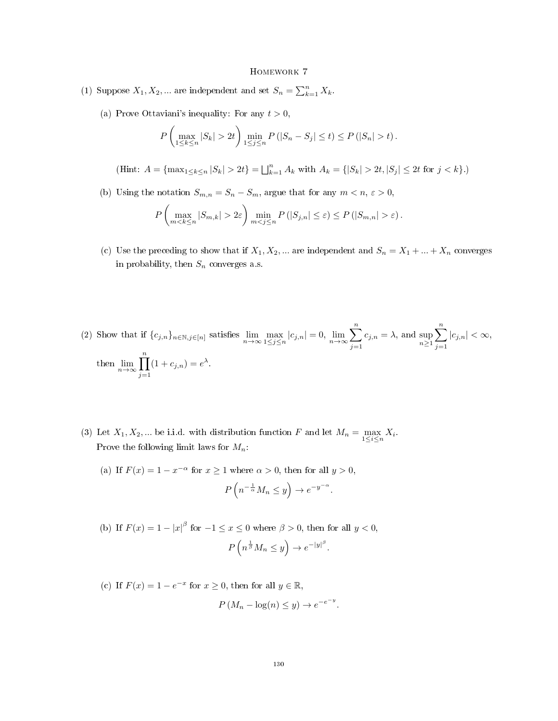- (1) Suppose  $X_1, X_2, ...$  are independent and set  $S_n = \sum_{k=1}^n X_k$ .
	- (a) Prove Ottaviani's inequality: For any  $t > 0$ ,

$$
P\left(\max_{1\leq k\leq n}|S_k|>2t\right)\min_{1\leq j\leq n}P\left(|S_n-S_j|\leq t\right)\leq P\left(|S_n|>t\right).
$$

(Hint:  $A = \{\max_{1 \leq k \leq n} |S_k| > 2t\} = \bigsqcup_{k=1}^n A_k$  with  $A_k = \{|S_k| > 2t, |S_j| \leq 2t$  for  $j < k\}$ .)

(b) Using the notation  $S_{m,n} = S_n - S_m$ , argue that for any  $m < n$ ,  $\varepsilon > 0$ ,

$$
P\left(\max_{m < k \le n} |S_{m,k}| > 2\varepsilon\right) \min_{m < j \le n} P\left(|S_{j,n}| \le \varepsilon\right) \le P\left(|S_{m,n}| > \varepsilon\right).
$$

- (c) Use the preceding to show that if  $X_1, X_2, ...$  are independent and  $S_n = X_1 + ... + X_n$  converges in probability, then  $S_n$  converges a.s.
- (2) Show that if  ${c_{j,n}}_{n \in \mathbb{N}, j \in [n]}$  satisfies  $\lim_{n \to \infty} \max_{1 \leq j \leq n} |c_{j,n}| = 0$ ,  $\lim_{n \to \infty} \sum_{n=1}^{\infty}$  $j=1$  $c_{j,n} = \lambda$ , and sup<br> $\sum_{n=1}^{\infty}$  $\sum_{n=1}^{\infty}$  $j=1$  $|c_{j,n}| < \infty$ , then  $\lim_{n\to\infty}\prod_{n=1}^n$  $j=1$  $(1+c_{j,n})=e^{\lambda}.$
- (3) Let  $X_1, X_2, ...$  be i.i.d. with distribution function F and let  $M_n = \max_{1 \le i \le n} X_i$ . Prove the following limit laws for  $M_n$ :
	- (a) If  $F(x) = 1 x^{-\alpha}$  for  $x \ge 1$  where  $\alpha > 0$ , then for all  $y > 0$ ,  $P\left(n^{-\frac{1}{\alpha}}M_n \leq y\right) \to e^{-y^{-\alpha}}.$
	- (b) If  $F(x) = 1 |x|^\beta$  for  $-1 \le x \le 0$  where  $\beta > 0$ , then for all  $y < 0$ ,  $P\left(n^{\frac{1}{\beta}}M_n\leq y\right)\to e^{-|y|^\beta}.$
	- (c) If  $F(x) = 1 e^{-x}$  for  $x \ge 0$ , then for all  $y \in \mathbb{R}$ ,  $P(M_n - \log(n) \leq y) \rightarrow e^{-e^{-y}}.$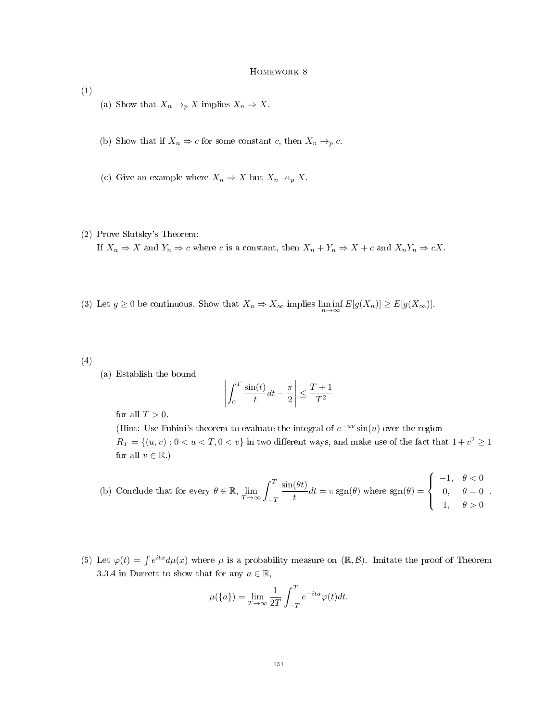- (1)
- (a) Show that  $X_n \to_p X$  implies  $X_n \Rightarrow X$ .
- (b) Show that if  $X_n \Rightarrow c$  for some constant c, then  $X_n \to_p c$ .
- (c) Give an example where  $X_n \Rightarrow X$  but  $X_n \nrightarrow_p X$ .
- (2) Prove Slutsky's Theorem:

If  $X_n \Rightarrow X$  and  $Y_n \Rightarrow c$  where c is a constant, then  $X_n + Y_n \Rightarrow X + c$  and  $X_n Y_n \Rightarrow cX$ .

- (3) Let  $g \ge 0$  be continuous. Show that  $X_n \Rightarrow X_\infty$  implies  $\liminf_{n \to \infty} E[g(X_n)] \ge E[g(X_\infty)]$ .
- (4)
- (a) Establish the bound

$$
\left| \int_0^T \frac{\sin(t)}{t} dt - \frac{\pi}{2} \right| \le \frac{T+1}{T^2}
$$

for all  $T > 0$ .

(Hint: Use Fubini's theorem to evaluate the integral of  $e^{-uv}\sin(u)$  over the region  $R_T = \{(u, v) : 0 < u < T, 0 < v\}$  in two different ways, and make use of the fact that  $1 + v^2 \geq 1$ for all  $v \in \mathbb{R}$ .)

(b) Conclude that for every 
$$
\theta \in \mathbb{R}
$$
,  $\lim_{T \to \infty} \int_{-T}^{T} \frac{\sin(\theta t)}{t} dt = \pi \operatorname{sgn}(\theta)$  where  $\operatorname{sgn}(\theta) = \begin{cases} -1, & \theta < 0 \\ 0, & \theta = 0 \\ 1, & \theta > 0 \end{cases}$ .

(5) Let  $\varphi(t) = \int e^{itx} d\mu(x)$  where  $\mu$  is a probability measure on  $(\mathbb{R}, \mathcal{B})$ . Imitate the proof of Theorem 3.3.4 in Durrett to show that for any  $a \in \mathbb{R}$ ,

$$
\mu({a}) = \lim_{T \to \infty} \frac{1}{2T} \int_{-T}^{T} e^{-ita} \varphi(t) dt.
$$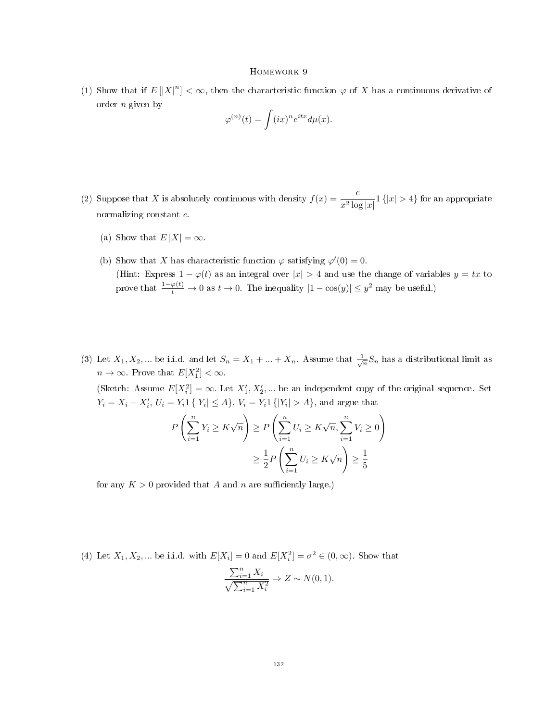(1) Show that if  $E[|X|^n] < \infty$ , then the characteristic function  $\varphi$  of X has a continuous derivative of order  $n$  given by

$$
\varphi^{(n)}(t)=\int (ix)^{n}e^{itx}d\mu(x).
$$

- (2) Suppose that X is absolutely continuous with density  $f(x) = \frac{c}{x^2 \log |x|} 1\{|x| > 4\}$  for an appropriate normalizing constant c.
	- (a) Show that  $E|X| = \infty$ .
	- (b) Show that X has characteristic function  $\varphi$  satisfying  $\varphi'(0) = 0$ . (Hint: Express  $1 - \varphi(t)$  as an integral over  $|x| > 4$  and use the change of variables  $y = tx$  to prove that  $\frac{1-\varphi(t)}{t} \to 0$  as  $t \to 0$ . The inequality  $|1 - \cos(y)| \leq y^2$  may be useful.)
- (3) Let  $X_1, X_2, ...$  be i.i.d. and let  $S_n = X_1 + ... + X_n$ . Assume that  $\frac{1}{\sqrt{n}}S_n$  has a distributional limit as  $n \to \infty$ . Prove that  $E[X_1^2] < \infty$ .

(Sketch: Assume  $E[X_i^2] = \infty$ . Let  $X'_1, X'_2, ...$  be an independent copy of the original sequence. Set  $Y_i = X_i - X'_i, U_i = Y_i 1 \{ |Y_i| \le A \}, V_i = Y_i 1 \{ |Y_i| > A \},$  and argue that

$$
P\left(\sum_{i=1}^{n} Y_i \ge K\sqrt{n}\right) \ge P\left(\sum_{i=1}^{n} U_i \ge K\sqrt{n}, \sum_{i=1}^{n} V_i \ge 0\right)
$$

$$
\ge \frac{1}{2} P\left(\sum_{i=1}^{n} U_i \ge K\sqrt{n}\right) \ge \frac{1}{5}
$$

for any  $K > 0$  provided that A and n are sufficiently large.)

(4) Let  $X_1, X_2, ...$  be i.i.d. with  $E[X_i] = 0$  and  $E[X_i^2] = \sigma^2 \in (0, \infty)$ . Show that

$$
\frac{\sum_{i=1}^{n} X_i}{\sqrt{\sum_{i=1}^{n} X_i^2}} \Rightarrow Z \sim N(0, 1).
$$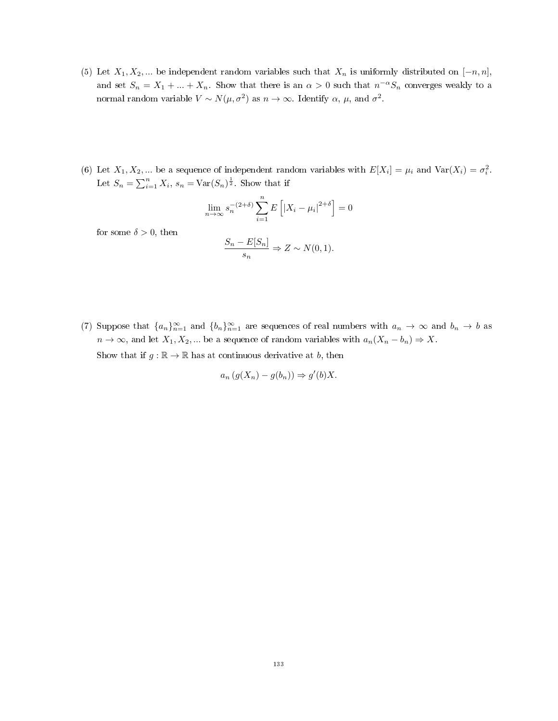- (5) Let  $X_1, X_2, ...$  be independent random variables such that  $X_n$  is uniformly distributed on  $[-n, n]$ , and set  $S_n = X_1 + ... + X_n$ . Show that there is an  $\alpha > 0$  such that  $n^{-\alpha}S_n$  converges weakly to a normal random variable  $V \sim N(\mu, \sigma^2)$  as  $n \to \infty$ . Identify  $\alpha$ ,  $\mu$ , and  $\sigma^2$ .
- (6) Let  $X_1, X_2, ...$  be a sequence of independent random variables with  $E[X_i] = \mu_i$  and  $Var(X_i) = \sigma_i^2$ . Let  $S_n = \sum_{i=1}^n X_i$ ,  $s_n = \text{Var}(S_n)^{\frac{1}{2}}$ . Show that if

$$
\lim_{n \to \infty} s_n^{-(2+\delta)} \sum_{i=1}^n E\left[ |X_i - \mu_i|^{2+\delta} \right] = 0
$$

for some  $\delta > 0$ , then

$$
\frac{S_n - E[S_n]}{s_n} \Rightarrow Z \sim N(0, 1).
$$

(7) Suppose that  ${a_n}_{n=1}^{\infty}$  and  ${b_n}_{n=1}^{\infty}$  are sequences of real numbers with  $a_n \to \infty$  and  $b_n \to b$  as  $n \to \infty$ , and let  $X_1, X_2, \dots$  be a sequence of random variables with  $a_n(X_n - b_n) \Rightarrow X$ . Show that if  $g : \mathbb{R} \to \mathbb{R}$  has at continuous derivative at b, then

$$
a_n(g(X_n) - g(b_n)) \Rightarrow g'(b)X.
$$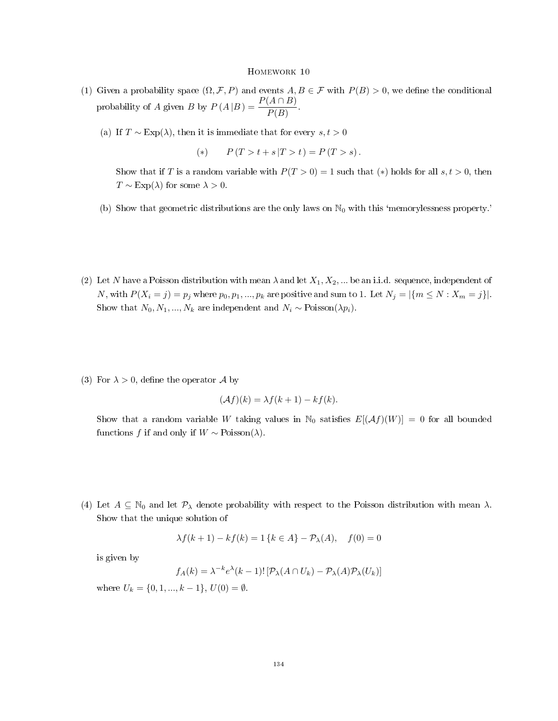- (1) Given a probability space  $(\Omega, \mathcal{F}, P)$  and events  $A, B \in \mathcal{F}$  with  $P(B) > 0$ , we define the conditional probability of A given B by  $P(A|B) = \frac{P(A \cap B)}{P(B)}$ .
	- (a) If  $T \sim \text{Exp}(\lambda)$ , then it is immediate that for every  $s, t > 0$

(\*) 
$$
P(T > t + s | T > t) = P(T > s)
$$
.

Show that if T is a random variable with  $P(T > 0) = 1$  such that (\*) holds for all s,  $t > 0$ , then  $T \sim \text{Exp}(\lambda)$  for some  $\lambda > 0$ .

- (b) Show that geometric distributions are the only laws on  $\mathbb{N}_0$  with this 'memorylessness property.'
- (2) Let N have a Poisson distribution with mean  $\lambda$  and let  $X_1, X_2, ...$  be an i.i.d. sequence, independent of N, with  $P(X_i = j) = p_j$  where  $p_0, p_1, ..., p_k$  are positive and sum to 1. Let  $N_j = |\{m \le N : X_m = j\}|$ . Show that  $N_0, N_1, ..., N_k$  are independent and  $N_i \sim \text{Poisson}(\lambda p_i)$ .
- (3) For  $\lambda > 0$ , define the operator A by

$$
(\mathcal{A}f)(k) = \lambda f(k+1) - kf(k).
$$

Show that a random variable W taking values in  $\mathbb{N}_0$  satisfies  $E[(\mathcal{A}f)(W)] = 0$  for all bounded functions f if and only if  $W \sim \text{Poisson}(\lambda)$ .

(4) Let  $A \subseteq \mathbb{N}_0$  and let  $\mathcal{P}_{\lambda}$  denote probability with respect to the Poisson distribution with mean  $\lambda$ . Show that the unique solution of

$$
\lambda f(k+1) - kf(k) = 1 \{ k \in A \} - \mathcal{P}_{\lambda}(A), \quad f(0) = 0
$$

is given by

$$
f_A(k) = \lambda^{-k} e^{\lambda} (k-1)! \left[ \mathcal{P}_{\lambda} (A \cap U_k) - \mathcal{P}_{\lambda} (A) \mathcal{P}_{\lambda} (U_k) \right]
$$

where  $U_k = \{0, 1, ..., k-1\}, U(0) = \emptyset$ .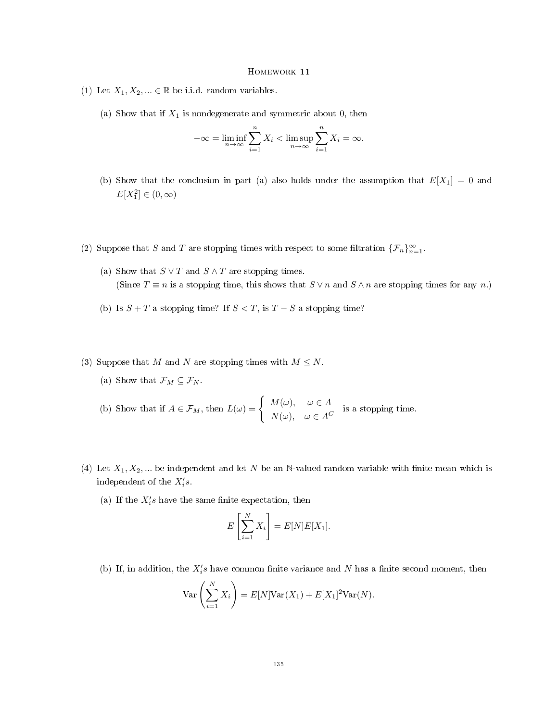- (1) Let  $X_1, X_2, ... \in \mathbb{R}$  be i.i.d. random variables.
	- (a) Show that if  $X_1$  is nondegenerate and symmetric about 0, then

$$
-\infty = \liminf_{n \to \infty} \sum_{i=1}^{n} X_i < \limsup_{n \to \infty} \sum_{i=1}^{n} X_i = \infty.
$$

- (b) Show that the conclusion in part (a) also holds under the assumption that  $E[X_1] = 0$  and  $E[X_1^2] \in (0, \infty)$
- (2) Suppose that S and T are stopping times with respect to some filtration  $\{\mathcal{F}_n\}_{n=1}^{\infty}$ .
	- (a) Show that  $S \vee T$  and  $S \wedge T$  are stopping times. (Since  $T \equiv n$  is a stopping time, this shows that  $S \vee n$  and  $S \wedge n$  are stopping times for any n.)
	- (b) Is  $S + T$  a stopping time? If  $S < T$ , is  $T S$  a stopping time?
- (3) Suppose that M and N are stopping times with  $M \leq N$ .
	- (a) Show that  $\mathcal{F}_M \subseteq \mathcal{F}_N$ .
	- (b) Show that if  $A \in \mathcal{F}_M$ , then  $L(\omega) = \begin{cases} M(\omega), & \omega \in A \\ N(\omega), & \omega \in A \end{cases}$  $N(\omega)$ ,  $\omega \in A^C$  is a stopping time.
- (4) Let  $X_1, X_2, ...$  be independent and let N be an N-valued random variable with finite mean which is independent of the  $X_i's$ .
	- (a) If the  $X_i^\prime s$  have the same finite expectation, then

$$
E\left[\sum_{i=1}^{N} X_i\right] = E[N]E[X_1].
$$

(b) If, in addition, the  $X_i$ 's have common finite variance and N has a finite second moment, then

$$
\text{Var}\left(\sum_{i=1}^{N} X_i\right) = E[N]\text{Var}(X_1) + E[X_1]^2 \text{Var}(N).
$$